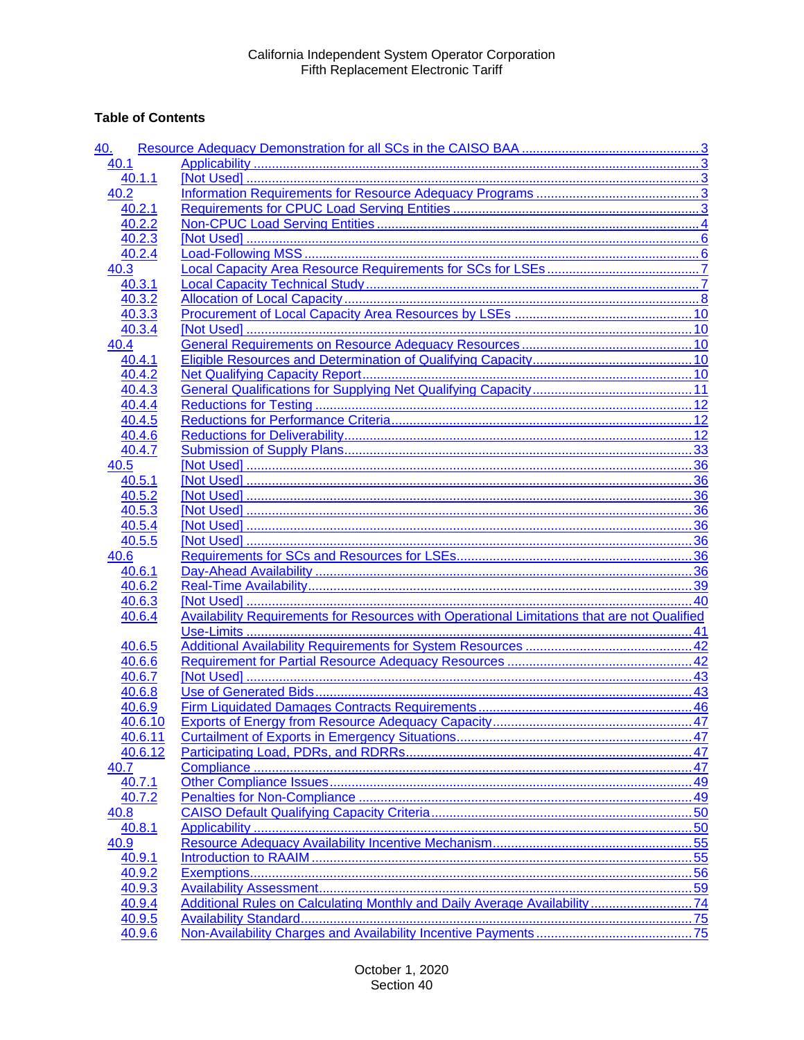## **Table of Contents**

| <u>40.</u> |                                                                                                    |    |
|------------|----------------------------------------------------------------------------------------------------|----|
| 40.1       |                                                                                                    |    |
| 40.1.1     |                                                                                                    |    |
| 40.2       |                                                                                                    |    |
| 40.2.1     |                                                                                                    |    |
| 40.2.2     |                                                                                                    |    |
| 40.2.3     |                                                                                                    |    |
| 40.2.4     |                                                                                                    |    |
| 40.3       |                                                                                                    |    |
| 40.3.1     |                                                                                                    |    |
| 40.3.2     |                                                                                                    |    |
| 40.3.3     |                                                                                                    |    |
| 40.3.4     |                                                                                                    |    |
| 40.4       |                                                                                                    |    |
| 40.4.1     |                                                                                                    |    |
| 40.4.2     |                                                                                                    |    |
| 40.4.3     |                                                                                                    |    |
| 40.4.4     |                                                                                                    |    |
| 40.4.5     |                                                                                                    |    |
| 40.4.6     |                                                                                                    |    |
| 40.4.7     |                                                                                                    |    |
| 40.5       |                                                                                                    |    |
| 40.5.1     |                                                                                                    |    |
| 40.5.2     |                                                                                                    |    |
| 40.5.3     |                                                                                                    |    |
| 40.5.4     |                                                                                                    |    |
| 40.5.5     |                                                                                                    |    |
| 40.6       |                                                                                                    |    |
| 40.6.1     |                                                                                                    |    |
| 40.6.2     |                                                                                                    |    |
| 40.6.3     |                                                                                                    |    |
| 40.6.4     | <b>Availability Requirements for Resources with Operational Limitations that are not Qualified</b> |    |
|            |                                                                                                    |    |
| 40.6.5     |                                                                                                    |    |
| 40.6.6     |                                                                                                    |    |
| 40.6.7     |                                                                                                    |    |
| 40.6.8     |                                                                                                    |    |
| 40.6.9     |                                                                                                    |    |
| 40.6.10    |                                                                                                    | 47 |
| 40.6.11    |                                                                                                    |    |
| 40.6.12    |                                                                                                    |    |
| 40.7       |                                                                                                    |    |
| 40.7.1     |                                                                                                    |    |
| 40.7.2     |                                                                                                    |    |
| 40.8       |                                                                                                    |    |
| 40.8.1     |                                                                                                    |    |
| 40.9       |                                                                                                    |    |
| 40.9.1     |                                                                                                    |    |
| 40.9.2     |                                                                                                    |    |
| 40.9.3     |                                                                                                    |    |
| 40.9.4     | Additional Rules on Calculating Monthly and Daily Average Availability74                           |    |
| 40.9.5     |                                                                                                    |    |
| 40.9.6     |                                                                                                    |    |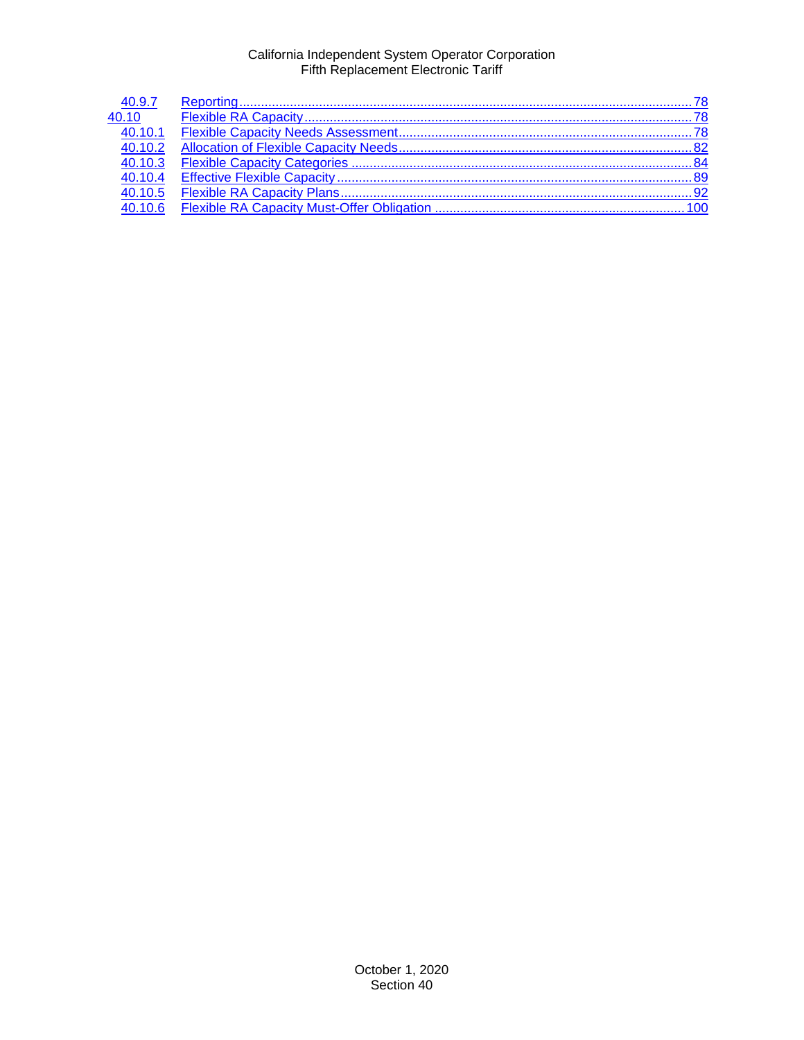| 40.9.7               |  |
|----------------------|--|
| 40.10                |  |
| $\overline{40.10.1}$ |  |
| 40.10.2              |  |
| 40.10.3              |  |
| 40.10.4              |  |
| 40.10.5              |  |
| 40.10.6              |  |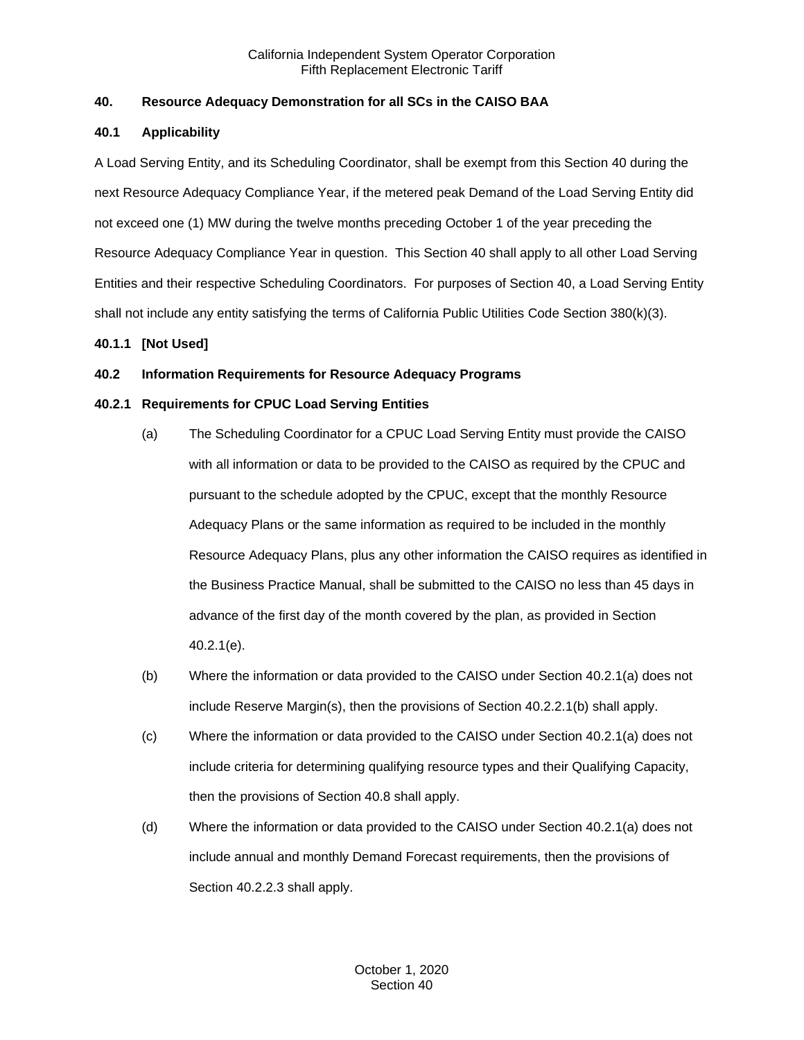## <span id="page-2-0"></span>**40. Resource Adequacy Demonstration for all SCs in the CAISO BAA**

## <span id="page-2-1"></span>**40.1 Applicability**

A Load Serving Entity, and its Scheduling Coordinator, shall be exempt from this Section 40 during the next Resource Adequacy Compliance Year, if the metered peak Demand of the Load Serving Entity did not exceed one (1) MW during the twelve months preceding October 1 of the year preceding the Resource Adequacy Compliance Year in question. This Section 40 shall apply to all other Load Serving Entities and their respective Scheduling Coordinators. For purposes of Section 40, a Load Serving Entity shall not include any entity satisfying the terms of California Public Utilities Code Section 380(k)(3).

## <span id="page-2-2"></span>**40.1.1 [Not Used]**

## <span id="page-2-3"></span>**40.2 Information Requirements for Resource Adequacy Programs**

## <span id="page-2-4"></span>**40.2.1 Requirements for CPUC Load Serving Entities**

- (a) The Scheduling Coordinator for a CPUC Load Serving Entity must provide the CAISO with all information or data to be provided to the CAISO as required by the CPUC and pursuant to the schedule adopted by the CPUC, except that the monthly Resource Adequacy Plans or the same information as required to be included in the monthly Resource Adequacy Plans, plus any other information the CAISO requires as identified in the Business Practice Manual, shall be submitted to the CAISO no less than 45 days in advance of the first day of the month covered by the plan, as provided in Section 40.2.1(e).
- (b) Where the information or data provided to the CAISO under Section 40.2.1(a) does not include Reserve Margin(s), then the provisions of Section 40.2.2.1(b) shall apply.
- (c) Where the information or data provided to the CAISO under Section 40.2.1(a) does not include criteria for determining qualifying resource types and their Qualifying Capacity, then the provisions of Section 40.8 shall apply.
- (d) Where the information or data provided to the CAISO under Section 40.2.1(a) does not include annual and monthly Demand Forecast requirements, then the provisions of Section 40.2.2.3 shall apply.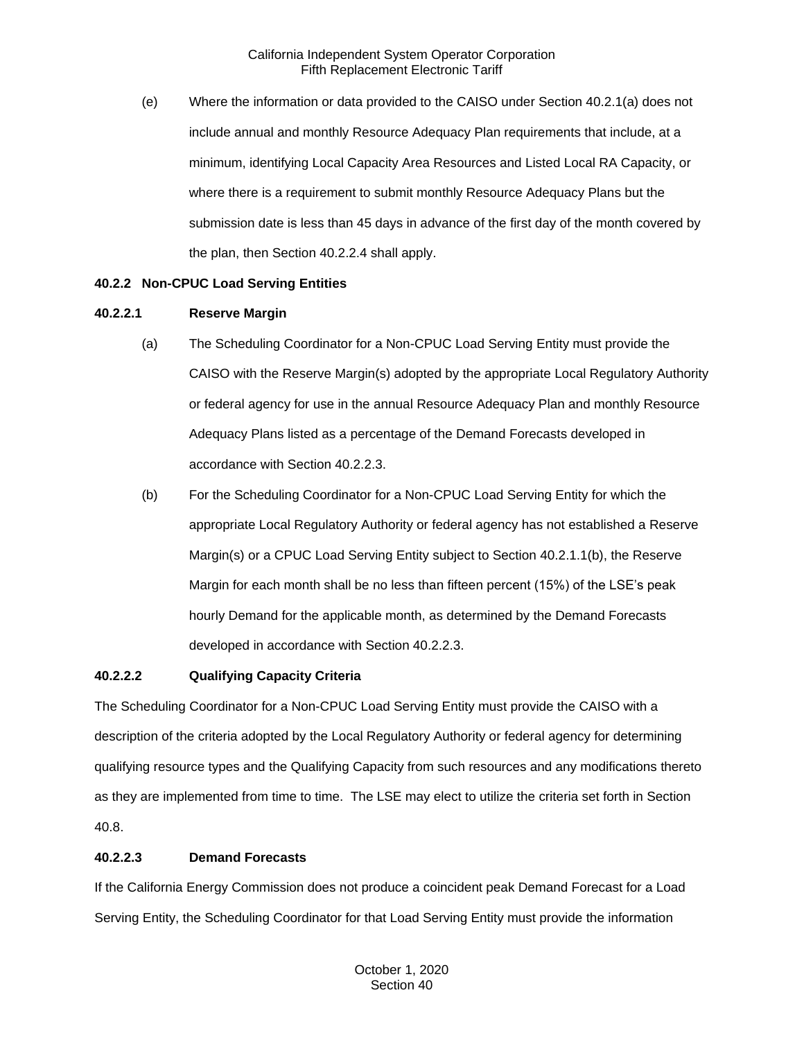(e) Where the information or data provided to the CAISO under Section 40.2.1(a) does not include annual and monthly Resource Adequacy Plan requirements that include, at a minimum, identifying Local Capacity Area Resources and Listed Local RA Capacity, or where there is a requirement to submit monthly Resource Adequacy Plans but the submission date is less than 45 days in advance of the first day of the month covered by the plan, then Section 40.2.2.4 shall apply.

## <span id="page-3-0"></span>**40.2.2 Non-CPUC Load Serving Entities**

## **40.2.2.1 Reserve Margin**

- (a) The Scheduling Coordinator for a Non-CPUC Load Serving Entity must provide the CAISO with the Reserve Margin(s) adopted by the appropriate Local Regulatory Authority or federal agency for use in the annual Resource Adequacy Plan and monthly Resource Adequacy Plans listed as a percentage of the Demand Forecasts developed in accordance with Section 40.2.2.3.
- (b) For the Scheduling Coordinator for a Non-CPUC Load Serving Entity for which the appropriate Local Regulatory Authority or federal agency has not established a Reserve Margin(s) or a CPUC Load Serving Entity subject to Section 40.2.1.1(b), the Reserve Margin for each month shall be no less than fifteen percent (15%) of the LSE's peak hourly Demand for the applicable month, as determined by the Demand Forecasts developed in accordance with Section 40.2.2.3.

## **40.2.2.2 Qualifying Capacity Criteria**

The Scheduling Coordinator for a Non-CPUC Load Serving Entity must provide the CAISO with a description of the criteria adopted by the Local Regulatory Authority or federal agency for determining qualifying resource types and the Qualifying Capacity from such resources and any modifications thereto as they are implemented from time to time. The LSE may elect to utilize the criteria set forth in Section 40.8.

## **40.2.2.3 Demand Forecasts**

If the California Energy Commission does not produce a coincident peak Demand Forecast for a Load Serving Entity, the Scheduling Coordinator for that Load Serving Entity must provide the information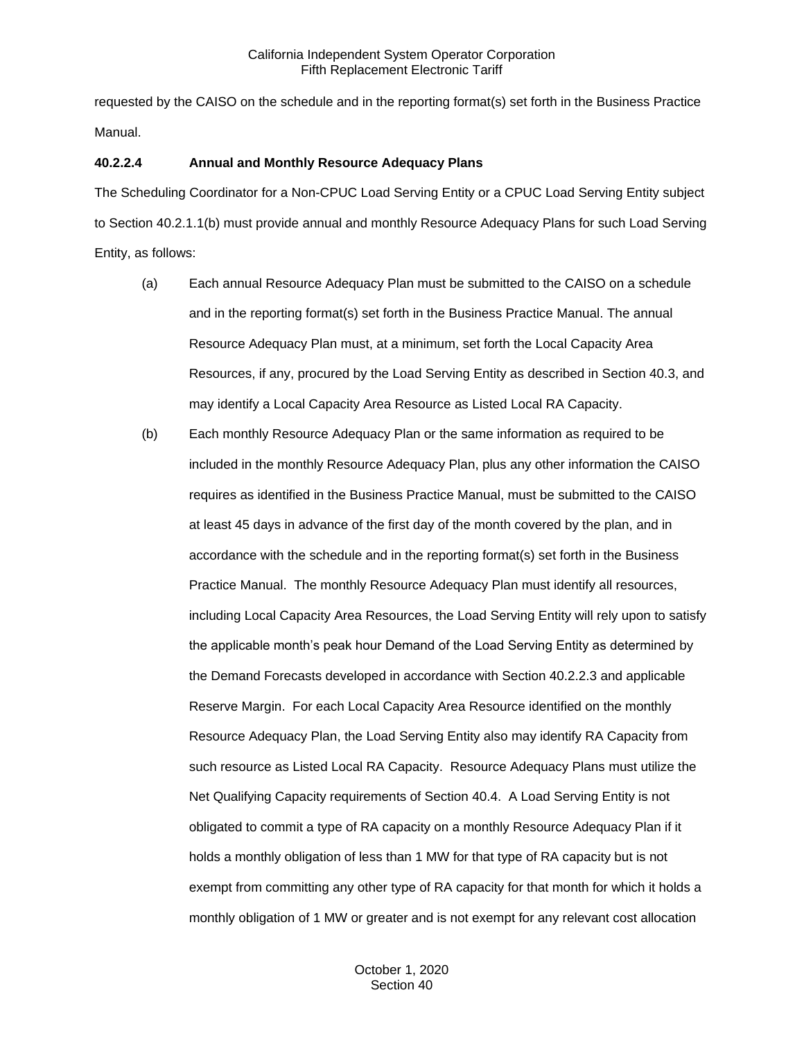requested by the CAISO on the schedule and in the reporting format(s) set forth in the Business Practice Manual.

## **40.2.2.4 Annual and Monthly Resource Adequacy Plans**

The Scheduling Coordinator for a Non-CPUC Load Serving Entity or a CPUC Load Serving Entity subject to Section 40.2.1.1(b) must provide annual and monthly Resource Adequacy Plans for such Load Serving Entity, as follows:

- (a) Each annual Resource Adequacy Plan must be submitted to the CAISO on a schedule and in the reporting format(s) set forth in the Business Practice Manual. The annual Resource Adequacy Plan must, at a minimum, set forth the Local Capacity Area Resources, if any, procured by the Load Serving Entity as described in Section 40.3, and may identify a Local Capacity Area Resource as Listed Local RA Capacity.
- (b) Each monthly Resource Adequacy Plan or the same information as required to be included in the monthly Resource Adequacy Plan, plus any other information the CAISO requires as identified in the Business Practice Manual, must be submitted to the CAISO at least 45 days in advance of the first day of the month covered by the plan, and in accordance with the schedule and in the reporting format(s) set forth in the Business Practice Manual. The monthly Resource Adequacy Plan must identify all resources, including Local Capacity Area Resources, the Load Serving Entity will rely upon to satisfy the applicable month's peak hour Demand of the Load Serving Entity as determined by the Demand Forecasts developed in accordance with Section 40.2.2.3 and applicable Reserve Margin. For each Local Capacity Area Resource identified on the monthly Resource Adequacy Plan, the Load Serving Entity also may identify RA Capacity from such resource as Listed Local RA Capacity. Resource Adequacy Plans must utilize the Net Qualifying Capacity requirements of Section 40.4. A Load Serving Entity is not obligated to commit a type of RA capacity on a monthly Resource Adequacy Plan if it holds a monthly obligation of less than 1 MW for that type of RA capacity but is not exempt from committing any other type of RA capacity for that month for which it holds a monthly obligation of 1 MW or greater and is not exempt for any relevant cost allocation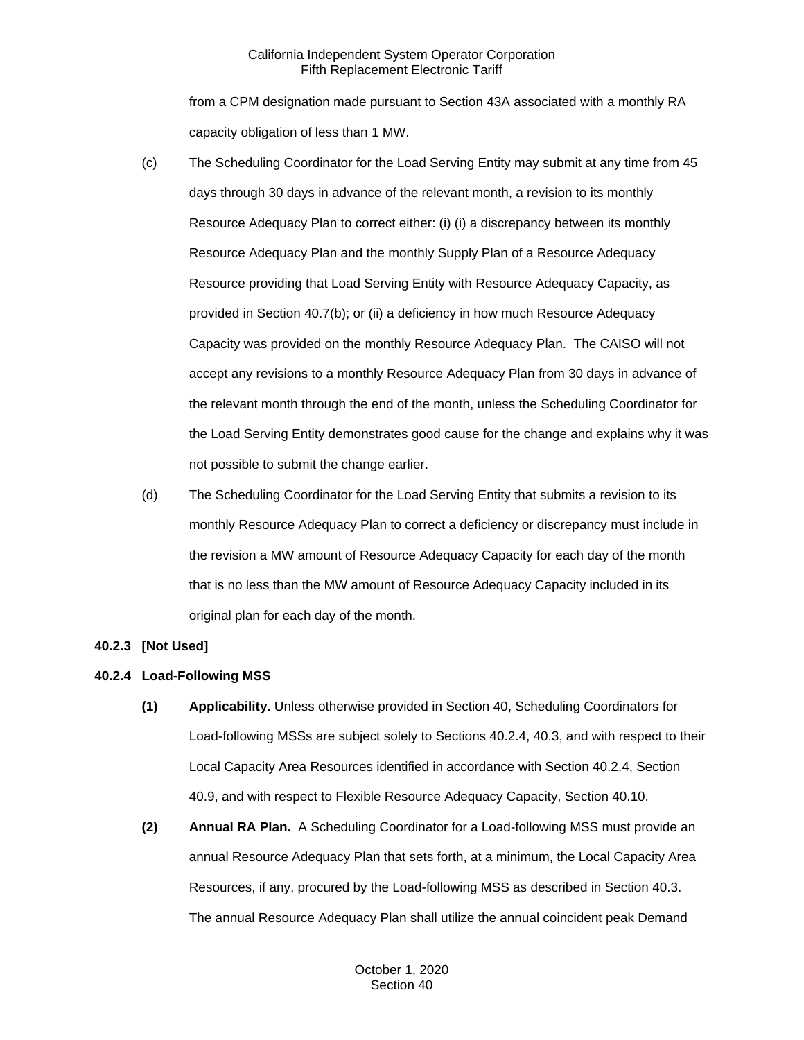from a CPM designation made pursuant to Section 43A associated with a monthly RA capacity obligation of less than 1 MW.

- (c) The Scheduling Coordinator for the Load Serving Entity may submit at any time from 45 days through 30 days in advance of the relevant month, a revision to its monthly Resource Adequacy Plan to correct either: (i) (i) a discrepancy between its monthly Resource Adequacy Plan and the monthly Supply Plan of a Resource Adequacy Resource providing that Load Serving Entity with Resource Adequacy Capacity, as provided in Section 40.7(b); or (ii) a deficiency in how much Resource Adequacy Capacity was provided on the monthly Resource Adequacy Plan. The CAISO will not accept any revisions to a monthly Resource Adequacy Plan from 30 days in advance of the relevant month through the end of the month, unless the Scheduling Coordinator for the Load Serving Entity demonstrates good cause for the change and explains why it was not possible to submit the change earlier.
- (d) The Scheduling Coordinator for the Load Serving Entity that submits a revision to its monthly Resource Adequacy Plan to correct a deficiency or discrepancy must include in the revision a MW amount of Resource Adequacy Capacity for each day of the month that is no less than the MW amount of Resource Adequacy Capacity included in its original plan for each day of the month.

#### <span id="page-5-0"></span>**40.2.3 [Not Used]**

## <span id="page-5-1"></span>**40.2.4 Load-Following MSS**

- **(1) Applicability.** Unless otherwise provided in Section 40, Scheduling Coordinators for Load-following MSSs are subject solely to Sections 40.2.4, 40.3, and with respect to their Local Capacity Area Resources identified in accordance with Section 40.2.4, Section 40.9, and with respect to Flexible Resource Adequacy Capacity, Section 40.10.
- **(2) Annual RA Plan.** A Scheduling Coordinator for a Load-following MSS must provide an annual Resource Adequacy Plan that sets forth, at a minimum, the Local Capacity Area Resources, if any, procured by the Load-following MSS as described in Section 40.3. The annual Resource Adequacy Plan shall utilize the annual coincident peak Demand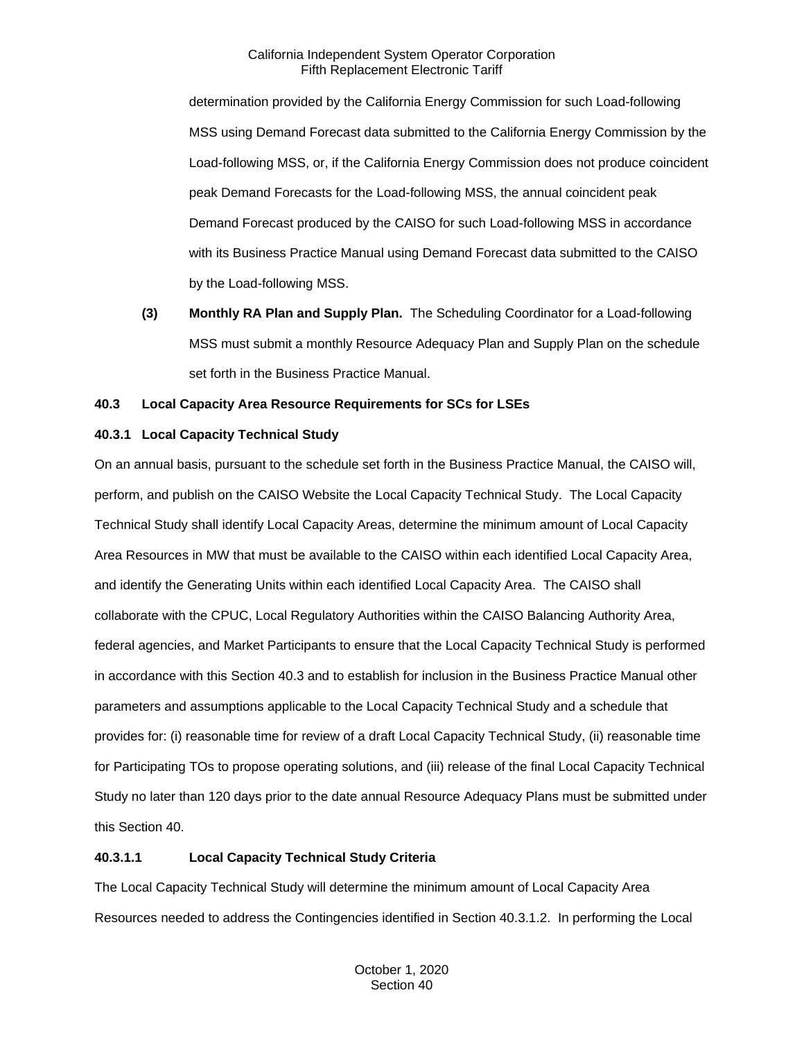determination provided by the California Energy Commission for such Load-following MSS using Demand Forecast data submitted to the California Energy Commission by the Load-following MSS, or, if the California Energy Commission does not produce coincident peak Demand Forecasts for the Load-following MSS, the annual coincident peak Demand Forecast produced by the CAISO for such Load-following MSS in accordance with its Business Practice Manual using Demand Forecast data submitted to the CAISO by the Load-following MSS.

**(3) Monthly RA Plan and Supply Plan.** The Scheduling Coordinator for a Load-following MSS must submit a monthly Resource Adequacy Plan and Supply Plan on the schedule set forth in the Business Practice Manual.

## <span id="page-6-0"></span>**40.3 Local Capacity Area Resource Requirements for SCs for LSEs**

## <span id="page-6-1"></span>**40.3.1 Local Capacity Technical Study**

On an annual basis, pursuant to the schedule set forth in the Business Practice Manual, the CAISO will, perform, and publish on the CAISO Website the Local Capacity Technical Study. The Local Capacity Technical Study shall identify Local Capacity Areas, determine the minimum amount of Local Capacity Area Resources in MW that must be available to the CAISO within each identified Local Capacity Area, and identify the Generating Units within each identified Local Capacity Area. The CAISO shall collaborate with the CPUC, Local Regulatory Authorities within the CAISO Balancing Authority Area, federal agencies, and Market Participants to ensure that the Local Capacity Technical Study is performed in accordance with this Section 40.3 and to establish for inclusion in the Business Practice Manual other parameters and assumptions applicable to the Local Capacity Technical Study and a schedule that provides for: (i) reasonable time for review of a draft Local Capacity Technical Study, (ii) reasonable time for Participating TOs to propose operating solutions, and (iii) release of the final Local Capacity Technical Study no later than 120 days prior to the date annual Resource Adequacy Plans must be submitted under this Section 40.

## **40.3.1.1 Local Capacity Technical Study Criteria**

The Local Capacity Technical Study will determine the minimum amount of Local Capacity Area Resources needed to address the Contingencies identified in Section 40.3.1.2. In performing the Local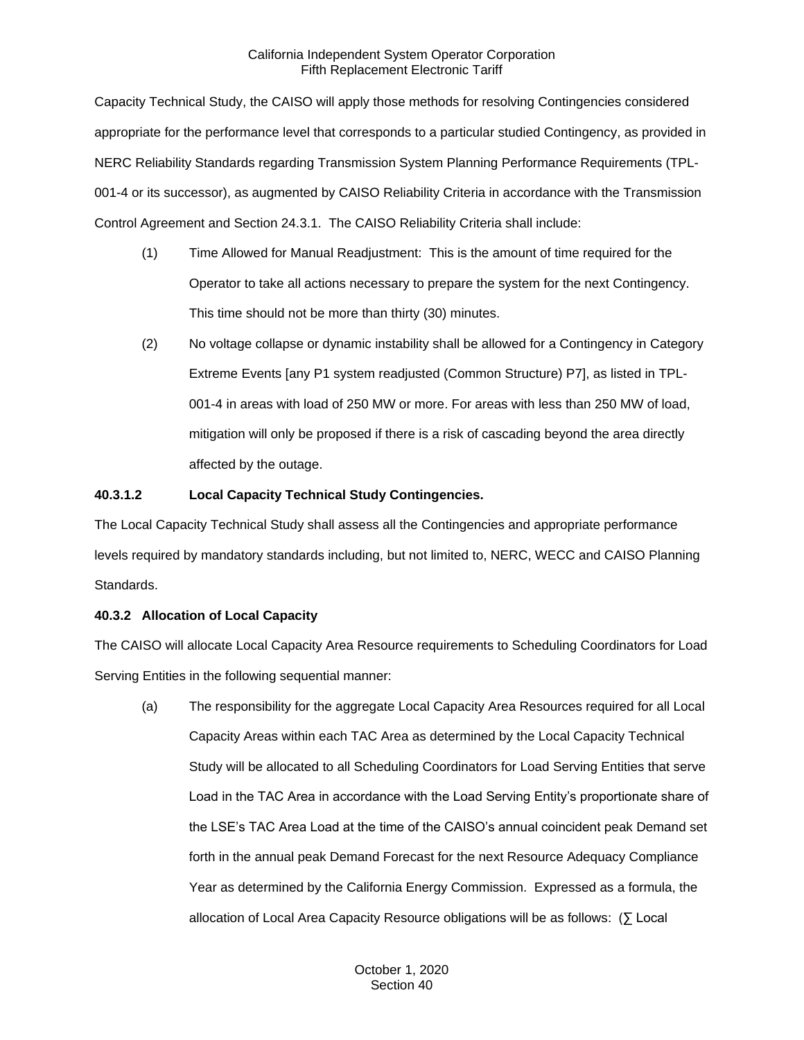Capacity Technical Study, the CAISO will apply those methods for resolving Contingencies considered appropriate for the performance level that corresponds to a particular studied Contingency, as provided in NERC Reliability Standards regarding Transmission System Planning Performance Requirements (TPL-001-4 or its successor), as augmented by CAISO Reliability Criteria in accordance with the Transmission Control Agreement and Section 24.3.1. The CAISO Reliability Criteria shall include:

- (1) Time Allowed for Manual Readjustment: This is the amount of time required for the Operator to take all actions necessary to prepare the system for the next Contingency. This time should not be more than thirty (30) minutes.
- (2) No voltage collapse or dynamic instability shall be allowed for a Contingency in Category Extreme Events [any P1 system readjusted (Common Structure) P7], as listed in TPL-001-4 in areas with load of 250 MW or more. For areas with less than 250 MW of load, mitigation will only be proposed if there is a risk of cascading beyond the area directly affected by the outage.

## **40.3.1.2 Local Capacity Technical Study Contingencies.**

The Local Capacity Technical Study shall assess all the Contingencies and appropriate performance levels required by mandatory standards including, but not limited to, NERC, WECC and CAISO Planning Standards.

## <span id="page-7-0"></span>**40.3.2 Allocation of Local Capacity**

The CAISO will allocate Local Capacity Area Resource requirements to Scheduling Coordinators for Load Serving Entities in the following sequential manner:

(a) The responsibility for the aggregate Local Capacity Area Resources required for all Local Capacity Areas within each TAC Area as determined by the Local Capacity Technical Study will be allocated to all Scheduling Coordinators for Load Serving Entities that serve Load in the TAC Area in accordance with the Load Serving Entity's proportionate share of the LSE's TAC Area Load at the time of the CAISO's annual coincident peak Demand set forth in the annual peak Demand Forecast for the next Resource Adequacy Compliance Year as determined by the California Energy Commission. Expressed as a formula, the allocation of Local Area Capacity Resource obligations will be as follows: (∑ Local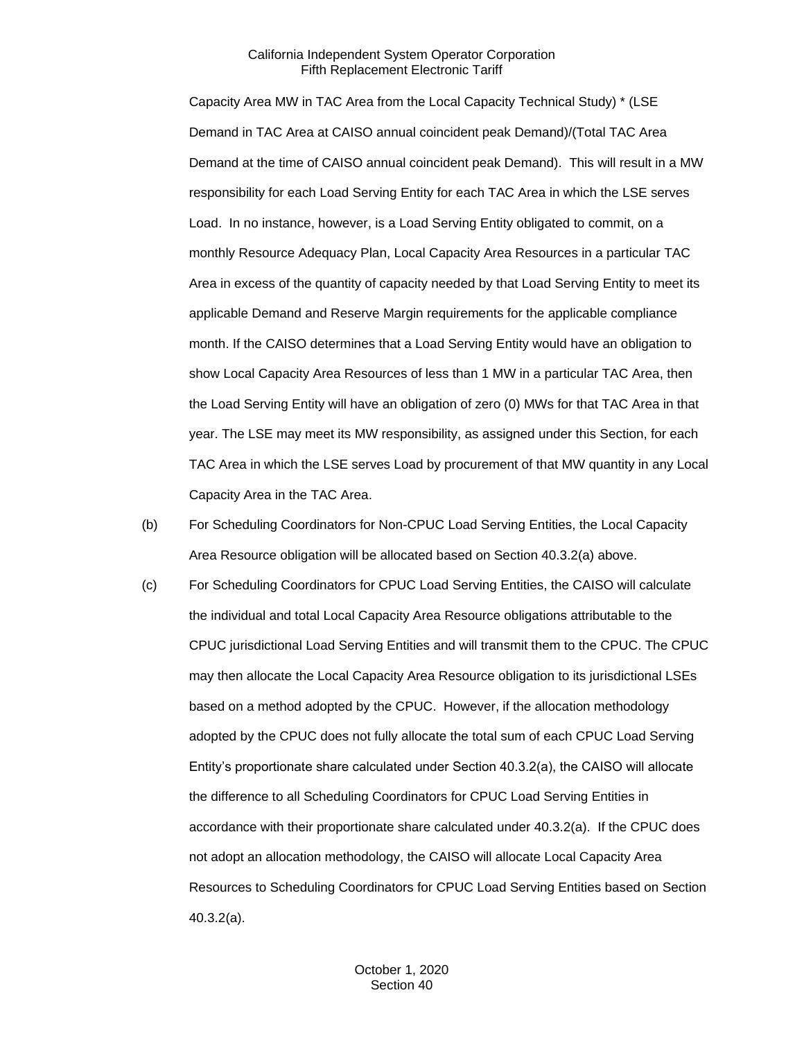Capacity Area MW in TAC Area from the Local Capacity Technical Study) \* (LSE Demand in TAC Area at CAISO annual coincident peak Demand)/(Total TAC Area Demand at the time of CAISO annual coincident peak Demand). This will result in a MW responsibility for each Load Serving Entity for each TAC Area in which the LSE serves Load. In no instance, however, is a Load Serving Entity obligated to commit, on a monthly Resource Adequacy Plan, Local Capacity Area Resources in a particular TAC Area in excess of the quantity of capacity needed by that Load Serving Entity to meet its applicable Demand and Reserve Margin requirements for the applicable compliance month. If the CAISO determines that a Load Serving Entity would have an obligation to show Local Capacity Area Resources of less than 1 MW in a particular TAC Area, then the Load Serving Entity will have an obligation of zero (0) MWs for that TAC Area in that year. The LSE may meet its MW responsibility, as assigned under this Section, for each TAC Area in which the LSE serves Load by procurement of that MW quantity in any Local Capacity Area in the TAC Area.

- (b) For Scheduling Coordinators for Non-CPUC Load Serving Entities, the Local Capacity Area Resource obligation will be allocated based on Section 40.3.2(a) above.
- (c) For Scheduling Coordinators for CPUC Load Serving Entities, the CAISO will calculate the individual and total Local Capacity Area Resource obligations attributable to the CPUC jurisdictional Load Serving Entities and will transmit them to the CPUC. The CPUC may then allocate the Local Capacity Area Resource obligation to its jurisdictional LSEs based on a method adopted by the CPUC. However, if the allocation methodology adopted by the CPUC does not fully allocate the total sum of each CPUC Load Serving Entity's proportionate share calculated under Section 40.3.2(a), the CAISO will allocate the difference to all Scheduling Coordinators for CPUC Load Serving Entities in accordance with their proportionate share calculated under 40.3.2(a). If the CPUC does not adopt an allocation methodology, the CAISO will allocate Local Capacity Area Resources to Scheduling Coordinators for CPUC Load Serving Entities based on Section 40.3.2(a).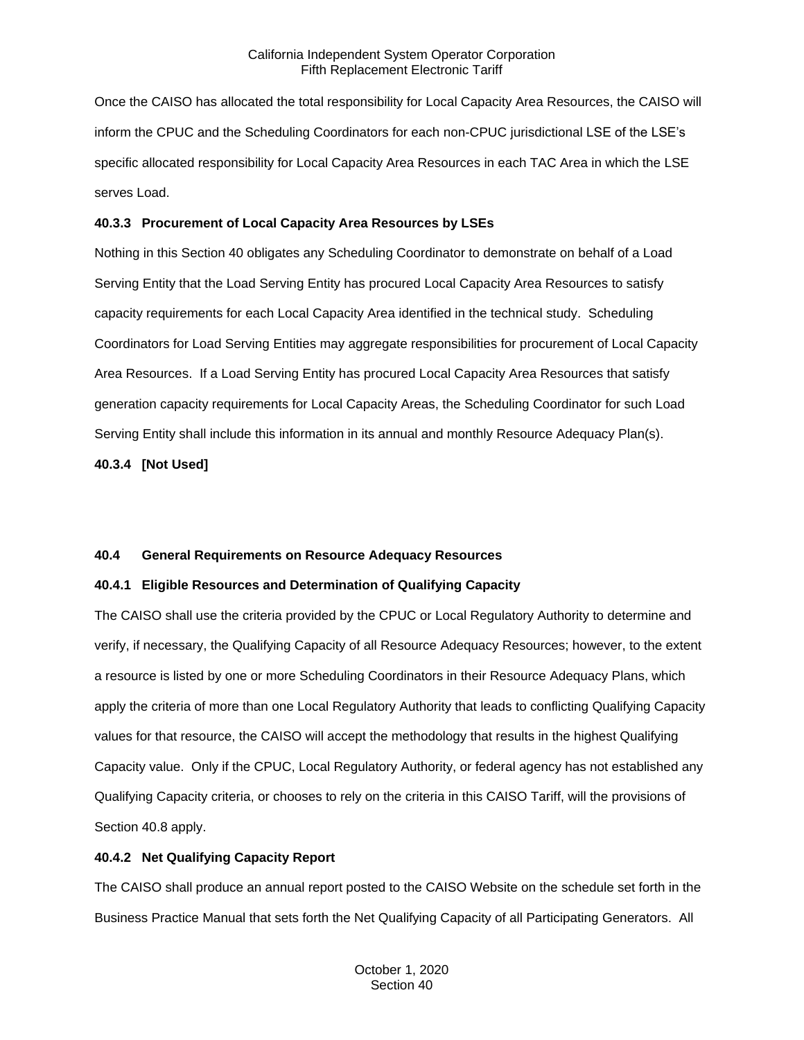Once the CAISO has allocated the total responsibility for Local Capacity Area Resources, the CAISO will inform the CPUC and the Scheduling Coordinators for each non-CPUC jurisdictional LSE of the LSE's specific allocated responsibility for Local Capacity Area Resources in each TAC Area in which the LSE serves Load.

#### <span id="page-9-0"></span>**40.3.3 Procurement of Local Capacity Area Resources by LSEs**

Nothing in this Section 40 obligates any Scheduling Coordinator to demonstrate on behalf of a Load Serving Entity that the Load Serving Entity has procured Local Capacity Area Resources to satisfy capacity requirements for each Local Capacity Area identified in the technical study. Scheduling Coordinators for Load Serving Entities may aggregate responsibilities for procurement of Local Capacity Area Resources. If a Load Serving Entity has procured Local Capacity Area Resources that satisfy generation capacity requirements for Local Capacity Areas, the Scheduling Coordinator for such Load Serving Entity shall include this information in its annual and monthly Resource Adequacy Plan(s).

<span id="page-9-1"></span>**40.3.4 [Not Used]**

## <span id="page-9-2"></span>**40.4 General Requirements on Resource Adequacy Resources**

## <span id="page-9-3"></span>**40.4.1 Eligible Resources and Determination of Qualifying Capacity**

The CAISO shall use the criteria provided by the CPUC or Local Regulatory Authority to determine and verify, if necessary, the Qualifying Capacity of all Resource Adequacy Resources; however, to the extent a resource is listed by one or more Scheduling Coordinators in their Resource Adequacy Plans, which apply the criteria of more than one Local Regulatory Authority that leads to conflicting Qualifying Capacity values for that resource, the CAISO will accept the methodology that results in the highest Qualifying Capacity value. Only if the CPUC, Local Regulatory Authority, or federal agency has not established any Qualifying Capacity criteria, or chooses to rely on the criteria in this CAISO Tariff, will the provisions of Section 40.8 apply.

## <span id="page-9-4"></span>**40.4.2 Net Qualifying Capacity Report**

The CAISO shall produce an annual report posted to the CAISO Website on the schedule set forth in the Business Practice Manual that sets forth the Net Qualifying Capacity of all Participating Generators. All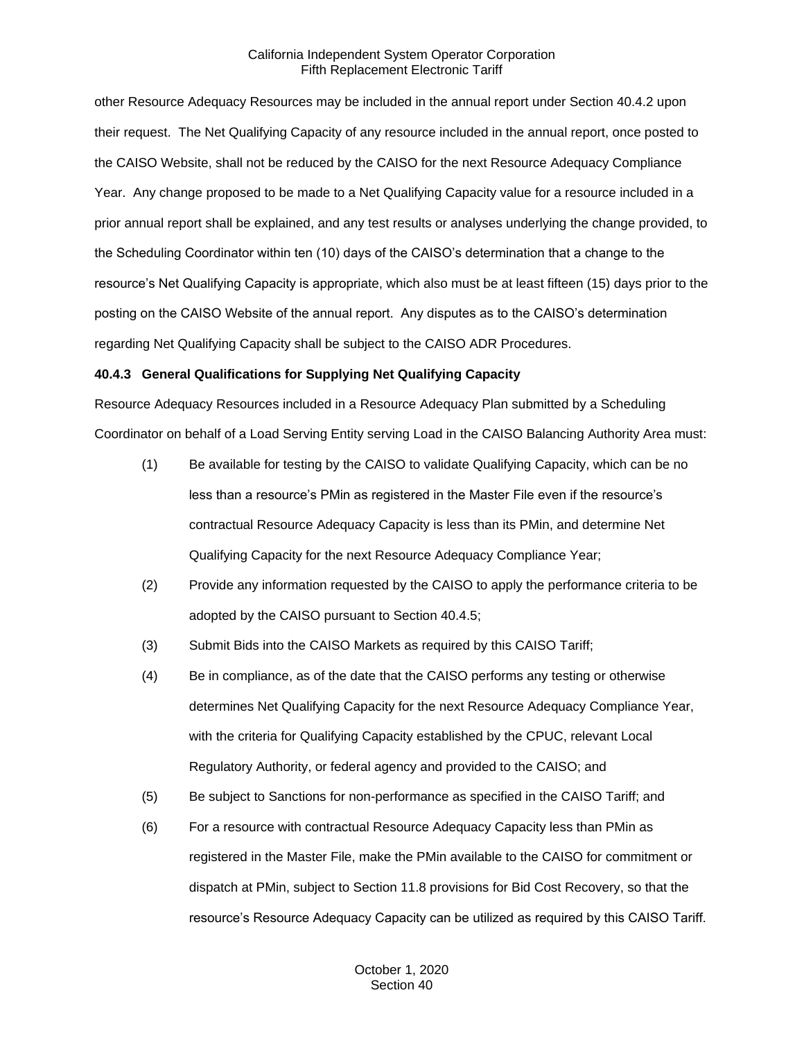other Resource Adequacy Resources may be included in the annual report under Section 40.4.2 upon their request. The Net Qualifying Capacity of any resource included in the annual report, once posted to the CAISO Website, shall not be reduced by the CAISO for the next Resource Adequacy Compliance Year. Any change proposed to be made to a Net Qualifying Capacity value for a resource included in a prior annual report shall be explained, and any test results or analyses underlying the change provided, to the Scheduling Coordinator within ten (10) days of the CAISO's determination that a change to the resource's Net Qualifying Capacity is appropriate, which also must be at least fifteen (15) days prior to the posting on the CAISO Website of the annual report. Any disputes as to the CAISO's determination regarding Net Qualifying Capacity shall be subject to the CAISO ADR Procedures.

## <span id="page-10-0"></span>**40.4.3 General Qualifications for Supplying Net Qualifying Capacity**

Resource Adequacy Resources included in a Resource Adequacy Plan submitted by a Scheduling Coordinator on behalf of a Load Serving Entity serving Load in the CAISO Balancing Authority Area must:

- (1) Be available for testing by the CAISO to validate Qualifying Capacity, which can be no less than a resource's PMin as registered in the Master File even if the resource's contractual Resource Adequacy Capacity is less than its PMin, and determine Net Qualifying Capacity for the next Resource Adequacy Compliance Year;
- (2) Provide any information requested by the CAISO to apply the performance criteria to be adopted by the CAISO pursuant to Section 40.4.5;
- (3) Submit Bids into the CAISO Markets as required by this CAISO Tariff;
- (4) Be in compliance, as of the date that the CAISO performs any testing or otherwise determines Net Qualifying Capacity for the next Resource Adequacy Compliance Year, with the criteria for Qualifying Capacity established by the CPUC, relevant Local Regulatory Authority, or federal agency and provided to the CAISO; and
- (5) Be subject to Sanctions for non-performance as specified in the CAISO Tariff; and
- (6) For a resource with contractual Resource Adequacy Capacity less than PMin as registered in the Master File, make the PMin available to the CAISO for commitment or dispatch at PMin, subject to Section 11.8 provisions for Bid Cost Recovery, so that the resource's Resource Adequacy Capacity can be utilized as required by this CAISO Tariff.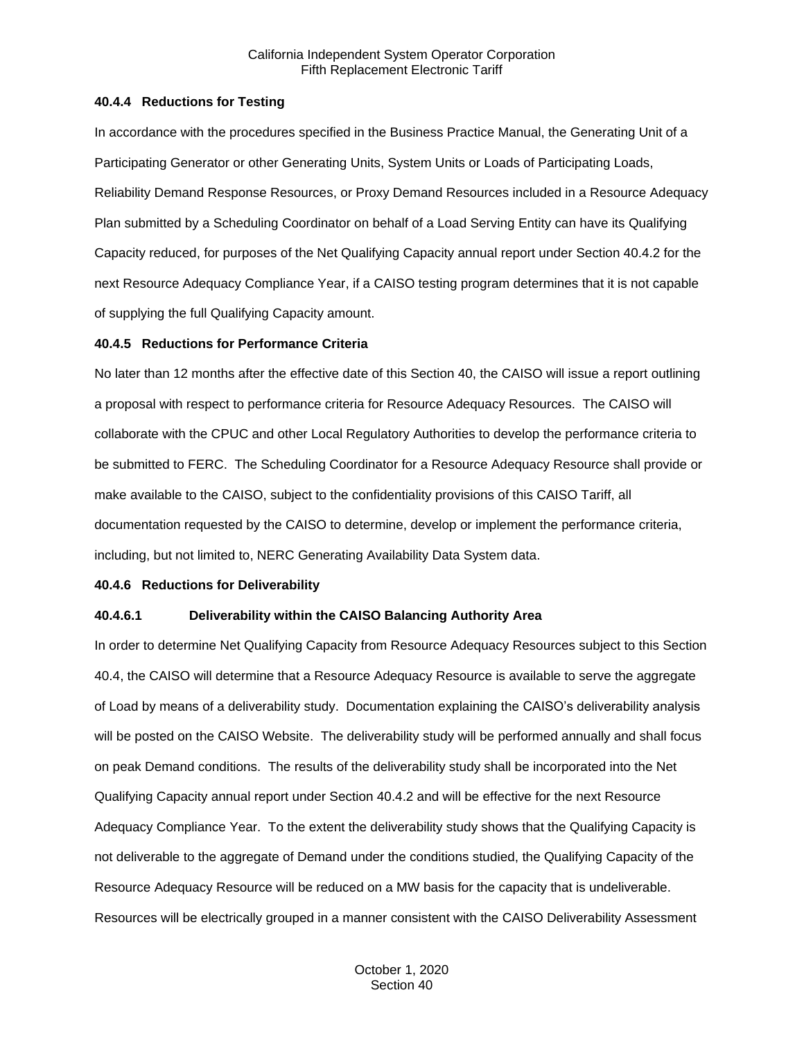#### <span id="page-11-0"></span>**40.4.4 Reductions for Testing**

In accordance with the procedures specified in the Business Practice Manual, the Generating Unit of a Participating Generator or other Generating Units, System Units or Loads of Participating Loads, Reliability Demand Response Resources, or Proxy Demand Resources included in a Resource Adequacy Plan submitted by a Scheduling Coordinator on behalf of a Load Serving Entity can have its Qualifying Capacity reduced, for purposes of the Net Qualifying Capacity annual report under Section 40.4.2 for the next Resource Adequacy Compliance Year, if a CAISO testing program determines that it is not capable of supplying the full Qualifying Capacity amount.

#### <span id="page-11-1"></span>**40.4.5 Reductions for Performance Criteria**

No later than 12 months after the effective date of this Section 40, the CAISO will issue a report outlining a proposal with respect to performance criteria for Resource Adequacy Resources. The CAISO will collaborate with the CPUC and other Local Regulatory Authorities to develop the performance criteria to be submitted to FERC. The Scheduling Coordinator for a Resource Adequacy Resource shall provide or make available to the CAISO, subject to the confidentiality provisions of this CAISO Tariff, all documentation requested by the CAISO to determine, develop or implement the performance criteria, including, but not limited to, NERC Generating Availability Data System data.

#### <span id="page-11-2"></span>**40.4.6 Reductions for Deliverability**

#### **40.4.6.1 Deliverability within the CAISO Balancing Authority Area**

In order to determine Net Qualifying Capacity from Resource Adequacy Resources subject to this Section 40.4, the CAISO will determine that a Resource Adequacy Resource is available to serve the aggregate of Load by means of a deliverability study. Documentation explaining the CAISO's deliverability analysis will be posted on the CAISO Website. The deliverability study will be performed annually and shall focus on peak Demand conditions. The results of the deliverability study shall be incorporated into the Net Qualifying Capacity annual report under Section 40.4.2 and will be effective for the next Resource Adequacy Compliance Year. To the extent the deliverability study shows that the Qualifying Capacity is not deliverable to the aggregate of Demand under the conditions studied, the Qualifying Capacity of the Resource Adequacy Resource will be reduced on a MW basis for the capacity that is undeliverable. Resources will be electrically grouped in a manner consistent with the CAISO Deliverability Assessment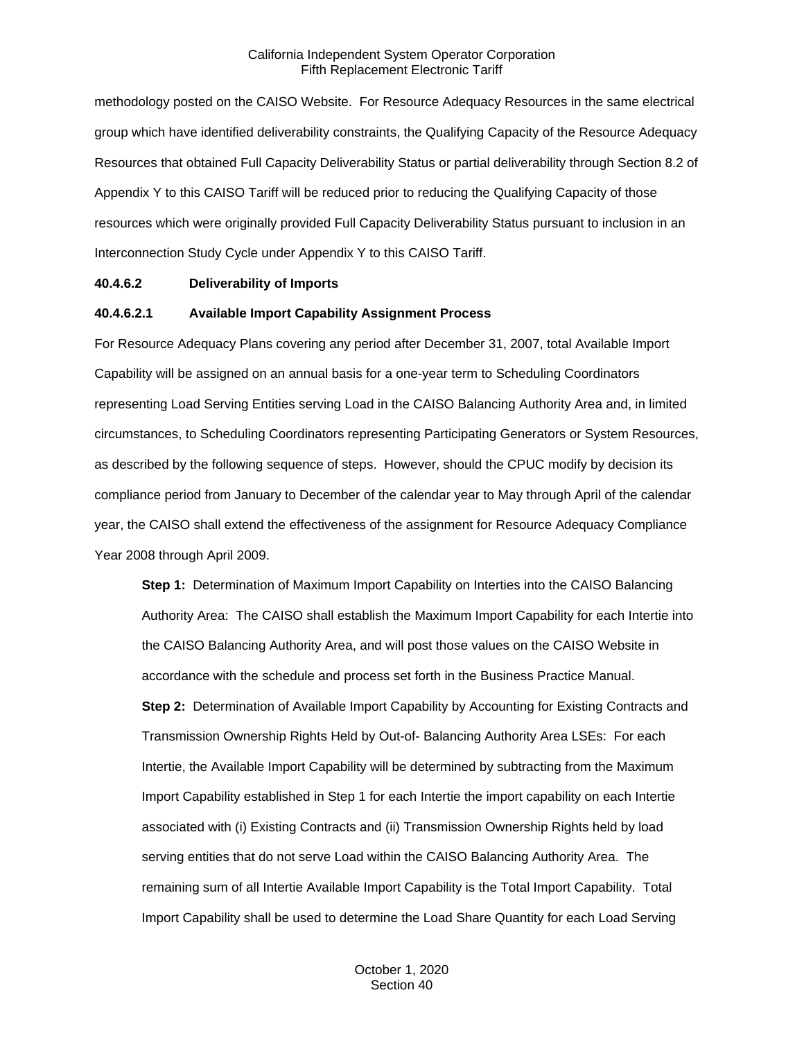methodology posted on the CAISO Website. For Resource Adequacy Resources in the same electrical group which have identified deliverability constraints, the Qualifying Capacity of the Resource Adequacy Resources that obtained Full Capacity Deliverability Status or partial deliverability through Section 8.2 of Appendix Y to this CAISO Tariff will be reduced prior to reducing the Qualifying Capacity of those resources which were originally provided Full Capacity Deliverability Status pursuant to inclusion in an Interconnection Study Cycle under Appendix Y to this CAISO Tariff.

#### **40.4.6.2 Deliverability of Imports**

#### **40.4.6.2.1 Available Import Capability Assignment Process**

For Resource Adequacy Plans covering any period after December 31, 2007, total Available Import Capability will be assigned on an annual basis for a one-year term to Scheduling Coordinators representing Load Serving Entities serving Load in the CAISO Balancing Authority Area and, in limited circumstances, to Scheduling Coordinators representing Participating Generators or System Resources, as described by the following sequence of steps. However, should the CPUC modify by decision its compliance period from January to December of the calendar year to May through April of the calendar year, the CAISO shall extend the effectiveness of the assignment for Resource Adequacy Compliance Year 2008 through April 2009.

**Step 1:** Determination of Maximum Import Capability on Interties into the CAISO Balancing Authority Area: The CAISO shall establish the Maximum Import Capability for each Intertie into the CAISO Balancing Authority Area, and will post those values on the CAISO Website in accordance with the schedule and process set forth in the Business Practice Manual. **Step 2:** Determination of Available Import Capability by Accounting for Existing Contracts and Transmission Ownership Rights Held by Out-of- Balancing Authority Area LSEs: For each Intertie, the Available Import Capability will be determined by subtracting from the Maximum Import Capability established in Step 1 for each Intertie the import capability on each Intertie associated with (i) Existing Contracts and (ii) Transmission Ownership Rights held by load serving entities that do not serve Load within the CAISO Balancing Authority Area. The remaining sum of all Intertie Available Import Capability is the Total Import Capability. Total Import Capability shall be used to determine the Load Share Quantity for each Load Serving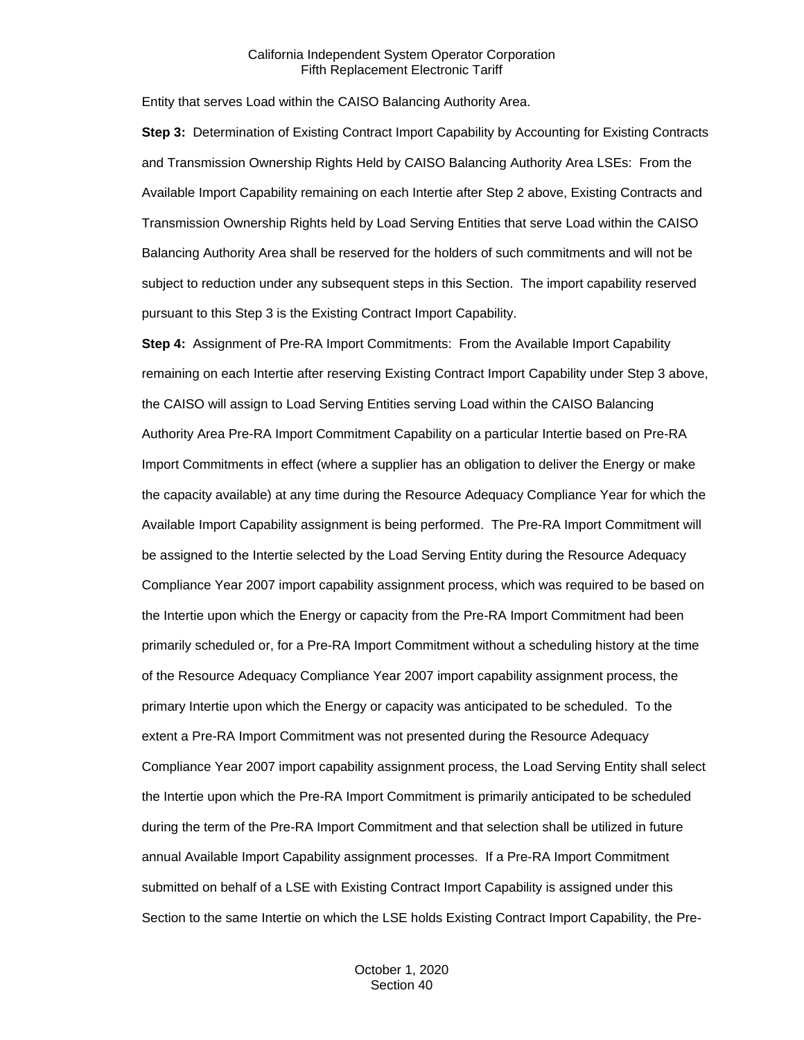Entity that serves Load within the CAISO Balancing Authority Area.

**Step 3:** Determination of Existing Contract Import Capability by Accounting for Existing Contracts and Transmission Ownership Rights Held by CAISO Balancing Authority Area LSEs: From the Available Import Capability remaining on each Intertie after Step 2 above, Existing Contracts and Transmission Ownership Rights held by Load Serving Entities that serve Load within the CAISO Balancing Authority Area shall be reserved for the holders of such commitments and will not be subject to reduction under any subsequent steps in this Section. The import capability reserved pursuant to this Step 3 is the Existing Contract Import Capability.

**Step 4:** Assignment of Pre-RA Import Commitments: From the Available Import Capability remaining on each Intertie after reserving Existing Contract Import Capability under Step 3 above, the CAISO will assign to Load Serving Entities serving Load within the CAISO Balancing Authority Area Pre-RA Import Commitment Capability on a particular Intertie based on Pre-RA Import Commitments in effect (where a supplier has an obligation to deliver the Energy or make the capacity available) at any time during the Resource Adequacy Compliance Year for which the Available Import Capability assignment is being performed. The Pre-RA Import Commitment will be assigned to the Intertie selected by the Load Serving Entity during the Resource Adequacy Compliance Year 2007 import capability assignment process, which was required to be based on the Intertie upon which the Energy or capacity from the Pre-RA Import Commitment had been primarily scheduled or, for a Pre-RA Import Commitment without a scheduling history at the time of the Resource Adequacy Compliance Year 2007 import capability assignment process, the primary Intertie upon which the Energy or capacity was anticipated to be scheduled. To the extent a Pre-RA Import Commitment was not presented during the Resource Adequacy Compliance Year 2007 import capability assignment process, the Load Serving Entity shall select the Intertie upon which the Pre-RA Import Commitment is primarily anticipated to be scheduled during the term of the Pre-RA Import Commitment and that selection shall be utilized in future annual Available Import Capability assignment processes. If a Pre-RA Import Commitment submitted on behalf of a LSE with Existing Contract Import Capability is assigned under this Section to the same Intertie on which the LSE holds Existing Contract Import Capability, the Pre-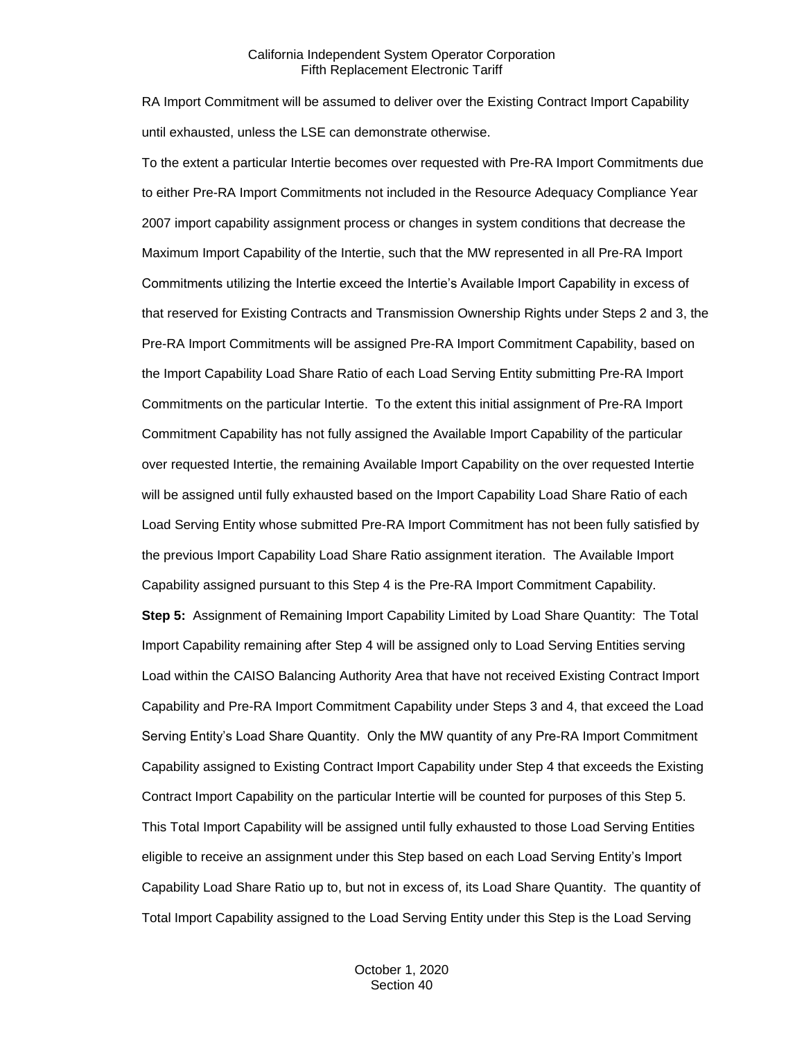RA Import Commitment will be assumed to deliver over the Existing Contract Import Capability until exhausted, unless the LSE can demonstrate otherwise.

To the extent a particular Intertie becomes over requested with Pre-RA Import Commitments due to either Pre-RA Import Commitments not included in the Resource Adequacy Compliance Year 2007 import capability assignment process or changes in system conditions that decrease the Maximum Import Capability of the Intertie, such that the MW represented in all Pre-RA Import Commitments utilizing the Intertie exceed the Intertie's Available Import Capability in excess of that reserved for Existing Contracts and Transmission Ownership Rights under Steps 2 and 3, the Pre-RA Import Commitments will be assigned Pre-RA Import Commitment Capability, based on the Import Capability Load Share Ratio of each Load Serving Entity submitting Pre-RA Import Commitments on the particular Intertie. To the extent this initial assignment of Pre-RA Import Commitment Capability has not fully assigned the Available Import Capability of the particular over requested Intertie, the remaining Available Import Capability on the over requested Intertie will be assigned until fully exhausted based on the Import Capability Load Share Ratio of each Load Serving Entity whose submitted Pre-RA Import Commitment has not been fully satisfied by the previous Import Capability Load Share Ratio assignment iteration. The Available Import Capability assigned pursuant to this Step 4 is the Pre-RA Import Commitment Capability. **Step 5:** Assignment of Remaining Import Capability Limited by Load Share Quantity: The Total

Import Capability remaining after Step 4 will be assigned only to Load Serving Entities serving Load within the CAISO Balancing Authority Area that have not received Existing Contract Import Capability and Pre-RA Import Commitment Capability under Steps 3 and 4, that exceed the Load Serving Entity's Load Share Quantity. Only the MW quantity of any Pre-RA Import Commitment Capability assigned to Existing Contract Import Capability under Step 4 that exceeds the Existing Contract Import Capability on the particular Intertie will be counted for purposes of this Step 5. This Total Import Capability will be assigned until fully exhausted to those Load Serving Entities eligible to receive an assignment under this Step based on each Load Serving Entity's Import Capability Load Share Ratio up to, but not in excess of, its Load Share Quantity. The quantity of Total Import Capability assigned to the Load Serving Entity under this Step is the Load Serving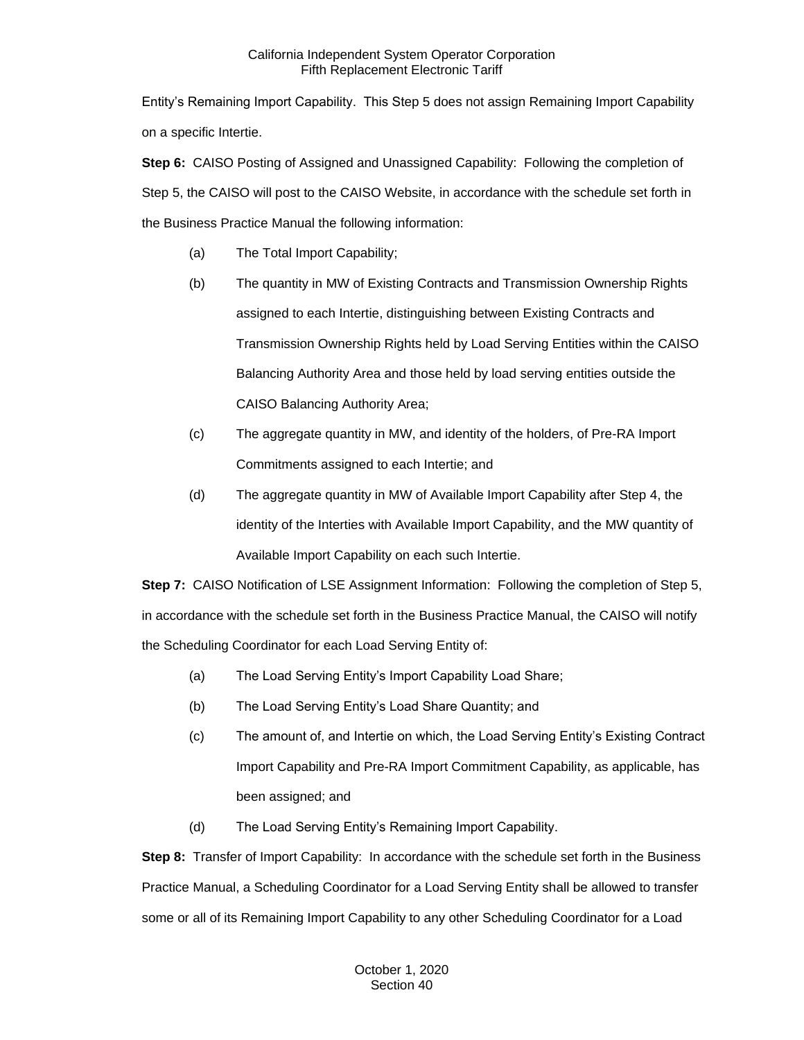Entity's Remaining Import Capability. This Step 5 does not assign Remaining Import Capability on a specific Intertie.

**Step 6:** CAISO Posting of Assigned and Unassigned Capability: Following the completion of Step 5, the CAISO will post to the CAISO Website, in accordance with the schedule set forth in the Business Practice Manual the following information:

- (a) The Total Import Capability;
- (b) The quantity in MW of Existing Contracts and Transmission Ownership Rights assigned to each Intertie, distinguishing between Existing Contracts and Transmission Ownership Rights held by Load Serving Entities within the CAISO Balancing Authority Area and those held by load serving entities outside the CAISO Balancing Authority Area;
- (c) The aggregate quantity in MW, and identity of the holders, of Pre-RA Import Commitments assigned to each Intertie; and
- (d) The aggregate quantity in MW of Available Import Capability after Step 4, the identity of the Interties with Available Import Capability, and the MW quantity of Available Import Capability on each such Intertie.

**Step 7:** CAISO Notification of LSE Assignment Information: Following the completion of Step 5, in accordance with the schedule set forth in the Business Practice Manual, the CAISO will notify the Scheduling Coordinator for each Load Serving Entity of:

- (a) The Load Serving Entity's Import Capability Load Share;
- (b) The Load Serving Entity's Load Share Quantity; and
- (c) The amount of, and Intertie on which, the Load Serving Entity's Existing Contract Import Capability and Pre-RA Import Commitment Capability, as applicable, has been assigned; and
- (d) The Load Serving Entity's Remaining Import Capability.

**Step 8:** Transfer of Import Capability: In accordance with the schedule set forth in the Business Practice Manual, a Scheduling Coordinator for a Load Serving Entity shall be allowed to transfer some or all of its Remaining Import Capability to any other Scheduling Coordinator for a Load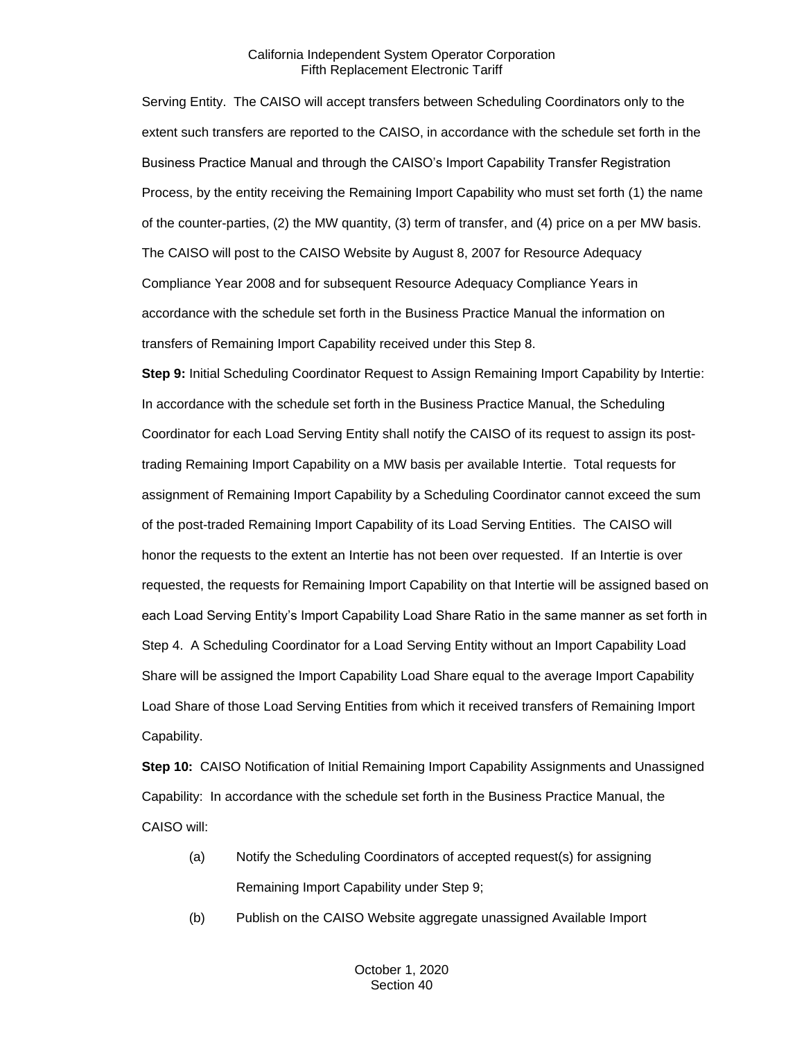Serving Entity. The CAISO will accept transfers between Scheduling Coordinators only to the extent such transfers are reported to the CAISO, in accordance with the schedule set forth in the Business Practice Manual and through the CAISO's Import Capability Transfer Registration Process, by the entity receiving the Remaining Import Capability who must set forth (1) the name of the counter-parties, (2) the MW quantity, (3) term of transfer, and (4) price on a per MW basis. The CAISO will post to the CAISO Website by August 8, 2007 for Resource Adequacy Compliance Year 2008 and for subsequent Resource Adequacy Compliance Years in accordance with the schedule set forth in the Business Practice Manual the information on transfers of Remaining Import Capability received under this Step 8.

**Step 9:** Initial Scheduling Coordinator Request to Assign Remaining Import Capability by Intertie: In accordance with the schedule set forth in the Business Practice Manual, the Scheduling Coordinator for each Load Serving Entity shall notify the CAISO of its request to assign its posttrading Remaining Import Capability on a MW basis per available Intertie. Total requests for assignment of Remaining Import Capability by a Scheduling Coordinator cannot exceed the sum of the post-traded Remaining Import Capability of its Load Serving Entities. The CAISO will honor the requests to the extent an Intertie has not been over requested. If an Intertie is over requested, the requests for Remaining Import Capability on that Intertie will be assigned based on each Load Serving Entity's Import Capability Load Share Ratio in the same manner as set forth in Step 4. A Scheduling Coordinator for a Load Serving Entity without an Import Capability Load Share will be assigned the Import Capability Load Share equal to the average Import Capability Load Share of those Load Serving Entities from which it received transfers of Remaining Import Capability.

**Step 10:** CAISO Notification of Initial Remaining Import Capability Assignments and Unassigned Capability: In accordance with the schedule set forth in the Business Practice Manual, the CAISO will:

- (a) Notify the Scheduling Coordinators of accepted request(s) for assigning Remaining Import Capability under Step 9;
- (b) Publish on the CAISO Website aggregate unassigned Available Import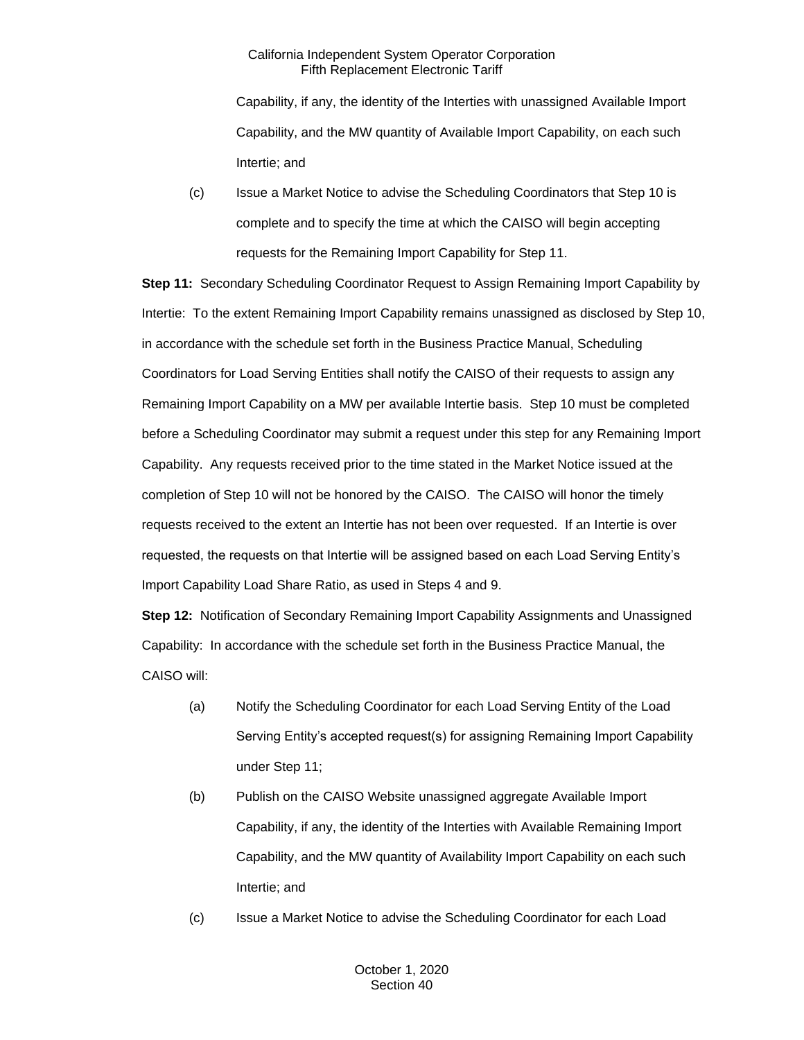Capability, if any, the identity of the Interties with unassigned Available Import Capability, and the MW quantity of Available Import Capability, on each such Intertie; and

(c) Issue a Market Notice to advise the Scheduling Coordinators that Step 10 is complete and to specify the time at which the CAISO will begin accepting requests for the Remaining Import Capability for Step 11.

**Step 11:** Secondary Scheduling Coordinator Request to Assign Remaining Import Capability by Intertie: To the extent Remaining Import Capability remains unassigned as disclosed by Step 10, in accordance with the schedule set forth in the Business Practice Manual, Scheduling Coordinators for Load Serving Entities shall notify the CAISO of their requests to assign any Remaining Import Capability on a MW per available Intertie basis. Step 10 must be completed before a Scheduling Coordinator may submit a request under this step for any Remaining Import Capability. Any requests received prior to the time stated in the Market Notice issued at the completion of Step 10 will not be honored by the CAISO. The CAISO will honor the timely requests received to the extent an Intertie has not been over requested. If an Intertie is over requested, the requests on that Intertie will be assigned based on each Load Serving Entity's Import Capability Load Share Ratio, as used in Steps 4 and 9.

**Step 12:** Notification of Secondary Remaining Import Capability Assignments and Unassigned Capability: In accordance with the schedule set forth in the Business Practice Manual, the CAISO will:

- (a) Notify the Scheduling Coordinator for each Load Serving Entity of the Load Serving Entity's accepted request(s) for assigning Remaining Import Capability under Step 11;
- (b) Publish on the CAISO Website unassigned aggregate Available Import Capability, if any, the identity of the Interties with Available Remaining Import Capability, and the MW quantity of Availability Import Capability on each such Intertie; and
- (c) Issue a Market Notice to advise the Scheduling Coordinator for each Load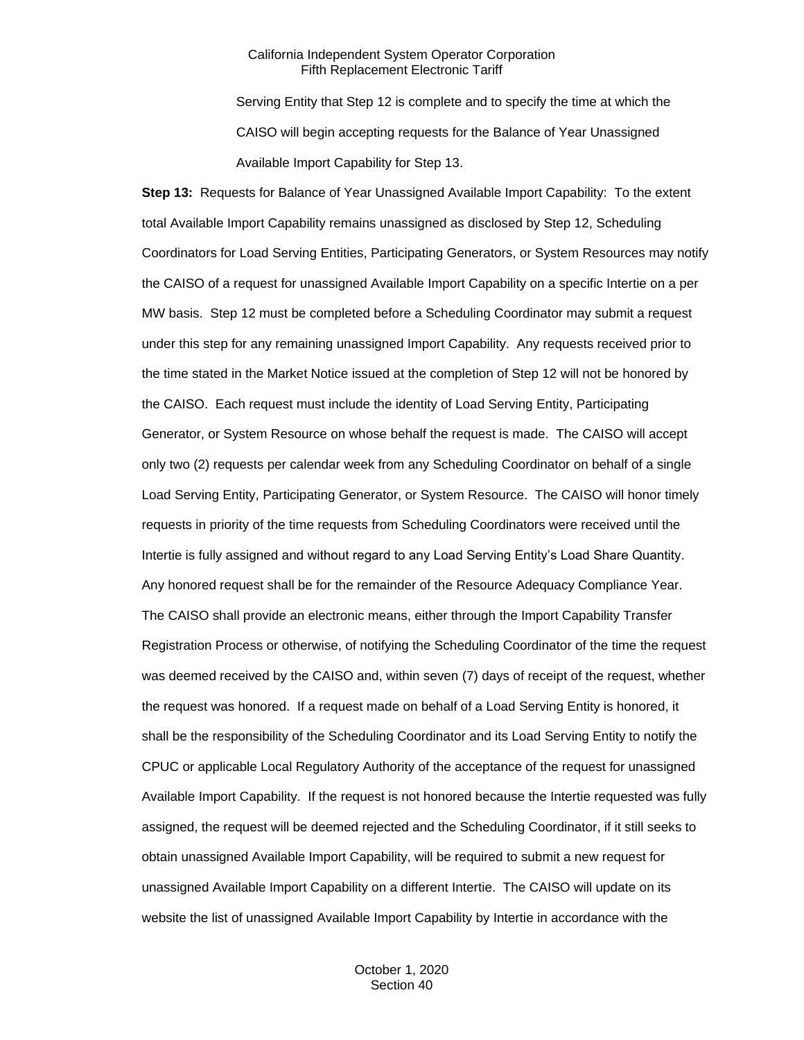Serving Entity that Step 12 is complete and to specify the time at which the CAISO will begin accepting requests for the Balance of Year Unassigned Available Import Capability for Step 13.

**Step 13:** Requests for Balance of Year Unassigned Available Import Capability: To the extent total Available Import Capability remains unassigned as disclosed by Step 12, Scheduling Coordinators for Load Serving Entities, Participating Generators, or System Resources may notify the CAISO of a request for unassigned Available Import Capability on a specific Intertie on a per MW basis. Step 12 must be completed before a Scheduling Coordinator may submit a request under this step for any remaining unassigned Import Capability. Any requests received prior to the time stated in the Market Notice issued at the completion of Step 12 will not be honored by the CAISO. Each request must include the identity of Load Serving Entity, Participating Generator, or System Resource on whose behalf the request is made. The CAISO will accept only two (2) requests per calendar week from any Scheduling Coordinator on behalf of a single Load Serving Entity, Participating Generator, or System Resource. The CAISO will honor timely requests in priority of the time requests from Scheduling Coordinators were received until the Intertie is fully assigned and without regard to any Load Serving Entity's Load Share Quantity. Any honored request shall be for the remainder of the Resource Adequacy Compliance Year. The CAISO shall provide an electronic means, either through the Import Capability Transfer Registration Process or otherwise, of notifying the Scheduling Coordinator of the time the request was deemed received by the CAISO and, within seven (7) days of receipt of the request, whether the request was honored. If a request made on behalf of a Load Serving Entity is honored, it shall be the responsibility of the Scheduling Coordinator and its Load Serving Entity to notify the CPUC or applicable Local Regulatory Authority of the acceptance of the request for unassigned Available Import Capability. If the request is not honored because the Intertie requested was fully assigned, the request will be deemed rejected and the Scheduling Coordinator, if it still seeks to obtain unassigned Available Import Capability, will be required to submit a new request for unassigned Available Import Capability on a different Intertie. The CAISO will update on its website the list of unassigned Available Import Capability by Intertie in accordance with the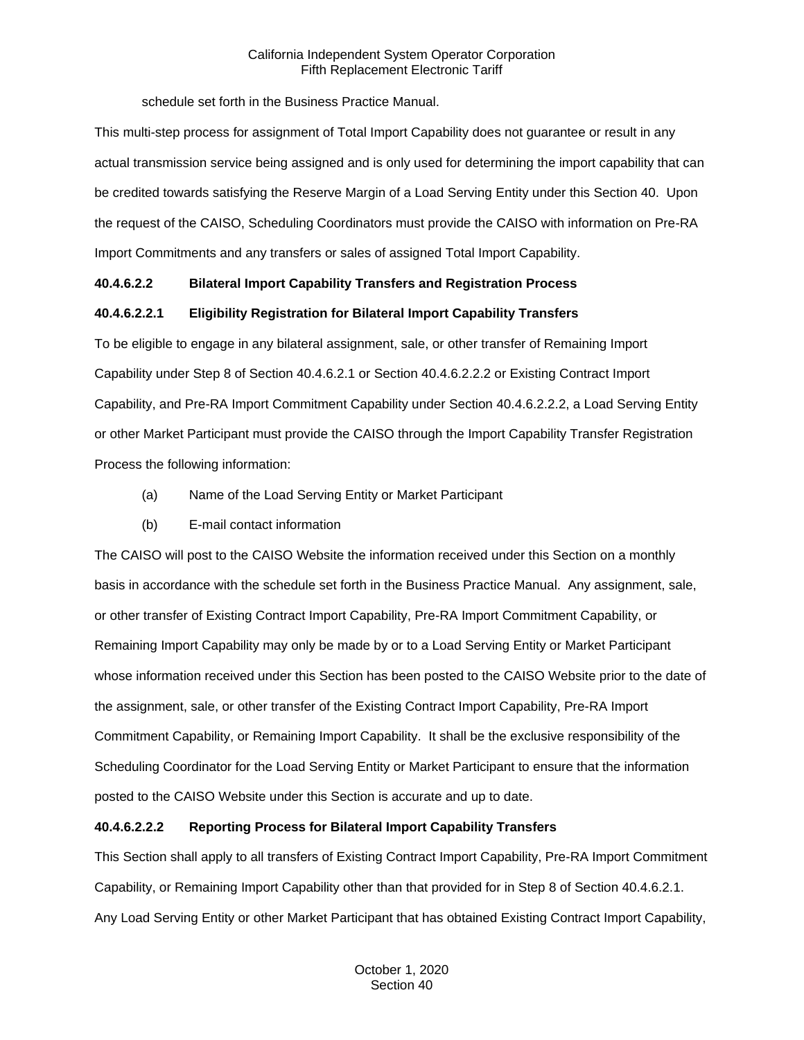schedule set forth in the Business Practice Manual.

This multi-step process for assignment of Total Import Capability does not guarantee or result in any actual transmission service being assigned and is only used for determining the import capability that can be credited towards satisfying the Reserve Margin of a Load Serving Entity under this Section 40. Upon the request of the CAISO, Scheduling Coordinators must provide the CAISO with information on Pre-RA Import Commitments and any transfers or sales of assigned Total Import Capability.

## **40.4.6.2.2 Bilateral Import Capability Transfers and Registration Process**

## **40.4.6.2.2.1 Eligibility Registration for Bilateral Import Capability Transfers**

To be eligible to engage in any bilateral assignment, sale, or other transfer of Remaining Import Capability under Step 8 of Section 40.4.6.2.1 or Section 40.4.6.2.2.2 or Existing Contract Import Capability, and Pre-RA Import Commitment Capability under Section 40.4.6.2.2.2, a Load Serving Entity or other Market Participant must provide the CAISO through the Import Capability Transfer Registration Process the following information:

- (a) Name of the Load Serving Entity or Market Participant
- (b) E-mail contact information

The CAISO will post to the CAISO Website the information received under this Section on a monthly basis in accordance with the schedule set forth in the Business Practice Manual. Any assignment, sale, or other transfer of Existing Contract Import Capability, Pre-RA Import Commitment Capability, or Remaining Import Capability may only be made by or to a Load Serving Entity or Market Participant whose information received under this Section has been posted to the CAISO Website prior to the date of the assignment, sale, or other transfer of the Existing Contract Import Capability, Pre-RA Import Commitment Capability, or Remaining Import Capability. It shall be the exclusive responsibility of the Scheduling Coordinator for the Load Serving Entity or Market Participant to ensure that the information posted to the CAISO Website under this Section is accurate and up to date.

## **40.4.6.2.2.2 Reporting Process for Bilateral Import Capability Transfers**

This Section shall apply to all transfers of Existing Contract Import Capability, Pre-RA Import Commitment Capability, or Remaining Import Capability other than that provided for in Step 8 of Section 40.4.6.2.1. Any Load Serving Entity or other Market Participant that has obtained Existing Contract Import Capability,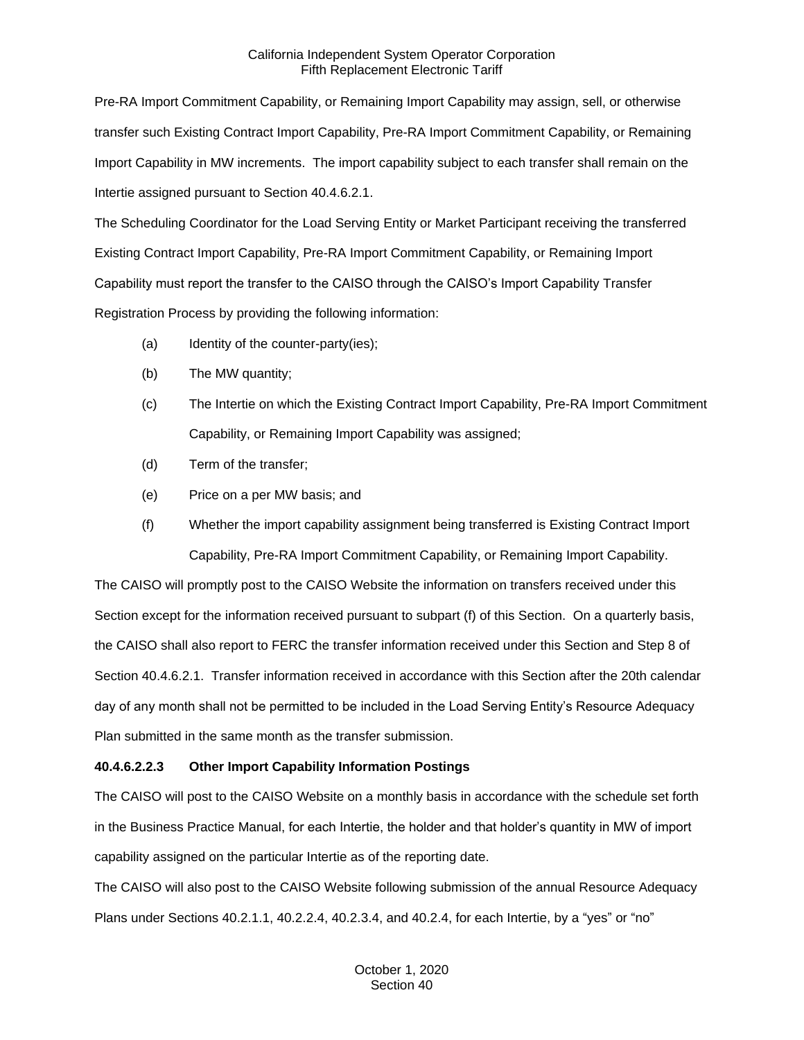Pre-RA Import Commitment Capability, or Remaining Import Capability may assign, sell, or otherwise transfer such Existing Contract Import Capability, Pre-RA Import Commitment Capability, or Remaining Import Capability in MW increments. The import capability subject to each transfer shall remain on the Intertie assigned pursuant to Section 40.4.6.2.1.

The Scheduling Coordinator for the Load Serving Entity or Market Participant receiving the transferred Existing Contract Import Capability, Pre-RA Import Commitment Capability, or Remaining Import Capability must report the transfer to the CAISO through the CAISO's Import Capability Transfer Registration Process by providing the following information:

- (a) Identity of the counter-party(ies);
- (b) The MW quantity;
- (c) The Intertie on which the Existing Contract Import Capability, Pre-RA Import Commitment Capability, or Remaining Import Capability was assigned;
- (d) Term of the transfer;
- (e) Price on a per MW basis; and
- (f) Whether the import capability assignment being transferred is Existing Contract Import Capability, Pre-RA Import Commitment Capability, or Remaining Import Capability.

The CAISO will promptly post to the CAISO Website the information on transfers received under this Section except for the information received pursuant to subpart (f) of this Section. On a quarterly basis, the CAISO shall also report to FERC the transfer information received under this Section and Step 8 of Section 40.4.6.2.1. Transfer information received in accordance with this Section after the 20th calendar day of any month shall not be permitted to be included in the Load Serving Entity's Resource Adequacy Plan submitted in the same month as the transfer submission.

## **40.4.6.2.2.3 Other Import Capability Information Postings**

The CAISO will post to the CAISO Website on a monthly basis in accordance with the schedule set forth in the Business Practice Manual, for each Intertie, the holder and that holder's quantity in MW of import capability assigned on the particular Intertie as of the reporting date.

The CAISO will also post to the CAISO Website following submission of the annual Resource Adequacy Plans under Sections 40.2.1.1, 40.2.2.4, 40.2.3.4, and 40.2.4, for each Intertie, by a "yes" or "no"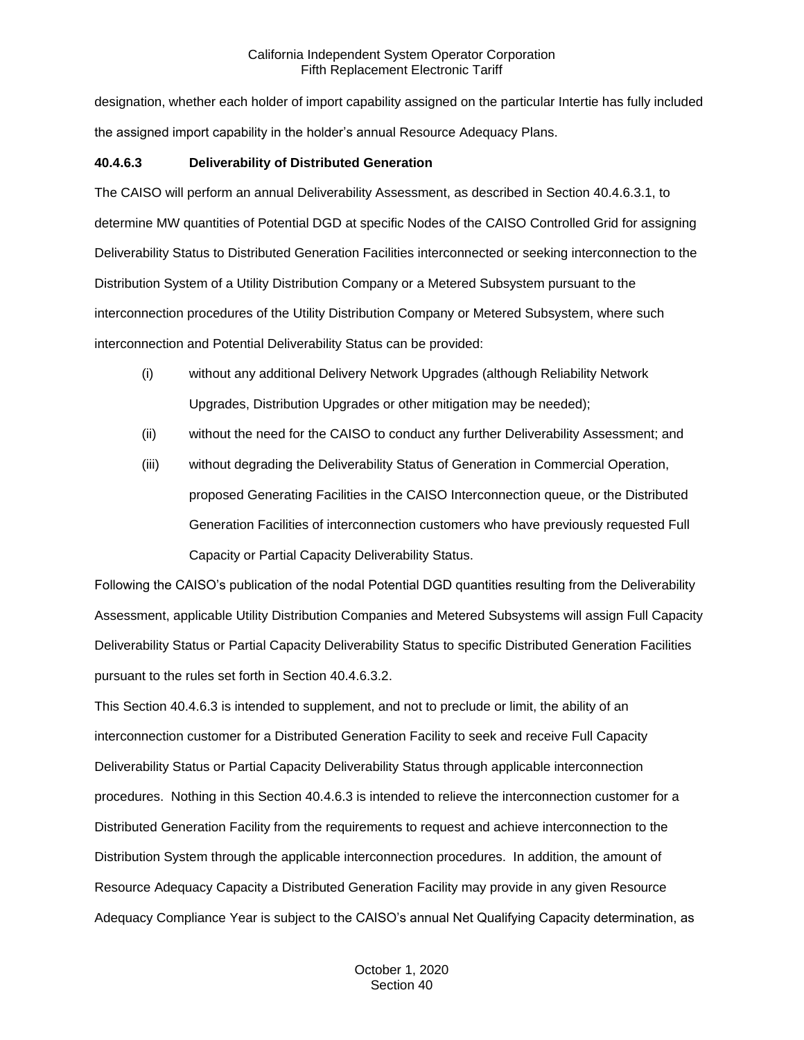designation, whether each holder of import capability assigned on the particular Intertie has fully included the assigned import capability in the holder's annual Resource Adequacy Plans.

## **40.4.6.3 Deliverability of Distributed Generation**

The CAISO will perform an annual Deliverability Assessment, as described in Section 40.4.6.3.1, to determine MW quantities of Potential DGD at specific Nodes of the CAISO Controlled Grid for assigning Deliverability Status to Distributed Generation Facilities interconnected or seeking interconnection to the Distribution System of a Utility Distribution Company or a Metered Subsystem pursuant to the interconnection procedures of the Utility Distribution Company or Metered Subsystem, where such interconnection and Potential Deliverability Status can be provided:

- (i) without any additional Delivery Network Upgrades (although Reliability Network Upgrades, Distribution Upgrades or other mitigation may be needed);
- (ii) without the need for the CAISO to conduct any further Deliverability Assessment; and
- (iii) without degrading the Deliverability Status of Generation in Commercial Operation, proposed Generating Facilities in the CAISO Interconnection queue, or the Distributed Generation Facilities of interconnection customers who have previously requested Full Capacity or Partial Capacity Deliverability Status.

Following the CAISO's publication of the nodal Potential DGD quantities resulting from the Deliverability Assessment, applicable Utility Distribution Companies and Metered Subsystems will assign Full Capacity Deliverability Status or Partial Capacity Deliverability Status to specific Distributed Generation Facilities pursuant to the rules set forth in Section 40.4.6.3.2.

This Section 40.4.6.3 is intended to supplement, and not to preclude or limit, the ability of an interconnection customer for a Distributed Generation Facility to seek and receive Full Capacity Deliverability Status or Partial Capacity Deliverability Status through applicable interconnection procedures. Nothing in this Section 40.4.6.3 is intended to relieve the interconnection customer for a Distributed Generation Facility from the requirements to request and achieve interconnection to the Distribution System through the applicable interconnection procedures. In addition, the amount of Resource Adequacy Capacity a Distributed Generation Facility may provide in any given Resource Adequacy Compliance Year is subject to the CAISO's annual Net Qualifying Capacity determination, as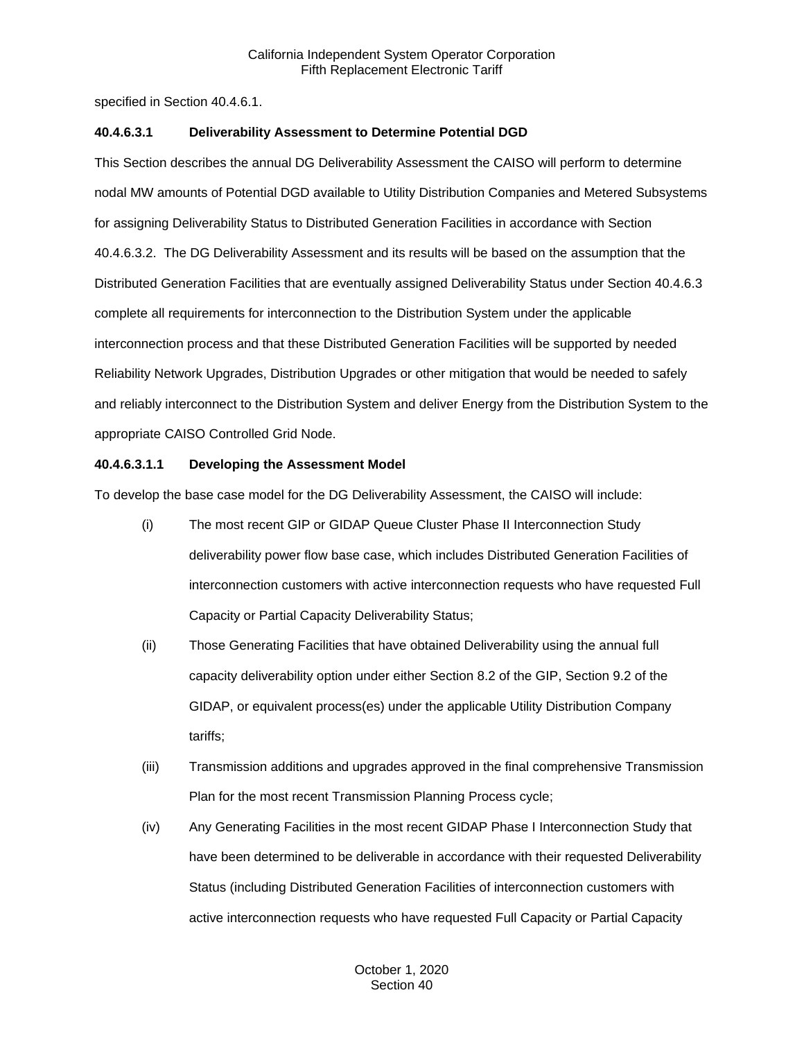specified in Section 40.4.6.1.

## **40.4.6.3.1 Deliverability Assessment to Determine Potential DGD**

This Section describes the annual DG Deliverability Assessment the CAISO will perform to determine nodal MW amounts of Potential DGD available to Utility Distribution Companies and Metered Subsystems for assigning Deliverability Status to Distributed Generation Facilities in accordance with Section 40.4.6.3.2. The DG Deliverability Assessment and its results will be based on the assumption that the Distributed Generation Facilities that are eventually assigned Deliverability Status under Section 40.4.6.3 complete all requirements for interconnection to the Distribution System under the applicable interconnection process and that these Distributed Generation Facilities will be supported by needed Reliability Network Upgrades, Distribution Upgrades or other mitigation that would be needed to safely and reliably interconnect to the Distribution System and deliver Energy from the Distribution System to the appropriate CAISO Controlled Grid Node.

## **40.4.6.3.1.1 Developing the Assessment Model**

To develop the base case model for the DG Deliverability Assessment, the CAISO will include:

- (i) The most recent GIP or GIDAP Queue Cluster Phase II Interconnection Study deliverability power flow base case, which includes Distributed Generation Facilities of interconnection customers with active interconnection requests who have requested Full Capacity or Partial Capacity Deliverability Status;
- (ii) Those Generating Facilities that have obtained Deliverability using the annual full capacity deliverability option under either Section 8.2 of the GIP, Section 9.2 of the GIDAP, or equivalent process(es) under the applicable Utility Distribution Company tariffs;
- (iii) Transmission additions and upgrades approved in the final comprehensive Transmission Plan for the most recent Transmission Planning Process cycle;
- (iv) Any Generating Facilities in the most recent GIDAP Phase I Interconnection Study that have been determined to be deliverable in accordance with their requested Deliverability Status (including Distributed Generation Facilities of interconnection customers with active interconnection requests who have requested Full Capacity or Partial Capacity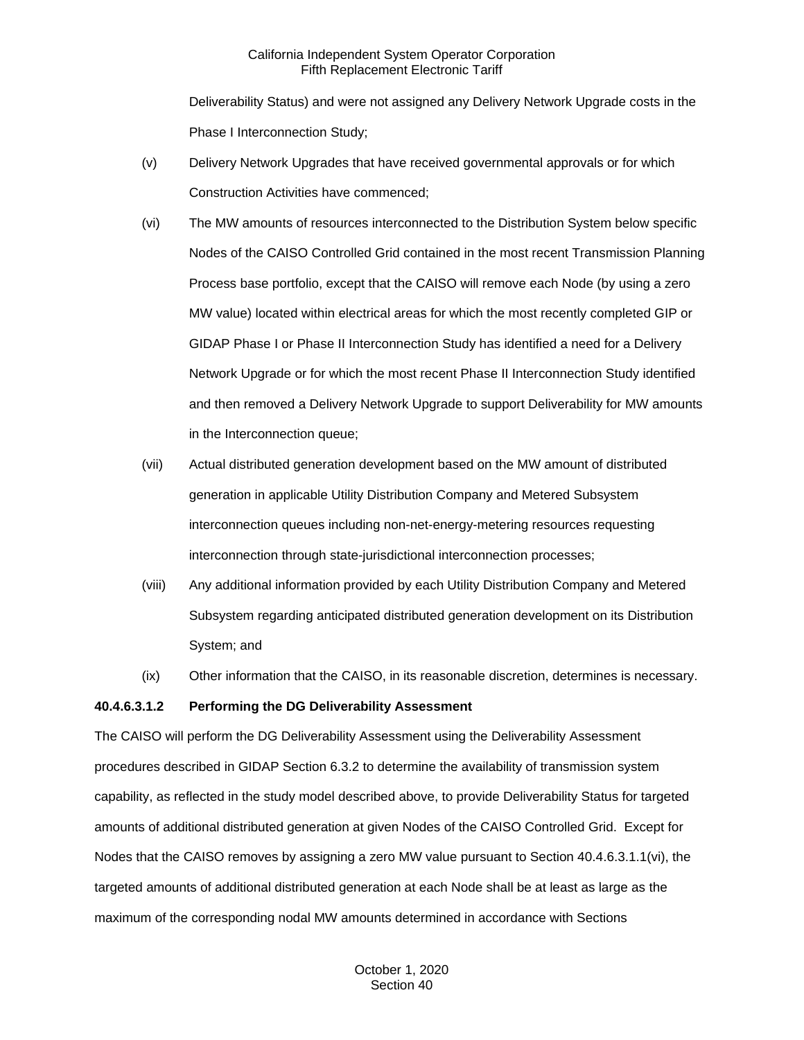Deliverability Status) and were not assigned any Delivery Network Upgrade costs in the Phase I Interconnection Study;

- (v) Delivery Network Upgrades that have received governmental approvals or for which Construction Activities have commenced;
- (vi) The MW amounts of resources interconnected to the Distribution System below specific Nodes of the CAISO Controlled Grid contained in the most recent Transmission Planning Process base portfolio, except that the CAISO will remove each Node (by using a zero MW value) located within electrical areas for which the most recently completed GIP or GIDAP Phase I or Phase II Interconnection Study has identified a need for a Delivery Network Upgrade or for which the most recent Phase II Interconnection Study identified and then removed a Delivery Network Upgrade to support Deliverability for MW amounts in the Interconnection queue;
- (vii) Actual distributed generation development based on the MW amount of distributed generation in applicable Utility Distribution Company and Metered Subsystem interconnection queues including non-net-energy-metering resources requesting interconnection through state-jurisdictional interconnection processes;
- (viii) Any additional information provided by each Utility Distribution Company and Metered Subsystem regarding anticipated distributed generation development on its Distribution System; and
- (ix) Other information that the CAISO, in its reasonable discretion, determines is necessary.

#### **40.4.6.3.1.2 Performing the DG Deliverability Assessment**

The CAISO will perform the DG Deliverability Assessment using the Deliverability Assessment procedures described in GIDAP Section 6.3.2 to determine the availability of transmission system capability, as reflected in the study model described above, to provide Deliverability Status for targeted amounts of additional distributed generation at given Nodes of the CAISO Controlled Grid. Except for Nodes that the CAISO removes by assigning a zero MW value pursuant to Section 40.4.6.3.1.1(vi), the targeted amounts of additional distributed generation at each Node shall be at least as large as the maximum of the corresponding nodal MW amounts determined in accordance with Sections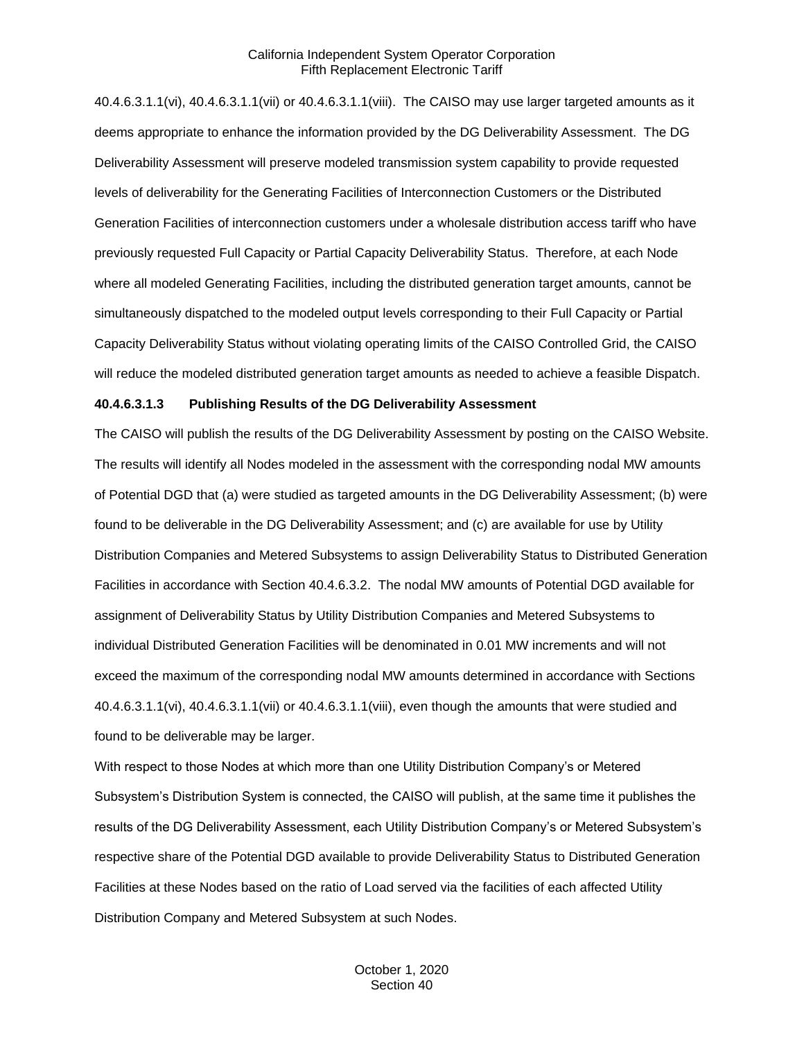40.4.6.3.1.1(vi), 40.4.6.3.1.1(vii) or 40.4.6.3.1.1(viii). The CAISO may use larger targeted amounts as it deems appropriate to enhance the information provided by the DG Deliverability Assessment. The DG Deliverability Assessment will preserve modeled transmission system capability to provide requested levels of deliverability for the Generating Facilities of Interconnection Customers or the Distributed Generation Facilities of interconnection customers under a wholesale distribution access tariff who have previously requested Full Capacity or Partial Capacity Deliverability Status. Therefore, at each Node where all modeled Generating Facilities, including the distributed generation target amounts, cannot be simultaneously dispatched to the modeled output levels corresponding to their Full Capacity or Partial Capacity Deliverability Status without violating operating limits of the CAISO Controlled Grid, the CAISO will reduce the modeled distributed generation target amounts as needed to achieve a feasible Dispatch.

#### **40.4.6.3.1.3 Publishing Results of the DG Deliverability Assessment**

The CAISO will publish the results of the DG Deliverability Assessment by posting on the CAISO Website. The results will identify all Nodes modeled in the assessment with the corresponding nodal MW amounts of Potential DGD that (a) were studied as targeted amounts in the DG Deliverability Assessment; (b) were found to be deliverable in the DG Deliverability Assessment; and (c) are available for use by Utility Distribution Companies and Metered Subsystems to assign Deliverability Status to Distributed Generation Facilities in accordance with Section 40.4.6.3.2. The nodal MW amounts of Potential DGD available for assignment of Deliverability Status by Utility Distribution Companies and Metered Subsystems to individual Distributed Generation Facilities will be denominated in 0.01 MW increments and will not exceed the maximum of the corresponding nodal MW amounts determined in accordance with Sections 40.4.6.3.1.1(vi), 40.4.6.3.1.1(vii) or 40.4.6.3.1.1(viii), even though the amounts that were studied and found to be deliverable may be larger.

With respect to those Nodes at which more than one Utility Distribution Company's or Metered Subsystem's Distribution System is connected, the CAISO will publish, at the same time it publishes the results of the DG Deliverability Assessment, each Utility Distribution Company's or Metered Subsystem's respective share of the Potential DGD available to provide Deliverability Status to Distributed Generation Facilities at these Nodes based on the ratio of Load served via the facilities of each affected Utility Distribution Company and Metered Subsystem at such Nodes.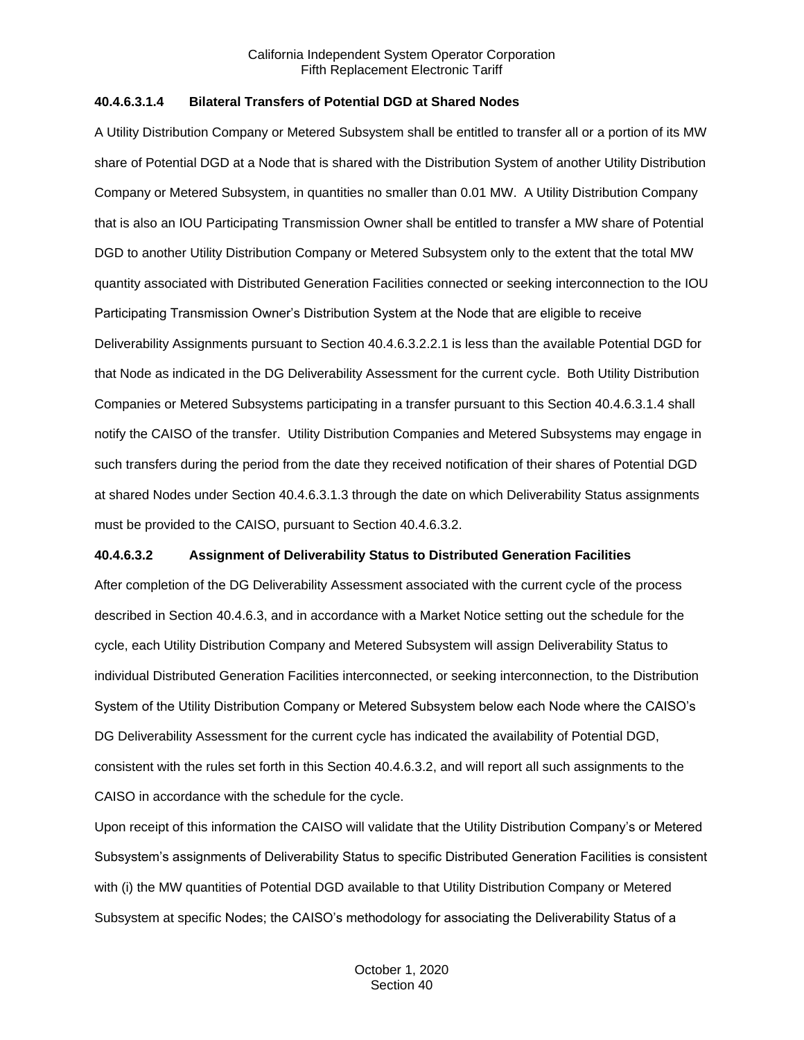## **40.4.6.3.1.4 Bilateral Transfers of Potential DGD at Shared Nodes**

A Utility Distribution Company or Metered Subsystem shall be entitled to transfer all or a portion of its MW share of Potential DGD at a Node that is shared with the Distribution System of another Utility Distribution Company or Metered Subsystem, in quantities no smaller than 0.01 MW. A Utility Distribution Company that is also an IOU Participating Transmission Owner shall be entitled to transfer a MW share of Potential DGD to another Utility Distribution Company or Metered Subsystem only to the extent that the total MW quantity associated with Distributed Generation Facilities connected or seeking interconnection to the IOU Participating Transmission Owner's Distribution System at the Node that are eligible to receive Deliverability Assignments pursuant to Section 40.4.6.3.2.2.1 is less than the available Potential DGD for that Node as indicated in the DG Deliverability Assessment for the current cycle. Both Utility Distribution Companies or Metered Subsystems participating in a transfer pursuant to this Section 40.4.6.3.1.4 shall notify the CAISO of the transfer. Utility Distribution Companies and Metered Subsystems may engage in such transfers during the period from the date they received notification of their shares of Potential DGD at shared Nodes under Section 40.4.6.3.1.3 through the date on which Deliverability Status assignments must be provided to the CAISO, pursuant to Section 40.4.6.3.2.

#### **40.4.6.3.2 Assignment of Deliverability Status to Distributed Generation Facilities**

After completion of the DG Deliverability Assessment associated with the current cycle of the process described in Section 40.4.6.3, and in accordance with a Market Notice setting out the schedule for the cycle, each Utility Distribution Company and Metered Subsystem will assign Deliverability Status to individual Distributed Generation Facilities interconnected, or seeking interconnection, to the Distribution System of the Utility Distribution Company or Metered Subsystem below each Node where the CAISO's DG Deliverability Assessment for the current cycle has indicated the availability of Potential DGD, consistent with the rules set forth in this Section 40.4.6.3.2, and will report all such assignments to the CAISO in accordance with the schedule for the cycle.

Upon receipt of this information the CAISO will validate that the Utility Distribution Company's or Metered Subsystem's assignments of Deliverability Status to specific Distributed Generation Facilities is consistent with (i) the MW quantities of Potential DGD available to that Utility Distribution Company or Metered Subsystem at specific Nodes; the CAISO's methodology for associating the Deliverability Status of a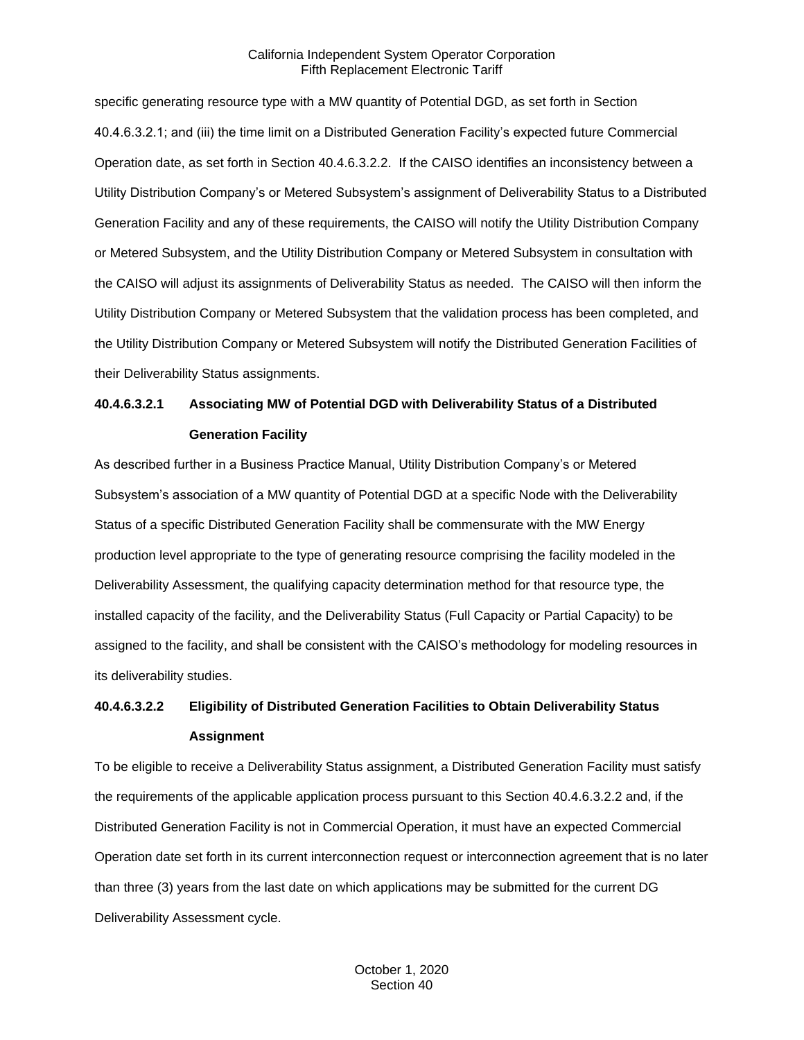specific generating resource type with a MW quantity of Potential DGD, as set forth in Section 40.4.6.3.2.1; and (iii) the time limit on a Distributed Generation Facility's expected future Commercial Operation date, as set forth in Section 40.4.6.3.2.2. If the CAISO identifies an inconsistency between a Utility Distribution Company's or Metered Subsystem's assignment of Deliverability Status to a Distributed Generation Facility and any of these requirements, the CAISO will notify the Utility Distribution Company or Metered Subsystem, and the Utility Distribution Company or Metered Subsystem in consultation with the CAISO will adjust its assignments of Deliverability Status as needed. The CAISO will then inform the Utility Distribution Company or Metered Subsystem that the validation process has been completed, and the Utility Distribution Company or Metered Subsystem will notify the Distributed Generation Facilities of their Deliverability Status assignments.

# **40.4.6.3.2.1 Associating MW of Potential DGD with Deliverability Status of a Distributed Generation Facility**

As described further in a Business Practice Manual, Utility Distribution Company's or Metered Subsystem's association of a MW quantity of Potential DGD at a specific Node with the Deliverability Status of a specific Distributed Generation Facility shall be commensurate with the MW Energy production level appropriate to the type of generating resource comprising the facility modeled in the Deliverability Assessment, the qualifying capacity determination method for that resource type, the installed capacity of the facility, and the Deliverability Status (Full Capacity or Partial Capacity) to be assigned to the facility, and shall be consistent with the CAISO's methodology for modeling resources in its deliverability studies.

## **40.4.6.3.2.2 Eligibility of Distributed Generation Facilities to Obtain Deliverability Status Assignment**

To be eligible to receive a Deliverability Status assignment, a Distributed Generation Facility must satisfy the requirements of the applicable application process pursuant to this Section 40.4.6.3.2.2 and, if the Distributed Generation Facility is not in Commercial Operation, it must have an expected Commercial Operation date set forth in its current interconnection request or interconnection agreement that is no later than three (3) years from the last date on which applications may be submitted for the current DG Deliverability Assessment cycle.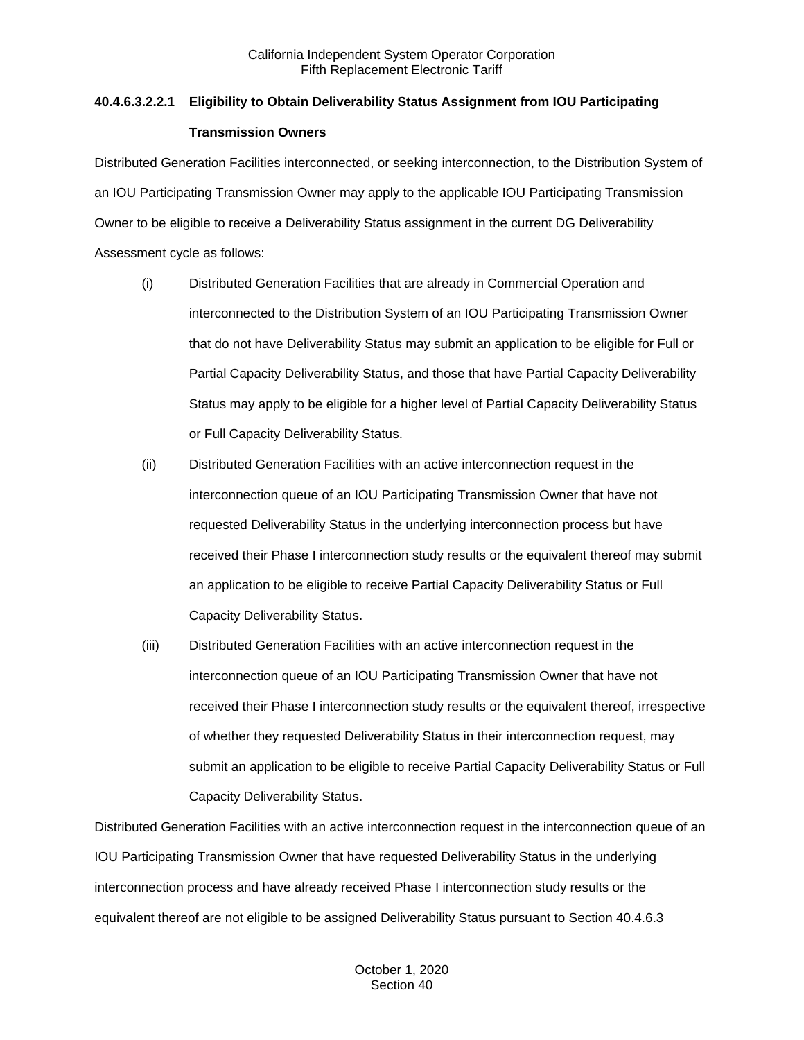## **40.4.6.3.2.2.1 Eligibility to Obtain Deliverability Status Assignment from IOU Participating Transmission Owners**

Distributed Generation Facilities interconnected, or seeking interconnection, to the Distribution System of an IOU Participating Transmission Owner may apply to the applicable IOU Participating Transmission Owner to be eligible to receive a Deliverability Status assignment in the current DG Deliverability Assessment cycle as follows:

- (i) Distributed Generation Facilities that are already in Commercial Operation and interconnected to the Distribution System of an IOU Participating Transmission Owner that do not have Deliverability Status may submit an application to be eligible for Full or Partial Capacity Deliverability Status, and those that have Partial Capacity Deliverability Status may apply to be eligible for a higher level of Partial Capacity Deliverability Status or Full Capacity Deliverability Status.
- (ii) Distributed Generation Facilities with an active interconnection request in the interconnection queue of an IOU Participating Transmission Owner that have not requested Deliverability Status in the underlying interconnection process but have received their Phase I interconnection study results or the equivalent thereof may submit an application to be eligible to receive Partial Capacity Deliverability Status or Full Capacity Deliverability Status.
- (iii) Distributed Generation Facilities with an active interconnection request in the interconnection queue of an IOU Participating Transmission Owner that have not received their Phase I interconnection study results or the equivalent thereof, irrespective of whether they requested Deliverability Status in their interconnection request, may submit an application to be eligible to receive Partial Capacity Deliverability Status or Full Capacity Deliverability Status.

Distributed Generation Facilities with an active interconnection request in the interconnection queue of an IOU Participating Transmission Owner that have requested Deliverability Status in the underlying interconnection process and have already received Phase I interconnection study results or the equivalent thereof are not eligible to be assigned Deliverability Status pursuant to Section 40.4.6.3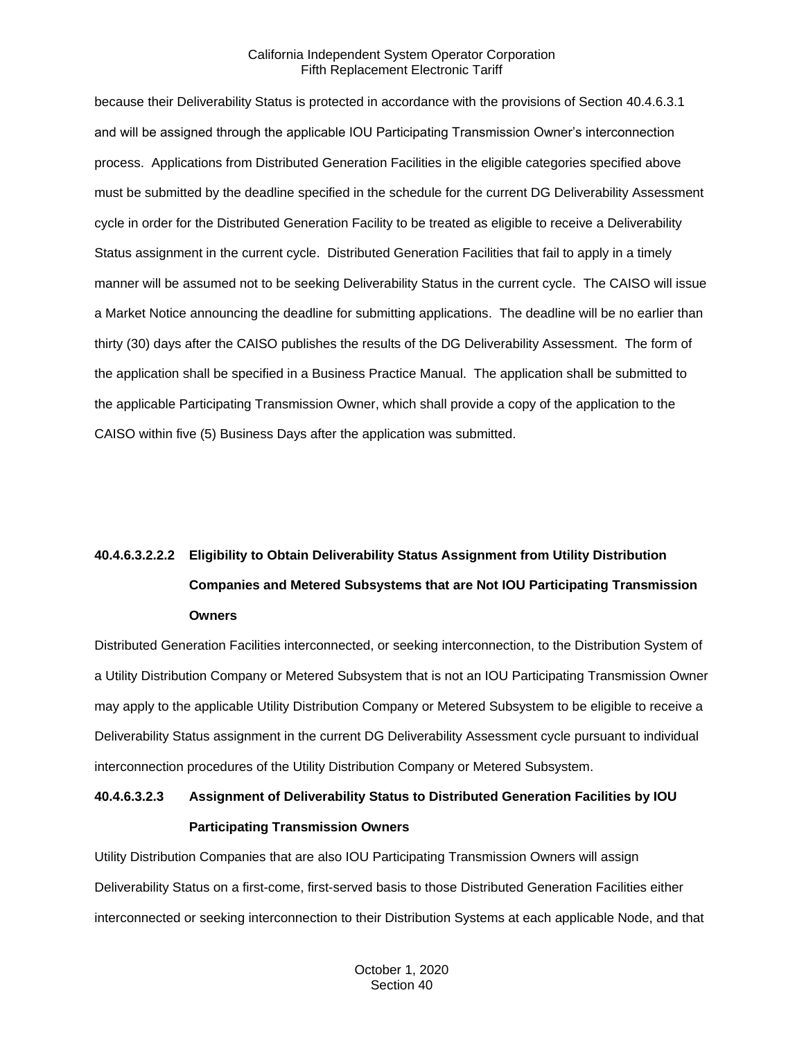because their Deliverability Status is protected in accordance with the provisions of Section 40.4.6.3.1 and will be assigned through the applicable IOU Participating Transmission Owner's interconnection process. Applications from Distributed Generation Facilities in the eligible categories specified above must be submitted by the deadline specified in the schedule for the current DG Deliverability Assessment cycle in order for the Distributed Generation Facility to be treated as eligible to receive a Deliverability Status assignment in the current cycle. Distributed Generation Facilities that fail to apply in a timely manner will be assumed not to be seeking Deliverability Status in the current cycle. The CAISO will issue a Market Notice announcing the deadline for submitting applications. The deadline will be no earlier than thirty (30) days after the CAISO publishes the results of the DG Deliverability Assessment. The form of the application shall be specified in a Business Practice Manual. The application shall be submitted to the applicable Participating Transmission Owner, which shall provide a copy of the application to the CAISO within five (5) Business Days after the application was submitted.

# **40.4.6.3.2.2.2 Eligibility to Obtain Deliverability Status Assignment from Utility Distribution Companies and Metered Subsystems that are Not IOU Participating Transmission Owners**

Distributed Generation Facilities interconnected, or seeking interconnection, to the Distribution System of a Utility Distribution Company or Metered Subsystem that is not an IOU Participating Transmission Owner may apply to the applicable Utility Distribution Company or Metered Subsystem to be eligible to receive a Deliverability Status assignment in the current DG Deliverability Assessment cycle pursuant to individual interconnection procedures of the Utility Distribution Company or Metered Subsystem.

## **40.4.6.3.2.3 Assignment of Deliverability Status to Distributed Generation Facilities by IOU Participating Transmission Owners**

Utility Distribution Companies that are also IOU Participating Transmission Owners will assign Deliverability Status on a first-come, first-served basis to those Distributed Generation Facilities either interconnected or seeking interconnection to their Distribution Systems at each applicable Node, and that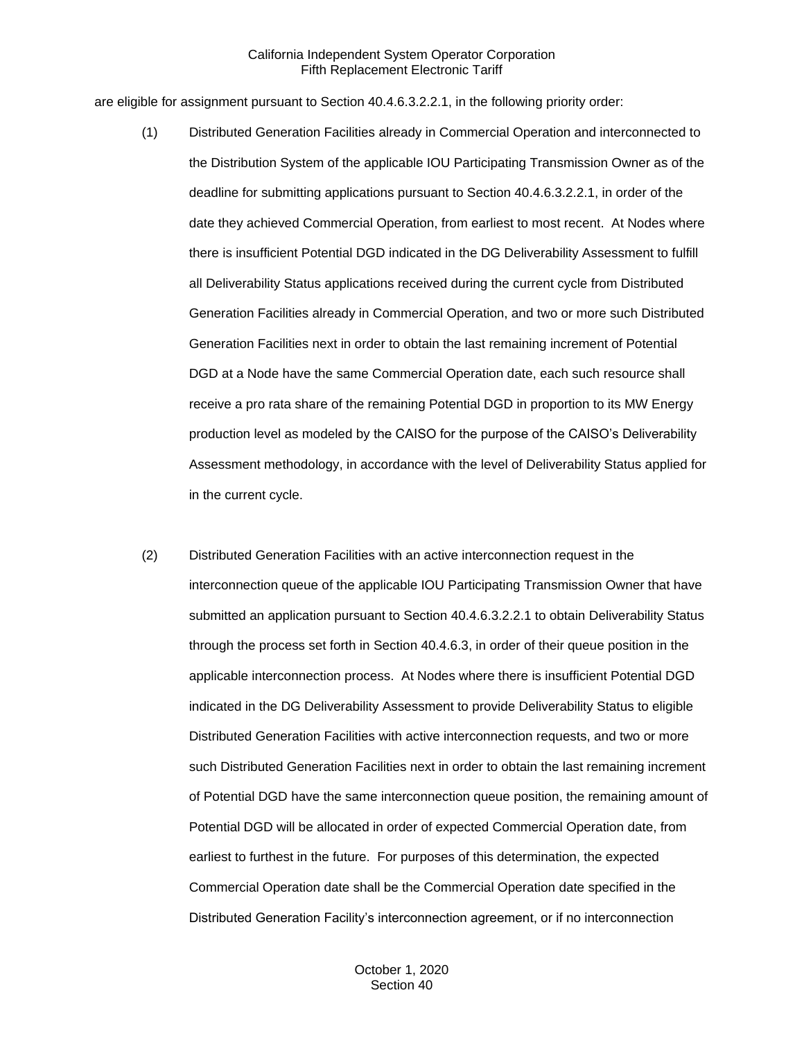are eligible for assignment pursuant to Section 40.4.6.3.2.2.1, in the following priority order:

- (1) Distributed Generation Facilities already in Commercial Operation and interconnected to the Distribution System of the applicable IOU Participating Transmission Owner as of the deadline for submitting applications pursuant to Section 40.4.6.3.2.2.1, in order of the date they achieved Commercial Operation, from earliest to most recent. At Nodes where there is insufficient Potential DGD indicated in the DG Deliverability Assessment to fulfill all Deliverability Status applications received during the current cycle from Distributed Generation Facilities already in Commercial Operation, and two or more such Distributed Generation Facilities next in order to obtain the last remaining increment of Potential DGD at a Node have the same Commercial Operation date, each such resource shall receive a pro rata share of the remaining Potential DGD in proportion to its MW Energy production level as modeled by the CAISO for the purpose of the CAISO's Deliverability Assessment methodology, in accordance with the level of Deliverability Status applied for in the current cycle.
- (2) Distributed Generation Facilities with an active interconnection request in the interconnection queue of the applicable IOU Participating Transmission Owner that have submitted an application pursuant to Section 40.4.6.3.2.2.1 to obtain Deliverability Status through the process set forth in Section 40.4.6.3, in order of their queue position in the applicable interconnection process. At Nodes where there is insufficient Potential DGD indicated in the DG Deliverability Assessment to provide Deliverability Status to eligible Distributed Generation Facilities with active interconnection requests, and two or more such Distributed Generation Facilities next in order to obtain the last remaining increment of Potential DGD have the same interconnection queue position, the remaining amount of Potential DGD will be allocated in order of expected Commercial Operation date, from earliest to furthest in the future. For purposes of this determination, the expected Commercial Operation date shall be the Commercial Operation date specified in the Distributed Generation Facility's interconnection agreement, or if no interconnection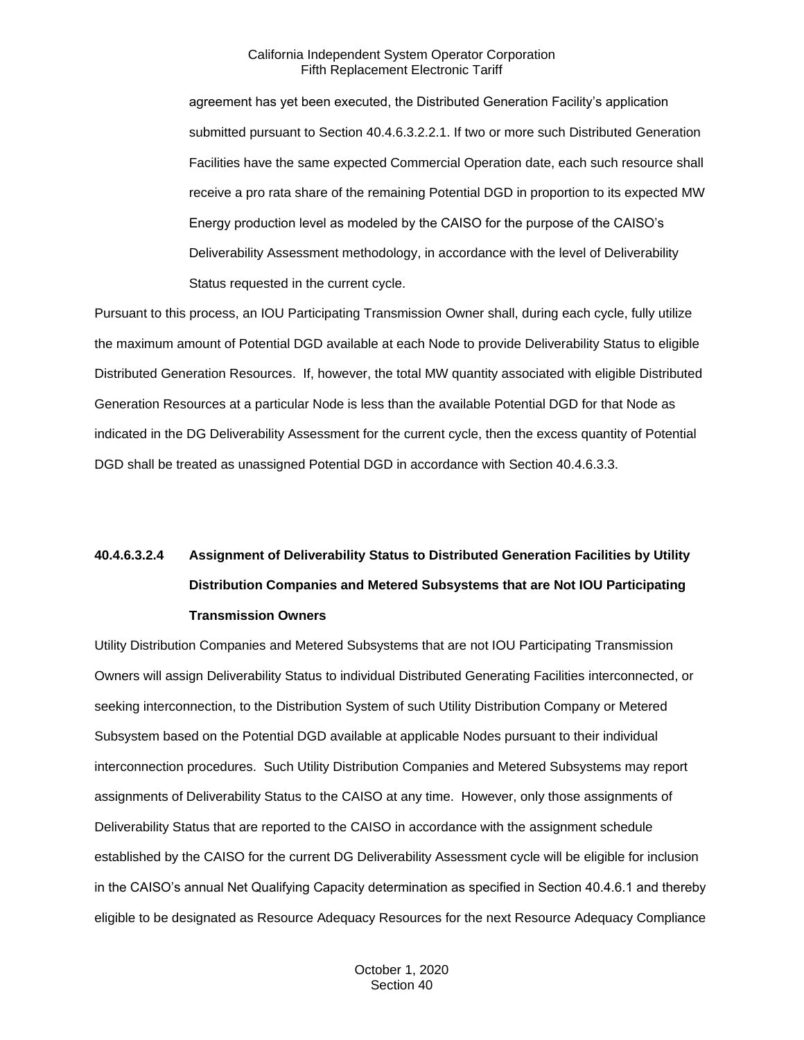agreement has yet been executed, the Distributed Generation Facility's application submitted pursuant to Section 40.4.6.3.2.2.1. If two or more such Distributed Generation Facilities have the same expected Commercial Operation date, each such resource shall receive a pro rata share of the remaining Potential DGD in proportion to its expected MW Energy production level as modeled by the CAISO for the purpose of the CAISO's Deliverability Assessment methodology, in accordance with the level of Deliverability Status requested in the current cycle.

Pursuant to this process, an IOU Participating Transmission Owner shall, during each cycle, fully utilize the maximum amount of Potential DGD available at each Node to provide Deliverability Status to eligible Distributed Generation Resources. If, however, the total MW quantity associated with eligible Distributed Generation Resources at a particular Node is less than the available Potential DGD for that Node as indicated in the DG Deliverability Assessment for the current cycle, then the excess quantity of Potential DGD shall be treated as unassigned Potential DGD in accordance with Section 40.4.6.3.3.

# **40.4.6.3.2.4 Assignment of Deliverability Status to Distributed Generation Facilities by Utility Distribution Companies and Metered Subsystems that are Not IOU Participating Transmission Owners**

Utility Distribution Companies and Metered Subsystems that are not IOU Participating Transmission Owners will assign Deliverability Status to individual Distributed Generating Facilities interconnected, or seeking interconnection, to the Distribution System of such Utility Distribution Company or Metered Subsystem based on the Potential DGD available at applicable Nodes pursuant to their individual interconnection procedures. Such Utility Distribution Companies and Metered Subsystems may report assignments of Deliverability Status to the CAISO at any time. However, only those assignments of Deliverability Status that are reported to the CAISO in accordance with the assignment schedule established by the CAISO for the current DG Deliverability Assessment cycle will be eligible for inclusion in the CAISO's annual Net Qualifying Capacity determination as specified in Section 40.4.6.1 and thereby eligible to be designated as Resource Adequacy Resources for the next Resource Adequacy Compliance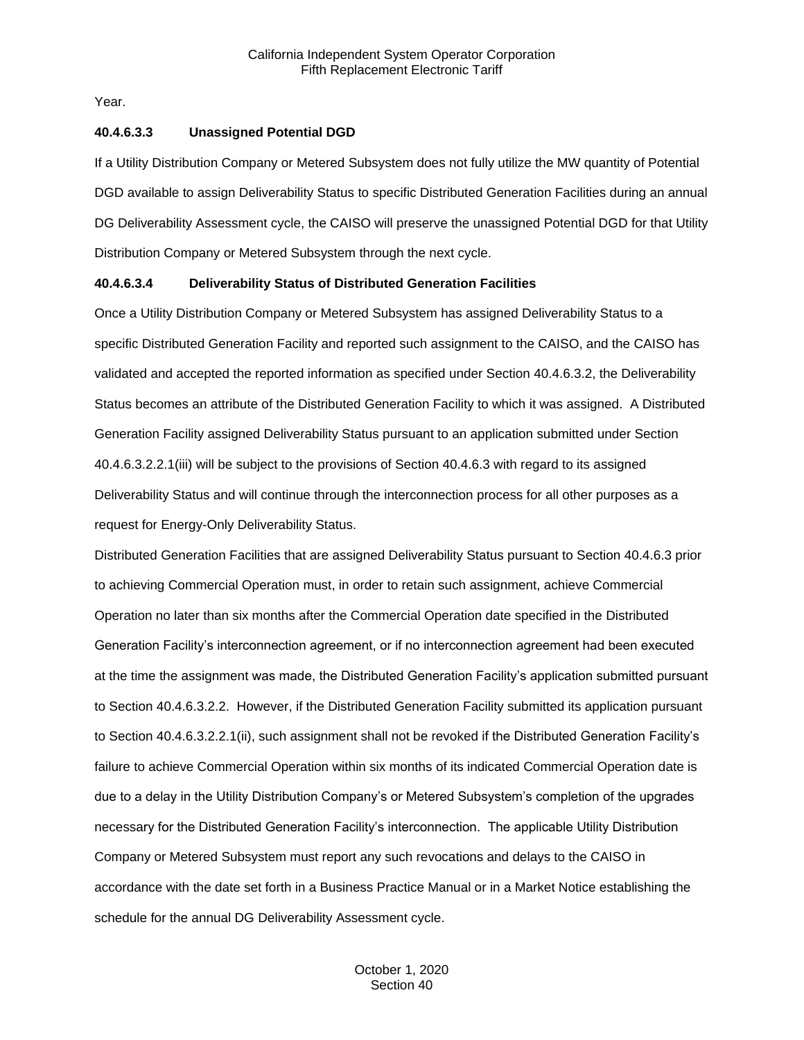Year.

## **40.4.6.3.3 Unassigned Potential DGD**

If a Utility Distribution Company or Metered Subsystem does not fully utilize the MW quantity of Potential DGD available to assign Deliverability Status to specific Distributed Generation Facilities during an annual DG Deliverability Assessment cycle, the CAISO will preserve the unassigned Potential DGD for that Utility Distribution Company or Metered Subsystem through the next cycle.

## **40.4.6.3.4 Deliverability Status of Distributed Generation Facilities**

Once a Utility Distribution Company or Metered Subsystem has assigned Deliverability Status to a specific Distributed Generation Facility and reported such assignment to the CAISO, and the CAISO has validated and accepted the reported information as specified under Section 40.4.6.3.2, the Deliverability Status becomes an attribute of the Distributed Generation Facility to which it was assigned. A Distributed Generation Facility assigned Deliverability Status pursuant to an application submitted under Section 40.4.6.3.2.2.1(iii) will be subject to the provisions of Section 40.4.6.3 with regard to its assigned Deliverability Status and will continue through the interconnection process for all other purposes as a request for Energy-Only Deliverability Status.

Distributed Generation Facilities that are assigned Deliverability Status pursuant to Section 40.4.6.3 prior to achieving Commercial Operation must, in order to retain such assignment, achieve Commercial Operation no later than six months after the Commercial Operation date specified in the Distributed Generation Facility's interconnection agreement, or if no interconnection agreement had been executed at the time the assignment was made, the Distributed Generation Facility's application submitted pursuant to Section 40.4.6.3.2.2. However, if the Distributed Generation Facility submitted its application pursuant to Section 40.4.6.3.2.2.1(ii), such assignment shall not be revoked if the Distributed Generation Facility's failure to achieve Commercial Operation within six months of its indicated Commercial Operation date is due to a delay in the Utility Distribution Company's or Metered Subsystem's completion of the upgrades necessary for the Distributed Generation Facility's interconnection. The applicable Utility Distribution Company or Metered Subsystem must report any such revocations and delays to the CAISO in accordance with the date set forth in a Business Practice Manual or in a Market Notice establishing the schedule for the annual DG Deliverability Assessment cycle.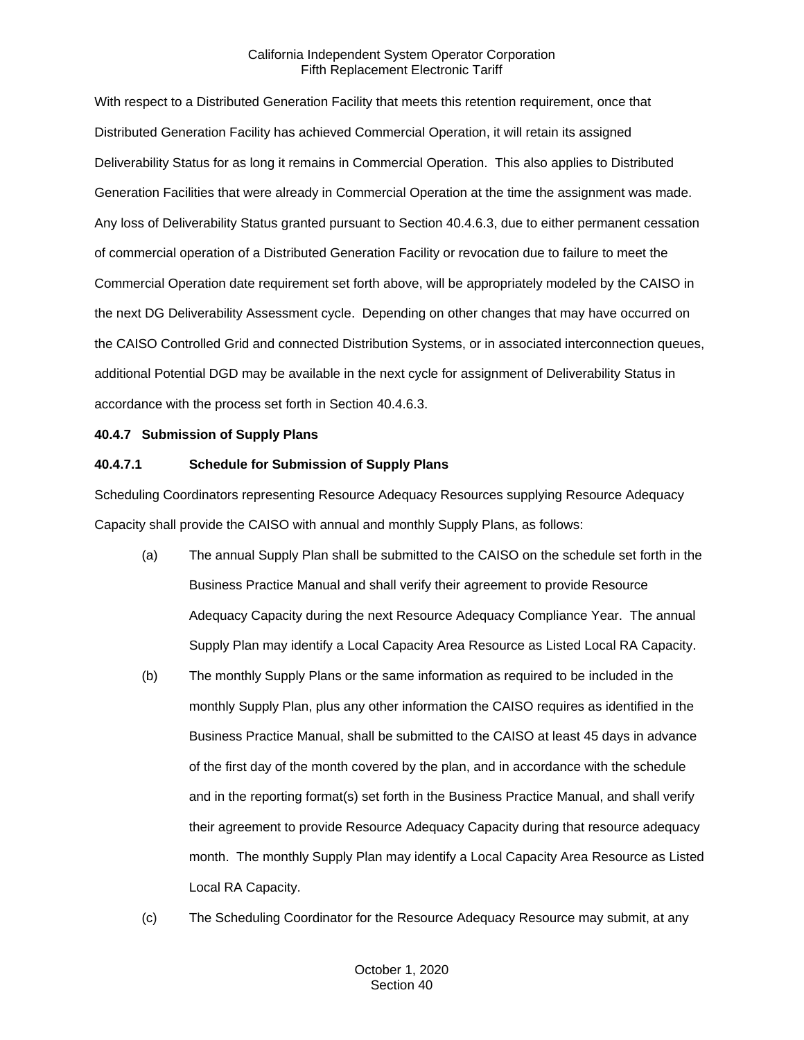With respect to a Distributed Generation Facility that meets this retention requirement, once that Distributed Generation Facility has achieved Commercial Operation, it will retain its assigned Deliverability Status for as long it remains in Commercial Operation. This also applies to Distributed Generation Facilities that were already in Commercial Operation at the time the assignment was made. Any loss of Deliverability Status granted pursuant to Section 40.4.6.3, due to either permanent cessation of commercial operation of a Distributed Generation Facility or revocation due to failure to meet the Commercial Operation date requirement set forth above, will be appropriately modeled by the CAISO in the next DG Deliverability Assessment cycle. Depending on other changes that may have occurred on the CAISO Controlled Grid and connected Distribution Systems, or in associated interconnection queues, additional Potential DGD may be available in the next cycle for assignment of Deliverability Status in accordance with the process set forth in Section 40.4.6.3.

## <span id="page-32-0"></span>**40.4.7 Submission of Supply Plans**

## **40.4.7.1 Schedule for Submission of Supply Plans**

Scheduling Coordinators representing Resource Adequacy Resources supplying Resource Adequacy Capacity shall provide the CAISO with annual and monthly Supply Plans, as follows:

- (a) The annual Supply Plan shall be submitted to the CAISO on the schedule set forth in the Business Practice Manual and shall verify their agreement to provide Resource Adequacy Capacity during the next Resource Adequacy Compliance Year. The annual Supply Plan may identify a Local Capacity Area Resource as Listed Local RA Capacity.
- (b) The monthly Supply Plans or the same information as required to be included in the monthly Supply Plan, plus any other information the CAISO requires as identified in the Business Practice Manual, shall be submitted to the CAISO at least 45 days in advance of the first day of the month covered by the plan, and in accordance with the schedule and in the reporting format(s) set forth in the Business Practice Manual, and shall verify their agreement to provide Resource Adequacy Capacity during that resource adequacy month. The monthly Supply Plan may identify a Local Capacity Area Resource as Listed Local RA Capacity.
- (c) The Scheduling Coordinator for the Resource Adequacy Resource may submit, at any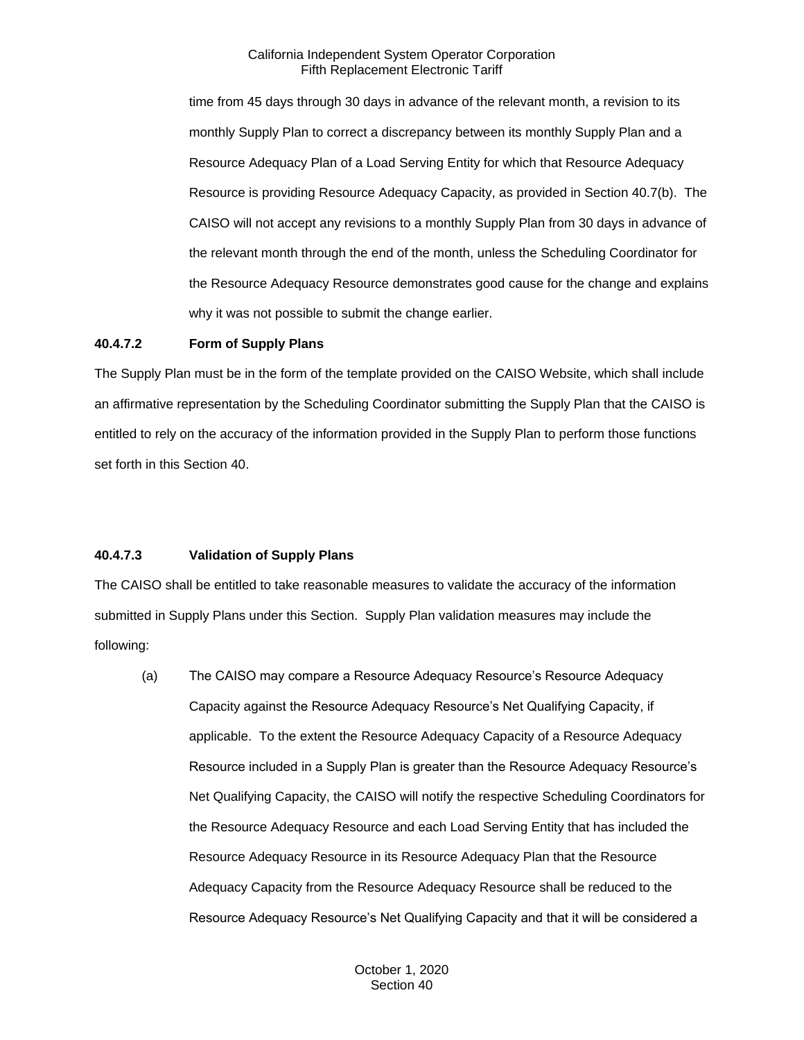time from 45 days through 30 days in advance of the relevant month, a revision to its monthly Supply Plan to correct a discrepancy between its monthly Supply Plan and a Resource Adequacy Plan of a Load Serving Entity for which that Resource Adequacy Resource is providing Resource Adequacy Capacity, as provided in Section 40.7(b). The CAISO will not accept any revisions to a monthly Supply Plan from 30 days in advance of the relevant month through the end of the month, unless the Scheduling Coordinator for the Resource Adequacy Resource demonstrates good cause for the change and explains why it was not possible to submit the change earlier.

## **40.4.7.2 Form of Supply Plans**

The Supply Plan must be in the form of the template provided on the CAISO Website, which shall include an affirmative representation by the Scheduling Coordinator submitting the Supply Plan that the CAISO is entitled to rely on the accuracy of the information provided in the Supply Plan to perform those functions set forth in this Section 40.

## **40.4.7.3 Validation of Supply Plans**

The CAISO shall be entitled to take reasonable measures to validate the accuracy of the information submitted in Supply Plans under this Section. Supply Plan validation measures may include the following:

(a) The CAISO may compare a Resource Adequacy Resource's Resource Adequacy Capacity against the Resource Adequacy Resource's Net Qualifying Capacity, if applicable. To the extent the Resource Adequacy Capacity of a Resource Adequacy Resource included in a Supply Plan is greater than the Resource Adequacy Resource's Net Qualifying Capacity, the CAISO will notify the respective Scheduling Coordinators for the Resource Adequacy Resource and each Load Serving Entity that has included the Resource Adequacy Resource in its Resource Adequacy Plan that the Resource Adequacy Capacity from the Resource Adequacy Resource shall be reduced to the Resource Adequacy Resource's Net Qualifying Capacity and that it will be considered a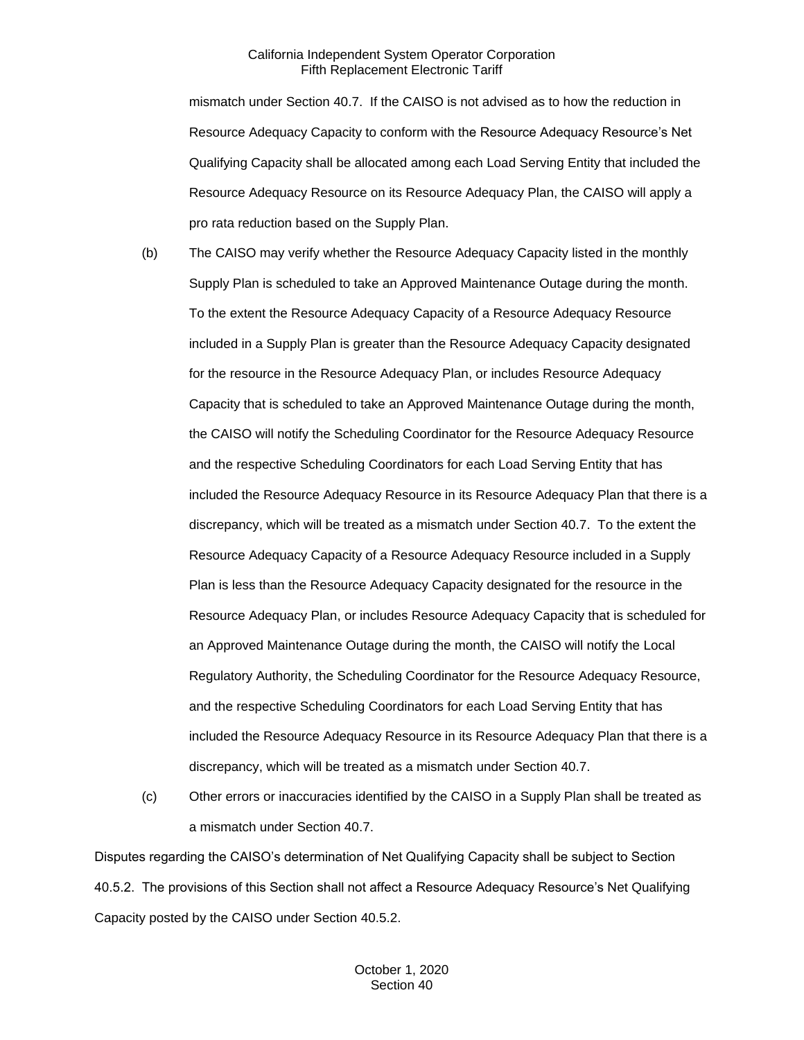mismatch under Section 40.7. If the CAISO is not advised as to how the reduction in Resource Adequacy Capacity to conform with the Resource Adequacy Resource's Net Qualifying Capacity shall be allocated among each Load Serving Entity that included the Resource Adequacy Resource on its Resource Adequacy Plan, the CAISO will apply a pro rata reduction based on the Supply Plan.

- (b) The CAISO may verify whether the Resource Adequacy Capacity listed in the monthly Supply Plan is scheduled to take an Approved Maintenance Outage during the month. To the extent the Resource Adequacy Capacity of a Resource Adequacy Resource included in a Supply Plan is greater than the Resource Adequacy Capacity designated for the resource in the Resource Adequacy Plan, or includes Resource Adequacy Capacity that is scheduled to take an Approved Maintenance Outage during the month, the CAISO will notify the Scheduling Coordinator for the Resource Adequacy Resource and the respective Scheduling Coordinators for each Load Serving Entity that has included the Resource Adequacy Resource in its Resource Adequacy Plan that there is a discrepancy, which will be treated as a mismatch under Section 40.7. To the extent the Resource Adequacy Capacity of a Resource Adequacy Resource included in a Supply Plan is less than the Resource Adequacy Capacity designated for the resource in the Resource Adequacy Plan, or includes Resource Adequacy Capacity that is scheduled for an Approved Maintenance Outage during the month, the CAISO will notify the Local Regulatory Authority, the Scheduling Coordinator for the Resource Adequacy Resource, and the respective Scheduling Coordinators for each Load Serving Entity that has included the Resource Adequacy Resource in its Resource Adequacy Plan that there is a discrepancy, which will be treated as a mismatch under Section 40.7.
- (c) Other errors or inaccuracies identified by the CAISO in a Supply Plan shall be treated as a mismatch under Section 40.7.

Disputes regarding the CAISO's determination of Net Qualifying Capacity shall be subject to Section 40.5.2. The provisions of this Section shall not affect a Resource Adequacy Resource's Net Qualifying Capacity posted by the CAISO under Section 40.5.2.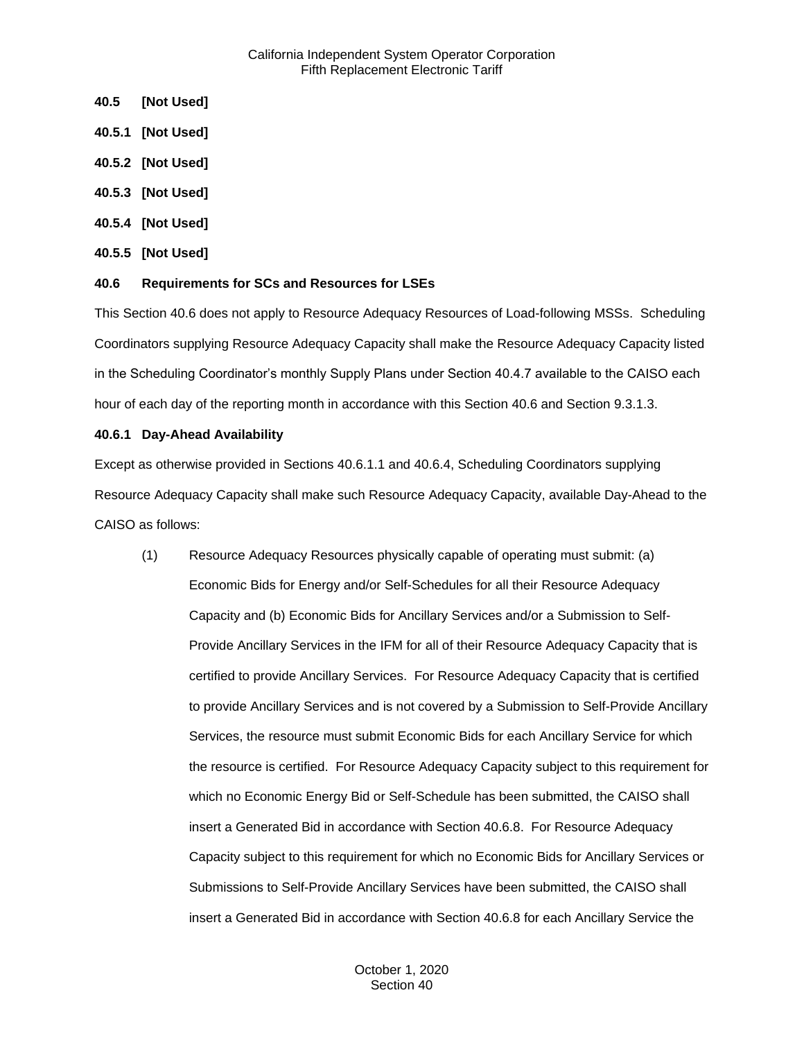- <span id="page-35-0"></span>**40.5 [Not Used]**
- <span id="page-35-1"></span>**40.5.1 [Not Used]**
- <span id="page-35-2"></span>**40.5.2 [Not Used]**
- <span id="page-35-3"></span>**40.5.3 [Not Used]**
- <span id="page-35-4"></span>**40.5.4 [Not Used]**
- <span id="page-35-5"></span>**40.5.5 [Not Used]**

## <span id="page-35-6"></span>**40.6 Requirements for SCs and Resources for LSEs**

This Section 40.6 does not apply to Resource Adequacy Resources of Load-following MSSs. Scheduling Coordinators supplying Resource Adequacy Capacity shall make the Resource Adequacy Capacity listed in the Scheduling Coordinator's monthly Supply Plans under Section 40.4.7 available to the CAISO each hour of each day of the reporting month in accordance with this Section 40.6 and Section 9.3.1.3.

## <span id="page-35-7"></span>**40.6.1 Day-Ahead Availability**

Except as otherwise provided in Sections 40.6.1.1 and 40.6.4, Scheduling Coordinators supplying Resource Adequacy Capacity shall make such Resource Adequacy Capacity, available Day-Ahead to the CAISO as follows:

(1) Resource Adequacy Resources physically capable of operating must submit: (a) Economic Bids for Energy and/or Self-Schedules for all their Resource Adequacy Capacity and (b) Economic Bids for Ancillary Services and/or a Submission to Self-Provide Ancillary Services in the IFM for all of their Resource Adequacy Capacity that is certified to provide Ancillary Services. For Resource Adequacy Capacity that is certified to provide Ancillary Services and is not covered by a Submission to Self-Provide Ancillary Services, the resource must submit Economic Bids for each Ancillary Service for which the resource is certified. For Resource Adequacy Capacity subject to this requirement for which no Economic Energy Bid or Self-Schedule has been submitted, the CAISO shall insert a Generated Bid in accordance with Section 40.6.8. For Resource Adequacy Capacity subject to this requirement for which no Economic Bids for Ancillary Services or Submissions to Self-Provide Ancillary Services have been submitted, the CAISO shall insert a Generated Bid in accordance with Section 40.6.8 for each Ancillary Service the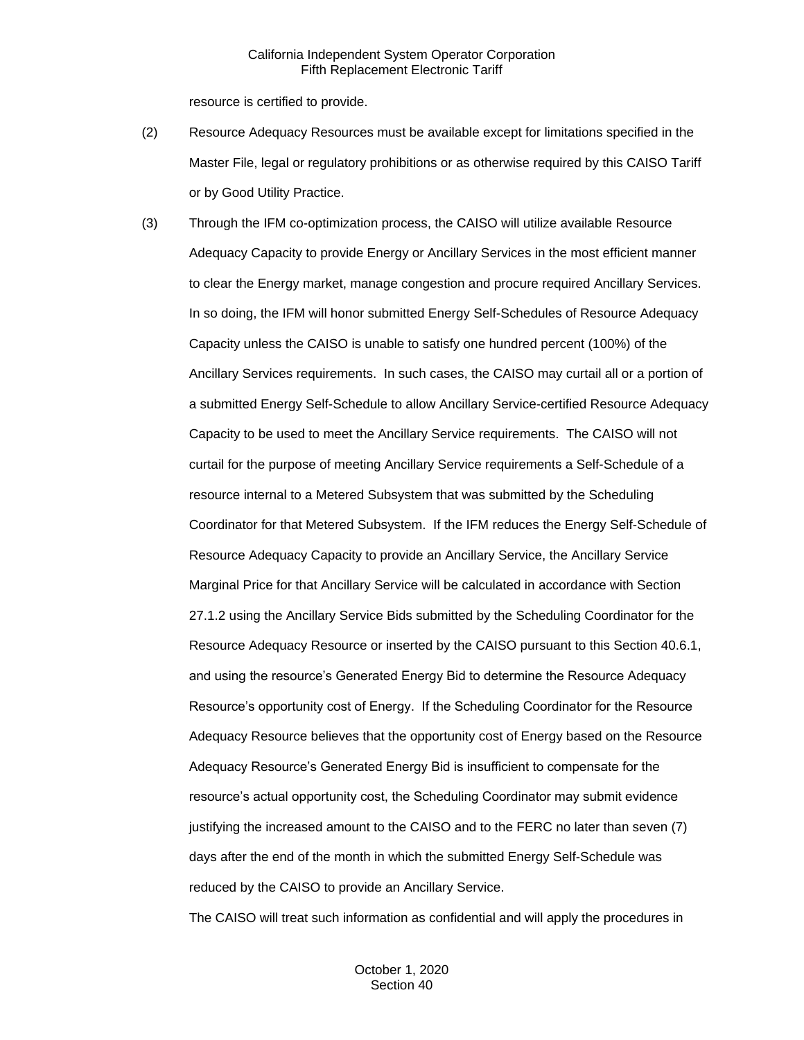resource is certified to provide.

- (2) Resource Adequacy Resources must be available except for limitations specified in the Master File, legal or regulatory prohibitions or as otherwise required by this CAISO Tariff or by Good Utility Practice.
- (3) Through the IFM co-optimization process, the CAISO will utilize available Resource Adequacy Capacity to provide Energy or Ancillary Services in the most efficient manner to clear the Energy market, manage congestion and procure required Ancillary Services. In so doing, the IFM will honor submitted Energy Self-Schedules of Resource Adequacy Capacity unless the CAISO is unable to satisfy one hundred percent (100%) of the Ancillary Services requirements. In such cases, the CAISO may curtail all or a portion of a submitted Energy Self-Schedule to allow Ancillary Service-certified Resource Adequacy Capacity to be used to meet the Ancillary Service requirements. The CAISO will not curtail for the purpose of meeting Ancillary Service requirements a Self-Schedule of a resource internal to a Metered Subsystem that was submitted by the Scheduling Coordinator for that Metered Subsystem. If the IFM reduces the Energy Self-Schedule of Resource Adequacy Capacity to provide an Ancillary Service, the Ancillary Service Marginal Price for that Ancillary Service will be calculated in accordance with Section 27.1.2 using the Ancillary Service Bids submitted by the Scheduling Coordinator for the Resource Adequacy Resource or inserted by the CAISO pursuant to this Section 40.6.1, and using the resource's Generated Energy Bid to determine the Resource Adequacy Resource's opportunity cost of Energy. If the Scheduling Coordinator for the Resource Adequacy Resource believes that the opportunity cost of Energy based on the Resource Adequacy Resource's Generated Energy Bid is insufficient to compensate for the resource's actual opportunity cost, the Scheduling Coordinator may submit evidence justifying the increased amount to the CAISO and to the FERC no later than seven (7) days after the end of the month in which the submitted Energy Self-Schedule was reduced by the CAISO to provide an Ancillary Service.

The CAISO will treat such information as confidential and will apply the procedures in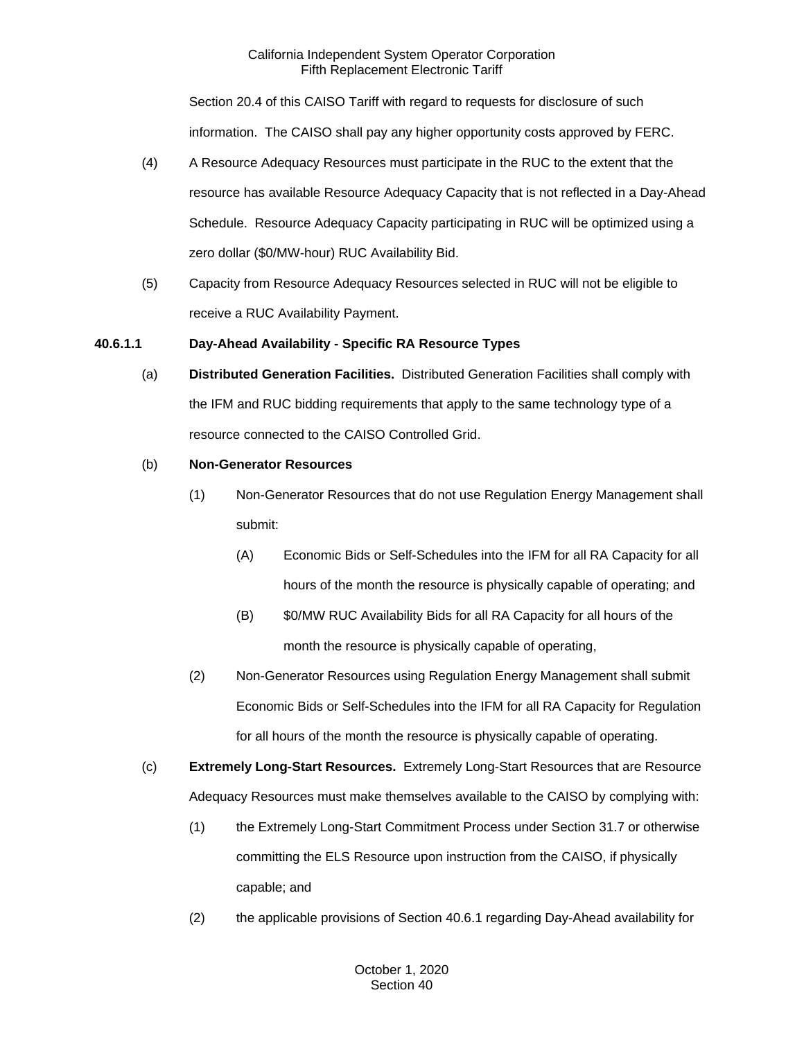Section 20.4 of this CAISO Tariff with regard to requests for disclosure of such information. The CAISO shall pay any higher opportunity costs approved by FERC.

- (4) A Resource Adequacy Resources must participate in the RUC to the extent that the resource has available Resource Adequacy Capacity that is not reflected in a Day-Ahead Schedule. Resource Adequacy Capacity participating in RUC will be optimized using a zero dollar (\$0/MW-hour) RUC Availability Bid.
- (5) Capacity from Resource Adequacy Resources selected in RUC will not be eligible to receive a RUC Availability Payment.

## **40.6.1.1 Day-Ahead Availability - Specific RA Resource Types**

(a) **Distributed Generation Facilities.** Distributed Generation Facilities shall comply with the IFM and RUC bidding requirements that apply to the same technology type of a resource connected to the CAISO Controlled Grid.

## (b) **Non-Generator Resources**

- (1) Non-Generator Resources that do not use Regulation Energy Management shall submit:
	- (A) Economic Bids or Self-Schedules into the IFM for all RA Capacity for all hours of the month the resource is physically capable of operating; and
	- (B) \$0/MW RUC Availability Bids for all RA Capacity for all hours of the month the resource is physically capable of operating,
- (2) Non-Generator Resources using Regulation Energy Management shall submit Economic Bids or Self-Schedules into the IFM for all RA Capacity for Regulation for all hours of the month the resource is physically capable of operating.
- (c) **Extremely Long-Start Resources.** Extremely Long-Start Resources that are Resource Adequacy Resources must make themselves available to the CAISO by complying with:
	- (1) the Extremely Long-Start Commitment Process under Section 31.7 or otherwise committing the ELS Resource upon instruction from the CAISO, if physically capable; and
	- (2) the applicable provisions of Section 40.6.1 regarding Day-Ahead availability for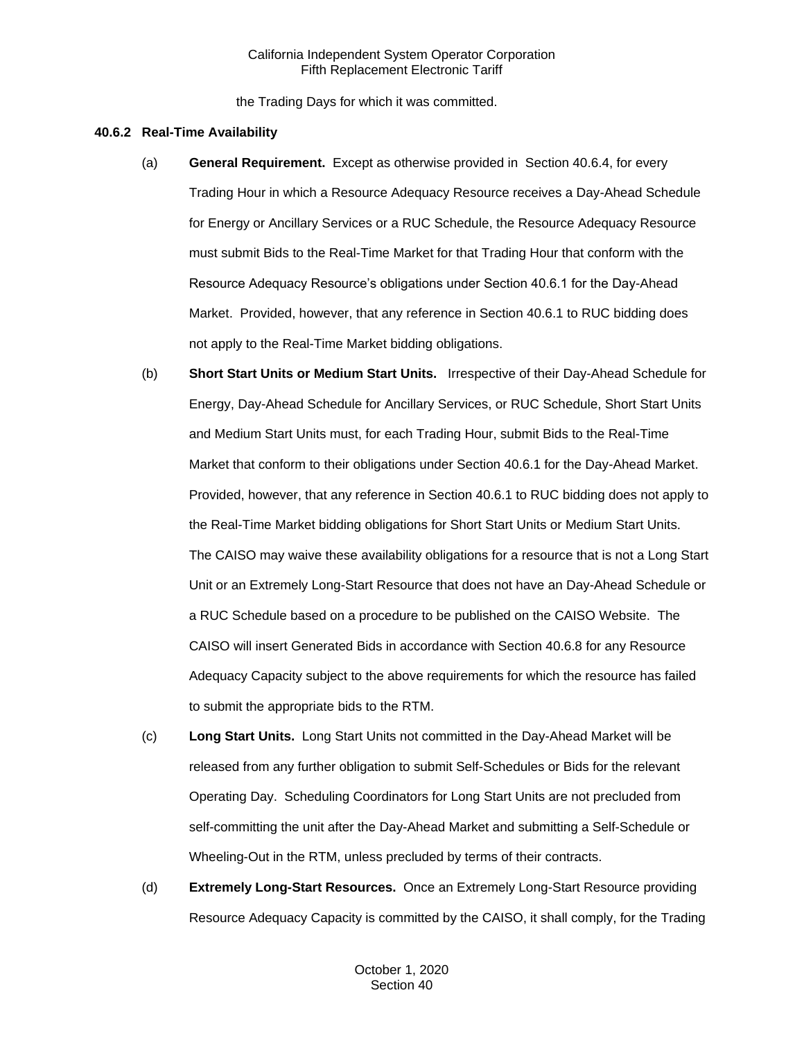the Trading Days for which it was committed.

#### **40.6.2 Real-Time Availability**

- (a) **General Requirement.** Except as otherwise provided in Section 40.6.4, for every Trading Hour in which a Resource Adequacy Resource receives a Day-Ahead Schedule for Energy or Ancillary Services or a RUC Schedule, the Resource Adequacy Resource must submit Bids to the Real-Time Market for that Trading Hour that conform with the Resource Adequacy Resource's obligations under Section 40.6.1 for the Day-Ahead Market. Provided, however, that any reference in Section 40.6.1 to RUC bidding does not apply to the Real-Time Market bidding obligations.
- (b) **Short Start Units or Medium Start Units.** Irrespective of their Day-Ahead Schedule for Energy, Day-Ahead Schedule for Ancillary Services, or RUC Schedule, Short Start Units and Medium Start Units must, for each Trading Hour, submit Bids to the Real-Time Market that conform to their obligations under Section 40.6.1 for the Day-Ahead Market. Provided, however, that any reference in Section 40.6.1 to RUC bidding does not apply to the Real-Time Market bidding obligations for Short Start Units or Medium Start Units. The CAISO may waive these availability obligations for a resource that is not a Long Start Unit or an Extremely Long-Start Resource that does not have an Day-Ahead Schedule or a RUC Schedule based on a procedure to be published on the CAISO Website. The CAISO will insert Generated Bids in accordance with Section 40.6.8 for any Resource Adequacy Capacity subject to the above requirements for which the resource has failed to submit the appropriate bids to the RTM.
- (c) **Long Start Units.** Long Start Units not committed in the Day-Ahead Market will be released from any further obligation to submit Self-Schedules or Bids for the relevant Operating Day. Scheduling Coordinators for Long Start Units are not precluded from self-committing the unit after the Day-Ahead Market and submitting a Self-Schedule or Wheeling-Out in the RTM, unless precluded by terms of their contracts.
- (d) **Extremely Long-Start Resources.** Once an Extremely Long-Start Resource providing Resource Adequacy Capacity is committed by the CAISO, it shall comply, for the Trading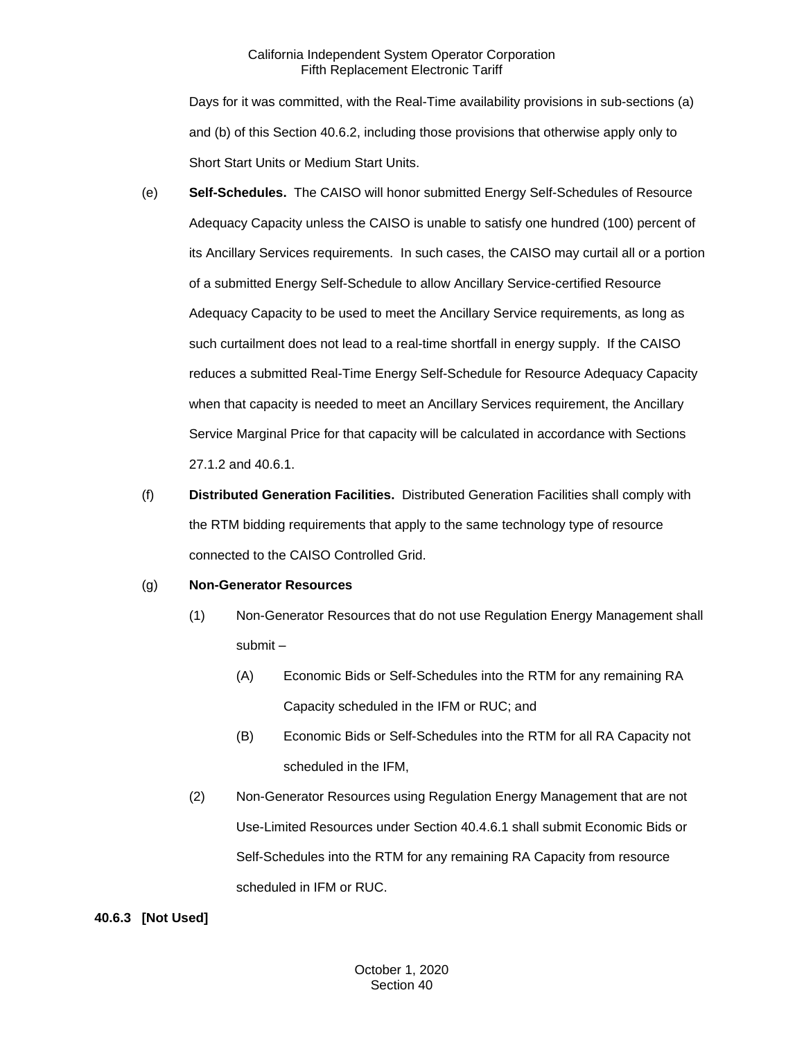Days for it was committed, with the Real-Time availability provisions in sub-sections (a) and (b) of this Section 40.6.2, including those provisions that otherwise apply only to Short Start Units or Medium Start Units.

- (e) **Self-Schedules.** The CAISO will honor submitted Energy Self-Schedules of Resource Adequacy Capacity unless the CAISO is unable to satisfy one hundred (100) percent of its Ancillary Services requirements. In such cases, the CAISO may curtail all or a portion of a submitted Energy Self-Schedule to allow Ancillary Service-certified Resource Adequacy Capacity to be used to meet the Ancillary Service requirements, as long as such curtailment does not lead to a real-time shortfall in energy supply. If the CAISO reduces a submitted Real-Time Energy Self-Schedule for Resource Adequacy Capacity when that capacity is needed to meet an Ancillary Services requirement, the Ancillary Service Marginal Price for that capacity will be calculated in accordance with Sections 27.1.2 and 40.6.1.
- (f) **Distributed Generation Facilities.** Distributed Generation Facilities shall comply with the RTM bidding requirements that apply to the same technology type of resource connected to the CAISO Controlled Grid.

## (g) **Non-Generator Resources**

- (1) Non-Generator Resources that do not use Regulation Energy Management shall submit –
	- (A) Economic Bids or Self-Schedules into the RTM for any remaining RA Capacity scheduled in the IFM or RUC; and
	- (B) Economic Bids or Self-Schedules into the RTM for all RA Capacity not scheduled in the IFM,
- (2) Non-Generator Resources using Regulation Energy Management that are not Use-Limited Resources under Section 40.4.6.1 shall submit Economic Bids or Self-Schedules into the RTM for any remaining RA Capacity from resource scheduled in IFM or RUC.

## **40.6.3 [Not Used]**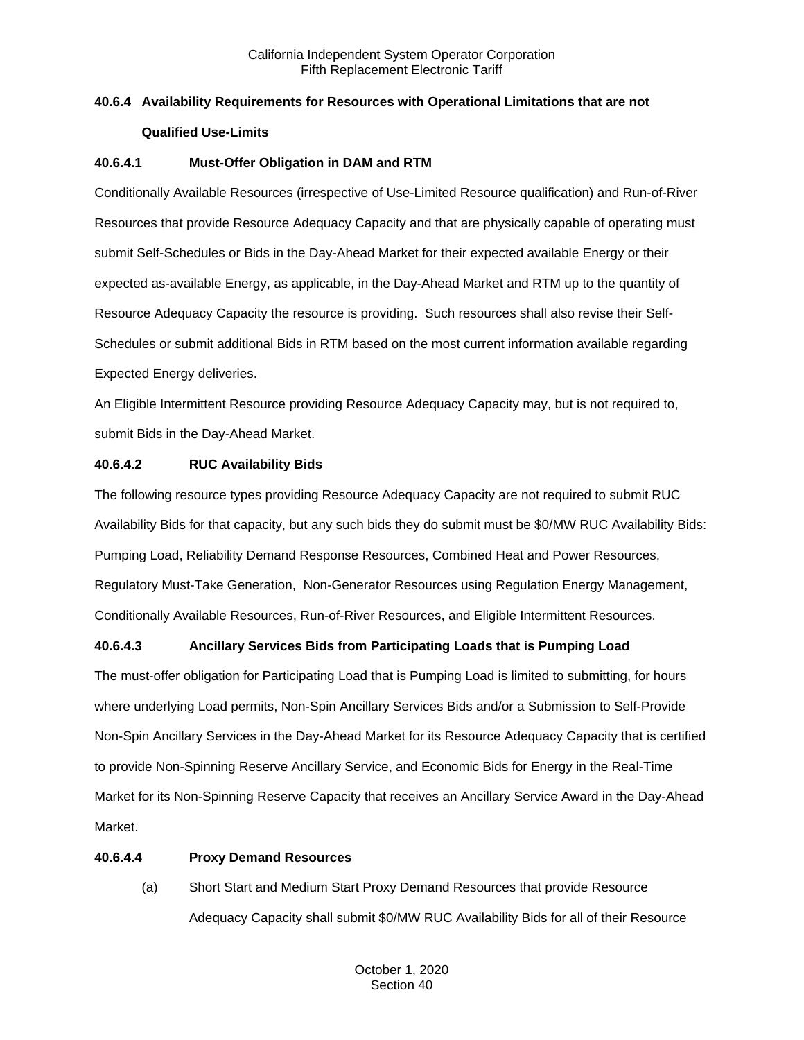# **40.6.4 Availability Requirements for Resources with Operational Limitations that are not Qualified Use-Limits**

## **40.6.4.1 Must-Offer Obligation in DAM and RTM**

Conditionally Available Resources (irrespective of Use-Limited Resource qualification) and Run-of-River Resources that provide Resource Adequacy Capacity and that are physically capable of operating must submit Self-Schedules or Bids in the Day-Ahead Market for their expected available Energy or their expected as-available Energy, as applicable, in the Day-Ahead Market and RTM up to the quantity of Resource Adequacy Capacity the resource is providing. Such resources shall also revise their Self-Schedules or submit additional Bids in RTM based on the most current information available regarding Expected Energy deliveries.

An Eligible Intermittent Resource providing Resource Adequacy Capacity may, but is not required to, submit Bids in the Day-Ahead Market.

## **40.6.4.2 RUC Availability Bids**

The following resource types providing Resource Adequacy Capacity are not required to submit RUC Availability Bids for that capacity, but any such bids they do submit must be \$0/MW RUC Availability Bids: Pumping Load, Reliability Demand Response Resources, Combined Heat and Power Resources, Regulatory Must-Take Generation, Non-Generator Resources using Regulation Energy Management, Conditionally Available Resources, Run-of-River Resources, and Eligible Intermittent Resources.

# **40.6.4.3 Ancillary Services Bids from Participating Loads that is Pumping Load**

The must-offer obligation for Participating Load that is Pumping Load is limited to submitting, for hours where underlying Load permits, Non-Spin Ancillary Services Bids and/or a Submission to Self-Provide Non-Spin Ancillary Services in the Day-Ahead Market for its Resource Adequacy Capacity that is certified to provide Non-Spinning Reserve Ancillary Service, and Economic Bids for Energy in the Real-Time Market for its Non-Spinning Reserve Capacity that receives an Ancillary Service Award in the Day-Ahead Market.

## **40.6.4.4 Proxy Demand Resources**

(a) Short Start and Medium Start Proxy Demand Resources that provide Resource Adequacy Capacity shall submit \$0/MW RUC Availability Bids for all of their Resource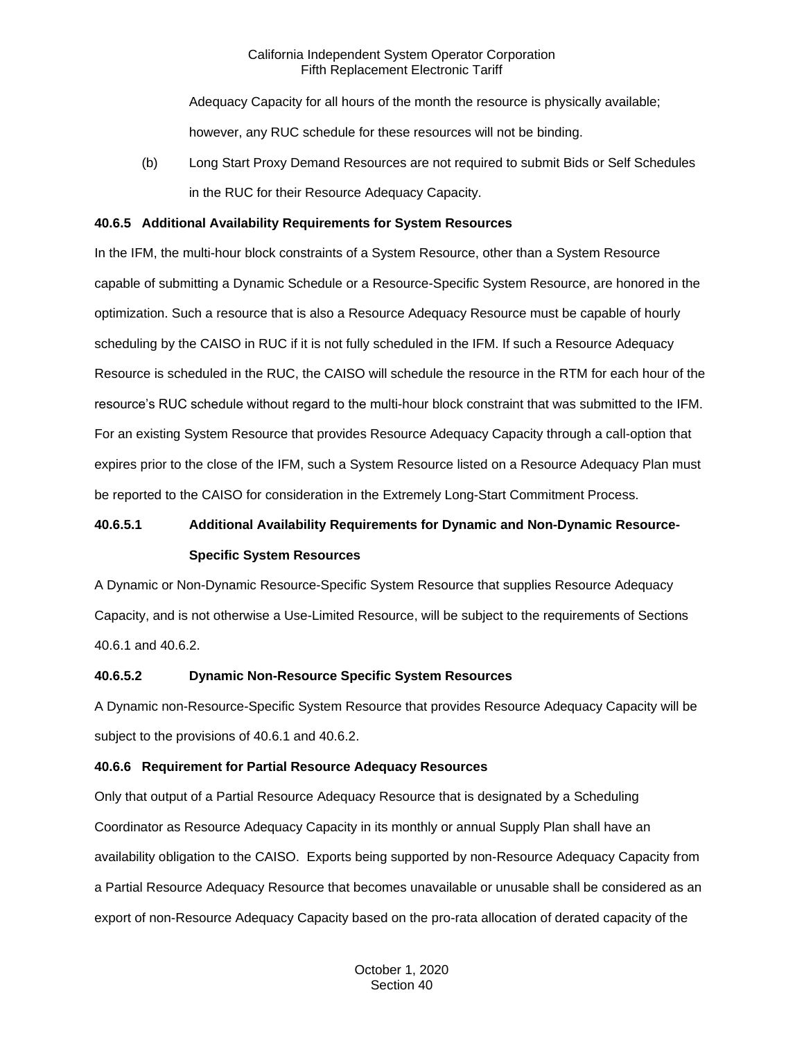Adequacy Capacity for all hours of the month the resource is physically available; however, any RUC schedule for these resources will not be binding.

(b) Long Start Proxy Demand Resources are not required to submit Bids or Self Schedules in the RUC for their Resource Adequacy Capacity.

#### **40.6.5 Additional Availability Requirements for System Resources**

In the IFM, the multi-hour block constraints of a System Resource, other than a System Resource capable of submitting a Dynamic Schedule or a Resource-Specific System Resource, are honored in the optimization. Such a resource that is also a Resource Adequacy Resource must be capable of hourly scheduling by the CAISO in RUC if it is not fully scheduled in the IFM. If such a Resource Adequacy Resource is scheduled in the RUC, the CAISO will schedule the resource in the RTM for each hour of the resource's RUC schedule without regard to the multi-hour block constraint that was submitted to the IFM. For an existing System Resource that provides Resource Adequacy Capacity through a call-option that expires prior to the close of the IFM, such a System Resource listed on a Resource Adequacy Plan must be reported to the CAISO for consideration in the Extremely Long-Start Commitment Process.

# **40.6.5.1 Additional Availability Requirements for Dynamic and Non-Dynamic Resource-Specific System Resources**

A Dynamic or Non-Dynamic Resource-Specific System Resource that supplies Resource Adequacy Capacity, and is not otherwise a Use-Limited Resource, will be subject to the requirements of Sections 40.6.1 and 40.6.2.

## **40.6.5.2 Dynamic Non-Resource Specific System Resources**

A Dynamic non-Resource-Specific System Resource that provides Resource Adequacy Capacity will be subject to the provisions of 40.6.1 and 40.6.2.

## **40.6.6 Requirement for Partial Resource Adequacy Resources**

Only that output of a Partial Resource Adequacy Resource that is designated by a Scheduling Coordinator as Resource Adequacy Capacity in its monthly or annual Supply Plan shall have an availability obligation to the CAISO. Exports being supported by non-Resource Adequacy Capacity from a Partial Resource Adequacy Resource that becomes unavailable or unusable shall be considered as an export of non-Resource Adequacy Capacity based on the pro-rata allocation of derated capacity of the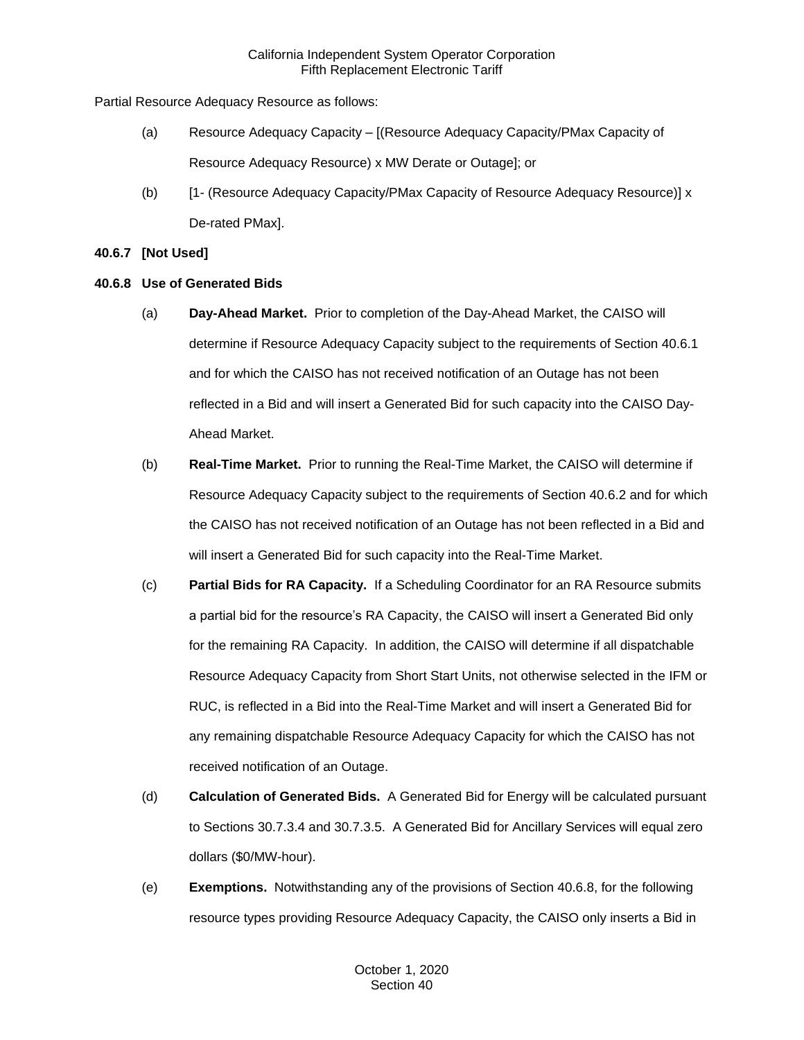Partial Resource Adequacy Resource as follows:

- (a) Resource Adequacy Capacity [(Resource Adequacy Capacity/PMax Capacity of Resource Adequacy Resource) x MW Derate or Outage]; or
- (b) [1- (Resource Adequacy Capacity/PMax Capacity of Resource Adequacy Resource)] x De-rated PMax].

## **40.6.7 [Not Used]**

## **40.6.8 Use of Generated Bids**

- (a) **Day-Ahead Market.** Prior to completion of the Day-Ahead Market, the CAISO will determine if Resource Adequacy Capacity subject to the requirements of Section 40.6.1 and for which the CAISO has not received notification of an Outage has not been reflected in a Bid and will insert a Generated Bid for such capacity into the CAISO Day-Ahead Market.
- (b) **Real-Time Market.** Prior to running the Real-Time Market, the CAISO will determine if Resource Adequacy Capacity subject to the requirements of Section 40.6.2 and for which the CAISO has not received notification of an Outage has not been reflected in a Bid and will insert a Generated Bid for such capacity into the Real-Time Market.
- (c) **Partial Bids for RA Capacity.** If a Scheduling Coordinator for an RA Resource submits a partial bid for the resource's RA Capacity, the CAISO will insert a Generated Bid only for the remaining RA Capacity. In addition, the CAISO will determine if all dispatchable Resource Adequacy Capacity from Short Start Units, not otherwise selected in the IFM or RUC, is reflected in a Bid into the Real-Time Market and will insert a Generated Bid for any remaining dispatchable Resource Adequacy Capacity for which the CAISO has not received notification of an Outage.
- (d) **Calculation of Generated Bids.** A Generated Bid for Energy will be calculated pursuant to Sections 30.7.3.4 and 30.7.3.5. A Generated Bid for Ancillary Services will equal zero dollars (\$0/MW-hour).
- (e) **Exemptions.** Notwithstanding any of the provisions of Section 40.6.8, for the following resource types providing Resource Adequacy Capacity, the CAISO only inserts a Bid in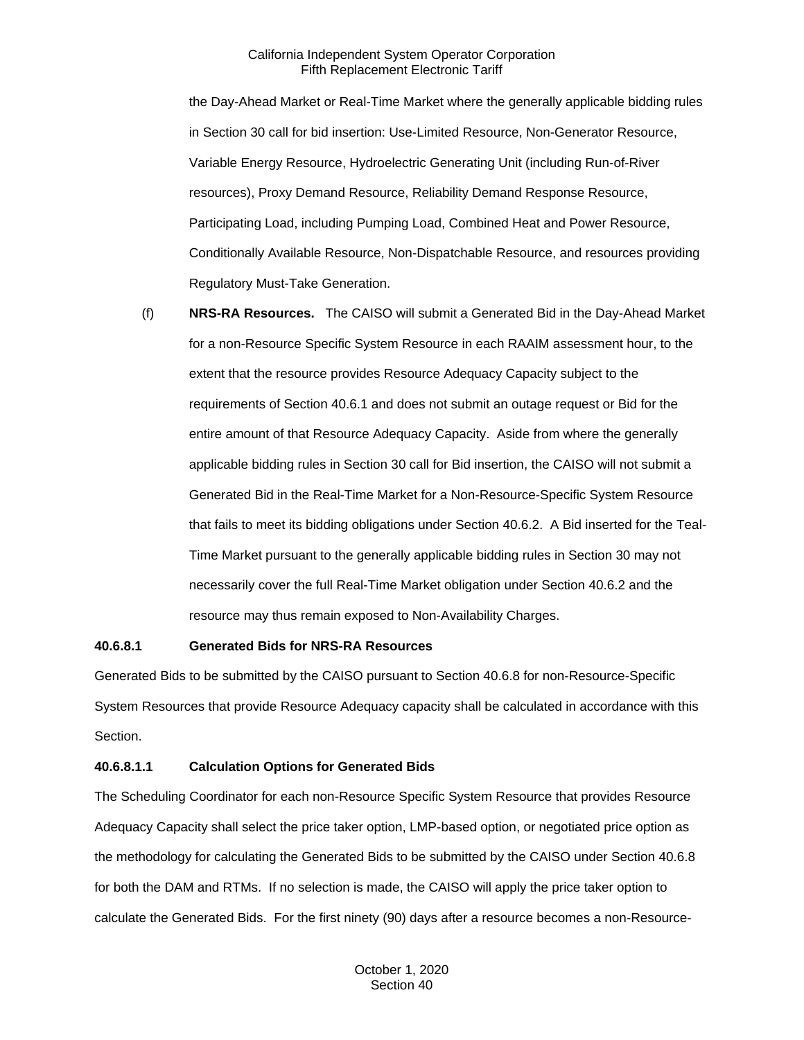the Day-Ahead Market or Real-Time Market where the generally applicable bidding rules in Section 30 call for bid insertion: Use-Limited Resource, Non-Generator Resource, Variable Energy Resource, Hydroelectric Generating Unit (including Run-of-River resources), Proxy Demand Resource, Reliability Demand Response Resource, Participating Load, including Pumping Load, Combined Heat and Power Resource, Conditionally Available Resource, Non-Dispatchable Resource, and resources providing Regulatory Must-Take Generation.

(f) **NRS-RA Resources.** The CAISO will submit a Generated Bid in the Day-Ahead Market for a non-Resource Specific System Resource in each RAAIM assessment hour, to the extent that the resource provides Resource Adequacy Capacity subject to the requirements of Section 40.6.1 and does not submit an outage request or Bid for the entire amount of that Resource Adequacy Capacity. Aside from where the generally applicable bidding rules in Section 30 call for Bid insertion, the CAISO will not submit a Generated Bid in the Real-Time Market for a Non-Resource-Specific System Resource that fails to meet its bidding obligations under Section 40.6.2. A Bid inserted for the Teal-Time Market pursuant to the generally applicable bidding rules in Section 30 may not necessarily cover the full Real-Time Market obligation under Section 40.6.2 and the resource may thus remain exposed to Non-Availability Charges.

#### **40.6.8.1 Generated Bids for NRS-RA Resources**

Generated Bids to be submitted by the CAISO pursuant to Section 40.6.8 for non-Resource-Specific System Resources that provide Resource Adequacy capacity shall be calculated in accordance with this Section.

#### **40.6.8.1.1 Calculation Options for Generated Bids**

The Scheduling Coordinator for each non-Resource Specific System Resource that provides Resource Adequacy Capacity shall select the price taker option, LMP-based option, or negotiated price option as the methodology for calculating the Generated Bids to be submitted by the CAISO under Section 40.6.8 for both the DAM and RTMs. If no selection is made, the CAISO will apply the price taker option to calculate the Generated Bids. For the first ninety (90) days after a resource becomes a non-Resource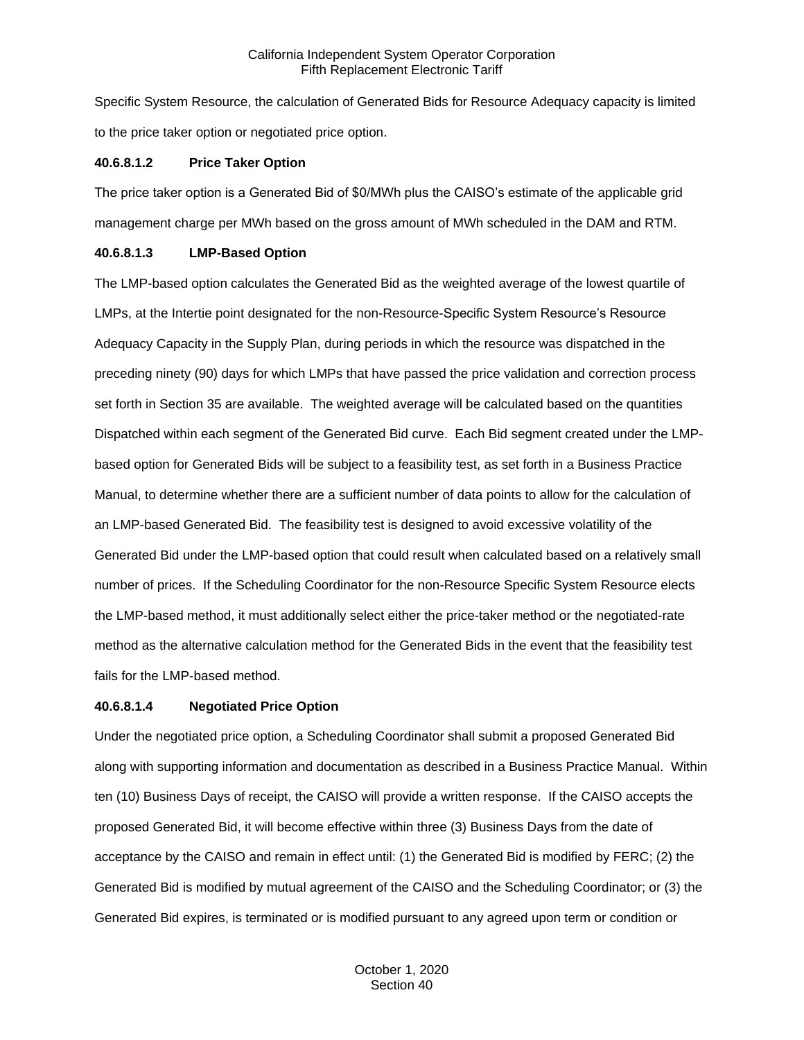Specific System Resource, the calculation of Generated Bids for Resource Adequacy capacity is limited to the price taker option or negotiated price option.

#### **40.6.8.1.2 Price Taker Option**

The price taker option is a Generated Bid of \$0/MWh plus the CAISO's estimate of the applicable grid management charge per MWh based on the gross amount of MWh scheduled in the DAM and RTM.

## **40.6.8.1.3 LMP-Based Option**

The LMP-based option calculates the Generated Bid as the weighted average of the lowest quartile of LMPs, at the Intertie point designated for the non-Resource-Specific System Resource's Resource Adequacy Capacity in the Supply Plan, during periods in which the resource was dispatched in the preceding ninety (90) days for which LMPs that have passed the price validation and correction process set forth in Section 35 are available. The weighted average will be calculated based on the quantities Dispatched within each segment of the Generated Bid curve. Each Bid segment created under the LMPbased option for Generated Bids will be subject to a feasibility test, as set forth in a Business Practice Manual, to determine whether there are a sufficient number of data points to allow for the calculation of an LMP-based Generated Bid. The feasibility test is designed to avoid excessive volatility of the Generated Bid under the LMP-based option that could result when calculated based on a relatively small number of prices. If the Scheduling Coordinator for the non-Resource Specific System Resource elects the LMP-based method, it must additionally select either the price-taker method or the negotiated-rate method as the alternative calculation method for the Generated Bids in the event that the feasibility test fails for the LMP-based method.

## **40.6.8.1.4 Negotiated Price Option**

Under the negotiated price option, a Scheduling Coordinator shall submit a proposed Generated Bid along with supporting information and documentation as described in a Business Practice Manual. Within ten (10) Business Days of receipt, the CAISO will provide a written response. If the CAISO accepts the proposed Generated Bid, it will become effective within three (3) Business Days from the date of acceptance by the CAISO and remain in effect until: (1) the Generated Bid is modified by FERC; (2) the Generated Bid is modified by mutual agreement of the CAISO and the Scheduling Coordinator; or (3) the Generated Bid expires, is terminated or is modified pursuant to any agreed upon term or condition or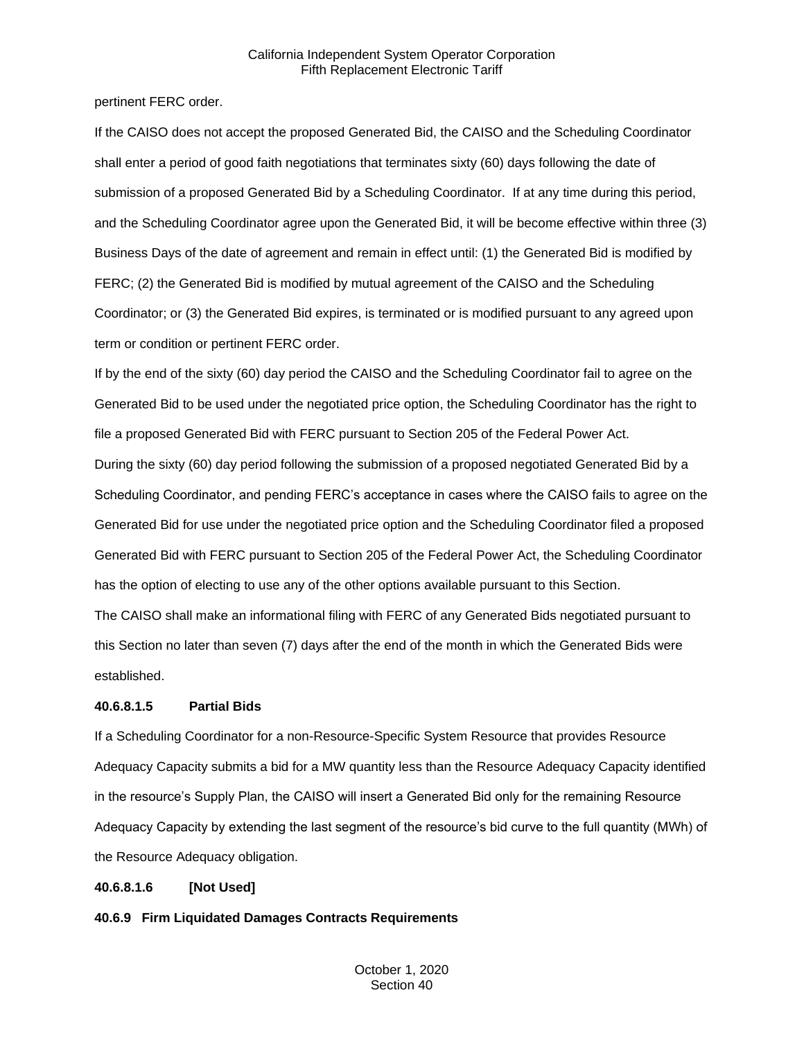pertinent FERC order.

If the CAISO does not accept the proposed Generated Bid, the CAISO and the Scheduling Coordinator shall enter a period of good faith negotiations that terminates sixty (60) days following the date of submission of a proposed Generated Bid by a Scheduling Coordinator. If at any time during this period, and the Scheduling Coordinator agree upon the Generated Bid, it will be become effective within three (3) Business Days of the date of agreement and remain in effect until: (1) the Generated Bid is modified by FERC; (2) the Generated Bid is modified by mutual agreement of the CAISO and the Scheduling Coordinator; or (3) the Generated Bid expires, is terminated or is modified pursuant to any agreed upon term or condition or pertinent FERC order.

If by the end of the sixty (60) day period the CAISO and the Scheduling Coordinator fail to agree on the Generated Bid to be used under the negotiated price option, the Scheduling Coordinator has the right to file a proposed Generated Bid with FERC pursuant to Section 205 of the Federal Power Act. During the sixty (60) day period following the submission of a proposed negotiated Generated Bid by a Scheduling Coordinator, and pending FERC's acceptance in cases where the CAISO fails to agree on the Generated Bid for use under the negotiated price option and the Scheduling Coordinator filed a proposed Generated Bid with FERC pursuant to Section 205 of the Federal Power Act, the Scheduling Coordinator has the option of electing to use any of the other options available pursuant to this Section.

The CAISO shall make an informational filing with FERC of any Generated Bids negotiated pursuant to this Section no later than seven (7) days after the end of the month in which the Generated Bids were established.

## **40.6.8.1.5 Partial Bids**

If a Scheduling Coordinator for a non-Resource-Specific System Resource that provides Resource Adequacy Capacity submits a bid for a MW quantity less than the Resource Adequacy Capacity identified in the resource's Supply Plan, the CAISO will insert a Generated Bid only for the remaining Resource Adequacy Capacity by extending the last segment of the resource's bid curve to the full quantity (MWh) of the Resource Adequacy obligation.

## **40.6.8.1.6 [Not Used]**

**40.6.9 Firm Liquidated Damages Contracts Requirements**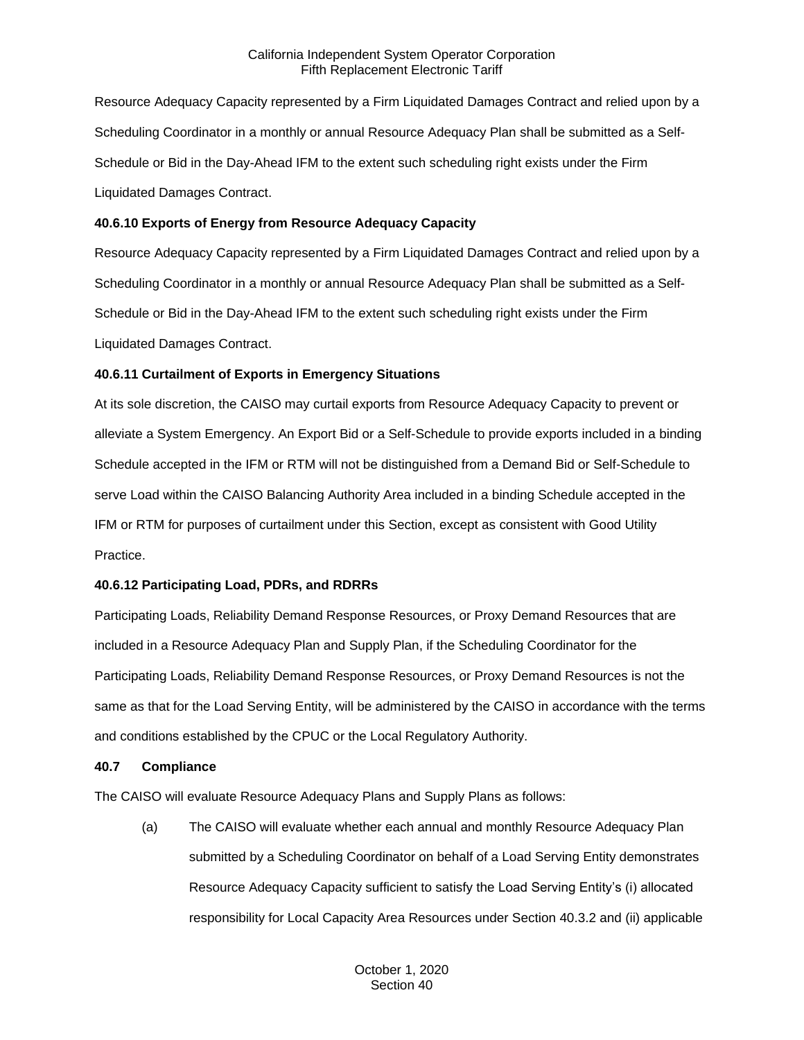Resource Adequacy Capacity represented by a Firm Liquidated Damages Contract and relied upon by a Scheduling Coordinator in a monthly or annual Resource Adequacy Plan shall be submitted as a Self-Schedule or Bid in the Day-Ahead IFM to the extent such scheduling right exists under the Firm Liquidated Damages Contract.

#### **40.6.10 Exports of Energy from Resource Adequacy Capacity**

Resource Adequacy Capacity represented by a Firm Liquidated Damages Contract and relied upon by a Scheduling Coordinator in a monthly or annual Resource Adequacy Plan shall be submitted as a Self-Schedule or Bid in the Day-Ahead IFM to the extent such scheduling right exists under the Firm Liquidated Damages Contract.

## **40.6.11 Curtailment of Exports in Emergency Situations**

At its sole discretion, the CAISO may curtail exports from Resource Adequacy Capacity to prevent or alleviate a System Emergency. An Export Bid or a Self-Schedule to provide exports included in a binding Schedule accepted in the IFM or RTM will not be distinguished from a Demand Bid or Self-Schedule to serve Load within the CAISO Balancing Authority Area included in a binding Schedule accepted in the IFM or RTM for purposes of curtailment under this Section, except as consistent with Good Utility Practice.

## **40.6.12 Participating Load, PDRs, and RDRRs**

Participating Loads, Reliability Demand Response Resources, or Proxy Demand Resources that are included in a Resource Adequacy Plan and Supply Plan, if the Scheduling Coordinator for the Participating Loads, Reliability Demand Response Resources, or Proxy Demand Resources is not the same as that for the Load Serving Entity, will be administered by the CAISO in accordance with the terms and conditions established by the CPUC or the Local Regulatory Authority.

#### **40.7 Compliance**

The CAISO will evaluate Resource Adequacy Plans and Supply Plans as follows:

(a) The CAISO will evaluate whether each annual and monthly Resource Adequacy Plan submitted by a Scheduling Coordinator on behalf of a Load Serving Entity demonstrates Resource Adequacy Capacity sufficient to satisfy the Load Serving Entity's (i) allocated responsibility for Local Capacity Area Resources under Section 40.3.2 and (ii) applicable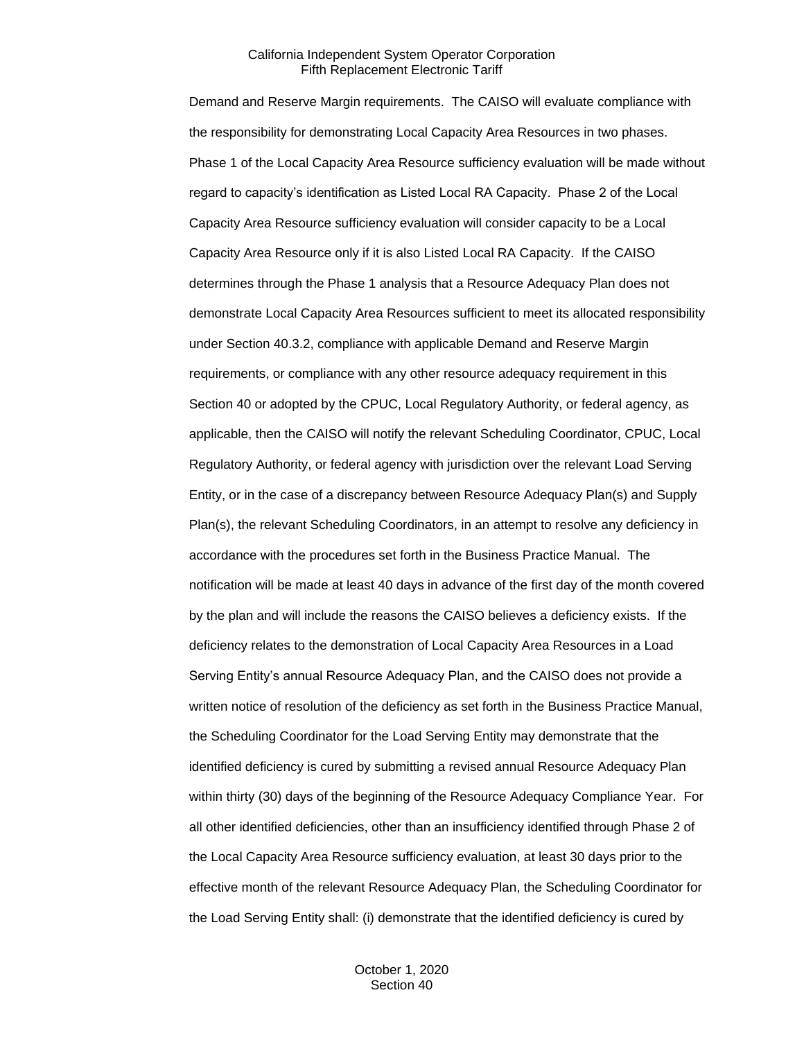Demand and Reserve Margin requirements. The CAISO will evaluate compliance with the responsibility for demonstrating Local Capacity Area Resources in two phases. Phase 1 of the Local Capacity Area Resource sufficiency evaluation will be made without regard to capacity's identification as Listed Local RA Capacity. Phase 2 of the Local Capacity Area Resource sufficiency evaluation will consider capacity to be a Local Capacity Area Resource only if it is also Listed Local RA Capacity. If the CAISO determines through the Phase 1 analysis that a Resource Adequacy Plan does not demonstrate Local Capacity Area Resources sufficient to meet its allocated responsibility under Section 40.3.2, compliance with applicable Demand and Reserve Margin requirements, or compliance with any other resource adequacy requirement in this Section 40 or adopted by the CPUC, Local Regulatory Authority, or federal agency, as applicable, then the CAISO will notify the relevant Scheduling Coordinator, CPUC, Local Regulatory Authority, or federal agency with jurisdiction over the relevant Load Serving Entity, or in the case of a discrepancy between Resource Adequacy Plan(s) and Supply Plan(s), the relevant Scheduling Coordinators, in an attempt to resolve any deficiency in accordance with the procedures set forth in the Business Practice Manual. The notification will be made at least 40 days in advance of the first day of the month covered by the plan and will include the reasons the CAISO believes a deficiency exists. If the deficiency relates to the demonstration of Local Capacity Area Resources in a Load Serving Entity's annual Resource Adequacy Plan, and the CAISO does not provide a written notice of resolution of the deficiency as set forth in the Business Practice Manual, the Scheduling Coordinator for the Load Serving Entity may demonstrate that the identified deficiency is cured by submitting a revised annual Resource Adequacy Plan within thirty (30) days of the beginning of the Resource Adequacy Compliance Year. For all other identified deficiencies, other than an insufficiency identified through Phase 2 of the Local Capacity Area Resource sufficiency evaluation, at least 30 days prior to the effective month of the relevant Resource Adequacy Plan, the Scheduling Coordinator for the Load Serving Entity shall: (i) demonstrate that the identified deficiency is cured by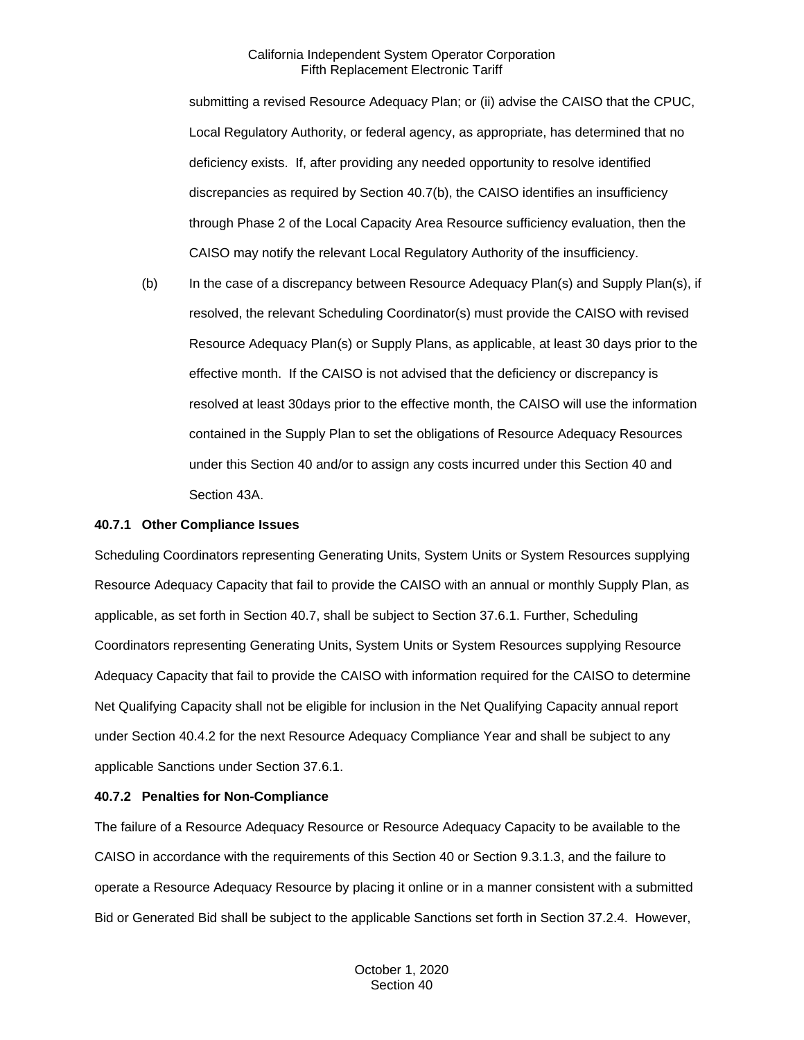submitting a revised Resource Adequacy Plan; or (ii) advise the CAISO that the CPUC, Local Regulatory Authority, or federal agency, as appropriate, has determined that no deficiency exists. If, after providing any needed opportunity to resolve identified discrepancies as required by Section 40.7(b), the CAISO identifies an insufficiency through Phase 2 of the Local Capacity Area Resource sufficiency evaluation, then the CAISO may notify the relevant Local Regulatory Authority of the insufficiency.

(b) In the case of a discrepancy between Resource Adequacy Plan(s) and Supply Plan(s), if resolved, the relevant Scheduling Coordinator(s) must provide the CAISO with revised Resource Adequacy Plan(s) or Supply Plans, as applicable, at least 30 days prior to the effective month. If the CAISO is not advised that the deficiency or discrepancy is resolved at least 30days prior to the effective month, the CAISO will use the information contained in the Supply Plan to set the obligations of Resource Adequacy Resources under this Section 40 and/or to assign any costs incurred under this Section 40 and Section 43A.

## **40.7.1 Other Compliance Issues**

Scheduling Coordinators representing Generating Units, System Units or System Resources supplying Resource Adequacy Capacity that fail to provide the CAISO with an annual or monthly Supply Plan, as applicable, as set forth in Section 40.7, shall be subject to Section 37.6.1. Further, Scheduling Coordinators representing Generating Units, System Units or System Resources supplying Resource Adequacy Capacity that fail to provide the CAISO with information required for the CAISO to determine Net Qualifying Capacity shall not be eligible for inclusion in the Net Qualifying Capacity annual report under Section 40.4.2 for the next Resource Adequacy Compliance Year and shall be subject to any applicable Sanctions under Section 37.6.1.

## **40.7.2 Penalties for Non-Compliance**

The failure of a Resource Adequacy Resource or Resource Adequacy Capacity to be available to the CAISO in accordance with the requirements of this Section 40 or Section 9.3.1.3, and the failure to operate a Resource Adequacy Resource by placing it online or in a manner consistent with a submitted Bid or Generated Bid shall be subject to the applicable Sanctions set forth in Section 37.2.4. However,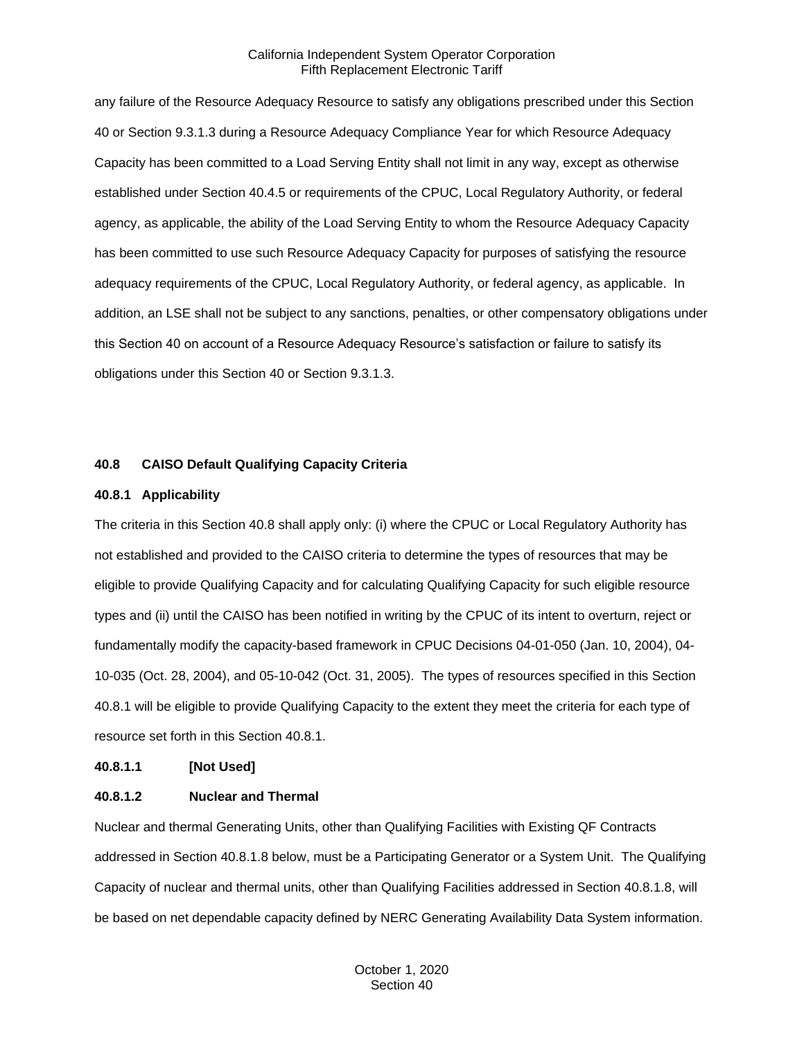any failure of the Resource Adequacy Resource to satisfy any obligations prescribed under this Section 40 or Section 9.3.1.3 during a Resource Adequacy Compliance Year for which Resource Adequacy Capacity has been committed to a Load Serving Entity shall not limit in any way, except as otherwise established under Section 40.4.5 or requirements of the CPUC, Local Regulatory Authority, or federal agency, as applicable, the ability of the Load Serving Entity to whom the Resource Adequacy Capacity has been committed to use such Resource Adequacy Capacity for purposes of satisfying the resource adequacy requirements of the CPUC, Local Regulatory Authority, or federal agency, as applicable. In addition, an LSE shall not be subject to any sanctions, penalties, or other compensatory obligations under this Section 40 on account of a Resource Adequacy Resource's satisfaction or failure to satisfy its obligations under this Section 40 or Section 9.3.1.3.

#### **40.8 CAISO Default Qualifying Capacity Criteria**

#### **40.8.1 Applicability**

The criteria in this Section 40.8 shall apply only: (i) where the CPUC or Local Regulatory Authority has not established and provided to the CAISO criteria to determine the types of resources that may be eligible to provide Qualifying Capacity and for calculating Qualifying Capacity for such eligible resource types and (ii) until the CAISO has been notified in writing by the CPUC of its intent to overturn, reject or fundamentally modify the capacity-based framework in CPUC Decisions 04-01-050 (Jan. 10, 2004), 04- 10-035 (Oct. 28, 2004), and 05-10-042 (Oct. 31, 2005). The types of resources specified in this Section 40.8.1 will be eligible to provide Qualifying Capacity to the extent they meet the criteria for each type of resource set forth in this Section 40.8.1.

#### **40.8.1.1 [Not Used]**

#### **40.8.1.2 Nuclear and Thermal**

Nuclear and thermal Generating Units, other than Qualifying Facilities with Existing QF Contracts addressed in Section 40.8.1.8 below, must be a Participating Generator or a System Unit. The Qualifying Capacity of nuclear and thermal units, other than Qualifying Facilities addressed in Section 40.8.1.8, will be based on net dependable capacity defined by NERC Generating Availability Data System information.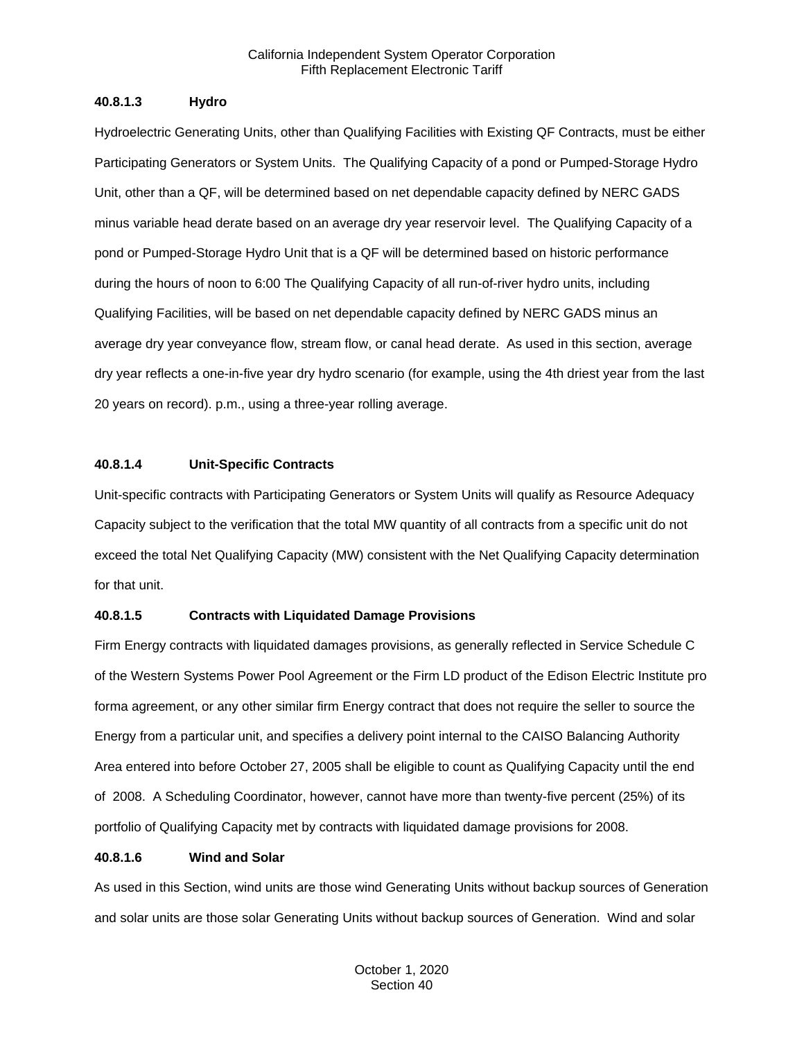## **40.8.1.3 Hydro**

Hydroelectric Generating Units, other than Qualifying Facilities with Existing QF Contracts, must be either Participating Generators or System Units. The Qualifying Capacity of a pond or Pumped-Storage Hydro Unit, other than a QF, will be determined based on net dependable capacity defined by NERC GADS minus variable head derate based on an average dry year reservoir level. The Qualifying Capacity of a pond or Pumped-Storage Hydro Unit that is a QF will be determined based on historic performance during the hours of noon to 6:00 The Qualifying Capacity of all run-of-river hydro units, including Qualifying Facilities, will be based on net dependable capacity defined by NERC GADS minus an average dry year conveyance flow, stream flow, or canal head derate. As used in this section, average dry year reflects a one-in-five year dry hydro scenario (for example, using the 4th driest year from the last 20 years on record). p.m., using a three-year rolling average.

#### **40.8.1.4 Unit-Specific Contracts**

Unit-specific contracts with Participating Generators or System Units will qualify as Resource Adequacy Capacity subject to the verification that the total MW quantity of all contracts from a specific unit do not exceed the total Net Qualifying Capacity (MW) consistent with the Net Qualifying Capacity determination for that unit.

## **40.8.1.5 Contracts with Liquidated Damage Provisions**

Firm Energy contracts with liquidated damages provisions, as generally reflected in Service Schedule C of the Western Systems Power Pool Agreement or the Firm LD product of the Edison Electric Institute pro forma agreement, or any other similar firm Energy contract that does not require the seller to source the Energy from a particular unit, and specifies a delivery point internal to the CAISO Balancing Authority Area entered into before October 27, 2005 shall be eligible to count as Qualifying Capacity until the end of 2008. A Scheduling Coordinator, however, cannot have more than twenty-five percent (25%) of its portfolio of Qualifying Capacity met by contracts with liquidated damage provisions for 2008.

#### **40.8.1.6 Wind and Solar**

As used in this Section, wind units are those wind Generating Units without backup sources of Generation and solar units are those solar Generating Units without backup sources of Generation. Wind and solar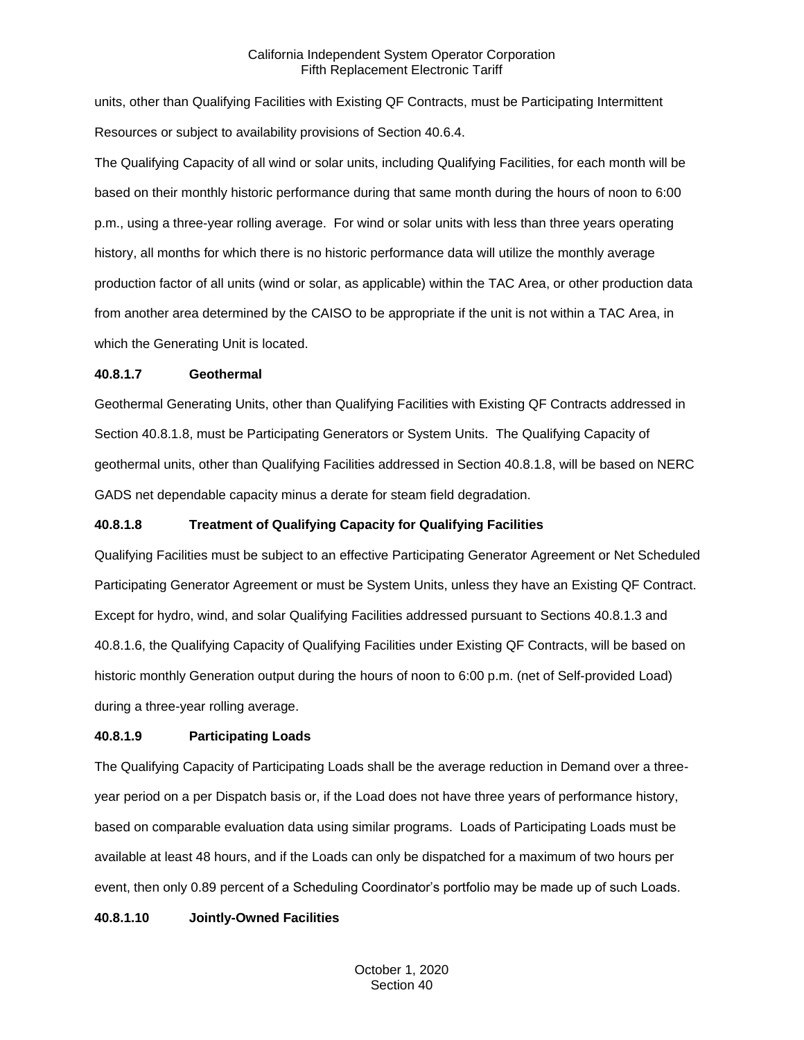units, other than Qualifying Facilities with Existing QF Contracts, must be Participating Intermittent Resources or subject to availability provisions of Section 40.6.4.

The Qualifying Capacity of all wind or solar units, including Qualifying Facilities, for each month will be based on their monthly historic performance during that same month during the hours of noon to 6:00 p.m., using a three-year rolling average. For wind or solar units with less than three years operating history, all months for which there is no historic performance data will utilize the monthly average production factor of all units (wind or solar, as applicable) within the TAC Area, or other production data from another area determined by the CAISO to be appropriate if the unit is not within a TAC Area, in which the Generating Unit is located.

#### **40.8.1.7 Geothermal**

Geothermal Generating Units, other than Qualifying Facilities with Existing QF Contracts addressed in Section 40.8.1.8, must be Participating Generators or System Units. The Qualifying Capacity of geothermal units, other than Qualifying Facilities addressed in Section 40.8.1.8, will be based on NERC GADS net dependable capacity minus a derate for steam field degradation.

## **40.8.1.8 Treatment of Qualifying Capacity for Qualifying Facilities**

Qualifying Facilities must be subject to an effective Participating Generator Agreement or Net Scheduled Participating Generator Agreement or must be System Units, unless they have an Existing QF Contract. Except for hydro, wind, and solar Qualifying Facilities addressed pursuant to Sections 40.8.1.3 and 40.8.1.6, the Qualifying Capacity of Qualifying Facilities under Existing QF Contracts, will be based on historic monthly Generation output during the hours of noon to 6:00 p.m. (net of Self-provided Load) during a three-year rolling average.

## **40.8.1.9 Participating Loads**

The Qualifying Capacity of Participating Loads shall be the average reduction in Demand over a threeyear period on a per Dispatch basis or, if the Load does not have three years of performance history, based on comparable evaluation data using similar programs. Loads of Participating Loads must be available at least 48 hours, and if the Loads can only be dispatched for a maximum of two hours per event, then only 0.89 percent of a Scheduling Coordinator's portfolio may be made up of such Loads.

## **40.8.1.10 Jointly-Owned Facilities**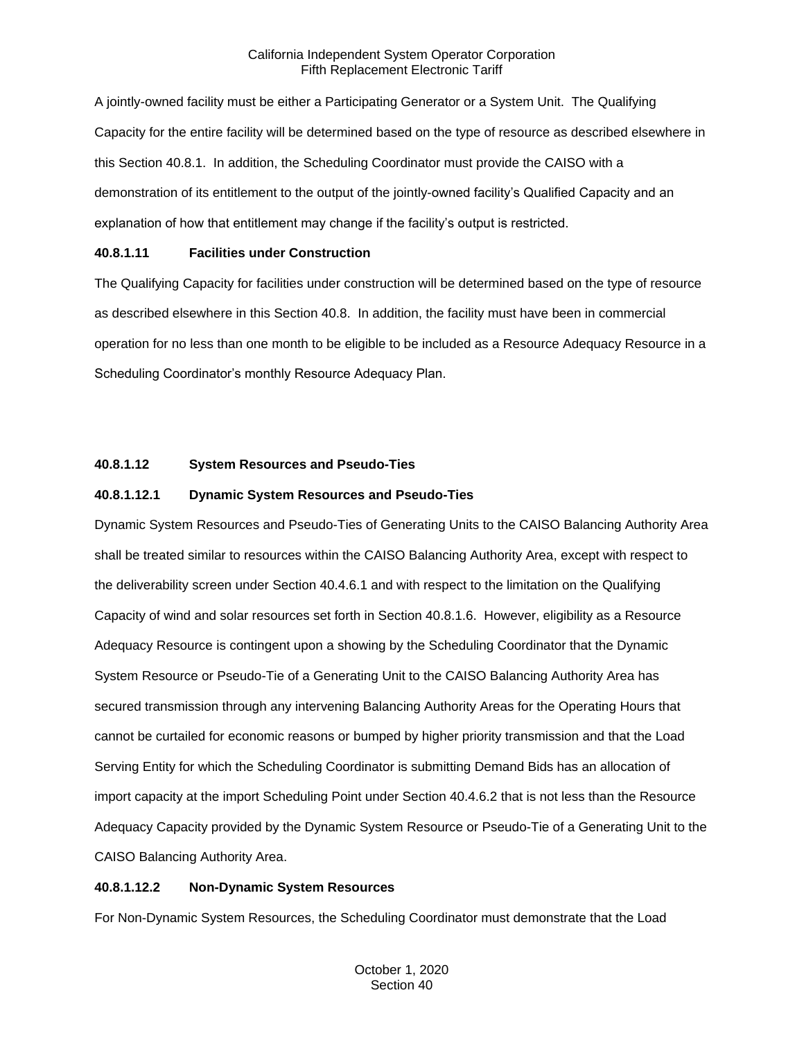A jointly-owned facility must be either a Participating Generator or a System Unit. The Qualifying Capacity for the entire facility will be determined based on the type of resource as described elsewhere in this Section 40.8.1. In addition, the Scheduling Coordinator must provide the CAISO with a demonstration of its entitlement to the output of the jointly-owned facility's Qualified Capacity and an explanation of how that entitlement may change if the facility's output is restricted.

## **40.8.1.11 Facilities under Construction**

The Qualifying Capacity for facilities under construction will be determined based on the type of resource as described elsewhere in this Section 40.8. In addition, the facility must have been in commercial operation for no less than one month to be eligible to be included as a Resource Adequacy Resource in a Scheduling Coordinator's monthly Resource Adequacy Plan.

## **40.8.1.12 System Resources and Pseudo-Ties**

## **40.8.1.12.1 Dynamic System Resources and Pseudo-Ties**

Dynamic System Resources and Pseudo-Ties of Generating Units to the CAISO Balancing Authority Area shall be treated similar to resources within the CAISO Balancing Authority Area, except with respect to the deliverability screen under Section 40.4.6.1 and with respect to the limitation on the Qualifying Capacity of wind and solar resources set forth in Section 40.8.1.6. However, eligibility as a Resource Adequacy Resource is contingent upon a showing by the Scheduling Coordinator that the Dynamic System Resource or Pseudo-Tie of a Generating Unit to the CAISO Balancing Authority Area has secured transmission through any intervening Balancing Authority Areas for the Operating Hours that cannot be curtailed for economic reasons or bumped by higher priority transmission and that the Load Serving Entity for which the Scheduling Coordinator is submitting Demand Bids has an allocation of import capacity at the import Scheduling Point under Section 40.4.6.2 that is not less than the Resource Adequacy Capacity provided by the Dynamic System Resource or Pseudo-Tie of a Generating Unit to the CAISO Balancing Authority Area.

## **40.8.1.12.2 Non-Dynamic System Resources**

For Non-Dynamic System Resources, the Scheduling Coordinator must demonstrate that the Load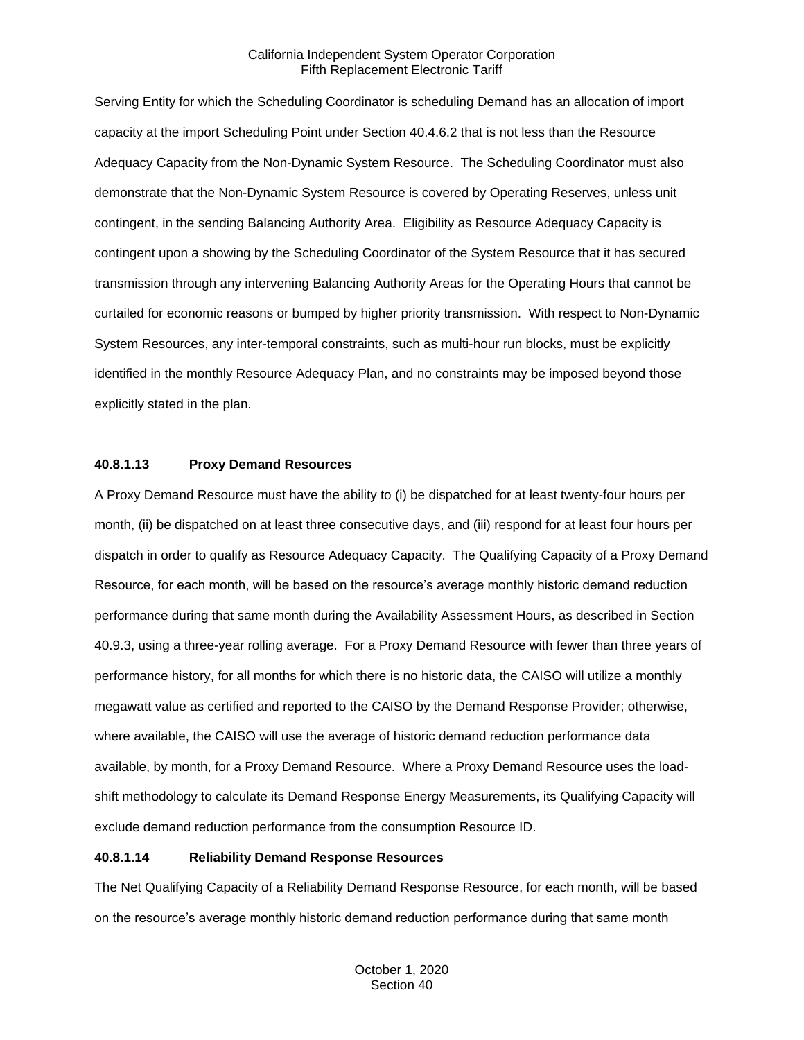Serving Entity for which the Scheduling Coordinator is scheduling Demand has an allocation of import capacity at the import Scheduling Point under Section 40.4.6.2 that is not less than the Resource Adequacy Capacity from the Non-Dynamic System Resource. The Scheduling Coordinator must also demonstrate that the Non-Dynamic System Resource is covered by Operating Reserves, unless unit contingent, in the sending Balancing Authority Area. Eligibility as Resource Adequacy Capacity is contingent upon a showing by the Scheduling Coordinator of the System Resource that it has secured transmission through any intervening Balancing Authority Areas for the Operating Hours that cannot be curtailed for economic reasons or bumped by higher priority transmission. With respect to Non-Dynamic System Resources, any inter-temporal constraints, such as multi-hour run blocks, must be explicitly identified in the monthly Resource Adequacy Plan, and no constraints may be imposed beyond those explicitly stated in the plan.

#### **40.8.1.13 Proxy Demand Resources**

A Proxy Demand Resource must have the ability to (i) be dispatched for at least twenty-four hours per month, (ii) be dispatched on at least three consecutive days, and (iii) respond for at least four hours per dispatch in order to qualify as Resource Adequacy Capacity. The Qualifying Capacity of a Proxy Demand Resource, for each month, will be based on the resource's average monthly historic demand reduction performance during that same month during the Availability Assessment Hours, as described in Section 40.9.3, using a three-year rolling average. For a Proxy Demand Resource with fewer than three years of performance history, for all months for which there is no historic data, the CAISO will utilize a monthly megawatt value as certified and reported to the CAISO by the Demand Response Provider; otherwise, where available, the CAISO will use the average of historic demand reduction performance data available, by month, for a Proxy Demand Resource. Where a Proxy Demand Resource uses the loadshift methodology to calculate its Demand Response Energy Measurements, its Qualifying Capacity will exclude demand reduction performance from the consumption Resource ID.

## **40.8.1.14 Reliability Demand Response Resources**

The Net Qualifying Capacity of a Reliability Demand Response Resource, for each month, will be based on the resource's average monthly historic demand reduction performance during that same month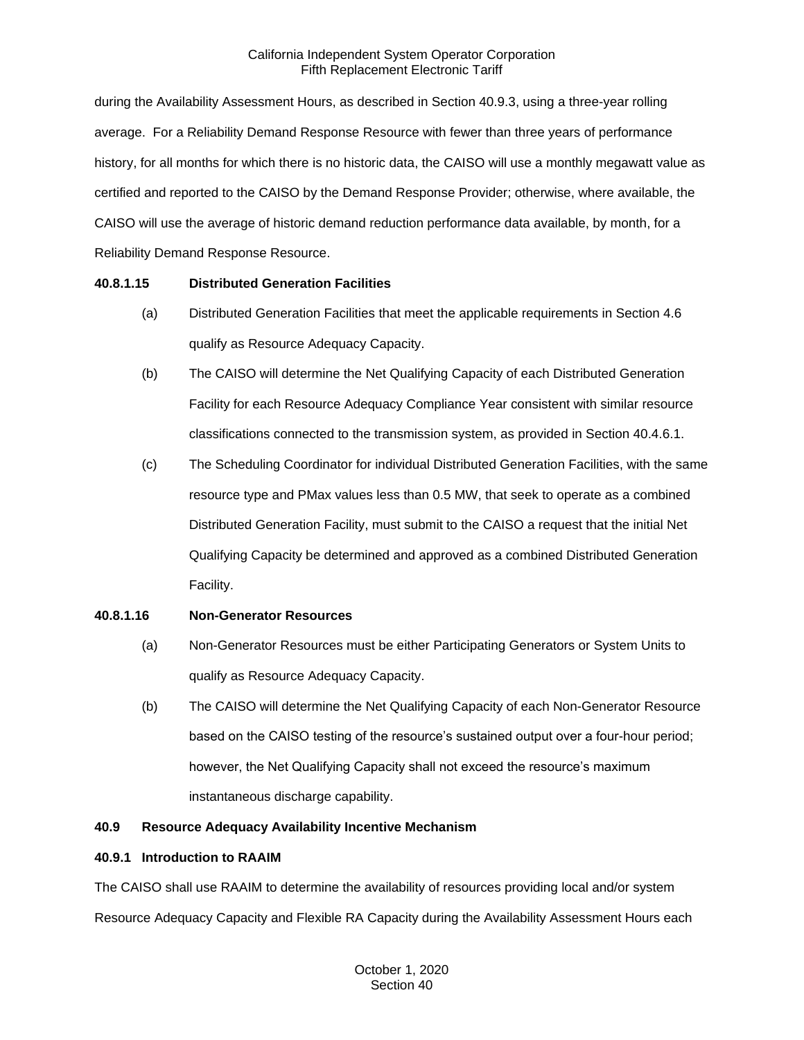during the Availability Assessment Hours, as described in Section 40.9.3, using a three-year rolling average. For a Reliability Demand Response Resource with fewer than three years of performance history, for all months for which there is no historic data, the CAISO will use a monthly megawatt value as certified and reported to the CAISO by the Demand Response Provider; otherwise, where available, the CAISO will use the average of historic demand reduction performance data available, by month, for a Reliability Demand Response Resource.

## **40.8.1.15 Distributed Generation Facilities**

- (a) Distributed Generation Facilities that meet the applicable requirements in Section 4.6 qualify as Resource Adequacy Capacity.
- (b) The CAISO will determine the Net Qualifying Capacity of each Distributed Generation Facility for each Resource Adequacy Compliance Year consistent with similar resource classifications connected to the transmission system, as provided in Section 40.4.6.1.
- (c) The Scheduling Coordinator for individual Distributed Generation Facilities, with the same resource type and PMax values less than 0.5 MW, that seek to operate as a combined Distributed Generation Facility, must submit to the CAISO a request that the initial Net Qualifying Capacity be determined and approved as a combined Distributed Generation Facility.

## **40.8.1.16 Non-Generator Resources**

- (a) Non-Generator Resources must be either Participating Generators or System Units to qualify as Resource Adequacy Capacity.
- (b) The CAISO will determine the Net Qualifying Capacity of each Non-Generator Resource based on the CAISO testing of the resource's sustained output over a four-hour period; however, the Net Qualifying Capacity shall not exceed the resource's maximum instantaneous discharge capability.

# **40.9 Resource Adequacy Availability Incentive Mechanism**

## **40.9.1 Introduction to RAAIM**

The CAISO shall use RAAIM to determine the availability of resources providing local and/or system Resource Adequacy Capacity and Flexible RA Capacity during the Availability Assessment Hours each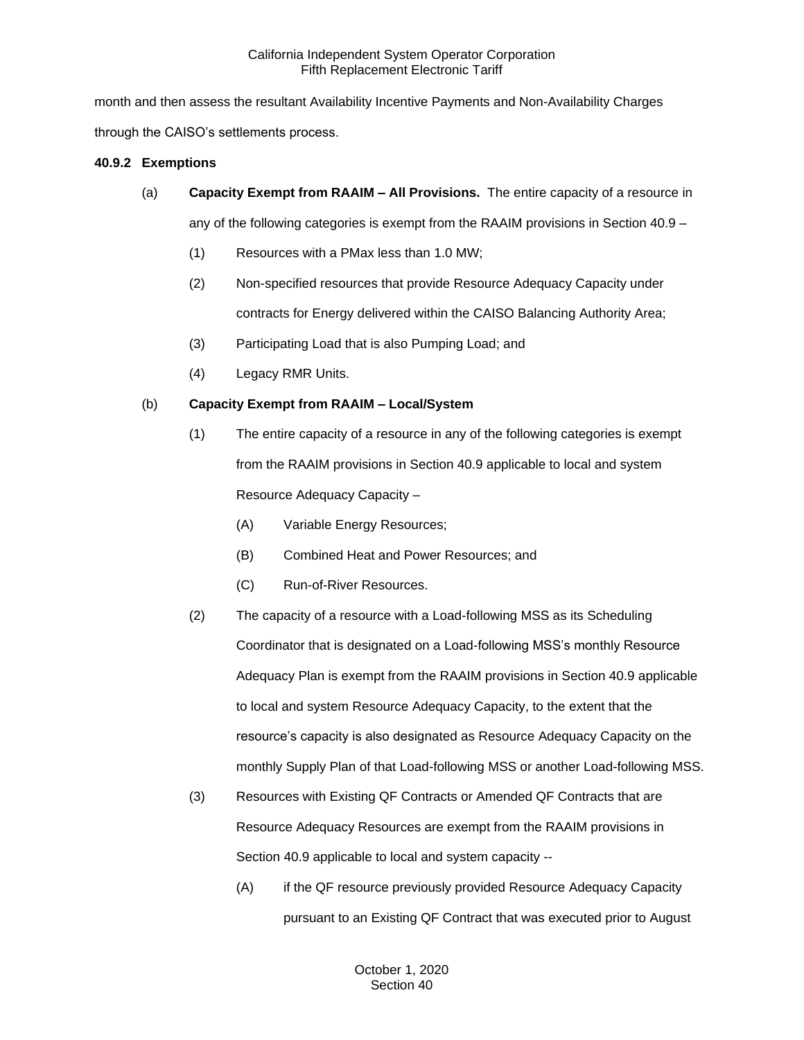month and then assess the resultant Availability Incentive Payments and Non-Availability Charges through the CAISO's settlements process.

## **40.9.2 Exemptions**

(a) **Capacity Exempt from RAAIM – All Provisions.** The entire capacity of a resource in

any of the following categories is exempt from the RAAIM provisions in Section 40.9 –

- (1) Resources with a PMax less than 1.0 MW;
- (2) Non-specified resources that provide Resource Adequacy Capacity under contracts for Energy delivered within the CAISO Balancing Authority Area;
- (3) Participating Load that is also Pumping Load; and
- (4) Legacy RMR Units.

## (b) **Capacity Exempt from RAAIM – Local/System**

- (1) The entire capacity of a resource in any of the following categories is exempt from the RAAIM provisions in Section 40.9 applicable to local and system Resource Adequacy Capacity –
	- (A) Variable Energy Resources;
	- (B) Combined Heat and Power Resources; and
	- (C) Run-of-River Resources.
- (2) The capacity of a resource with a Load-following MSS as its Scheduling Coordinator that is designated on a Load-following MSS's monthly Resource Adequacy Plan is exempt from the RAAIM provisions in Section 40.9 applicable to local and system Resource Adequacy Capacity, to the extent that the resource's capacity is also designated as Resource Adequacy Capacity on the monthly Supply Plan of that Load-following MSS or another Load-following MSS.
- (3) Resources with Existing QF Contracts or Amended QF Contracts that are Resource Adequacy Resources are exempt from the RAAIM provisions in Section 40.9 applicable to local and system capacity --
	- (A) if the QF resource previously provided Resource Adequacy Capacity pursuant to an Existing QF Contract that was executed prior to August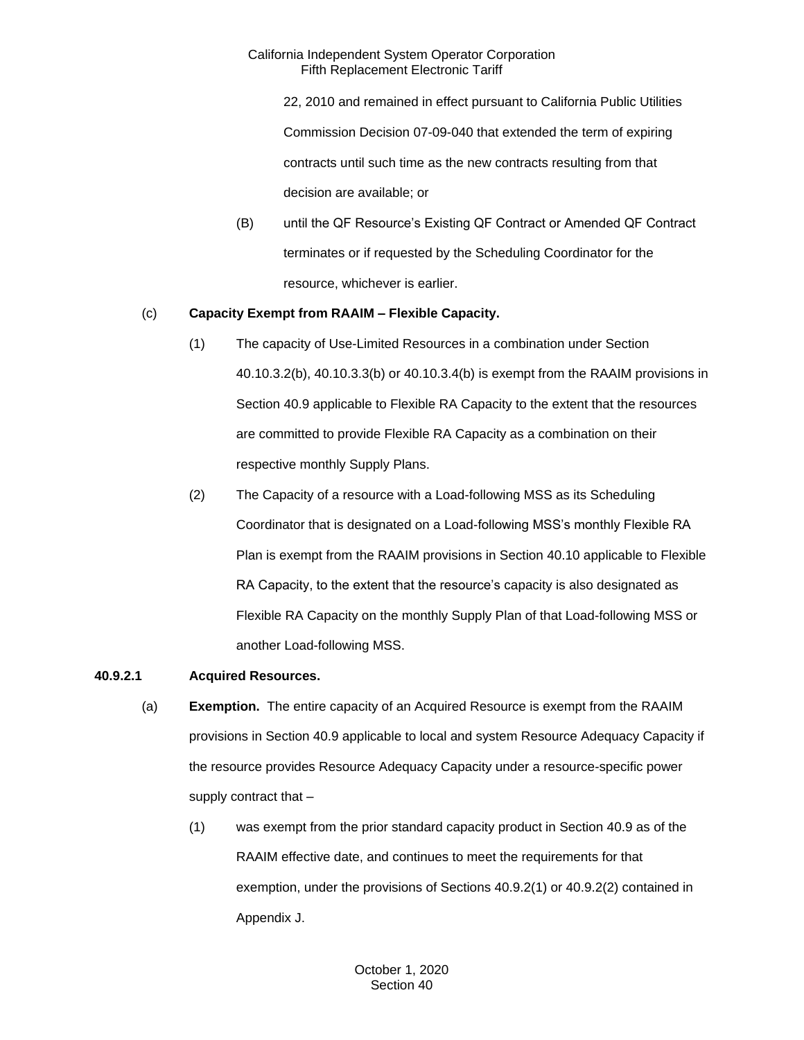22, 2010 and remained in effect pursuant to California Public Utilities Commission Decision 07-09-040 that extended the term of expiring contracts until such time as the new contracts resulting from that decision are available; or

(B) until the QF Resource's Existing QF Contract or Amended QF Contract terminates or if requested by the Scheduling Coordinator for the resource, whichever is earlier.

## (c) **Capacity Exempt from RAAIM – Flexible Capacity.**

- (1) The capacity of Use-Limited Resources in a combination under Section 40.10.3.2(b), 40.10.3.3(b) or 40.10.3.4(b) is exempt from the RAAIM provisions in Section 40.9 applicable to Flexible RA Capacity to the extent that the resources are committed to provide Flexible RA Capacity as a combination on their respective monthly Supply Plans.
- (2) The Capacity of a resource with a Load-following MSS as its Scheduling Coordinator that is designated on a Load-following MSS's monthly Flexible RA Plan is exempt from the RAAIM provisions in Section 40.10 applicable to Flexible RA Capacity, to the extent that the resource's capacity is also designated as Flexible RA Capacity on the monthly Supply Plan of that Load-following MSS or another Load-following MSS.

## **40.9.2.1 Acquired Resources.**

- (a) **Exemption.** The entire capacity of an Acquired Resource is exempt from the RAAIM provisions in Section 40.9 applicable to local and system Resource Adequacy Capacity if the resource provides Resource Adequacy Capacity under a resource-specific power supply contract that –
	- (1) was exempt from the prior standard capacity product in Section 40.9 as of the RAAIM effective date, and continues to meet the requirements for that exemption, under the provisions of Sections 40.9.2(1) or 40.9.2(2) contained in Appendix J.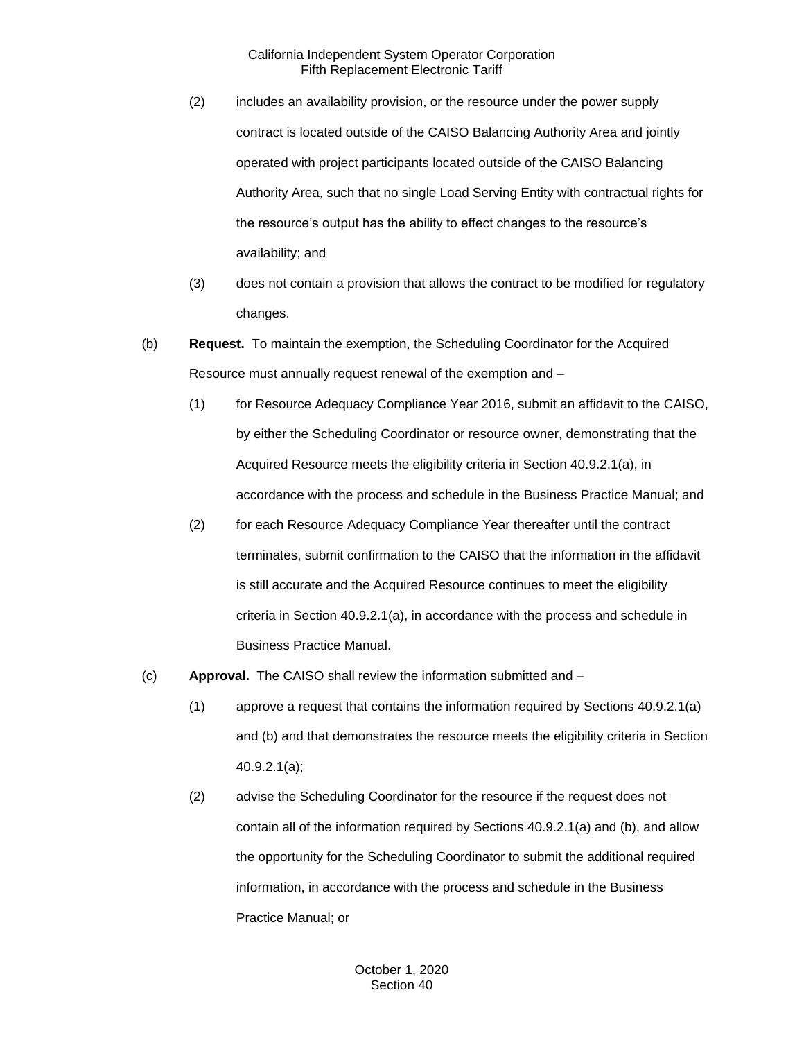- (2) includes an availability provision, or the resource under the power supply contract is located outside of the CAISO Balancing Authority Area and jointly operated with project participants located outside of the CAISO Balancing Authority Area, such that no single Load Serving Entity with contractual rights for the resource's output has the ability to effect changes to the resource's availability; and
- (3) does not contain a provision that allows the contract to be modified for regulatory changes.
- (b) **Request.** To maintain the exemption, the Scheduling Coordinator for the Acquired Resource must annually request renewal of the exemption and –
	- (1) for Resource Adequacy Compliance Year 2016, submit an affidavit to the CAISO, by either the Scheduling Coordinator or resource owner, demonstrating that the Acquired Resource meets the eligibility criteria in Section 40.9.2.1(a), in accordance with the process and schedule in the Business Practice Manual; and
	- (2) for each Resource Adequacy Compliance Year thereafter until the contract terminates, submit confirmation to the CAISO that the information in the affidavit is still accurate and the Acquired Resource continues to meet the eligibility criteria in Section 40.9.2.1(a), in accordance with the process and schedule in Business Practice Manual.
- (c) **Approval.** The CAISO shall review the information submitted and
	- (1) approve a request that contains the information required by Sections 40.9.2.1(a) and (b) and that demonstrates the resource meets the eligibility criteria in Section 40.9.2.1(a);
	- (2) advise the Scheduling Coordinator for the resource if the request does not contain all of the information required by Sections 40.9.2.1(a) and (b), and allow the opportunity for the Scheduling Coordinator to submit the additional required information, in accordance with the process and schedule in the Business Practice Manual; or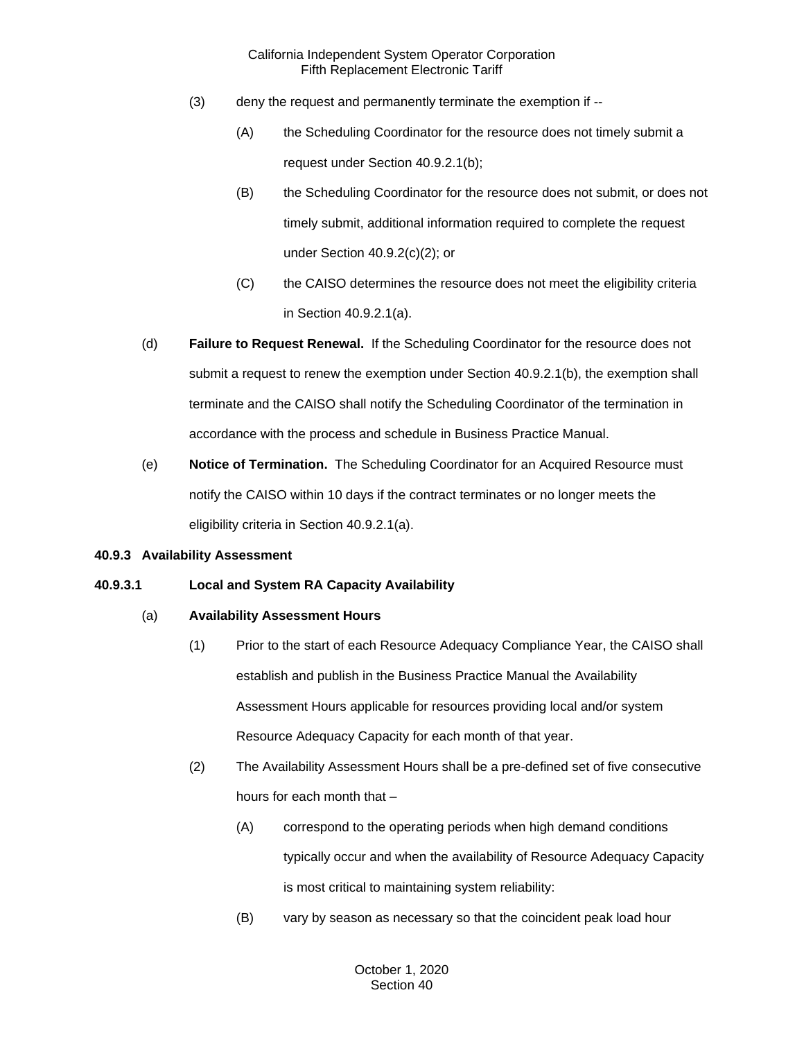- (3) deny the request and permanently terminate the exemption if --
	- (A) the Scheduling Coordinator for the resource does not timely submit a request under Section 40.9.2.1(b);
	- (B) the Scheduling Coordinator for the resource does not submit, or does not timely submit, additional information required to complete the request under Section 40.9.2(c)(2); or
	- (C) the CAISO determines the resource does not meet the eligibility criteria in Section 40.9.2.1(a).
- (d) **Failure to Request Renewal.** If the Scheduling Coordinator for the resource does not submit a request to renew the exemption under Section 40.9.2.1(b), the exemption shall terminate and the CAISO shall notify the Scheduling Coordinator of the termination in accordance with the process and schedule in Business Practice Manual.
- (e) **Notice of Termination.** The Scheduling Coordinator for an Acquired Resource must notify the CAISO within 10 days if the contract terminates or no longer meets the eligibility criteria in Section 40.9.2.1(a).

#### **40.9.3 Availability Assessment**

## **40.9.3.1 Local and System RA Capacity Availability**

#### (a) **Availability Assessment Hours**

- (1) Prior to the start of each Resource Adequacy Compliance Year, the CAISO shall establish and publish in the Business Practice Manual the Availability Assessment Hours applicable for resources providing local and/or system Resource Adequacy Capacity for each month of that year.
- (2) The Availability Assessment Hours shall be a pre-defined set of five consecutive hours for each month that –
	- (A) correspond to the operating periods when high demand conditions typically occur and when the availability of Resource Adequacy Capacity is most critical to maintaining system reliability:
	- (B) vary by season as necessary so that the coincident peak load hour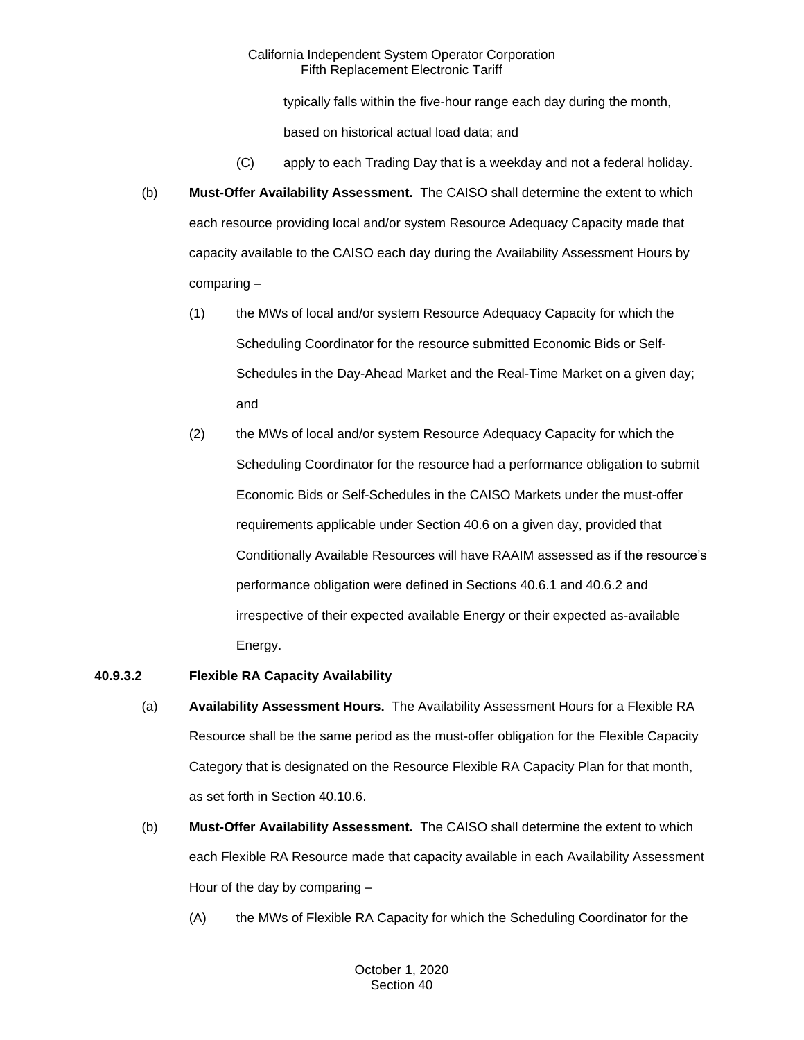typically falls within the five-hour range each day during the month,

based on historical actual load data; and

- (C) apply to each Trading Day that is a weekday and not a federal holiday.
- (b) **Must-Offer Availability Assessment.** The CAISO shall determine the extent to which each resource providing local and/or system Resource Adequacy Capacity made that capacity available to the CAISO each day during the Availability Assessment Hours by comparing –
	- (1) the MWs of local and/or system Resource Adequacy Capacity for which the Scheduling Coordinator for the resource submitted Economic Bids or Self-Schedules in the Day-Ahead Market and the Real-Time Market on a given day; and
	- (2) the MWs of local and/or system Resource Adequacy Capacity for which the Scheduling Coordinator for the resource had a performance obligation to submit Economic Bids or Self-Schedules in the CAISO Markets under the must-offer requirements applicable under Section 40.6 on a given day, provided that Conditionally Available Resources will have RAAIM assessed as if the resource's performance obligation were defined in Sections 40.6.1 and 40.6.2 and irrespective of their expected available Energy or their expected as-available Energy.

## **40.9.3.2 Flexible RA Capacity Availability**

- (a) **Availability Assessment Hours.** The Availability Assessment Hours for a Flexible RA Resource shall be the same period as the must-offer obligation for the Flexible Capacity Category that is designated on the Resource Flexible RA Capacity Plan for that month, as set forth in Section 40.10.6.
- (b) **Must-Offer Availability Assessment.** The CAISO shall determine the extent to which each Flexible RA Resource made that capacity available in each Availability Assessment Hour of the day by comparing –
	- (A) the MWs of Flexible RA Capacity for which the Scheduling Coordinator for the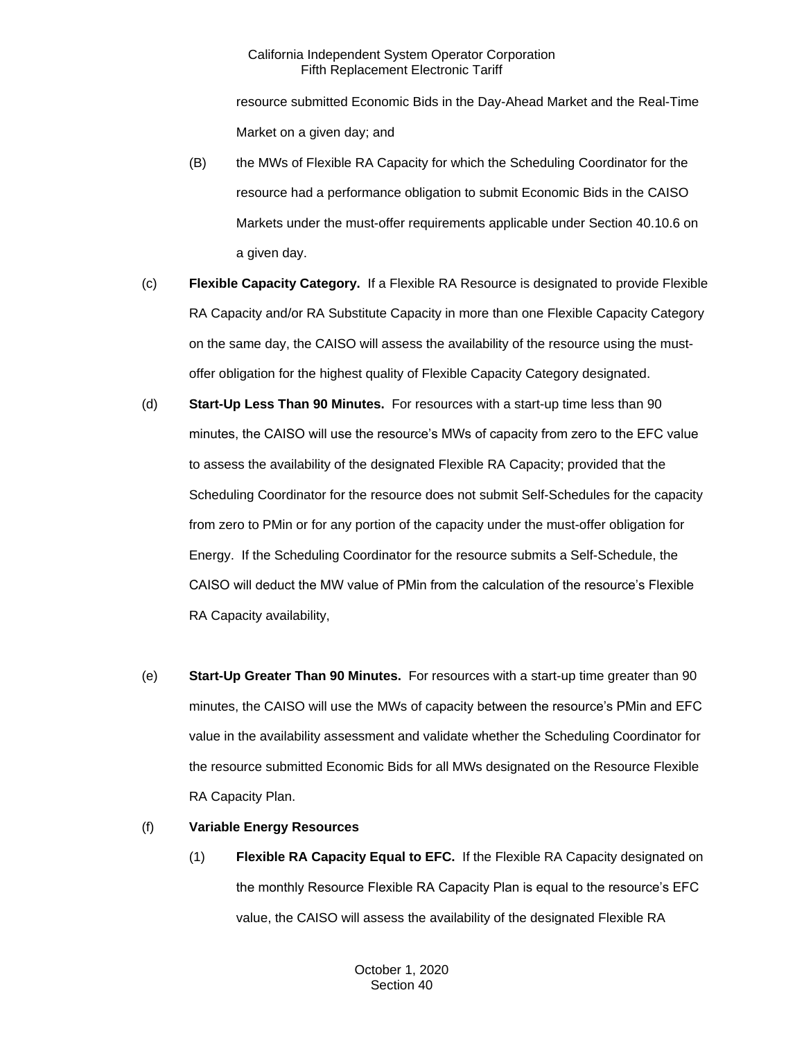resource submitted Economic Bids in the Day-Ahead Market and the Real-Time Market on a given day; and

- (B) the MWs of Flexible RA Capacity for which the Scheduling Coordinator for the resource had a performance obligation to submit Economic Bids in the CAISO Markets under the must-offer requirements applicable under Section 40.10.6 on a given day.
- (c) **Flexible Capacity Category.** If a Flexible RA Resource is designated to provide Flexible RA Capacity and/or RA Substitute Capacity in more than one Flexible Capacity Category on the same day, the CAISO will assess the availability of the resource using the mustoffer obligation for the highest quality of Flexible Capacity Category designated.
- (d) **Start-Up Less Than 90 Minutes.** For resources with a start-up time less than 90 minutes, the CAISO will use the resource's MWs of capacity from zero to the EFC value to assess the availability of the designated Flexible RA Capacity; provided that the Scheduling Coordinator for the resource does not submit Self-Schedules for the capacity from zero to PMin or for any portion of the capacity under the must-offer obligation for Energy. If the Scheduling Coordinator for the resource submits a Self-Schedule, the CAISO will deduct the MW value of PMin from the calculation of the resource's Flexible RA Capacity availability,
- (e) **Start-Up Greater Than 90 Minutes.** For resources with a start-up time greater than 90 minutes, the CAISO will use the MWs of capacity between the resource's PMin and EFC value in the availability assessment and validate whether the Scheduling Coordinator for the resource submitted Economic Bids for all MWs designated on the Resource Flexible RA Capacity Plan.

## (f) **Variable Energy Resources**

(1) **Flexible RA Capacity Equal to EFC.** If the Flexible RA Capacity designated on the monthly Resource Flexible RA Capacity Plan is equal to the resource's EFC value, the CAISO will assess the availability of the designated Flexible RA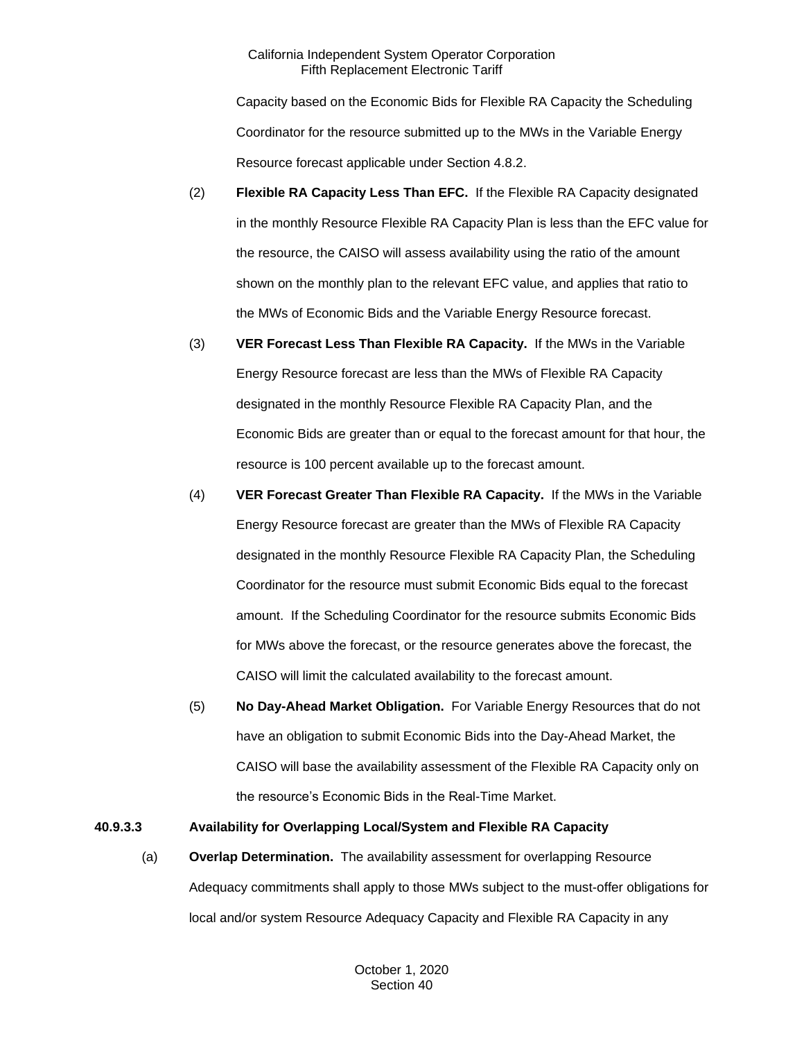Capacity based on the Economic Bids for Flexible RA Capacity the Scheduling Coordinator for the resource submitted up to the MWs in the Variable Energy Resource forecast applicable under Section 4.8.2.

- (2) **Flexible RA Capacity Less Than EFC.** If the Flexible RA Capacity designated in the monthly Resource Flexible RA Capacity Plan is less than the EFC value for the resource, the CAISO will assess availability using the ratio of the amount shown on the monthly plan to the relevant EFC value, and applies that ratio to the MWs of Economic Bids and the Variable Energy Resource forecast.
- (3) **VER Forecast Less Than Flexible RA Capacity.** If the MWs in the Variable Energy Resource forecast are less than the MWs of Flexible RA Capacity designated in the monthly Resource Flexible RA Capacity Plan, and the Economic Bids are greater than or equal to the forecast amount for that hour, the resource is 100 percent available up to the forecast amount.
- (4) **VER Forecast Greater Than Flexible RA Capacity.** If the MWs in the Variable Energy Resource forecast are greater than the MWs of Flexible RA Capacity designated in the monthly Resource Flexible RA Capacity Plan, the Scheduling Coordinator for the resource must submit Economic Bids equal to the forecast amount. If the Scheduling Coordinator for the resource submits Economic Bids for MWs above the forecast, or the resource generates above the forecast, the CAISO will limit the calculated availability to the forecast amount.
- (5) **No Day-Ahead Market Obligation.** For Variable Energy Resources that do not have an obligation to submit Economic Bids into the Day-Ahead Market, the CAISO will base the availability assessment of the Flexible RA Capacity only on the resource's Economic Bids in the Real-Time Market.

## **40.9.3.3 Availability for Overlapping Local/System and Flexible RA Capacity**

(a) **Overlap Determination.** The availability assessment for overlapping Resource Adequacy commitments shall apply to those MWs subject to the must-offer obligations for local and/or system Resource Adequacy Capacity and Flexible RA Capacity in any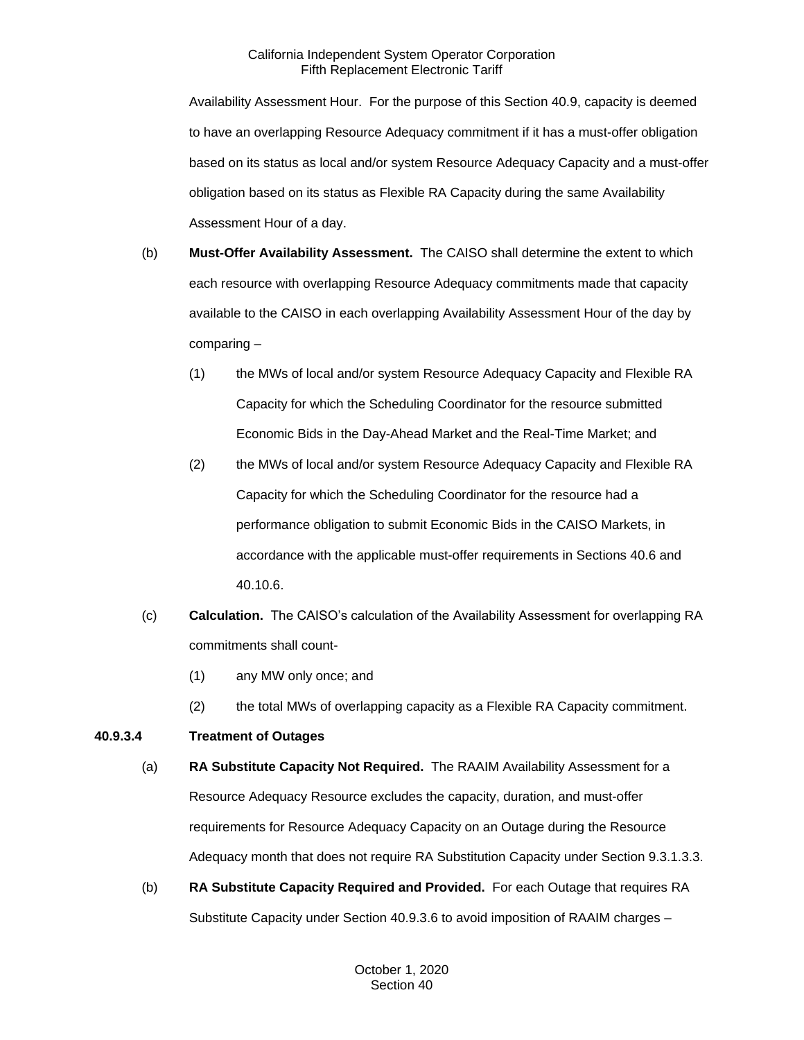Availability Assessment Hour. For the purpose of this Section 40.9, capacity is deemed to have an overlapping Resource Adequacy commitment if it has a must-offer obligation based on its status as local and/or system Resource Adequacy Capacity and a must-offer obligation based on its status as Flexible RA Capacity during the same Availability Assessment Hour of a day.

- (b) **Must-Offer Availability Assessment.** The CAISO shall determine the extent to which each resource with overlapping Resource Adequacy commitments made that capacity available to the CAISO in each overlapping Availability Assessment Hour of the day by comparing –
	- (1) the MWs of local and/or system Resource Adequacy Capacity and Flexible RA Capacity for which the Scheduling Coordinator for the resource submitted Economic Bids in the Day-Ahead Market and the Real-Time Market; and
	- (2) the MWs of local and/or system Resource Adequacy Capacity and Flexible RA Capacity for which the Scheduling Coordinator for the resource had a performance obligation to submit Economic Bids in the CAISO Markets, in accordance with the applicable must-offer requirements in Sections 40.6 and 40.10.6.
- (c) **Calculation.** The CAISO's calculation of the Availability Assessment for overlapping RA commitments shall count-
	- (1) any MW only once; and
	- (2) the total MWs of overlapping capacity as a Flexible RA Capacity commitment.

# **40.9.3.4 Treatment of Outages**

- (a) **RA Substitute Capacity Not Required.** The RAAIM Availability Assessment for a Resource Adequacy Resource excludes the capacity, duration, and must-offer requirements for Resource Adequacy Capacity on an Outage during the Resource Adequacy month that does not require RA Substitution Capacity under Section 9.3.1.3.3.
- (b) **RA Substitute Capacity Required and Provided.** For each Outage that requires RA Substitute Capacity under Section 40.9.3.6 to avoid imposition of RAAIM charges –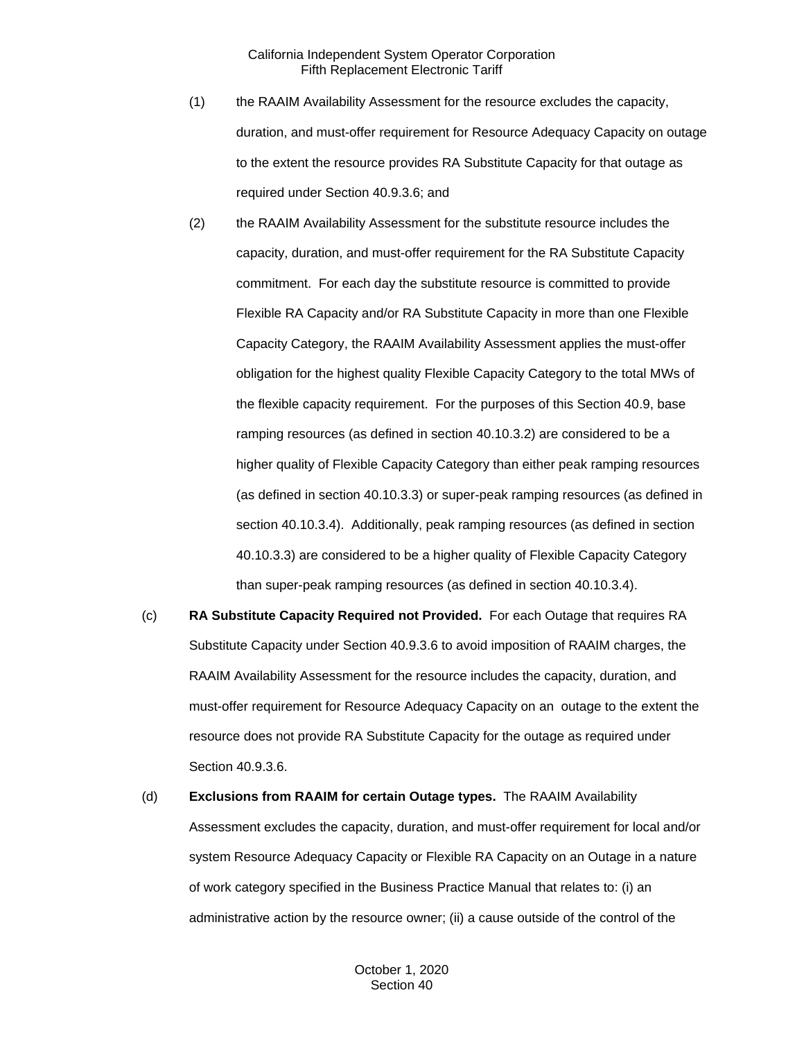- (1) the RAAIM Availability Assessment for the resource excludes the capacity, duration, and must-offer requirement for Resource Adequacy Capacity on outage to the extent the resource provides RA Substitute Capacity for that outage as required under Section 40.9.3.6; and
- (2) the RAAIM Availability Assessment for the substitute resource includes the capacity, duration, and must-offer requirement for the RA Substitute Capacity commitment. For each day the substitute resource is committed to provide Flexible RA Capacity and/or RA Substitute Capacity in more than one Flexible Capacity Category, the RAAIM Availability Assessment applies the must-offer obligation for the highest quality Flexible Capacity Category to the total MWs of the flexible capacity requirement. For the purposes of this Section 40.9, base ramping resources (as defined in section 40.10.3.2) are considered to be a higher quality of Flexible Capacity Category than either peak ramping resources (as defined in section 40.10.3.3) or super-peak ramping resources (as defined in section 40.10.3.4). Additionally, peak ramping resources (as defined in section 40.10.3.3) are considered to be a higher quality of Flexible Capacity Category than super-peak ramping resources (as defined in section 40.10.3.4).
- (c) **RA Substitute Capacity Required not Provided.** For each Outage that requires RA Substitute Capacity under Section 40.9.3.6 to avoid imposition of RAAIM charges, the RAAIM Availability Assessment for the resource includes the capacity, duration, and must-offer requirement for Resource Adequacy Capacity on an outage to the extent the resource does not provide RA Substitute Capacity for the outage as required under Section 40.9.3.6.
- (d) **Exclusions from RAAIM for certain Outage types.** The RAAIM Availability Assessment excludes the capacity, duration, and must-offer requirement for local and/or system Resource Adequacy Capacity or Flexible RA Capacity on an Outage in a nature of work category specified in the Business Practice Manual that relates to: (i) an administrative action by the resource owner; (ii) a cause outside of the control of the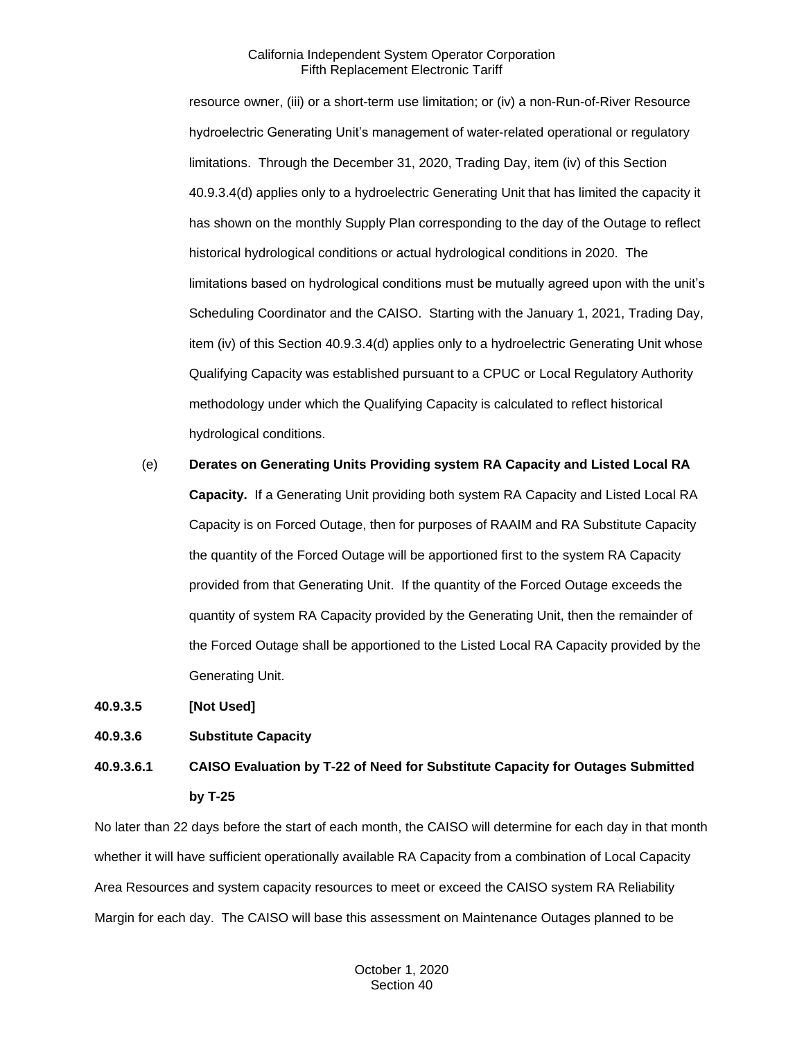resource owner, (iii) or a short-term use limitation; or (iv) a non-Run-of-River Resource hydroelectric Generating Unit's management of water-related operational or regulatory limitations. Through the December 31, 2020, Trading Day, item (iv) of this Section 40.9.3.4(d) applies only to a hydroelectric Generating Unit that has limited the capacity it has shown on the monthly Supply Plan corresponding to the day of the Outage to reflect historical hydrological conditions or actual hydrological conditions in 2020. The limitations based on hydrological conditions must be mutually agreed upon with the unit's Scheduling Coordinator and the CAISO. Starting with the January 1, 2021, Trading Day, item (iv) of this Section 40.9.3.4(d) applies only to a hydroelectric Generating Unit whose Qualifying Capacity was established pursuant to a CPUC or Local Regulatory Authority methodology under which the Qualifying Capacity is calculated to reflect historical hydrological conditions.

(e) **Derates on Generating Units Providing system RA Capacity and Listed Local RA Capacity.** If a Generating Unit providing both system RA Capacity and Listed Local RA Capacity is on Forced Outage, then for purposes of RAAIM and RA Substitute Capacity the quantity of the Forced Outage will be apportioned first to the system RA Capacity provided from that Generating Unit. If the quantity of the Forced Outage exceeds the quantity of system RA Capacity provided by the Generating Unit, then the remainder of the Forced Outage shall be apportioned to the Listed Local RA Capacity provided by the Generating Unit.

**40.9.3.5 [Not Used]** 

**40.9.3.6 Substitute Capacity**

**40.9.3.6.1 CAISO Evaluation by T-22 of Need for Substitute Capacity for Outages Submitted by T-25**

No later than 22 days before the start of each month, the CAISO will determine for each day in that month whether it will have sufficient operationally available RA Capacity from a combination of Local Capacity Area Resources and system capacity resources to meet or exceed the CAISO system RA Reliability Margin for each day. The CAISO will base this assessment on Maintenance Outages planned to be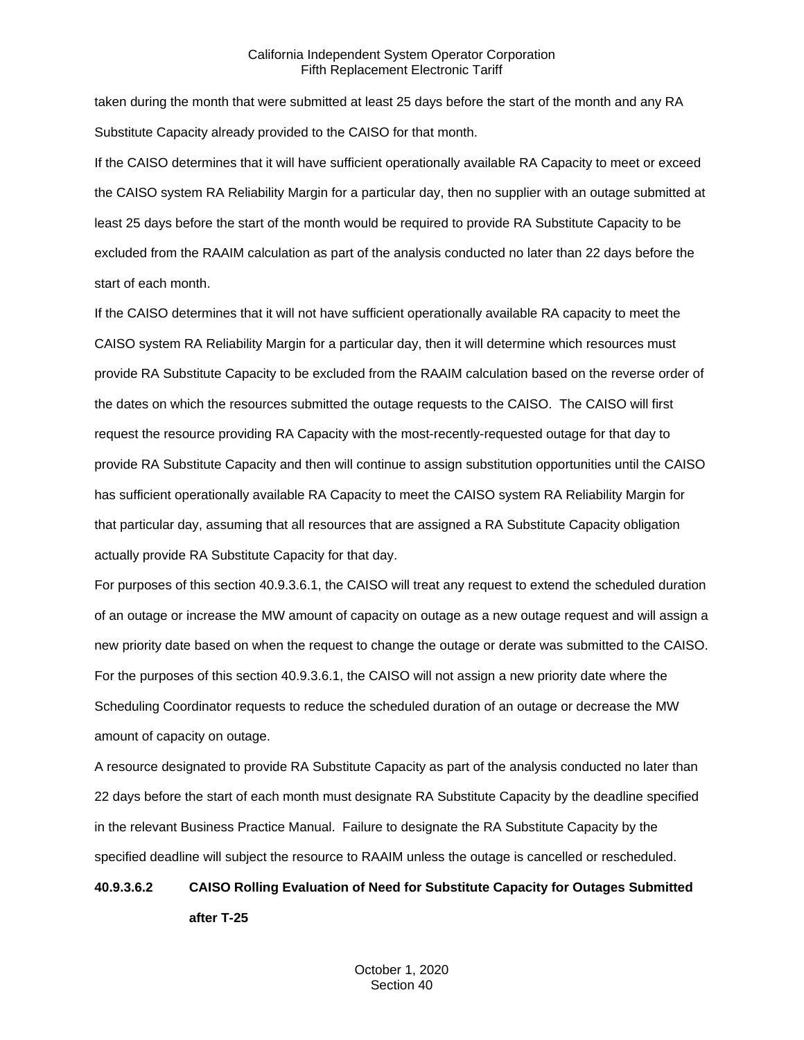taken during the month that were submitted at least 25 days before the start of the month and any RA Substitute Capacity already provided to the CAISO for that month.

If the CAISO determines that it will have sufficient operationally available RA Capacity to meet or exceed the CAISO system RA Reliability Margin for a particular day, then no supplier with an outage submitted at least 25 days before the start of the month would be required to provide RA Substitute Capacity to be excluded from the RAAIM calculation as part of the analysis conducted no later than 22 days before the start of each month.

If the CAISO determines that it will not have sufficient operationally available RA capacity to meet the CAISO system RA Reliability Margin for a particular day, then it will determine which resources must provide RA Substitute Capacity to be excluded from the RAAIM calculation based on the reverse order of the dates on which the resources submitted the outage requests to the CAISO. The CAISO will first request the resource providing RA Capacity with the most-recently-requested outage for that day to provide RA Substitute Capacity and then will continue to assign substitution opportunities until the CAISO has sufficient operationally available RA Capacity to meet the CAISO system RA Reliability Margin for that particular day, assuming that all resources that are assigned a RA Substitute Capacity obligation actually provide RA Substitute Capacity for that day.

For purposes of this section 40.9.3.6.1, the CAISO will treat any request to extend the scheduled duration of an outage or increase the MW amount of capacity on outage as a new outage request and will assign a new priority date based on when the request to change the outage or derate was submitted to the CAISO. For the purposes of this section 40.9.3.6.1, the CAISO will not assign a new priority date where the Scheduling Coordinator requests to reduce the scheduled duration of an outage or decrease the MW amount of capacity on outage.

A resource designated to provide RA Substitute Capacity as part of the analysis conducted no later than 22 days before the start of each month must designate RA Substitute Capacity by the deadline specified in the relevant Business Practice Manual. Failure to designate the RA Substitute Capacity by the specified deadline will subject the resource to RAAIM unless the outage is cancelled or rescheduled.

# **40.9.3.6.2 CAISO Rolling Evaluation of Need for Substitute Capacity for Outages Submitted after T-25**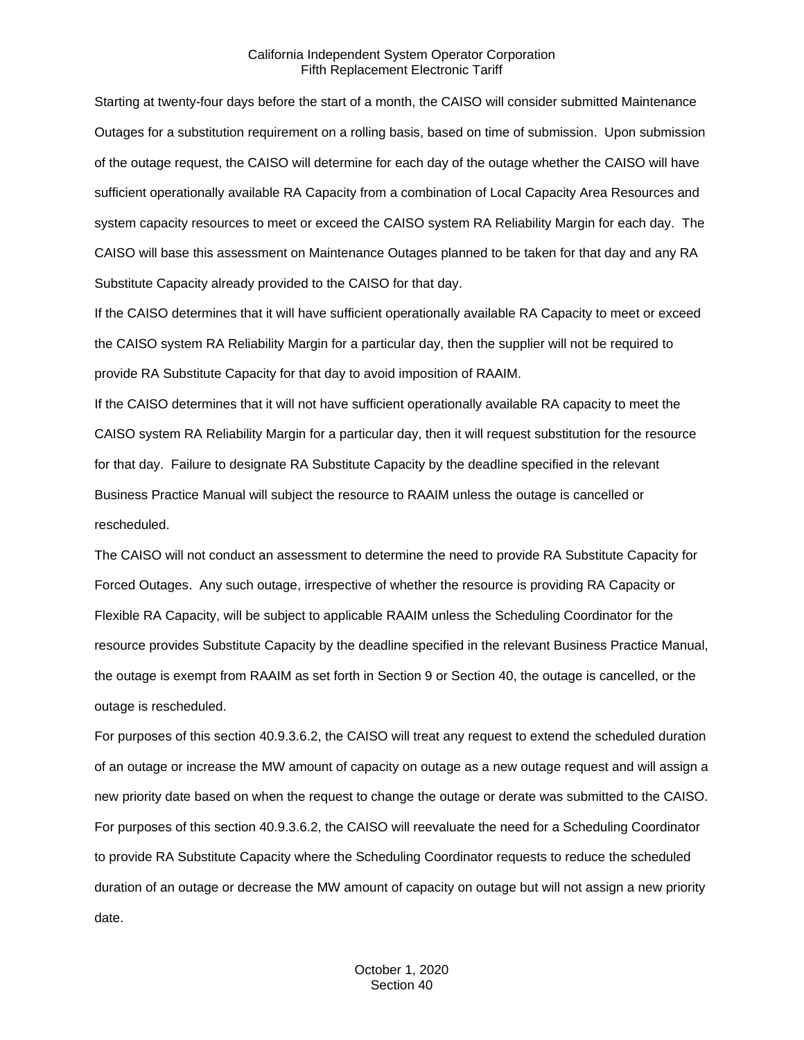Starting at twenty-four days before the start of a month, the CAISO will consider submitted Maintenance Outages for a substitution requirement on a rolling basis, based on time of submission. Upon submission of the outage request, the CAISO will determine for each day of the outage whether the CAISO will have sufficient operationally available RA Capacity from a combination of Local Capacity Area Resources and system capacity resources to meet or exceed the CAISO system RA Reliability Margin for each day. The CAISO will base this assessment on Maintenance Outages planned to be taken for that day and any RA Substitute Capacity already provided to the CAISO for that day.

If the CAISO determines that it will have sufficient operationally available RA Capacity to meet or exceed the CAISO system RA Reliability Margin for a particular day, then the supplier will not be required to provide RA Substitute Capacity for that day to avoid imposition of RAAIM.

If the CAISO determines that it will not have sufficient operationally available RA capacity to meet the CAISO system RA Reliability Margin for a particular day, then it will request substitution for the resource for that day. Failure to designate RA Substitute Capacity by the deadline specified in the relevant Business Practice Manual will subject the resource to RAAIM unless the outage is cancelled or rescheduled.

The CAISO will not conduct an assessment to determine the need to provide RA Substitute Capacity for Forced Outages. Any such outage, irrespective of whether the resource is providing RA Capacity or Flexible RA Capacity, will be subject to applicable RAAIM unless the Scheduling Coordinator for the resource provides Substitute Capacity by the deadline specified in the relevant Business Practice Manual, the outage is exempt from RAAIM as set forth in Section 9 or Section 40, the outage is cancelled, or the outage is rescheduled.

For purposes of this section 40.9.3.6.2, the CAISO will treat any request to extend the scheduled duration of an outage or increase the MW amount of capacity on outage as a new outage request and will assign a new priority date based on when the request to change the outage or derate was submitted to the CAISO. For purposes of this section 40.9.3.6.2, the CAISO will reevaluate the need for a Scheduling Coordinator to provide RA Substitute Capacity where the Scheduling Coordinator requests to reduce the scheduled duration of an outage or decrease the MW amount of capacity on outage but will not assign a new priority date.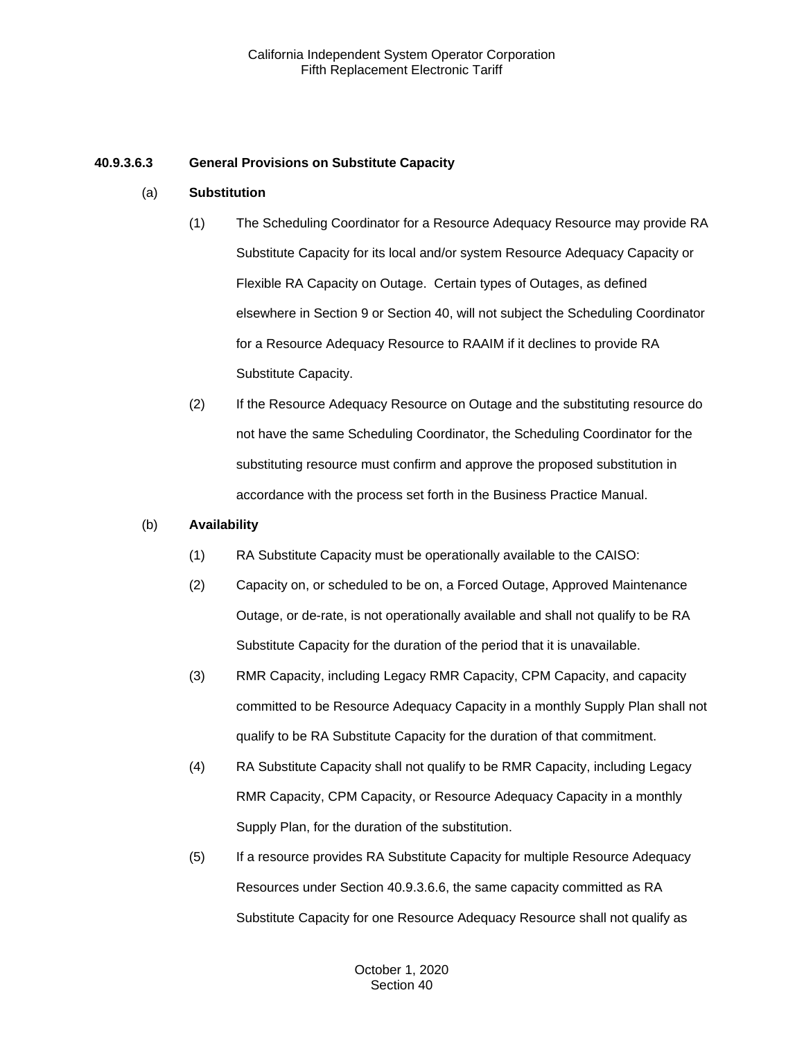## **40.9.3.6.3 General Provisions on Substitute Capacity**

#### (a) **Substitution**

- (1) The Scheduling Coordinator for a Resource Adequacy Resource may provide RA Substitute Capacity for its local and/or system Resource Adequacy Capacity or Flexible RA Capacity on Outage. Certain types of Outages, as defined elsewhere in Section 9 or Section 40, will not subject the Scheduling Coordinator for a Resource Adequacy Resource to RAAIM if it declines to provide RA Substitute Capacity.
- (2) If the Resource Adequacy Resource on Outage and the substituting resource do not have the same Scheduling Coordinator, the Scheduling Coordinator for the substituting resource must confirm and approve the proposed substitution in accordance with the process set forth in the Business Practice Manual.

#### (b) **Availability**

- (1) RA Substitute Capacity must be operationally available to the CAISO:
- (2) Capacity on, or scheduled to be on, a Forced Outage, Approved Maintenance Outage, or de-rate, is not operationally available and shall not qualify to be RA Substitute Capacity for the duration of the period that it is unavailable.
- (3) RMR Capacity, including Legacy RMR Capacity, CPM Capacity, and capacity committed to be Resource Adequacy Capacity in a monthly Supply Plan shall not qualify to be RA Substitute Capacity for the duration of that commitment.
- (4) RA Substitute Capacity shall not qualify to be RMR Capacity, including Legacy RMR Capacity, CPM Capacity, or Resource Adequacy Capacity in a monthly Supply Plan, for the duration of the substitution.
- (5) If a resource provides RA Substitute Capacity for multiple Resource Adequacy Resources under Section 40.9.3.6.6, the same capacity committed as RA Substitute Capacity for one Resource Adequacy Resource shall not qualify as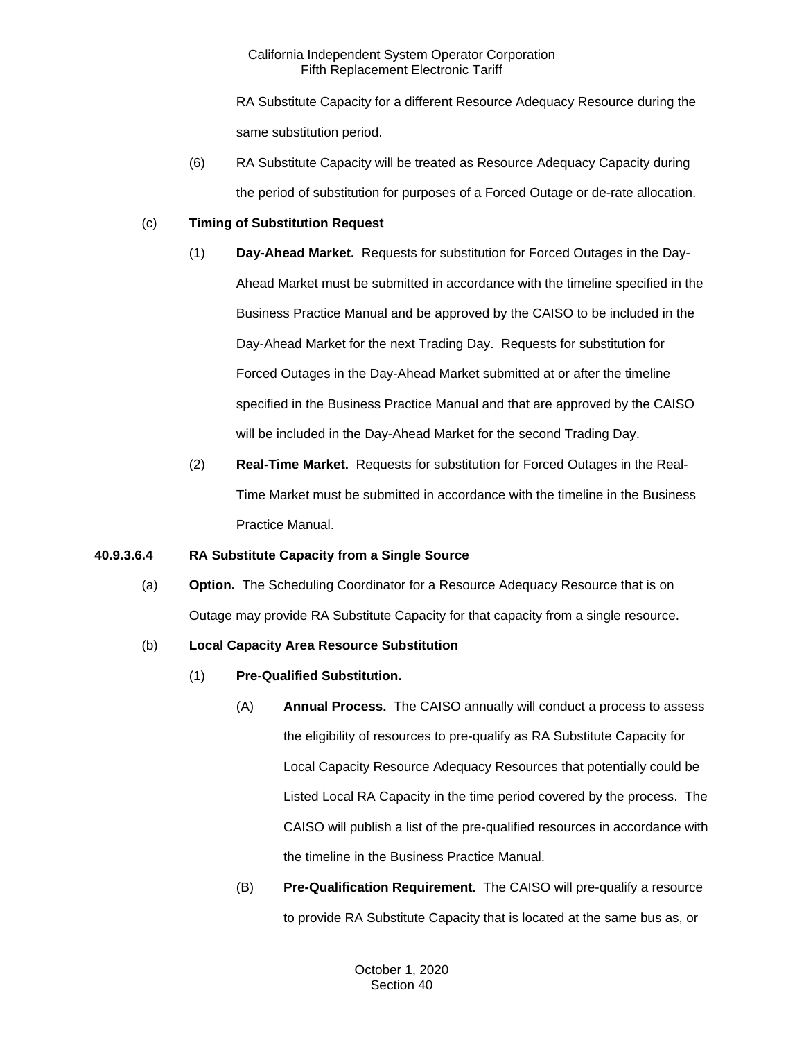RA Substitute Capacity for a different Resource Adequacy Resource during the same substitution period.

(6) RA Substitute Capacity will be treated as Resource Adequacy Capacity during the period of substitution for purposes of a Forced Outage or de-rate allocation.

## (c) **Timing of Substitution Request**

- (1) **Day-Ahead Market.** Requests for substitution for Forced Outages in the Day-Ahead Market must be submitted in accordance with the timeline specified in the Business Practice Manual and be approved by the CAISO to be included in the Day-Ahead Market for the next Trading Day. Requests for substitution for Forced Outages in the Day-Ahead Market submitted at or after the timeline specified in the Business Practice Manual and that are approved by the CAISO will be included in the Day-Ahead Market for the second Trading Day.
- (2) **Real-Time Market.** Requests for substitution for Forced Outages in the Real-Time Market must be submitted in accordance with the timeline in the Business Practice Manual.

## **40.9.3.6.4 RA Substitute Capacity from a Single Source**

(a) **Option.** The Scheduling Coordinator for a Resource Adequacy Resource that is on Outage may provide RA Substitute Capacity for that capacity from a single resource.

## (b) **Local Capacity Area Resource Substitution**

- (1) **Pre-Qualified Substitution.**
	- (A) **Annual Process.** The CAISO annually will conduct a process to assess the eligibility of resources to pre-qualify as RA Substitute Capacity for Local Capacity Resource Adequacy Resources that potentially could be Listed Local RA Capacity in the time period covered by the process. The CAISO will publish a list of the pre-qualified resources in accordance with the timeline in the Business Practice Manual.
	- (B) **Pre-Qualification Requirement.** The CAISO will pre-qualify a resource to provide RA Substitute Capacity that is located at the same bus as, or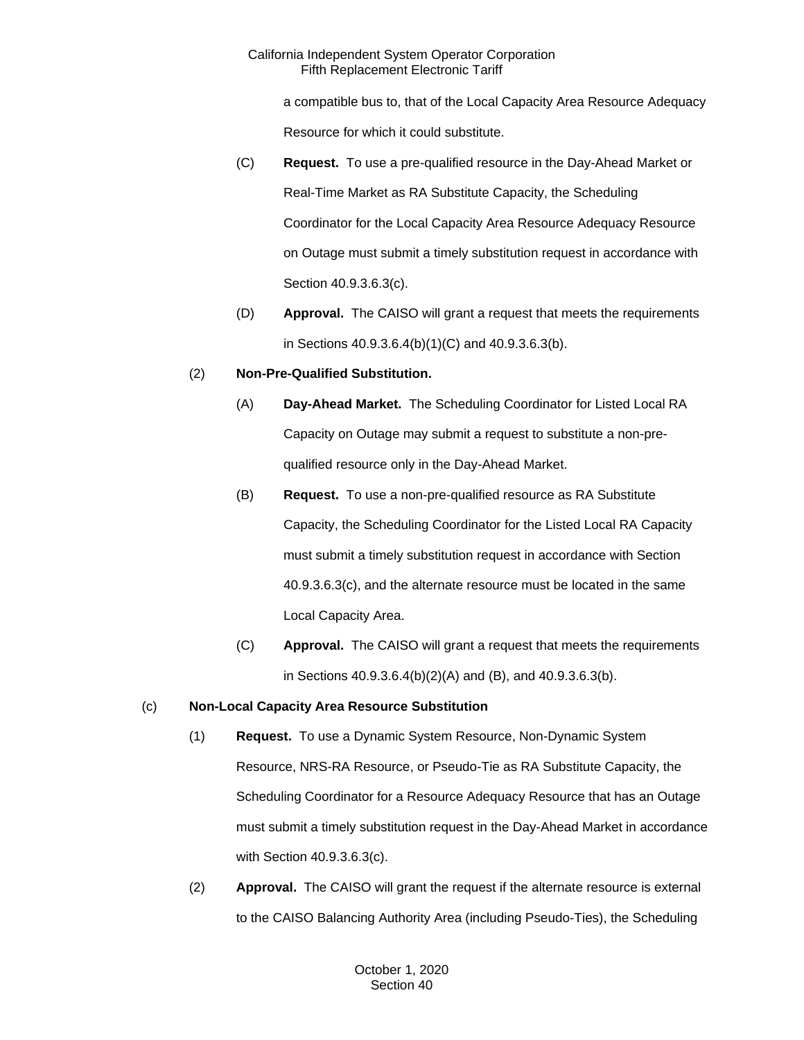a compatible bus to, that of the Local Capacity Area Resource Adequacy Resource for which it could substitute.

- (C) **Request.** To use a pre-qualified resource in the Day-Ahead Market or Real-Time Market as RA Substitute Capacity, the Scheduling Coordinator for the Local Capacity Area Resource Adequacy Resource on Outage must submit a timely substitution request in accordance with Section 40.9.3.6.3(c).
- (D) **Approval.** The CAISO will grant a request that meets the requirements in Sections 40.9.3.6.4(b)(1)(C) and 40.9.3.6.3(b).

## (2) **Non-Pre-Qualified Substitution.**

- (A) **Day-Ahead Market.** The Scheduling Coordinator for Listed Local RA Capacity on Outage may submit a request to substitute a non-prequalified resource only in the Day-Ahead Market.
- (B) **Request.** To use a non-pre-qualified resource as RA Substitute Capacity, the Scheduling Coordinator for the Listed Local RA Capacity must submit a timely substitution request in accordance with Section 40.9.3.6.3(c), and the alternate resource must be located in the same Local Capacity Area.
- (C) **Approval.** The CAISO will grant a request that meets the requirements in Sections 40.9.3.6.4(b)(2)(A) and (B), and 40.9.3.6.3(b).

# (c) **Non-Local Capacity Area Resource Substitution**

- (1) **Request.** To use a Dynamic System Resource, Non-Dynamic System Resource, NRS-RA Resource, or Pseudo-Tie as RA Substitute Capacity, the Scheduling Coordinator for a Resource Adequacy Resource that has an Outage must submit a timely substitution request in the Day-Ahead Market in accordance with Section 40.9.3.6.3(c).
- (2) **Approval.** The CAISO will grant the request if the alternate resource is external to the CAISO Balancing Authority Area (including Pseudo-Ties), the Scheduling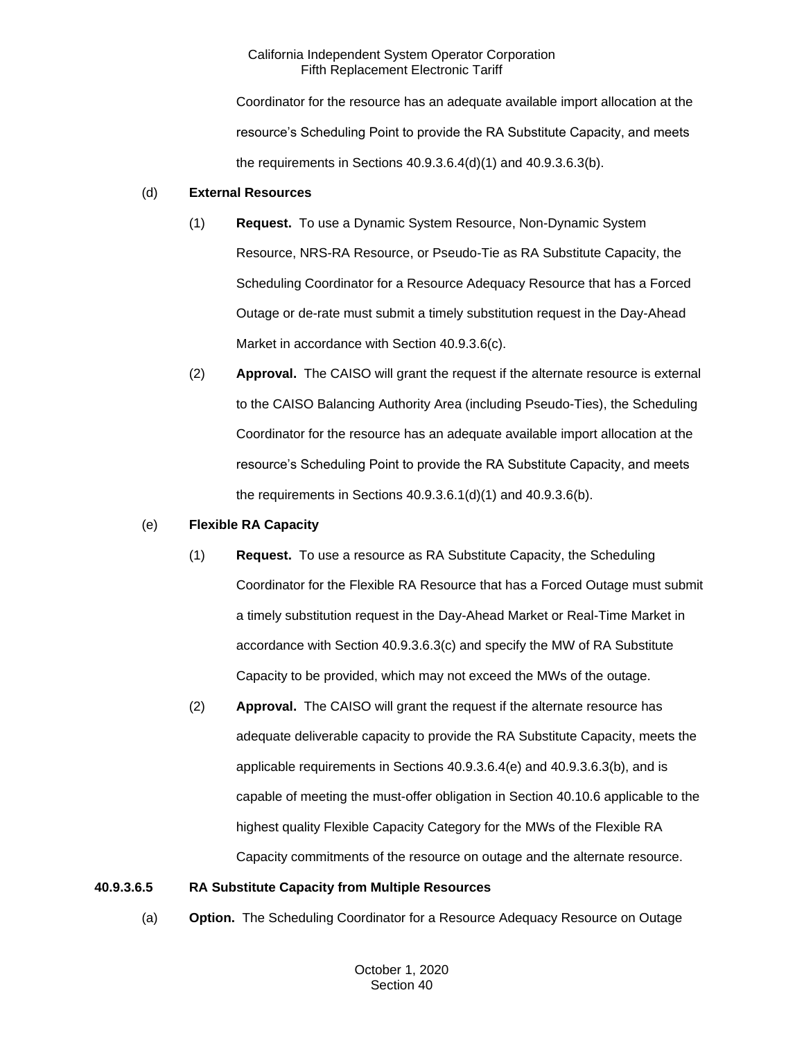Coordinator for the resource has an adequate available import allocation at the resource's Scheduling Point to provide the RA Substitute Capacity, and meets the requirements in Sections 40.9.3.6.4(d)(1) and 40.9.3.6.3(b).

#### (d) **External Resources**

- (1) **Request.** To use a Dynamic System Resource, Non-Dynamic System Resource, NRS-RA Resource, or Pseudo-Tie as RA Substitute Capacity, the Scheduling Coordinator for a Resource Adequacy Resource that has a Forced Outage or de-rate must submit a timely substitution request in the Day-Ahead Market in accordance with Section 40.9.3.6(c).
- (2) **Approval.** The CAISO will grant the request if the alternate resource is external to the CAISO Balancing Authority Area (including Pseudo-Ties), the Scheduling Coordinator for the resource has an adequate available import allocation at the resource's Scheduling Point to provide the RA Substitute Capacity, and meets the requirements in Sections 40.9.3.6.1(d)(1) and 40.9.3.6(b).

#### (e) **Flexible RA Capacity**

- (1) **Request.** To use a resource as RA Substitute Capacity, the Scheduling Coordinator for the Flexible RA Resource that has a Forced Outage must submit a timely substitution request in the Day-Ahead Market or Real-Time Market in accordance with Section 40.9.3.6.3(c) and specify the MW of RA Substitute Capacity to be provided, which may not exceed the MWs of the outage.
- (2) **Approval.** The CAISO will grant the request if the alternate resource has adequate deliverable capacity to provide the RA Substitute Capacity, meets the applicable requirements in Sections 40.9.3.6.4(e) and 40.9.3.6.3(b), and is capable of meeting the must-offer obligation in Section 40.10.6 applicable to the highest quality Flexible Capacity Category for the MWs of the Flexible RA Capacity commitments of the resource on outage and the alternate resource.

#### **40.9.3.6.5 RA Substitute Capacity from Multiple Resources**

(a) **Option.** The Scheduling Coordinator for a Resource Adequacy Resource on Outage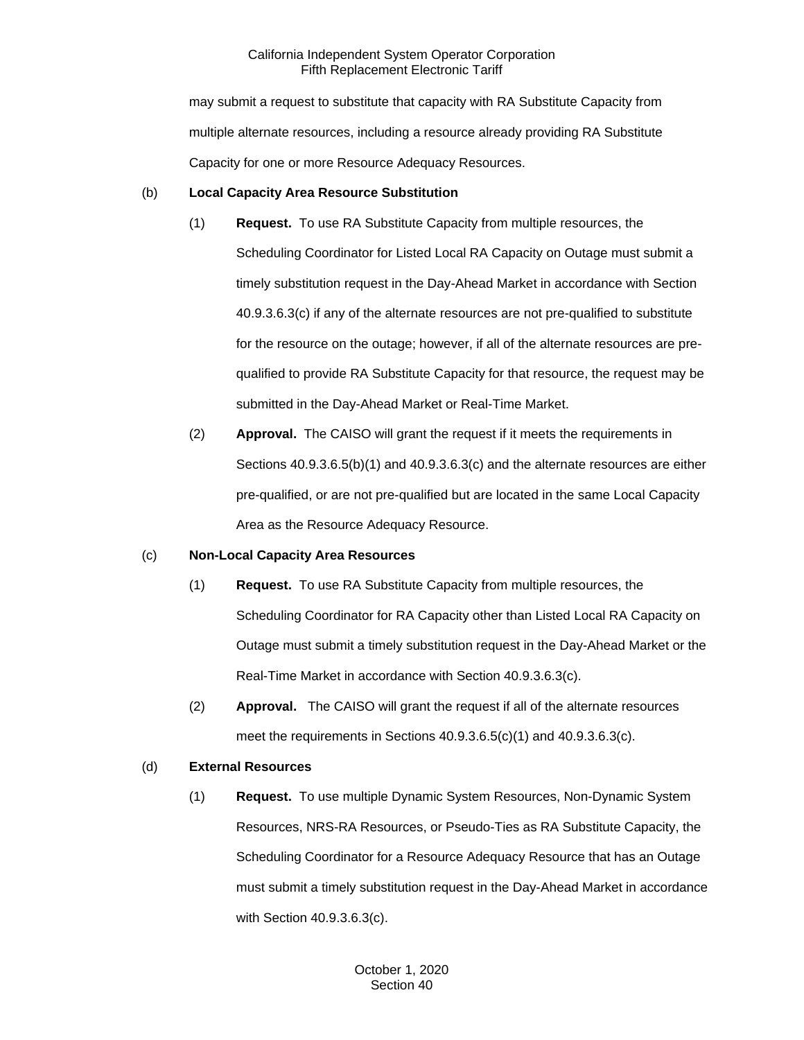may submit a request to substitute that capacity with RA Substitute Capacity from multiple alternate resources, including a resource already providing RA Substitute Capacity for one or more Resource Adequacy Resources.

## (b) **Local Capacity Area Resource Substitution**

- (1) **Request.** To use RA Substitute Capacity from multiple resources, the Scheduling Coordinator for Listed Local RA Capacity on Outage must submit a timely substitution request in the Day-Ahead Market in accordance with Section 40.9.3.6.3(c) if any of the alternate resources are not pre-qualified to substitute for the resource on the outage; however, if all of the alternate resources are prequalified to provide RA Substitute Capacity for that resource, the request may be submitted in the Day-Ahead Market or Real-Time Market.
- (2) **Approval.** The CAISO will grant the request if it meets the requirements in Sections 40.9.3.6.5(b)(1) and 40.9.3.6.3(c) and the alternate resources are either pre-qualified, or are not pre-qualified but are located in the same Local Capacity Area as the Resource Adequacy Resource.

#### (c) **Non-Local Capacity Area Resources**

- (1) **Request.** To use RA Substitute Capacity from multiple resources, the Scheduling Coordinator for RA Capacity other than Listed Local RA Capacity on Outage must submit a timely substitution request in the Day-Ahead Market or the Real-Time Market in accordance with Section 40.9.3.6.3(c).
- (2) **Approval.** The CAISO will grant the request if all of the alternate resources meet the requirements in Sections 40.9.3.6.5(c)(1) and 40.9.3.6.3(c).

## (d) **External Resources**

(1) **Request.** To use multiple Dynamic System Resources, Non-Dynamic System Resources, NRS-RA Resources, or Pseudo-Ties as RA Substitute Capacity, the Scheduling Coordinator for a Resource Adequacy Resource that has an Outage must submit a timely substitution request in the Day-Ahead Market in accordance with Section 40.9.3.6.3(c).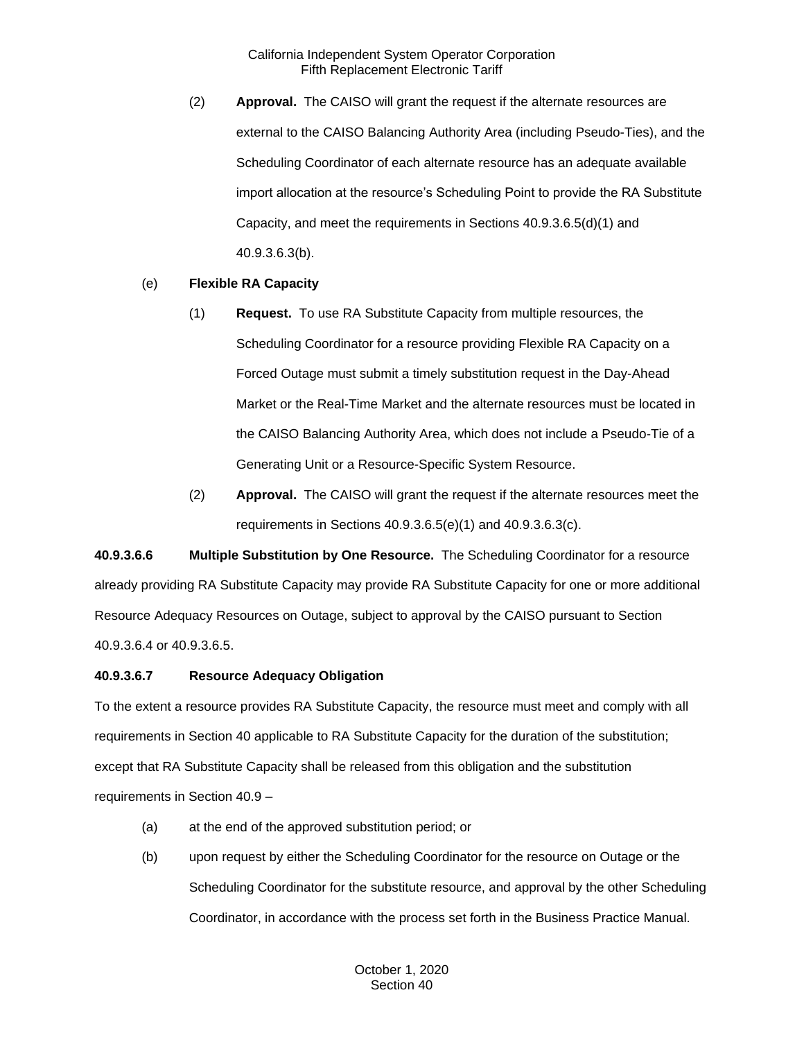(2) **Approval.** The CAISO will grant the request if the alternate resources are external to the CAISO Balancing Authority Area (including Pseudo-Ties), and the Scheduling Coordinator of each alternate resource has an adequate available import allocation at the resource's Scheduling Point to provide the RA Substitute Capacity, and meet the requirements in Sections 40.9.3.6.5(d)(1) and 40.9.3.6.3(b).

# (e) **Flexible RA Capacity**

- (1) **Request.** To use RA Substitute Capacity from multiple resources, the Scheduling Coordinator for a resource providing Flexible RA Capacity on a Forced Outage must submit a timely substitution request in the Day-Ahead Market or the Real-Time Market and the alternate resources must be located in the CAISO Balancing Authority Area, which does not include a Pseudo-Tie of a Generating Unit or a Resource-Specific System Resource.
- (2) **Approval.** The CAISO will grant the request if the alternate resources meet the requirements in Sections 40.9.3.6.5(e)(1) and 40.9.3.6.3(c).

**40.9.3.6.6 Multiple Substitution by One Resource.** The Scheduling Coordinator for a resource already providing RA Substitute Capacity may provide RA Substitute Capacity for one or more additional Resource Adequacy Resources on Outage, subject to approval by the CAISO pursuant to Section 40.9.3.6.4 or 40.9.3.6.5.

### **40.9.3.6.7 Resource Adequacy Obligation**

To the extent a resource provides RA Substitute Capacity, the resource must meet and comply with all requirements in Section 40 applicable to RA Substitute Capacity for the duration of the substitution; except that RA Substitute Capacity shall be released from this obligation and the substitution requirements in Section 40.9 –

- (a) at the end of the approved substitution period; or
- (b) upon request by either the Scheduling Coordinator for the resource on Outage or the Scheduling Coordinator for the substitute resource, and approval by the other Scheduling Coordinator, in accordance with the process set forth in the Business Practice Manual.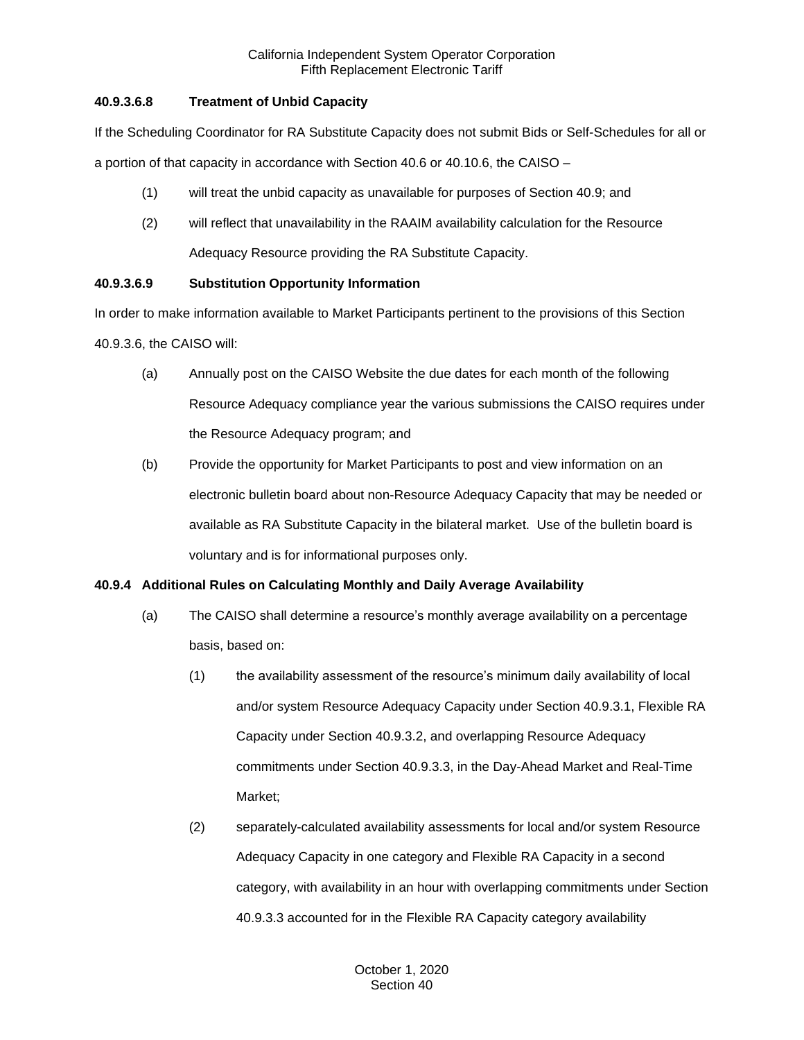# **40.9.3.6.8 Treatment of Unbid Capacity**

If the Scheduling Coordinator for RA Substitute Capacity does not submit Bids or Self-Schedules for all or

a portion of that capacity in accordance with Section 40.6 or 40.10.6, the CAISO –

- (1) will treat the unbid capacity as unavailable for purposes of Section 40.9; and
- (2) will reflect that unavailability in the RAAIM availability calculation for the Resource Adequacy Resource providing the RA Substitute Capacity.

# **40.9.3.6.9 Substitution Opportunity Information**

In order to make information available to Market Participants pertinent to the provisions of this Section 40.9.3.6, the CAISO will:

- (a) Annually post on the CAISO Website the due dates for each month of the following Resource Adequacy compliance year the various submissions the CAISO requires under the Resource Adequacy program; and
- (b) Provide the opportunity for Market Participants to post and view information on an electronic bulletin board about non-Resource Adequacy Capacity that may be needed or available as RA Substitute Capacity in the bilateral market. Use of the bulletin board is voluntary and is for informational purposes only.

# **40.9.4 Additional Rules on Calculating Monthly and Daily Average Availability**

- (a) The CAISO shall determine a resource's monthly average availability on a percentage basis, based on:
	- (1) the availability assessment of the resource's minimum daily availability of local and/or system Resource Adequacy Capacity under Section 40.9.3.1, Flexible RA Capacity under Section 40.9.3.2, and overlapping Resource Adequacy commitments under Section 40.9.3.3, in the Day-Ahead Market and Real-Time Market;
	- (2) separately-calculated availability assessments for local and/or system Resource Adequacy Capacity in one category and Flexible RA Capacity in a second category, with availability in an hour with overlapping commitments under Section 40.9.3.3 accounted for in the Flexible RA Capacity category availability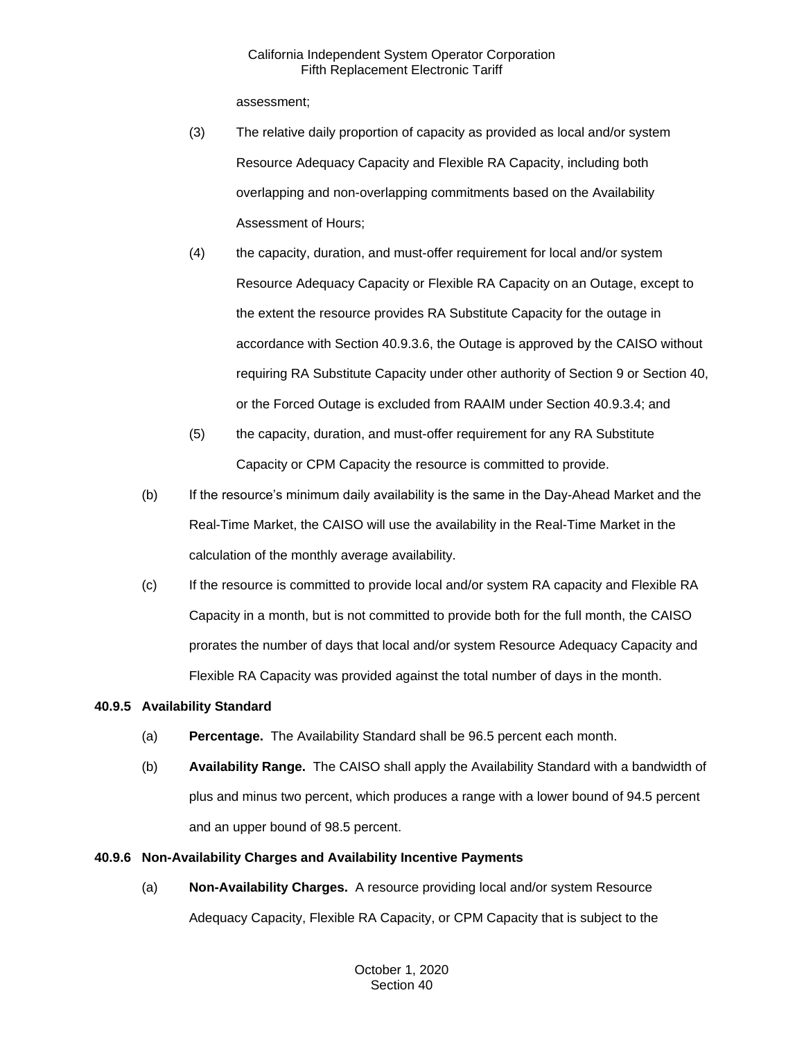assessment;

- (3) The relative daily proportion of capacity as provided as local and/or system Resource Adequacy Capacity and Flexible RA Capacity, including both overlapping and non-overlapping commitments based on the Availability Assessment of Hours;
- (4) the capacity, duration, and must-offer requirement for local and/or system Resource Adequacy Capacity or Flexible RA Capacity on an Outage, except to the extent the resource provides RA Substitute Capacity for the outage in accordance with Section 40.9.3.6, the Outage is approved by the CAISO without requiring RA Substitute Capacity under other authority of Section 9 or Section 40, or the Forced Outage is excluded from RAAIM under Section 40.9.3.4; and
- (5) the capacity, duration, and must-offer requirement for any RA Substitute Capacity or CPM Capacity the resource is committed to provide.
- (b) If the resource's minimum daily availability is the same in the Day-Ahead Market and the Real-Time Market, the CAISO will use the availability in the Real-Time Market in the calculation of the monthly average availability.
- (c) If the resource is committed to provide local and/or system RA capacity and Flexible RA Capacity in a month, but is not committed to provide both for the full month, the CAISO prorates the number of days that local and/or system Resource Adequacy Capacity and Flexible RA Capacity was provided against the total number of days in the month.

# **40.9.5 Availability Standard**

- (a) **Percentage.** The Availability Standard shall be 96.5 percent each month.
- (b) **Availability Range.** The CAISO shall apply the Availability Standard with a bandwidth of plus and minus two percent, which produces a range with a lower bound of 94.5 percent and an upper bound of 98.5 percent.

# **40.9.6 Non-Availability Charges and Availability Incentive Payments**

(a) **Non-Availability Charges.** A resource providing local and/or system Resource Adequacy Capacity, Flexible RA Capacity, or CPM Capacity that is subject to the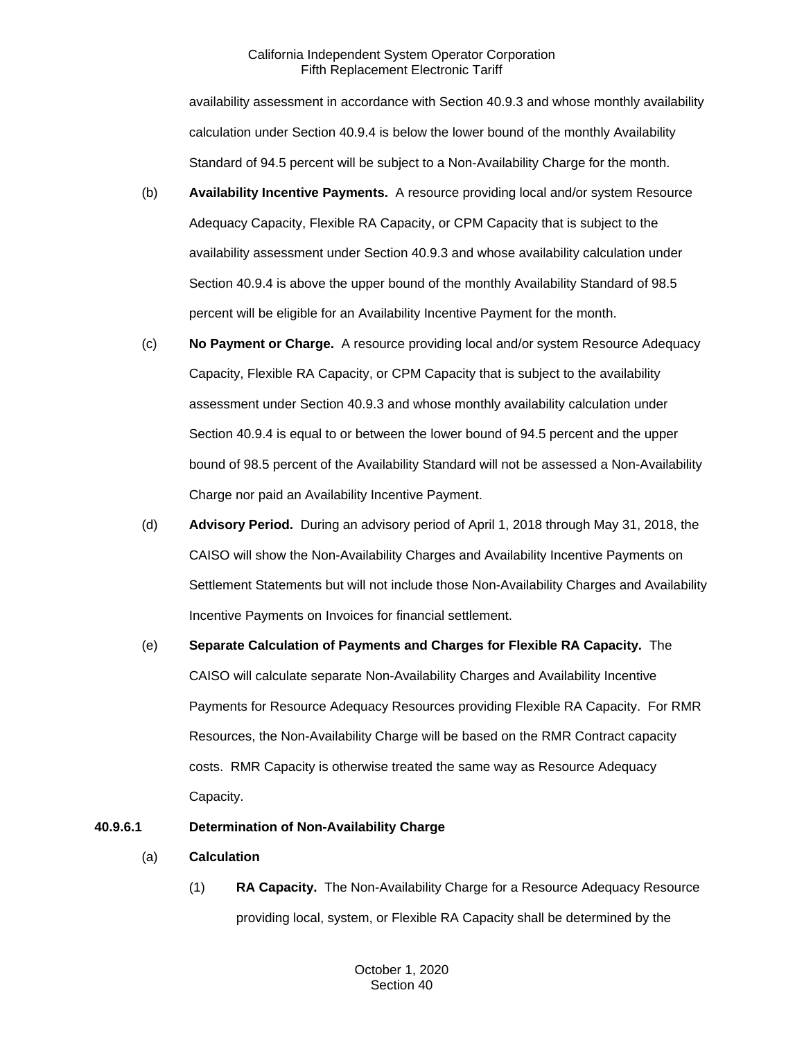availability assessment in accordance with Section 40.9.3 and whose monthly availability calculation under Section 40.9.4 is below the lower bound of the monthly Availability Standard of 94.5 percent will be subject to a Non-Availability Charge for the month.

- (b) **Availability Incentive Payments.** A resource providing local and/or system Resource Adequacy Capacity, Flexible RA Capacity, or CPM Capacity that is subject to the availability assessment under Section 40.9.3 and whose availability calculation under Section 40.9.4 is above the upper bound of the monthly Availability Standard of 98.5 percent will be eligible for an Availability Incentive Payment for the month.
- (c) **No Payment or Charge.** A resource providing local and/or system Resource Adequacy Capacity, Flexible RA Capacity, or CPM Capacity that is subject to the availability assessment under Section 40.9.3 and whose monthly availability calculation under Section 40.9.4 is equal to or between the lower bound of 94.5 percent and the upper bound of 98.5 percent of the Availability Standard will not be assessed a Non-Availability Charge nor paid an Availability Incentive Payment.
- (d) **Advisory Period.** During an advisory period of April 1, 2018 through May 31, 2018, the CAISO will show the Non-Availability Charges and Availability Incentive Payments on Settlement Statements but will not include those Non-Availability Charges and Availability Incentive Payments on Invoices for financial settlement.
- (e) **Separate Calculation of Payments and Charges for Flexible RA Capacity.** The CAISO will calculate separate Non-Availability Charges and Availability Incentive Payments for Resource Adequacy Resources providing Flexible RA Capacity. For RMR Resources, the Non-Availability Charge will be based on the RMR Contract capacity costs. RMR Capacity is otherwise treated the same way as Resource Adequacy Capacity.

# **40.9.6.1 Determination of Non-Availability Charge**

- (a) **Calculation**
	- (1) **RA Capacity.** The Non-Availability Charge for a Resource Adequacy Resource providing local, system, or Flexible RA Capacity shall be determined by the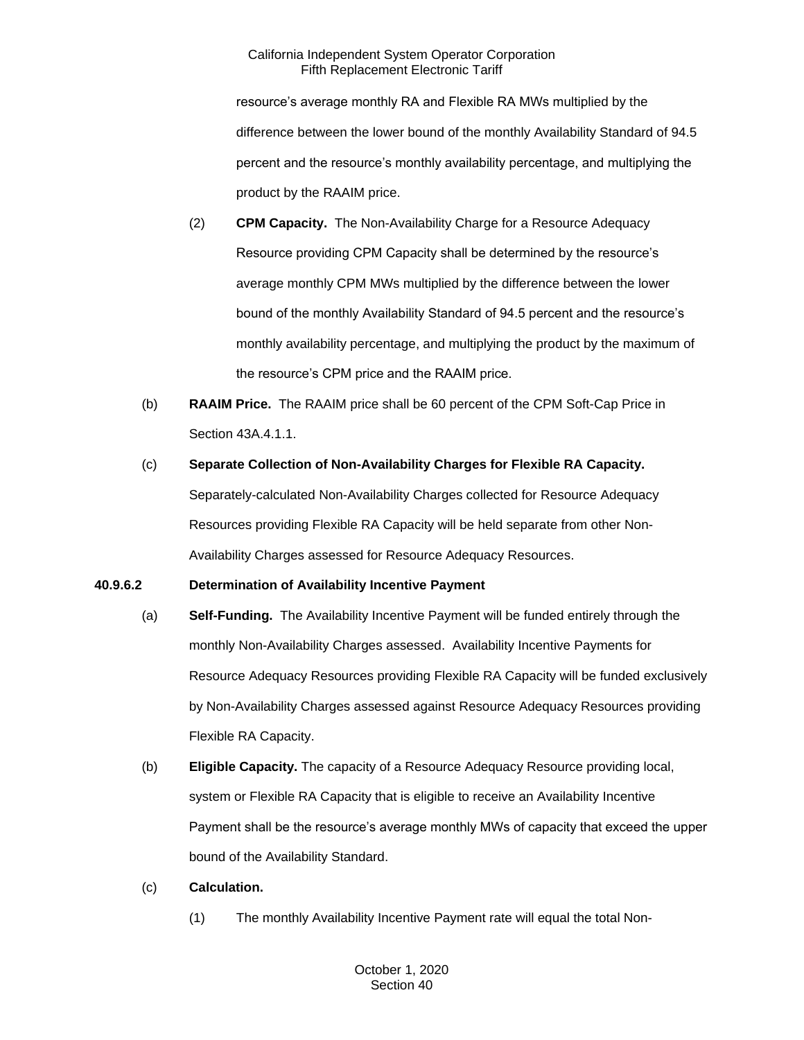resource's average monthly RA and Flexible RA MWs multiplied by the difference between the lower bound of the monthly Availability Standard of 94.5 percent and the resource's monthly availability percentage, and multiplying the product by the RAAIM price.

- (2) **CPM Capacity.** The Non-Availability Charge for a Resource Adequacy Resource providing CPM Capacity shall be determined by the resource's average monthly CPM MWs multiplied by the difference between the lower bound of the monthly Availability Standard of 94.5 percent and the resource's monthly availability percentage, and multiplying the product by the maximum of the resource's CPM price and the RAAIM price.
- (b) **RAAIM Price.** The RAAIM price shall be 60 percent of the CPM Soft-Cap Price in Section 43A.4.1.1.
- (c) **Separate Collection of Non-Availability Charges for Flexible RA Capacity.**  Separately-calculated Non-Availability Charges collected for Resource Adequacy Resources providing Flexible RA Capacity will be held separate from other Non-Availability Charges assessed for Resource Adequacy Resources.

# **40.9.6.2 Determination of Availability Incentive Payment**

- (a) **Self-Funding.** The Availability Incentive Payment will be funded entirely through the monthly Non-Availability Charges assessed. Availability Incentive Payments for Resource Adequacy Resources providing Flexible RA Capacity will be funded exclusively by Non-Availability Charges assessed against Resource Adequacy Resources providing Flexible RA Capacity.
- (b) **Eligible Capacity.** The capacity of a Resource Adequacy Resource providing local, system or Flexible RA Capacity that is eligible to receive an Availability Incentive Payment shall be the resource's average monthly MWs of capacity that exceed the upper bound of the Availability Standard.
- (c) **Calculation.** 
	- (1) The monthly Availability Incentive Payment rate will equal the total Non-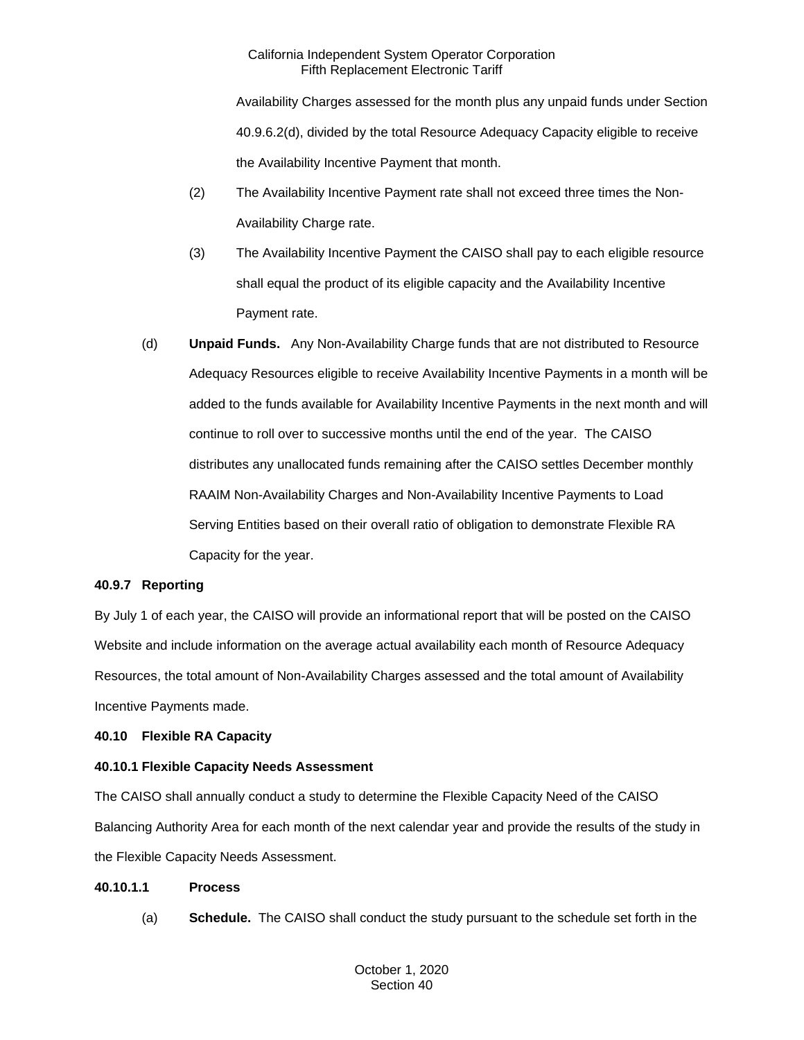Availability Charges assessed for the month plus any unpaid funds under Section 40.9.6.2(d), divided by the total Resource Adequacy Capacity eligible to receive the Availability Incentive Payment that month.

- (2) The Availability Incentive Payment rate shall not exceed three times the Non-Availability Charge rate.
- (3) The Availability Incentive Payment the CAISO shall pay to each eligible resource shall equal the product of its eligible capacity and the Availability Incentive Payment rate.
- (d) **Unpaid Funds.** Any Non-Availability Charge funds that are not distributed to Resource Adequacy Resources eligible to receive Availability Incentive Payments in a month will be added to the funds available for Availability Incentive Payments in the next month and will continue to roll over to successive months until the end of the year. The CAISO distributes any unallocated funds remaining after the CAISO settles December monthly RAAIM Non-Availability Charges and Non-Availability Incentive Payments to Load Serving Entities based on their overall ratio of obligation to demonstrate Flexible RA Capacity for the year.

# **40.9.7 Reporting**

By July 1 of each year, the CAISO will provide an informational report that will be posted on the CAISO Website and include information on the average actual availability each month of Resource Adequacy Resources, the total amount of Non-Availability Charges assessed and the total amount of Availability Incentive Payments made.

# **40.10 Flexible RA Capacity**

# **40.10.1 Flexible Capacity Needs Assessment**

The CAISO shall annually conduct a study to determine the Flexible Capacity Need of the CAISO Balancing Authority Area for each month of the next calendar year and provide the results of the study in the Flexible Capacity Needs Assessment.

# **40.10.1.1 Process**

(a) **Schedule.** The CAISO shall conduct the study pursuant to the schedule set forth in the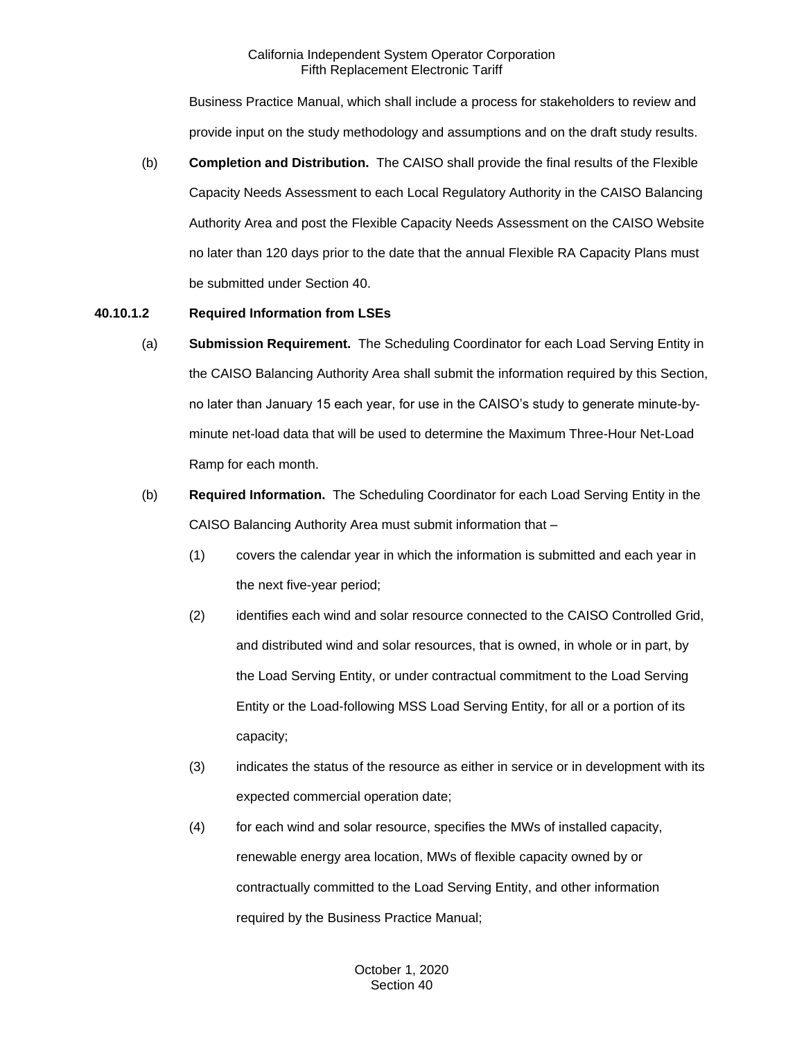Business Practice Manual, which shall include a process for stakeholders to review and provide input on the study methodology and assumptions and on the draft study results.

(b) **Completion and Distribution.** The CAISO shall provide the final results of the Flexible Capacity Needs Assessment to each Local Regulatory Authority in the CAISO Balancing Authority Area and post the Flexible Capacity Needs Assessment on the CAISO Website no later than 120 days prior to the date that the annual Flexible RA Capacity Plans must be submitted under Section 40.

# **40.10.1.2 Required Information from LSEs**

- (a) **Submission Requirement.** The Scheduling Coordinator for each Load Serving Entity in the CAISO Balancing Authority Area shall submit the information required by this Section, no later than January 15 each year, for use in the CAISO's study to generate minute-byminute net-load data that will be used to determine the Maximum Three-Hour Net-Load Ramp for each month.
- (b) **Required Information.** The Scheduling Coordinator for each Load Serving Entity in the CAISO Balancing Authority Area must submit information that –
	- (1) covers the calendar year in which the information is submitted and each year in the next five-year period;
	- (2) identifies each wind and solar resource connected to the CAISO Controlled Grid, and distributed wind and solar resources, that is owned, in whole or in part, by the Load Serving Entity, or under contractual commitment to the Load Serving Entity or the Load-following MSS Load Serving Entity, for all or a portion of its capacity;
	- (3) indicates the status of the resource as either in service or in development with its expected commercial operation date;
	- (4) for each wind and solar resource, specifies the MWs of installed capacity, renewable energy area location, MWs of flexible capacity owned by or contractually committed to the Load Serving Entity, and other information required by the Business Practice Manual;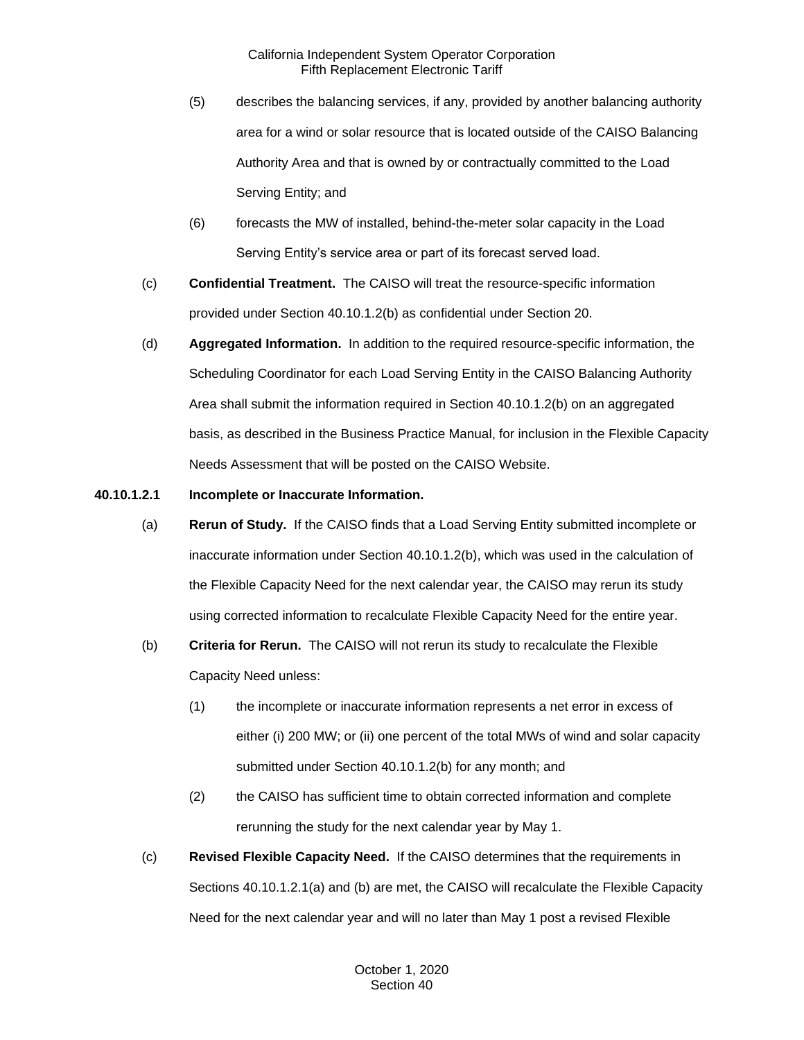- (5) describes the balancing services, if any, provided by another balancing authority area for a wind or solar resource that is located outside of the CAISO Balancing Authority Area and that is owned by or contractually committed to the Load Serving Entity; and
- (6) forecasts the MW of installed, behind-the-meter solar capacity in the Load Serving Entity's service area or part of its forecast served load.
- (c) **Confidential Treatment.** The CAISO will treat the resource-specific information provided under Section 40.10.1.2(b) as confidential under Section 20.
- (d) **Aggregated Information.** In addition to the required resource-specific information, the Scheduling Coordinator for each Load Serving Entity in the CAISO Balancing Authority Area shall submit the information required in Section 40.10.1.2(b) on an aggregated basis, as described in the Business Practice Manual, for inclusion in the Flexible Capacity Needs Assessment that will be posted on the CAISO Website.
- **40.10.1.2.1 Incomplete or Inaccurate Information.** 
	- (a) **Rerun of Study.** If the CAISO finds that a Load Serving Entity submitted incomplete or inaccurate information under Section 40.10.1.2(b), which was used in the calculation of the Flexible Capacity Need for the next calendar year, the CAISO may rerun its study using corrected information to recalculate Flexible Capacity Need for the entire year.
	- (b) **Criteria for Rerun.** The CAISO will not rerun its study to recalculate the Flexible Capacity Need unless:
		- (1) the incomplete or inaccurate information represents a net error in excess of either (i) 200 MW; or (ii) one percent of the total MWs of wind and solar capacity submitted under Section 40.10.1.2(b) for any month; and
		- (2) the CAISO has sufficient time to obtain corrected information and complete rerunning the study for the next calendar year by May 1.
	- (c) **Revised Flexible Capacity Need.** If the CAISO determines that the requirements in Sections 40.10.1.2.1(a) and (b) are met, the CAISO will recalculate the Flexible Capacity Need for the next calendar year and will no later than May 1 post a revised Flexible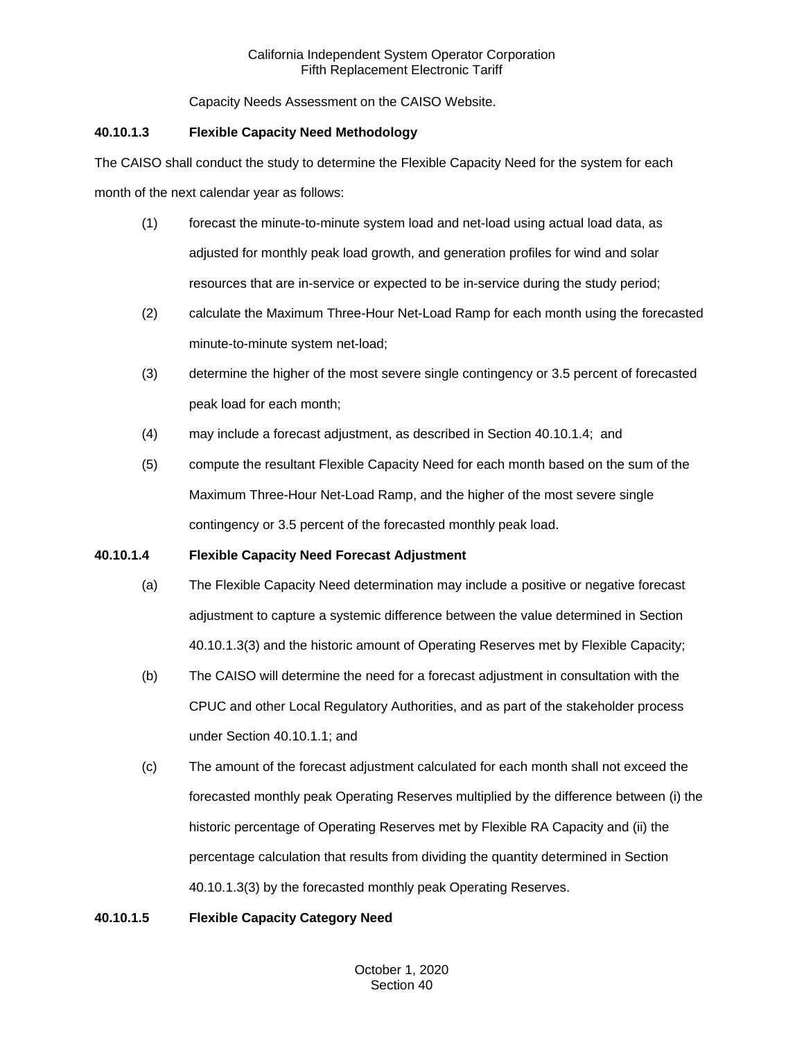Capacity Needs Assessment on the CAISO Website.

## **40.10.1.3 Flexible Capacity Need Methodology**

The CAISO shall conduct the study to determine the Flexible Capacity Need for the system for each month of the next calendar year as follows:

- (1) forecast the minute-to-minute system load and net-load using actual load data, as adjusted for monthly peak load growth, and generation profiles for wind and solar resources that are in-service or expected to be in-service during the study period;
- (2) calculate the Maximum Three-Hour Net-Load Ramp for each month using the forecasted minute-to-minute system net-load;
- (3) determine the higher of the most severe single contingency or 3.5 percent of forecasted peak load for each month;
- (4) may include a forecast adjustment, as described in Section 40.10.1.4; and
- (5) compute the resultant Flexible Capacity Need for each month based on the sum of the Maximum Three-Hour Net-Load Ramp, and the higher of the most severe single contingency or 3.5 percent of the forecasted monthly peak load.

# **40.10.1.4 Flexible Capacity Need Forecast Adjustment**

- (a) The Flexible Capacity Need determination may include a positive or negative forecast adjustment to capture a systemic difference between the value determined in Section 40.10.1.3(3) and the historic amount of Operating Reserves met by Flexible Capacity;
- (b) The CAISO will determine the need for a forecast adjustment in consultation with the CPUC and other Local Regulatory Authorities, and as part of the stakeholder process under Section 40.10.1.1; and
- (c) The amount of the forecast adjustment calculated for each month shall not exceed the forecasted monthly peak Operating Reserves multiplied by the difference between (i) the historic percentage of Operating Reserves met by Flexible RA Capacity and (ii) the percentage calculation that results from dividing the quantity determined in Section 40.10.1.3(3) by the forecasted monthly peak Operating Reserves.

# **40.10.1.5 Flexible Capacity Category Need**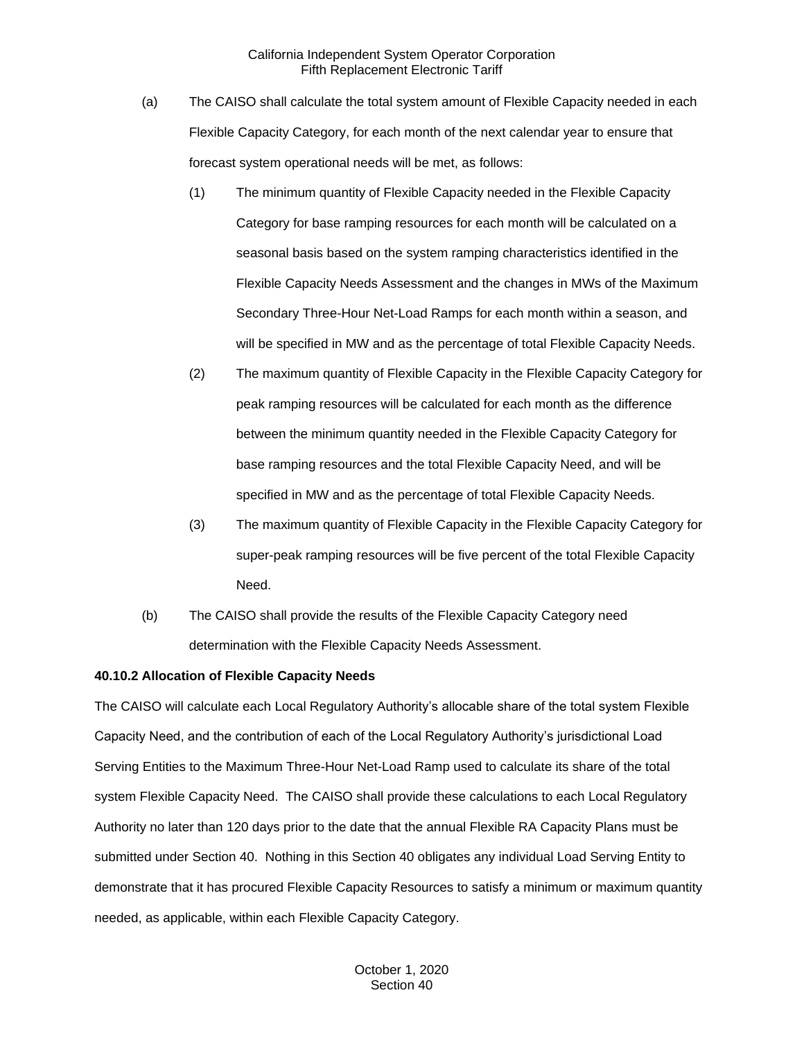- (a) The CAISO shall calculate the total system amount of Flexible Capacity needed in each Flexible Capacity Category, for each month of the next calendar year to ensure that forecast system operational needs will be met, as follows:
	- (1) The minimum quantity of Flexible Capacity needed in the Flexible Capacity Category for base ramping resources for each month will be calculated on a seasonal basis based on the system ramping characteristics identified in the Flexible Capacity Needs Assessment and the changes in MWs of the Maximum Secondary Three-Hour Net-Load Ramps for each month within a season, and will be specified in MW and as the percentage of total Flexible Capacity Needs.
	- (2) The maximum quantity of Flexible Capacity in the Flexible Capacity Category for peak ramping resources will be calculated for each month as the difference between the minimum quantity needed in the Flexible Capacity Category for base ramping resources and the total Flexible Capacity Need, and will be specified in MW and as the percentage of total Flexible Capacity Needs.
	- (3) The maximum quantity of Flexible Capacity in the Flexible Capacity Category for super-peak ramping resources will be five percent of the total Flexible Capacity Need.
- (b) The CAISO shall provide the results of the Flexible Capacity Category need determination with the Flexible Capacity Needs Assessment.

### **40.10.2 Allocation of Flexible Capacity Needs**

The CAISO will calculate each Local Regulatory Authority's allocable share of the total system Flexible Capacity Need, and the contribution of each of the Local Regulatory Authority's jurisdictional Load Serving Entities to the Maximum Three-Hour Net-Load Ramp used to calculate its share of the total system Flexible Capacity Need. The CAISO shall provide these calculations to each Local Regulatory Authority no later than 120 days prior to the date that the annual Flexible RA Capacity Plans must be submitted under Section 40. Nothing in this Section 40 obligates any individual Load Serving Entity to demonstrate that it has procured Flexible Capacity Resources to satisfy a minimum or maximum quantity needed, as applicable, within each Flexible Capacity Category.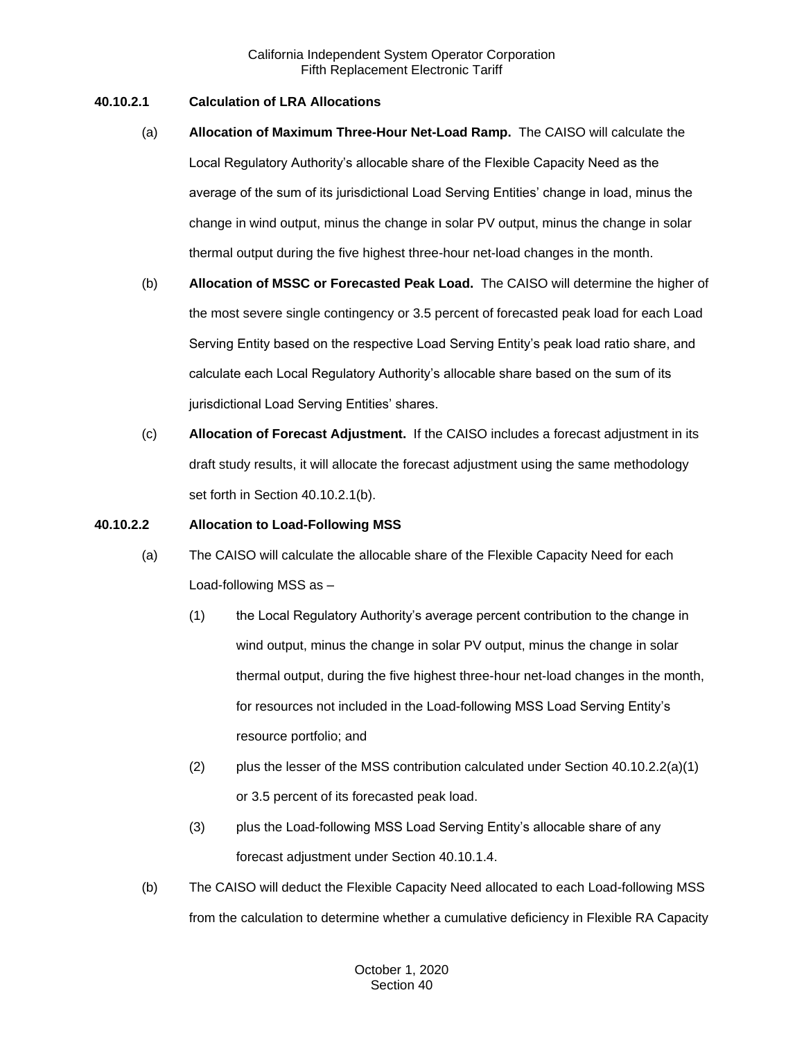## **40.10.2.1 Calculation of LRA Allocations**

- (a) **Allocation of Maximum Three-Hour Net-Load Ramp.** The CAISO will calculate the Local Regulatory Authority's allocable share of the Flexible Capacity Need as the average of the sum of its jurisdictional Load Serving Entities' change in load, minus the change in wind output, minus the change in solar PV output, minus the change in solar thermal output during the five highest three-hour net-load changes in the month.
- (b) **Allocation of MSSC or Forecasted Peak Load.** The CAISO will determine the higher of the most severe single contingency or 3.5 percent of forecasted peak load for each Load Serving Entity based on the respective Load Serving Entity's peak load ratio share, and calculate each Local Regulatory Authority's allocable share based on the sum of its jurisdictional Load Serving Entities' shares.
- (c) **Allocation of Forecast Adjustment.** If the CAISO includes a forecast adjustment in its draft study results, it will allocate the forecast adjustment using the same methodology set forth in Section 40.10.2.1(b).

### **40.10.2.2 Allocation to Load-Following MSS**

- (a) The CAISO will calculate the allocable share of the Flexible Capacity Need for each Load-following MSS as –
	- (1) the Local Regulatory Authority's average percent contribution to the change in wind output, minus the change in solar PV output, minus the change in solar thermal output, during the five highest three-hour net-load changes in the month, for resources not included in the Load-following MSS Load Serving Entity's resource portfolio; and
	- (2) plus the lesser of the MSS contribution calculated under Section  $40.10.2.2(a)(1)$ or 3.5 percent of its forecasted peak load.
	- (3) plus the Load-following MSS Load Serving Entity's allocable share of any forecast adjustment under Section 40.10.1.4.
- (b) The CAISO will deduct the Flexible Capacity Need allocated to each Load-following MSS from the calculation to determine whether a cumulative deficiency in Flexible RA Capacity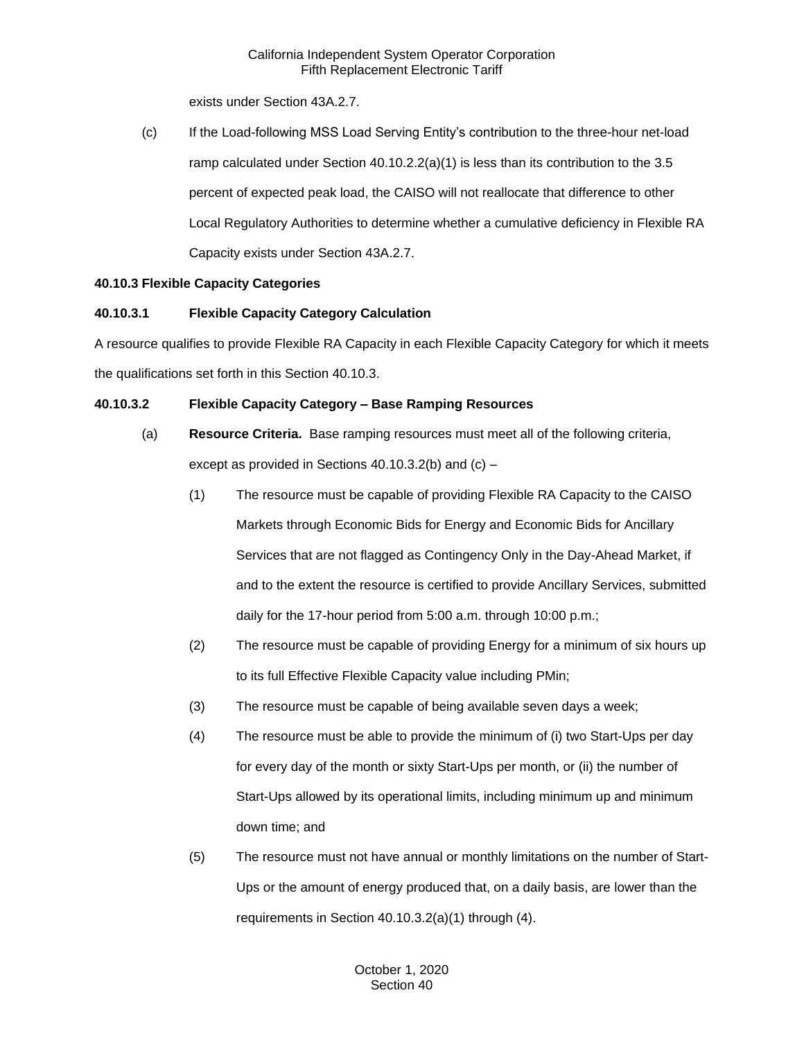exists under Section 43A.2.7.

(c) If the Load-following MSS Load Serving Entity's contribution to the three-hour net-load ramp calculated under Section  $40.10.2.2(a)(1)$  is less than its contribution to the 3.5 percent of expected peak load, the CAISO will not reallocate that difference to other Local Regulatory Authorities to determine whether a cumulative deficiency in Flexible RA Capacity exists under Section 43A.2.7.

# **40.10.3 Flexible Capacity Categories**

# **40.10.3.1 Flexible Capacity Category Calculation**

A resource qualifies to provide Flexible RA Capacity in each Flexible Capacity Category for which it meets the qualifications set forth in this Section 40.10.3.

# **40.10.3.2 Flexible Capacity Category – Base Ramping Resources**

- (a) **Resource Criteria.** Base ramping resources must meet all of the following criteria, except as provided in Sections 40.10.3.2(b) and (c) –
	- (1) The resource must be capable of providing Flexible RA Capacity to the CAISO Markets through Economic Bids for Energy and Economic Bids for Ancillary Services that are not flagged as Contingency Only in the Day-Ahead Market, if and to the extent the resource is certified to provide Ancillary Services, submitted daily for the 17-hour period from 5:00 a.m. through 10:00 p.m.;
	- (2) The resource must be capable of providing Energy for a minimum of six hours up to its full Effective Flexible Capacity value including PMin;
	- (3) The resource must be capable of being available seven days a week;
	- (4) The resource must be able to provide the minimum of (i) two Start-Ups per day for every day of the month or sixty Start-Ups per month, or (ii) the number of Start-Ups allowed by its operational limits, including minimum up and minimum down time; and
	- (5) The resource must not have annual or monthly limitations on the number of Start-Ups or the amount of energy produced that, on a daily basis, are lower than the requirements in Section 40.10.3.2(a)(1) through (4).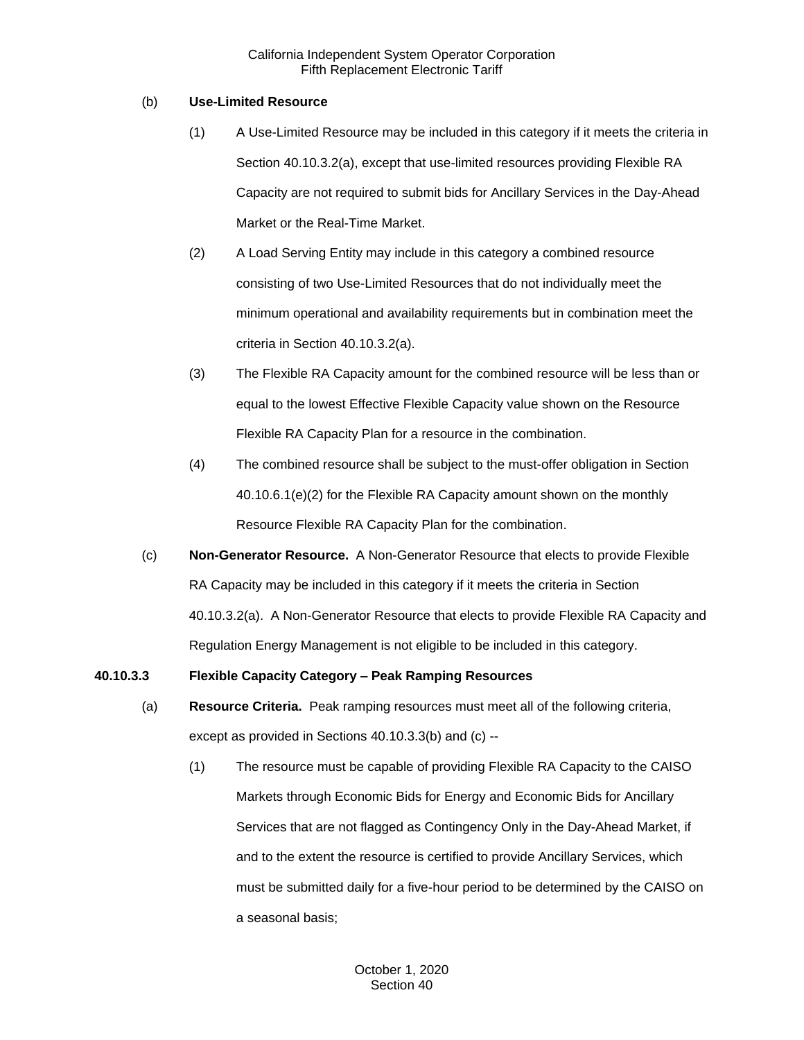## (b) **Use-Limited Resource**

- (1) A Use-Limited Resource may be included in this category if it meets the criteria in Section 40.10.3.2(a), except that use-limited resources providing Flexible RA Capacity are not required to submit bids for Ancillary Services in the Day-Ahead Market or the Real-Time Market.
- (2) A Load Serving Entity may include in this category a combined resource consisting of two Use-Limited Resources that do not individually meet the minimum operational and availability requirements but in combination meet the criteria in Section 40.10.3.2(a).
- (3) The Flexible RA Capacity amount for the combined resource will be less than or equal to the lowest Effective Flexible Capacity value shown on the Resource Flexible RA Capacity Plan for a resource in the combination.
- (4) The combined resource shall be subject to the must-offer obligation in Section 40.10.6.1(e)(2) for the Flexible RA Capacity amount shown on the monthly Resource Flexible RA Capacity Plan for the combination.
- (c) **Non-Generator Resource.** A Non-Generator Resource that elects to provide Flexible RA Capacity may be included in this category if it meets the criteria in Section 40.10.3.2(a). A Non-Generator Resource that elects to provide Flexible RA Capacity and Regulation Energy Management is not eligible to be included in this category.

# **40.10.3.3 Flexible Capacity Category – Peak Ramping Resources**

- (a) **Resource Criteria.** Peak ramping resources must meet all of the following criteria, except as provided in Sections 40.10.3.3(b) and (c) --
	- (1) The resource must be capable of providing Flexible RA Capacity to the CAISO Markets through Economic Bids for Energy and Economic Bids for Ancillary Services that are not flagged as Contingency Only in the Day-Ahead Market, if and to the extent the resource is certified to provide Ancillary Services, which must be submitted daily for a five-hour period to be determined by the CAISO on a seasonal basis;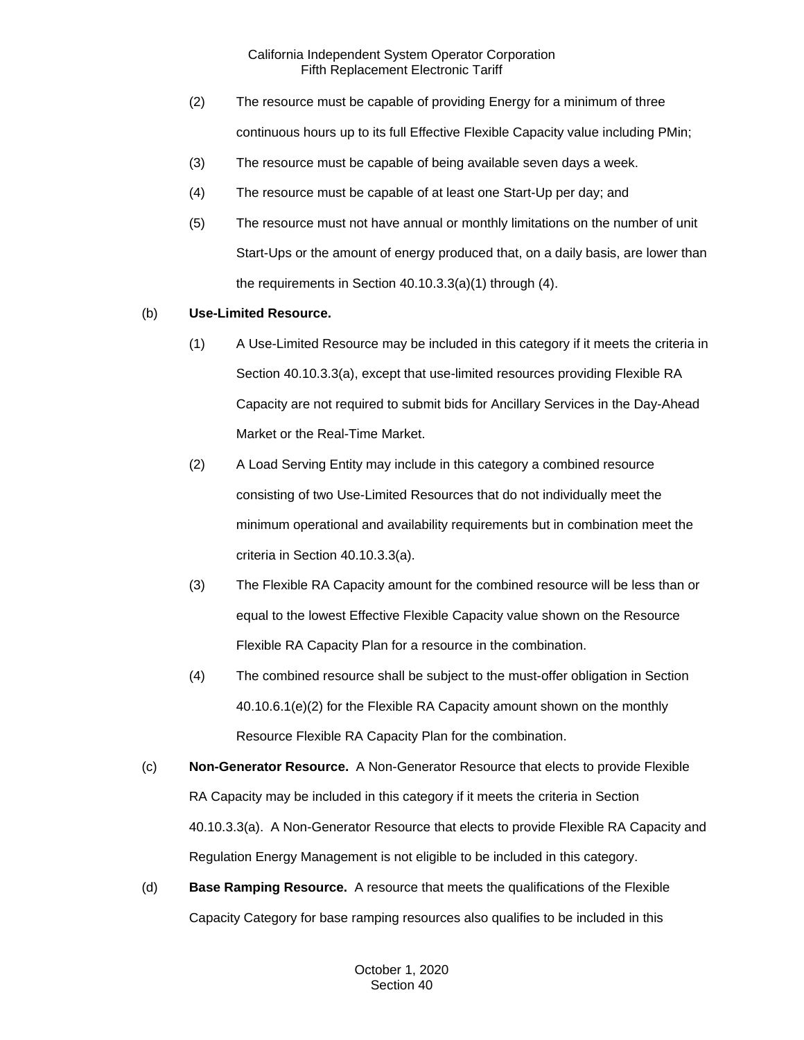- (2) The resource must be capable of providing Energy for a minimum of three continuous hours up to its full Effective Flexible Capacity value including PMin;
- (3) The resource must be capable of being available seven days a week.
- (4) The resource must be capable of at least one Start-Up per day; and
- (5) The resource must not have annual or monthly limitations on the number of unit Start-Ups or the amount of energy produced that, on a daily basis, are lower than the requirements in Section 40.10.3.3(a)(1) through (4).

# (b) **Use-Limited Resource.**

- (1) A Use-Limited Resource may be included in this category if it meets the criteria in Section 40.10.3.3(a), except that use-limited resources providing Flexible RA Capacity are not required to submit bids for Ancillary Services in the Day-Ahead Market or the Real-Time Market.
- (2) A Load Serving Entity may include in this category a combined resource consisting of two Use-Limited Resources that do not individually meet the minimum operational and availability requirements but in combination meet the criteria in Section 40.10.3.3(a).
- (3) The Flexible RA Capacity amount for the combined resource will be less than or equal to the lowest Effective Flexible Capacity value shown on the Resource Flexible RA Capacity Plan for a resource in the combination.
- (4) The combined resource shall be subject to the must-offer obligation in Section 40.10.6.1(e)(2) for the Flexible RA Capacity amount shown on the monthly Resource Flexible RA Capacity Plan for the combination.
- (c) **Non-Generator Resource.** A Non-Generator Resource that elects to provide Flexible RA Capacity may be included in this category if it meets the criteria in Section 40.10.3.3(a). A Non-Generator Resource that elects to provide Flexible RA Capacity and Regulation Energy Management is not eligible to be included in this category.
- (d) **Base Ramping Resource.** A resource that meets the qualifications of the Flexible Capacity Category for base ramping resources also qualifies to be included in this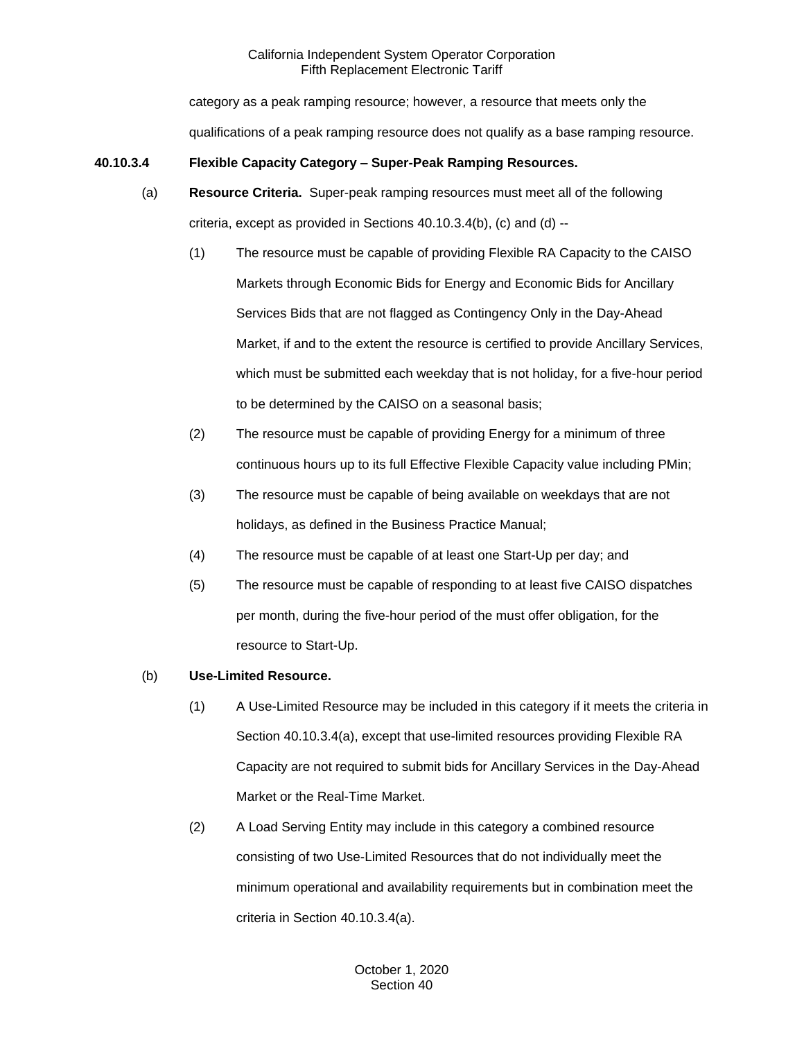category as a peak ramping resource; however, a resource that meets only the qualifications of a peak ramping resource does not qualify as a base ramping resource.

# **40.10.3.4 Flexible Capacity Category – Super-Peak Ramping Resources.**

- (a) **Resource Criteria.** Super-peak ramping resources must meet all of the following criteria, except as provided in Sections 40.10.3.4(b), (c) and (d) --
	- (1) The resource must be capable of providing Flexible RA Capacity to the CAISO Markets through Economic Bids for Energy and Economic Bids for Ancillary Services Bids that are not flagged as Contingency Only in the Day-Ahead Market, if and to the extent the resource is certified to provide Ancillary Services, which must be submitted each weekday that is not holiday, for a five-hour period to be determined by the CAISO on a seasonal basis;
	- (2) The resource must be capable of providing Energy for a minimum of three continuous hours up to its full Effective Flexible Capacity value including PMin;
	- (3) The resource must be capable of being available on weekdays that are not holidays, as defined in the Business Practice Manual;
	- (4) The resource must be capable of at least one Start-Up per day; and
	- (5) The resource must be capable of responding to at least five CAISO dispatches per month, during the five-hour period of the must offer obligation, for the resource to Start-Up.

# (b) **Use-Limited Resource.**

- (1) A Use-Limited Resource may be included in this category if it meets the criteria in Section 40.10.3.4(a), except that use-limited resources providing Flexible RA Capacity are not required to submit bids for Ancillary Services in the Day-Ahead Market or the Real-Time Market.
- (2) A Load Serving Entity may include in this category a combined resource consisting of two Use-Limited Resources that do not individually meet the minimum operational and availability requirements but in combination meet the criteria in Section 40.10.3.4(a).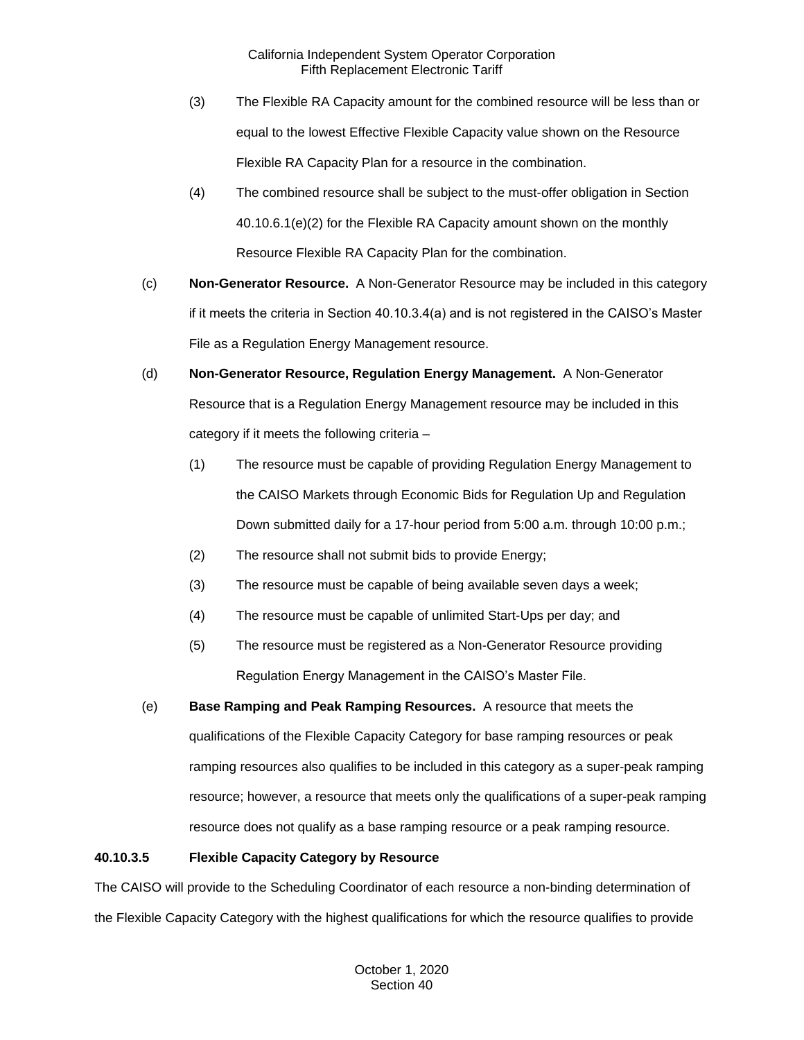- (3) The Flexible RA Capacity amount for the combined resource will be less than or equal to the lowest Effective Flexible Capacity value shown on the Resource Flexible RA Capacity Plan for a resource in the combination.
- (4) The combined resource shall be subject to the must-offer obligation in Section 40.10.6.1(e)(2) for the Flexible RA Capacity amount shown on the monthly Resource Flexible RA Capacity Plan for the combination.
- (c) **Non-Generator Resource.** A Non-Generator Resource may be included in this category if it meets the criteria in Section 40.10.3.4(a) and is not registered in the CAISO's Master File as a Regulation Energy Management resource.
- (d) **Non-Generator Resource, Regulation Energy Management.** A Non-Generator Resource that is a Regulation Energy Management resource may be included in this category if it meets the following criteria –
	- (1) The resource must be capable of providing Regulation Energy Management to the CAISO Markets through Economic Bids for Regulation Up and Regulation Down submitted daily for a 17-hour period from 5:00 a.m. through 10:00 p.m.;
	- (2) The resource shall not submit bids to provide Energy;
	- (3) The resource must be capable of being available seven days a week;
	- (4) The resource must be capable of unlimited Start-Ups per day; and
	- (5) The resource must be registered as a Non-Generator Resource providing Regulation Energy Management in the CAISO's Master File.
- (e) **Base Ramping and Peak Ramping Resources.** A resource that meets the qualifications of the Flexible Capacity Category for base ramping resources or peak ramping resources also qualifies to be included in this category as a super-peak ramping resource; however, a resource that meets only the qualifications of a super-peak ramping resource does not qualify as a base ramping resource or a peak ramping resource.

# **40.10.3.5 Flexible Capacity Category by Resource**

The CAISO will provide to the Scheduling Coordinator of each resource a non-binding determination of the Flexible Capacity Category with the highest qualifications for which the resource qualifies to provide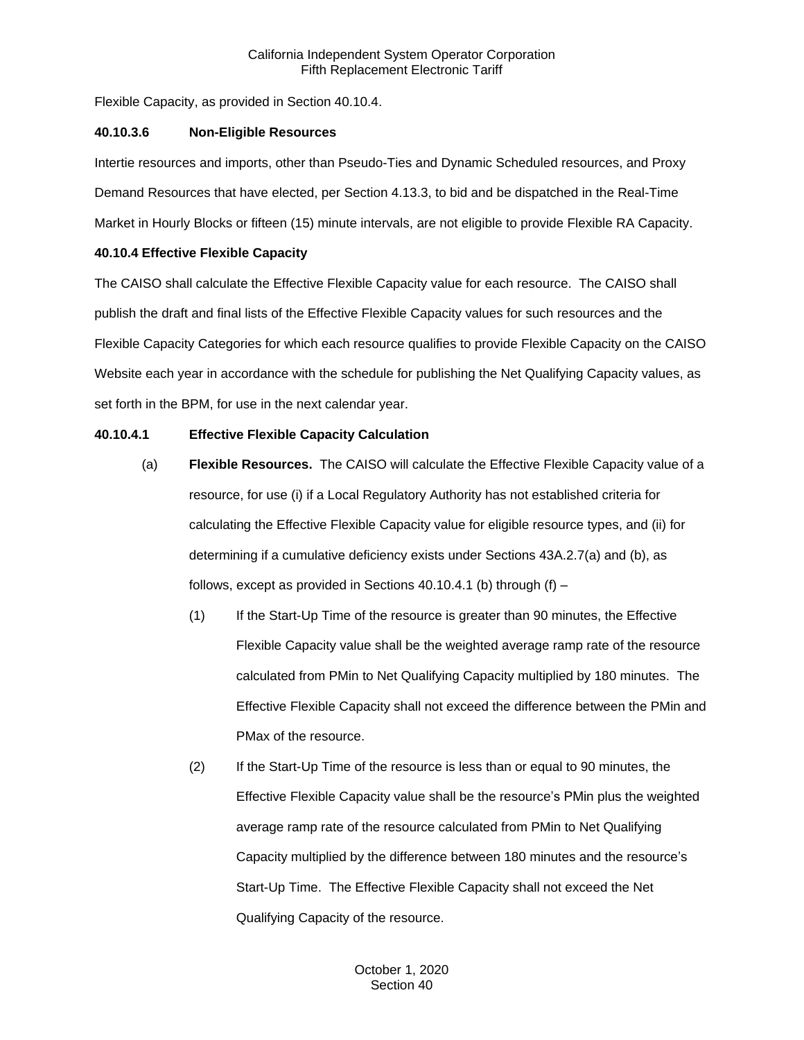Flexible Capacity, as provided in Section 40.10.4.

## **40.10.3.6 Non-Eligible Resources**

Intertie resources and imports, other than Pseudo-Ties and Dynamic Scheduled resources, and Proxy Demand Resources that have elected, per Section 4.13.3, to bid and be dispatched in the Real-Time Market in Hourly Blocks or fifteen (15) minute intervals, are not eligible to provide Flexible RA Capacity.

## **40.10.4 Effective Flexible Capacity**

The CAISO shall calculate the Effective Flexible Capacity value for each resource. The CAISO shall publish the draft and final lists of the Effective Flexible Capacity values for such resources and the Flexible Capacity Categories for which each resource qualifies to provide Flexible Capacity on the CAISO Website each year in accordance with the schedule for publishing the Net Qualifying Capacity values, as set forth in the BPM, for use in the next calendar year.

## **40.10.4.1 Effective Flexible Capacity Calculation**

- (a) **Flexible Resources.** The CAISO will calculate the Effective Flexible Capacity value of a resource, for use (i) if a Local Regulatory Authority has not established criteria for calculating the Effective Flexible Capacity value for eligible resource types, and (ii) for determining if a cumulative deficiency exists under Sections 43A.2.7(a) and (b), as follows, except as provided in Sections 40.10.4.1 (b) through  $(f)$  –
	- (1) If the Start-Up Time of the resource is greater than 90 minutes, the Effective Flexible Capacity value shall be the weighted average ramp rate of the resource calculated from PMin to Net Qualifying Capacity multiplied by 180 minutes. The Effective Flexible Capacity shall not exceed the difference between the PMin and PMax of the resource.
	- (2) If the Start-Up Time of the resource is less than or equal to 90 minutes, the Effective Flexible Capacity value shall be the resource's PMin plus the weighted average ramp rate of the resource calculated from PMin to Net Qualifying Capacity multiplied by the difference between 180 minutes and the resource's Start-Up Time. The Effective Flexible Capacity shall not exceed the Net Qualifying Capacity of the resource.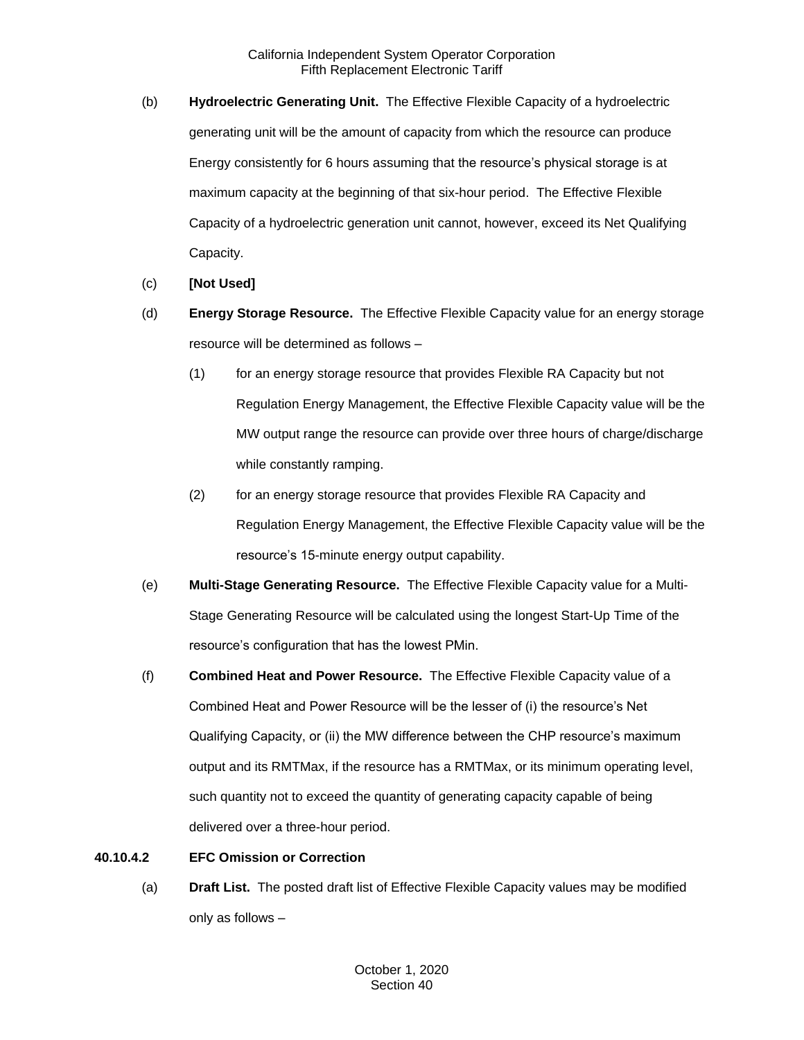- (b) **Hydroelectric Generating Unit.** The Effective Flexible Capacity of a hydroelectric generating unit will be the amount of capacity from which the resource can produce Energy consistently for 6 hours assuming that the resource's physical storage is at maximum capacity at the beginning of that six-hour period. The Effective Flexible Capacity of a hydroelectric generation unit cannot, however, exceed its Net Qualifying Capacity.
- (c) **[Not Used]**
- (d) **Energy Storage Resource.** The Effective Flexible Capacity value for an energy storage resource will be determined as follows –
	- (1) for an energy storage resource that provides Flexible RA Capacity but not Regulation Energy Management, the Effective Flexible Capacity value will be the MW output range the resource can provide over three hours of charge/discharge while constantly ramping.
	- (2) for an energy storage resource that provides Flexible RA Capacity and Regulation Energy Management, the Effective Flexible Capacity value will be the resource's 15-minute energy output capability.
- (e) **Multi-Stage Generating Resource.** The Effective Flexible Capacity value for a Multi-Stage Generating Resource will be calculated using the longest Start-Up Time of the resource's configuration that has the lowest PMin.
- (f) **Combined Heat and Power Resource.** The Effective Flexible Capacity value of a Combined Heat and Power Resource will be the lesser of (i) the resource's Net Qualifying Capacity, or (ii) the MW difference between the CHP resource's maximum output and its RMTMax, if the resource has a RMTMax, or its minimum operating level, such quantity not to exceed the quantity of generating capacity capable of being delivered over a three-hour period.

# **40.10.4.2 EFC Omission or Correction**

(a) **Draft List.** The posted draft list of Effective Flexible Capacity values may be modified only as follows –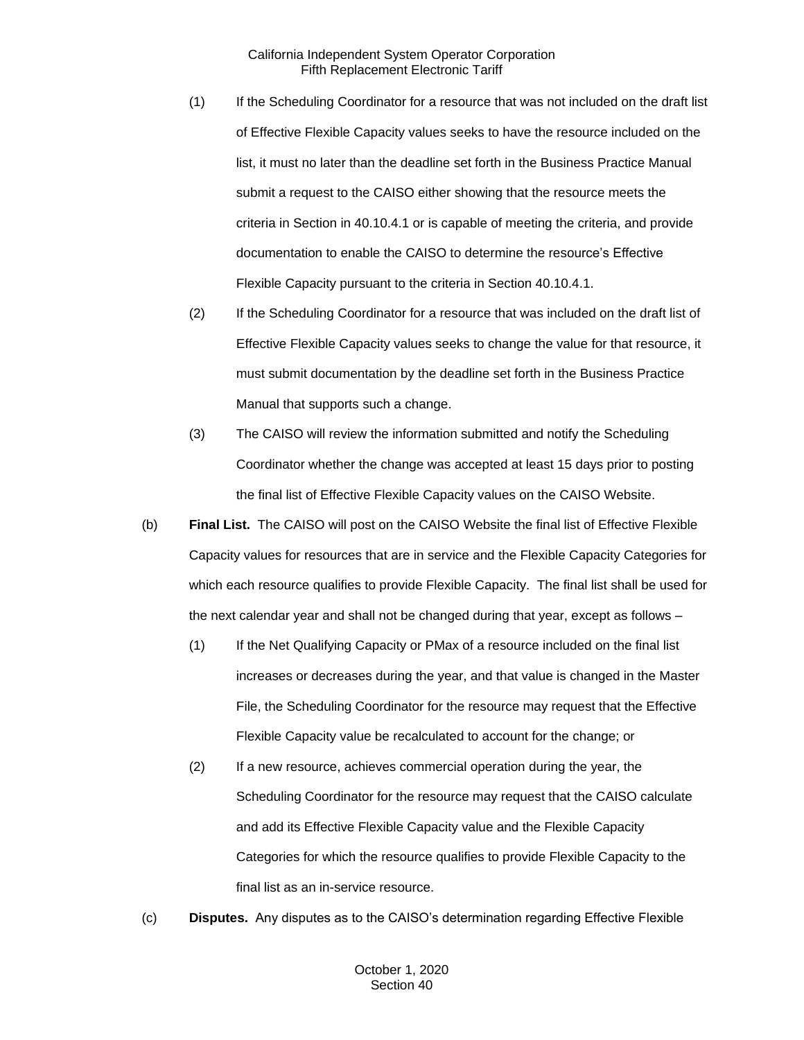- (1) If the Scheduling Coordinator for a resource that was not included on the draft list of Effective Flexible Capacity values seeks to have the resource included on the list, it must no later than the deadline set forth in the Business Practice Manual submit a request to the CAISO either showing that the resource meets the criteria in Section in 40.10.4.1 or is capable of meeting the criteria, and provide documentation to enable the CAISO to determine the resource's Effective Flexible Capacity pursuant to the criteria in Section 40.10.4.1.
- (2) If the Scheduling Coordinator for a resource that was included on the draft list of Effective Flexible Capacity values seeks to change the value for that resource, it must submit documentation by the deadline set forth in the Business Practice Manual that supports such a change.
- (3) The CAISO will review the information submitted and notify the Scheduling Coordinator whether the change was accepted at least 15 days prior to posting the final list of Effective Flexible Capacity values on the CAISO Website.
- (b) **Final List.** The CAISO will post on the CAISO Website the final list of Effective Flexible Capacity values for resources that are in service and the Flexible Capacity Categories for which each resource qualifies to provide Flexible Capacity. The final list shall be used for the next calendar year and shall not be changed during that year, except as follows –
	- (1) If the Net Qualifying Capacity or PMax of a resource included on the final list increases or decreases during the year, and that value is changed in the Master File, the Scheduling Coordinator for the resource may request that the Effective Flexible Capacity value be recalculated to account for the change; or
	- (2) If a new resource, achieves commercial operation during the year, the Scheduling Coordinator for the resource may request that the CAISO calculate and add its Effective Flexible Capacity value and the Flexible Capacity Categories for which the resource qualifies to provide Flexible Capacity to the final list as an in-service resource.
- (c) **Disputes.** Any disputes as to the CAISO's determination regarding Effective Flexible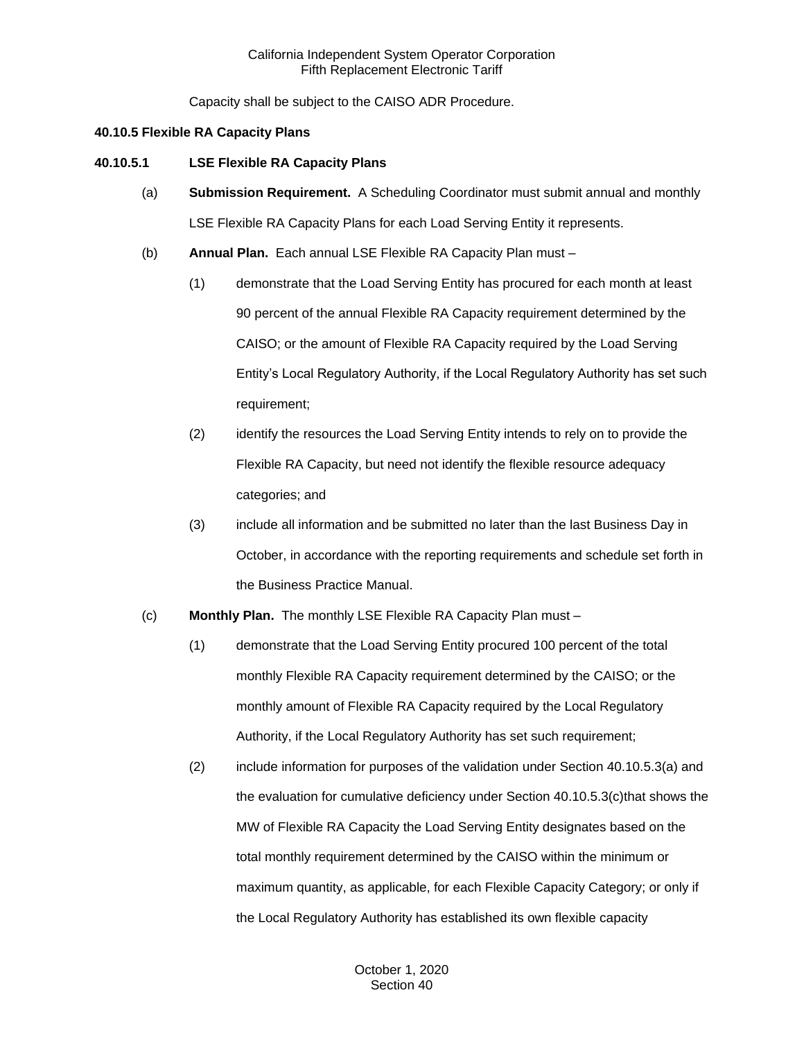Capacity shall be subject to the CAISO ADR Procedure.

## **40.10.5 Flexible RA Capacity Plans**

# **40.10.5.1 LSE Flexible RA Capacity Plans**

- (a) **Submission Requirement.** A Scheduling Coordinator must submit annual and monthly LSE Flexible RA Capacity Plans for each Load Serving Entity it represents.
- (b) **Annual Plan.** Each annual LSE Flexible RA Capacity Plan must
	- (1) demonstrate that the Load Serving Entity has procured for each month at least 90 percent of the annual Flexible RA Capacity requirement determined by the CAISO; or the amount of Flexible RA Capacity required by the Load Serving Entity's Local Regulatory Authority, if the Local Regulatory Authority has set such requirement;
	- (2) identify the resources the Load Serving Entity intends to rely on to provide the Flexible RA Capacity, but need not identify the flexible resource adequacy categories; and
	- (3) include all information and be submitted no later than the last Business Day in October, in accordance with the reporting requirements and schedule set forth in the Business Practice Manual.
- (c) **Monthly Plan.** The monthly LSE Flexible RA Capacity Plan must
	- (1) demonstrate that the Load Serving Entity procured 100 percent of the total monthly Flexible RA Capacity requirement determined by the CAISO; or the monthly amount of Flexible RA Capacity required by the Local Regulatory Authority, if the Local Regulatory Authority has set such requirement;
	- (2) include information for purposes of the validation under Section 40.10.5.3(a) and the evaluation for cumulative deficiency under Section 40.10.5.3(c)that shows the MW of Flexible RA Capacity the Load Serving Entity designates based on the total monthly requirement determined by the CAISO within the minimum or maximum quantity, as applicable, for each Flexible Capacity Category; or only if the Local Regulatory Authority has established its own flexible capacity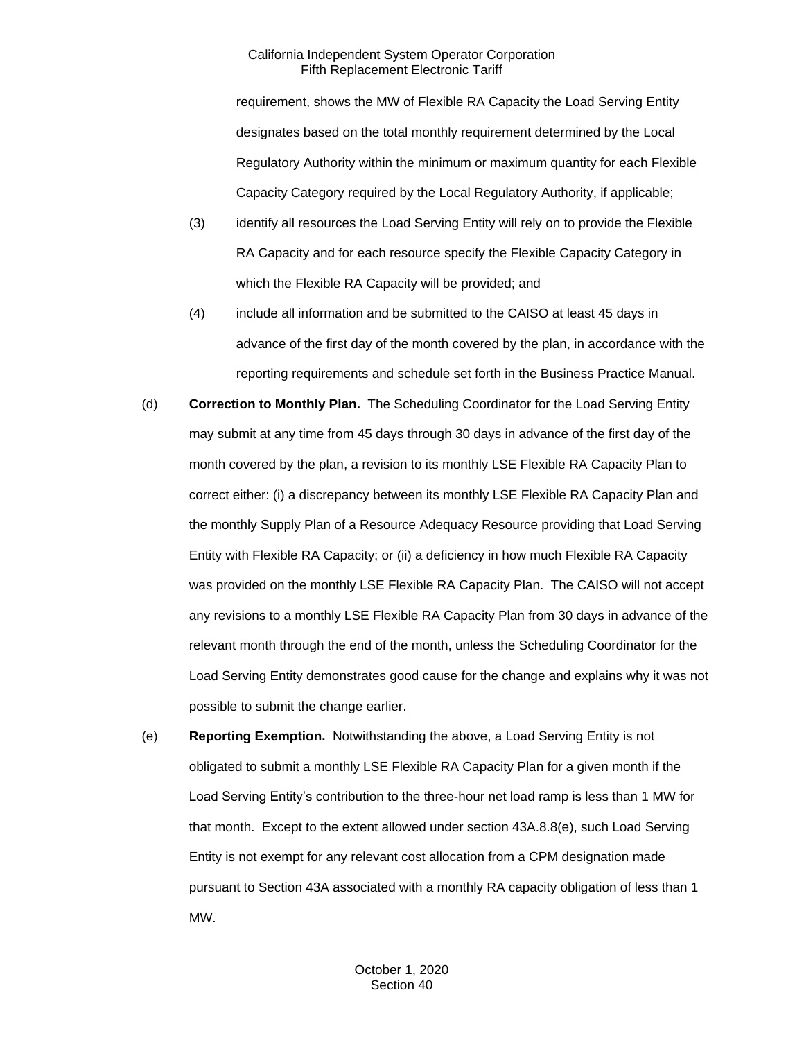requirement, shows the MW of Flexible RA Capacity the Load Serving Entity designates based on the total monthly requirement determined by the Local Regulatory Authority within the minimum or maximum quantity for each Flexible Capacity Category required by the Local Regulatory Authority, if applicable;

- (3) identify all resources the Load Serving Entity will rely on to provide the Flexible RA Capacity and for each resource specify the Flexible Capacity Category in which the Flexible RA Capacity will be provided; and
- (4) include all information and be submitted to the CAISO at least 45 days in advance of the first day of the month covered by the plan, in accordance with the reporting requirements and schedule set forth in the Business Practice Manual.
- (d) **Correction to Monthly Plan.** The Scheduling Coordinator for the Load Serving Entity may submit at any time from 45 days through 30 days in advance of the first day of the month covered by the plan, a revision to its monthly LSE Flexible RA Capacity Plan to correct either: (i) a discrepancy between its monthly LSE Flexible RA Capacity Plan and the monthly Supply Plan of a Resource Adequacy Resource providing that Load Serving Entity with Flexible RA Capacity; or (ii) a deficiency in how much Flexible RA Capacity was provided on the monthly LSE Flexible RA Capacity Plan. The CAISO will not accept any revisions to a monthly LSE Flexible RA Capacity Plan from 30 days in advance of the relevant month through the end of the month, unless the Scheduling Coordinator for the Load Serving Entity demonstrates good cause for the change and explains why it was not possible to submit the change earlier.
- (e) **Reporting Exemption.** Notwithstanding the above, a Load Serving Entity is not obligated to submit a monthly LSE Flexible RA Capacity Plan for a given month if the Load Serving Entity's contribution to the three-hour net load ramp is less than 1 MW for that month. Except to the extent allowed under section 43A.8.8(e), such Load Serving Entity is not exempt for any relevant cost allocation from a CPM designation made pursuant to Section 43A associated with a monthly RA capacity obligation of less than 1 MW.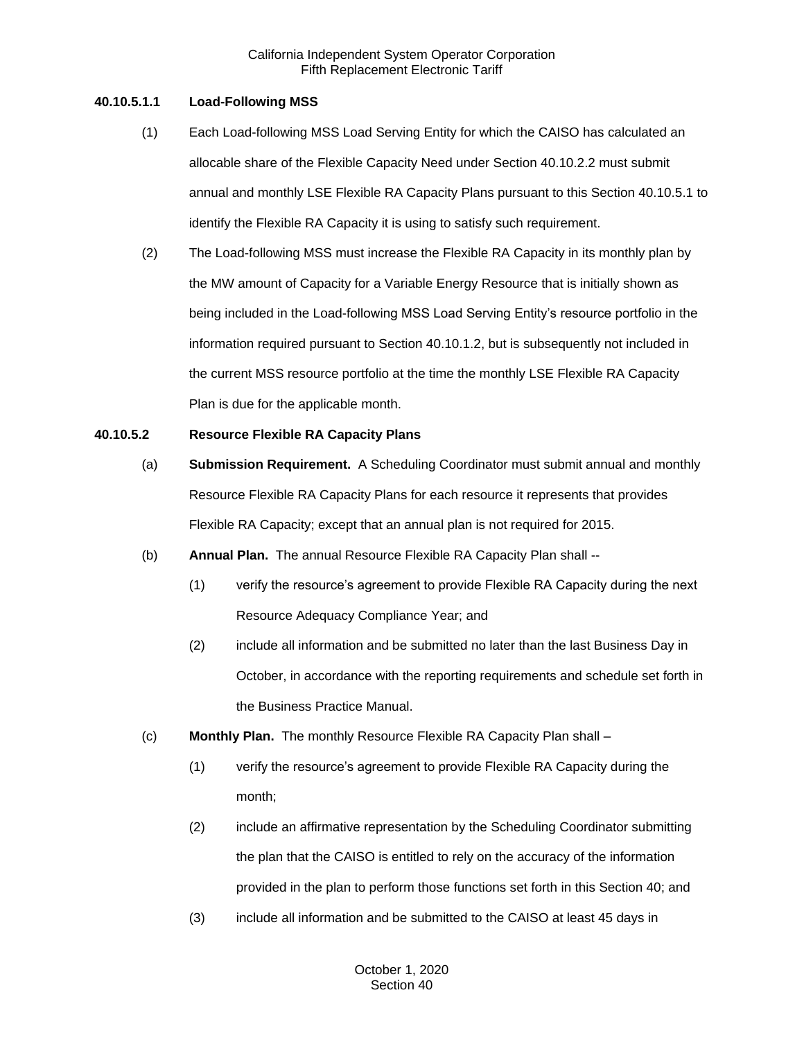# **40.10.5.1.1 Load-Following MSS**

- (1) Each Load-following MSS Load Serving Entity for which the CAISO has calculated an allocable share of the Flexible Capacity Need under Section 40.10.2.2 must submit annual and monthly LSE Flexible RA Capacity Plans pursuant to this Section 40.10.5.1 to identify the Flexible RA Capacity it is using to satisfy such requirement.
- (2) The Load-following MSS must increase the Flexible RA Capacity in its monthly plan by the MW amount of Capacity for a Variable Energy Resource that is initially shown as being included in the Load-following MSS Load Serving Entity's resource portfolio in the information required pursuant to Section 40.10.1.2, but is subsequently not included in the current MSS resource portfolio at the time the monthly LSE Flexible RA Capacity Plan is due for the applicable month.

# **40.10.5.2 Resource Flexible RA Capacity Plans**

- (a) **Submission Requirement.** A Scheduling Coordinator must submit annual and monthly Resource Flexible RA Capacity Plans for each resource it represents that provides Flexible RA Capacity; except that an annual plan is not required for 2015.
- (b) **Annual Plan.** The annual Resource Flexible RA Capacity Plan shall --
	- (1) verify the resource's agreement to provide Flexible RA Capacity during the next Resource Adequacy Compliance Year; and
	- (2) include all information and be submitted no later than the last Business Day in October, in accordance with the reporting requirements and schedule set forth in the Business Practice Manual.
- (c) **Monthly Plan.** The monthly Resource Flexible RA Capacity Plan shall
	- (1) verify the resource's agreement to provide Flexible RA Capacity during the month;
	- (2) include an affirmative representation by the Scheduling Coordinator submitting the plan that the CAISO is entitled to rely on the accuracy of the information provided in the plan to perform those functions set forth in this Section 40; and
	- (3) include all information and be submitted to the CAISO at least 45 days in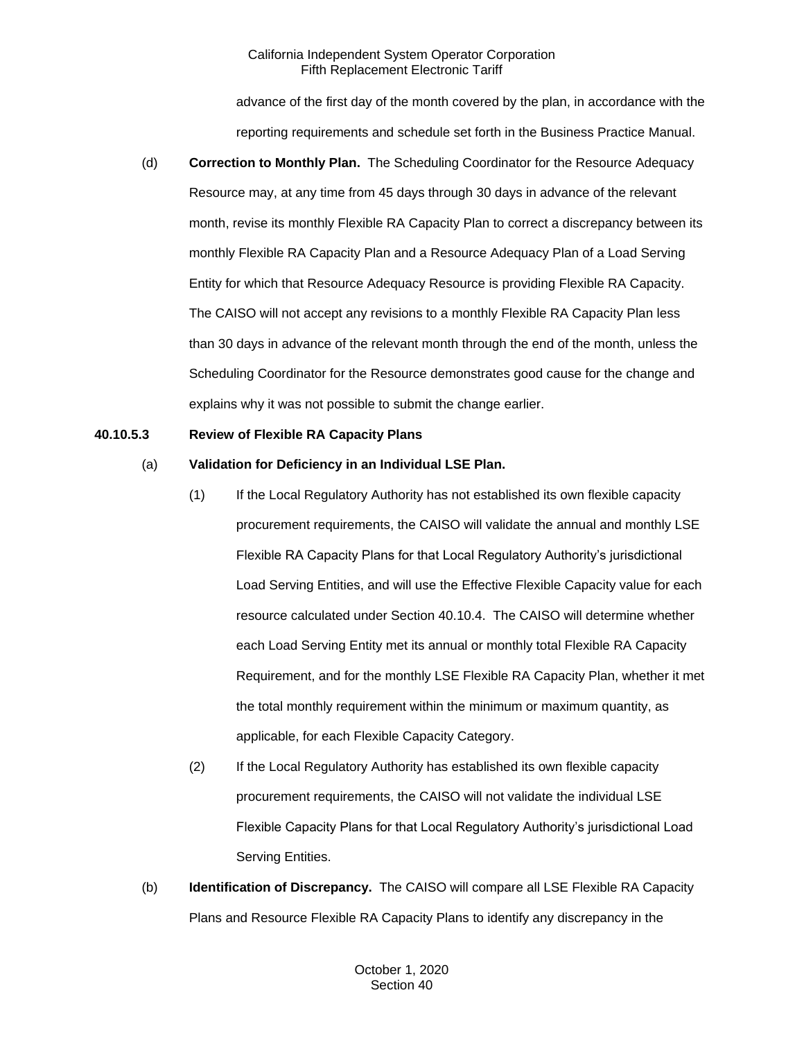advance of the first day of the month covered by the plan, in accordance with the reporting requirements and schedule set forth in the Business Practice Manual.

(d) **Correction to Monthly Plan.** The Scheduling Coordinator for the Resource Adequacy Resource may, at any time from 45 days through 30 days in advance of the relevant month, revise its monthly Flexible RA Capacity Plan to correct a discrepancy between its monthly Flexible RA Capacity Plan and a Resource Adequacy Plan of a Load Serving Entity for which that Resource Adequacy Resource is providing Flexible RA Capacity. The CAISO will not accept any revisions to a monthly Flexible RA Capacity Plan less than 30 days in advance of the relevant month through the end of the month, unless the Scheduling Coordinator for the Resource demonstrates good cause for the change and explains why it was not possible to submit the change earlier.

## **40.10.5.3 Review of Flexible RA Capacity Plans**

# (a) **Validation for Deficiency in an Individual LSE Plan.**

- (1) If the Local Regulatory Authority has not established its own flexible capacity procurement requirements, the CAISO will validate the annual and monthly LSE Flexible RA Capacity Plans for that Local Regulatory Authority's jurisdictional Load Serving Entities, and will use the Effective Flexible Capacity value for each resource calculated under Section 40.10.4. The CAISO will determine whether each Load Serving Entity met its annual or monthly total Flexible RA Capacity Requirement, and for the monthly LSE Flexible RA Capacity Plan, whether it met the total monthly requirement within the minimum or maximum quantity, as applicable, for each Flexible Capacity Category.
- (2) If the Local Regulatory Authority has established its own flexible capacity procurement requirements, the CAISO will not validate the individual LSE Flexible Capacity Plans for that Local Regulatory Authority's jurisdictional Load Serving Entities.
- (b) **Identification of Discrepancy.** The CAISO will compare all LSE Flexible RA Capacity Plans and Resource Flexible RA Capacity Plans to identify any discrepancy in the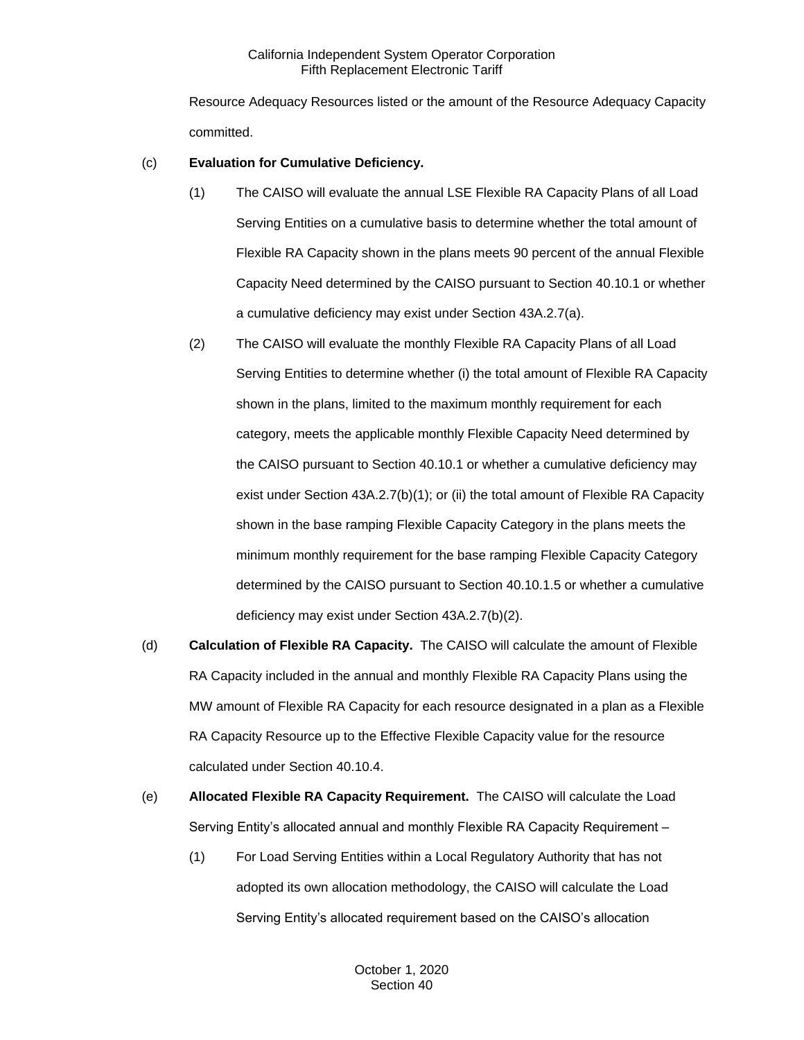Resource Adequacy Resources listed or the amount of the Resource Adequacy Capacity committed.

# (c) **Evaluation for Cumulative Deficiency.**

- (1) The CAISO will evaluate the annual LSE Flexible RA Capacity Plans of all Load Serving Entities on a cumulative basis to determine whether the total amount of Flexible RA Capacity shown in the plans meets 90 percent of the annual Flexible Capacity Need determined by the CAISO pursuant to Section 40.10.1 or whether a cumulative deficiency may exist under Section 43A.2.7(a).
- (2) The CAISO will evaluate the monthly Flexible RA Capacity Plans of all Load Serving Entities to determine whether (i) the total amount of Flexible RA Capacity shown in the plans, limited to the maximum monthly requirement for each category, meets the applicable monthly Flexible Capacity Need determined by the CAISO pursuant to Section 40.10.1 or whether a cumulative deficiency may exist under Section 43A.2.7(b)(1); or (ii) the total amount of Flexible RA Capacity shown in the base ramping Flexible Capacity Category in the plans meets the minimum monthly requirement for the base ramping Flexible Capacity Category determined by the CAISO pursuant to Section 40.10.1.5 or whether a cumulative deficiency may exist under Section 43A.2.7(b)(2).
- (d) **Calculation of Flexible RA Capacity.** The CAISO will calculate the amount of Flexible RA Capacity included in the annual and monthly Flexible RA Capacity Plans using the MW amount of Flexible RA Capacity for each resource designated in a plan as a Flexible RA Capacity Resource up to the Effective Flexible Capacity value for the resource calculated under Section 40.10.4.
- (e) **Allocated Flexible RA Capacity Requirement.** The CAISO will calculate the Load Serving Entity's allocated annual and monthly Flexible RA Capacity Requirement –
	- (1) For Load Serving Entities within a Local Regulatory Authority that has not adopted its own allocation methodology, the CAISO will calculate the Load Serving Entity's allocated requirement based on the CAISO's allocation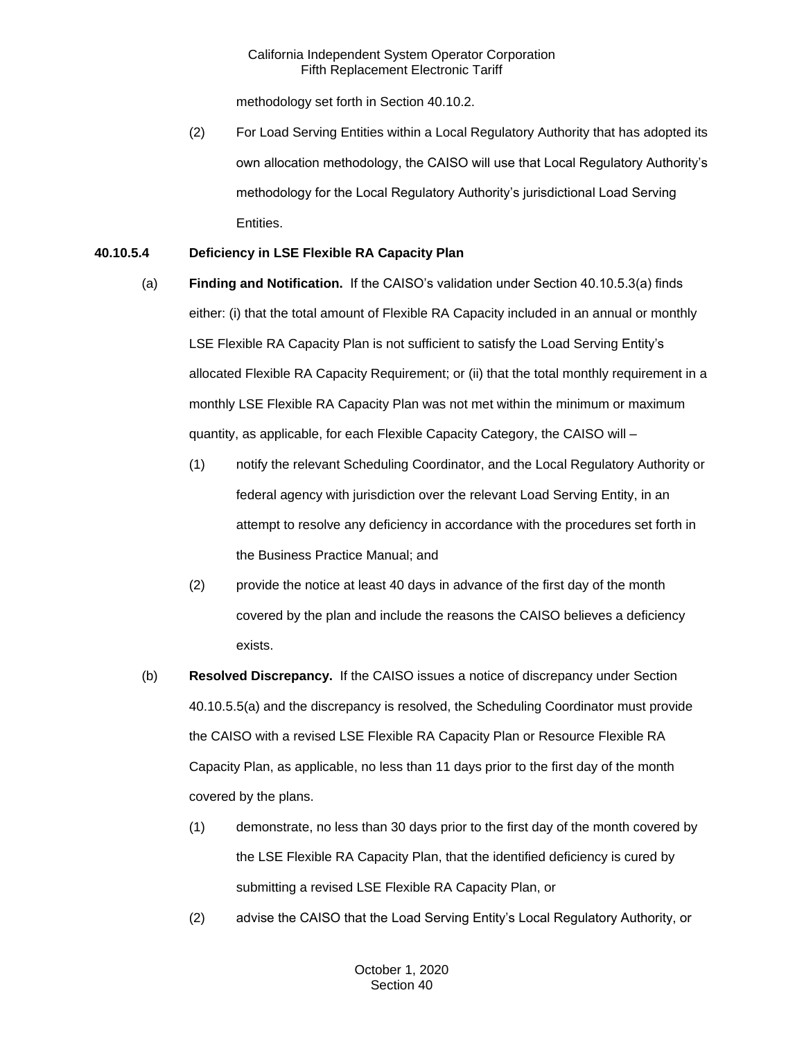methodology set forth in Section 40.10.2.

(2) For Load Serving Entities within a Local Regulatory Authority that has adopted its own allocation methodology, the CAISO will use that Local Regulatory Authority's methodology for the Local Regulatory Authority's jurisdictional Load Serving Entities.

# **40.10.5.4 Deficiency in LSE Flexible RA Capacity Plan**

- (a) **Finding and Notification.** If the CAISO's validation under Section 40.10.5.3(a) finds either: (i) that the total amount of Flexible RA Capacity included in an annual or monthly LSE Flexible RA Capacity Plan is not sufficient to satisfy the Load Serving Entity's allocated Flexible RA Capacity Requirement; or (ii) that the total monthly requirement in a monthly LSE Flexible RA Capacity Plan was not met within the minimum or maximum quantity, as applicable, for each Flexible Capacity Category, the CAISO will –
	- (1) notify the relevant Scheduling Coordinator, and the Local Regulatory Authority or federal agency with jurisdiction over the relevant Load Serving Entity, in an attempt to resolve any deficiency in accordance with the procedures set forth in the Business Practice Manual; and
	- (2) provide the notice at least 40 days in advance of the first day of the month covered by the plan and include the reasons the CAISO believes a deficiency exists.
- (b) **Resolved Discrepancy.** If the CAISO issues a notice of discrepancy under Section 40.10.5.5(a) and the discrepancy is resolved, the Scheduling Coordinator must provide the CAISO with a revised LSE Flexible RA Capacity Plan or Resource Flexible RA Capacity Plan, as applicable, no less than 11 days prior to the first day of the month covered by the plans.
	- (1) demonstrate, no less than 30 days prior to the first day of the month covered by the LSE Flexible RA Capacity Plan, that the identified deficiency is cured by submitting a revised LSE Flexible RA Capacity Plan, or
	- (2) advise the CAISO that the Load Serving Entity's Local Regulatory Authority, or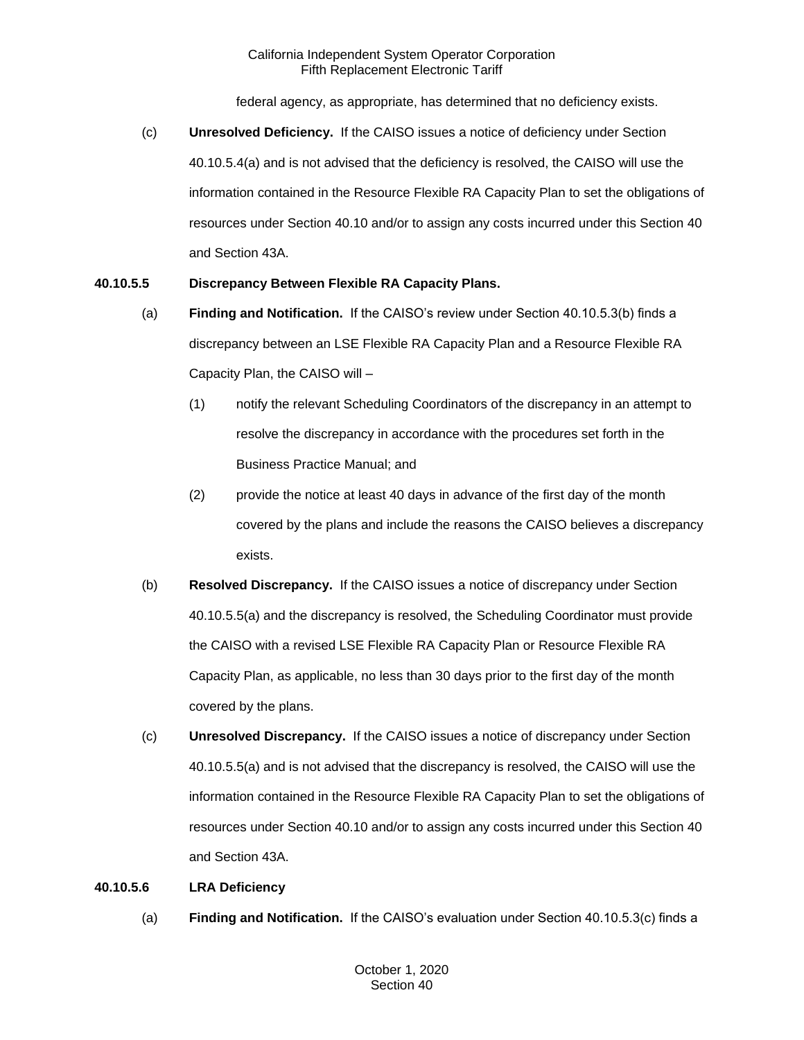federal agency, as appropriate, has determined that no deficiency exists.

(c) **Unresolved Deficiency.** If the CAISO issues a notice of deficiency under Section 40.10.5.4(a) and is not advised that the deficiency is resolved, the CAISO will use the information contained in the Resource Flexible RA Capacity Plan to set the obligations of resources under Section 40.10 and/or to assign any costs incurred under this Section 40 and Section 43A.

# **40.10.5.5 Discrepancy Between Flexible RA Capacity Plans.**

- (a) **Finding and Notification.** If the CAISO's review under Section 40.10.5.3(b) finds a discrepancy between an LSE Flexible RA Capacity Plan and a Resource Flexible RA Capacity Plan, the CAISO will –
	- (1) notify the relevant Scheduling Coordinators of the discrepancy in an attempt to resolve the discrepancy in accordance with the procedures set forth in the Business Practice Manual; and
	- (2) provide the notice at least 40 days in advance of the first day of the month covered by the plans and include the reasons the CAISO believes a discrepancy exists.
- (b) **Resolved Discrepancy.** If the CAISO issues a notice of discrepancy under Section 40.10.5.5(a) and the discrepancy is resolved, the Scheduling Coordinator must provide the CAISO with a revised LSE Flexible RA Capacity Plan or Resource Flexible RA Capacity Plan, as applicable, no less than 30 days prior to the first day of the month covered by the plans.
- (c) **Unresolved Discrepancy.** If the CAISO issues a notice of discrepancy under Section 40.10.5.5(a) and is not advised that the discrepancy is resolved, the CAISO will use the information contained in the Resource Flexible RA Capacity Plan to set the obligations of resources under Section 40.10 and/or to assign any costs incurred under this Section 40 and Section 43A.

# **40.10.5.6 LRA Deficiency**

(a) **Finding and Notification.** If the CAISO's evaluation under Section 40.10.5.3(c) finds a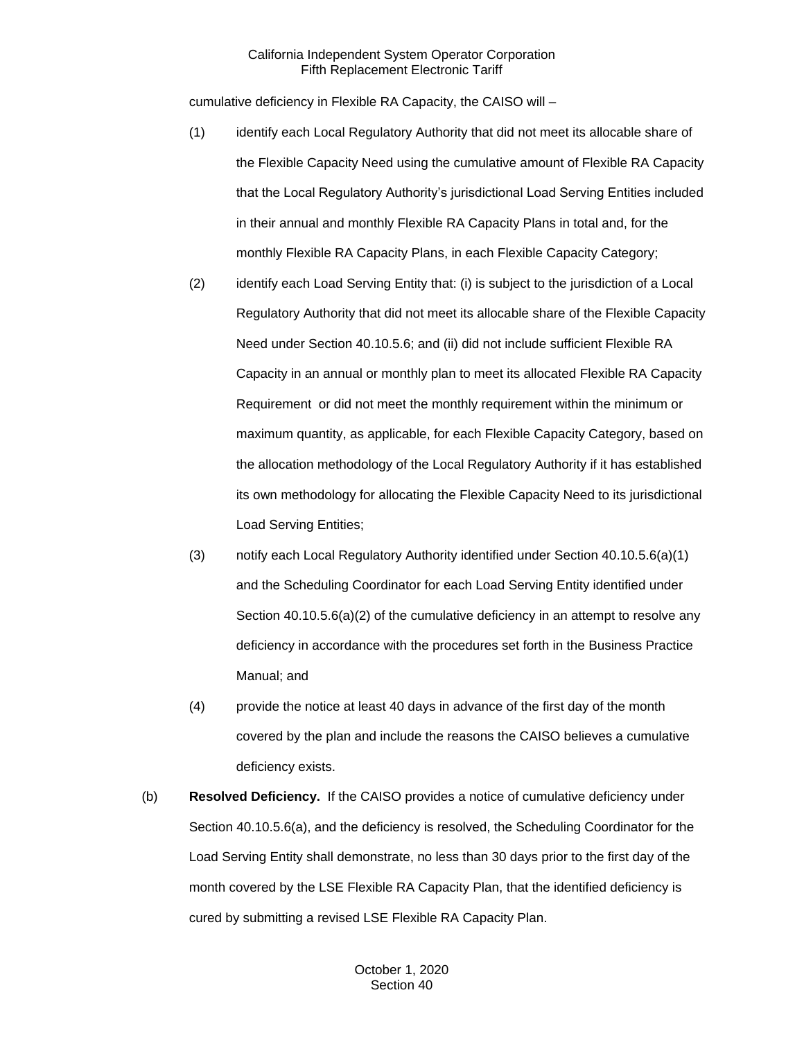cumulative deficiency in Flexible RA Capacity, the CAISO will –

- (1) identify each Local Regulatory Authority that did not meet its allocable share of the Flexible Capacity Need using the cumulative amount of Flexible RA Capacity that the Local Regulatory Authority's jurisdictional Load Serving Entities included in their annual and monthly Flexible RA Capacity Plans in total and, for the monthly Flexible RA Capacity Plans, in each Flexible Capacity Category;
- (2) identify each Load Serving Entity that: (i) is subject to the jurisdiction of a Local Regulatory Authority that did not meet its allocable share of the Flexible Capacity Need under Section 40.10.5.6; and (ii) did not include sufficient Flexible RA Capacity in an annual or monthly plan to meet its allocated Flexible RA Capacity Requirement or did not meet the monthly requirement within the minimum or maximum quantity, as applicable, for each Flexible Capacity Category, based on the allocation methodology of the Local Regulatory Authority if it has established its own methodology for allocating the Flexible Capacity Need to its jurisdictional Load Serving Entities;
- (3) notify each Local Regulatory Authority identified under Section 40.10.5.6(a)(1) and the Scheduling Coordinator for each Load Serving Entity identified under Section 40.10.5.6(a)(2) of the cumulative deficiency in an attempt to resolve any deficiency in accordance with the procedures set forth in the Business Practice Manual; and
- (4) provide the notice at least 40 days in advance of the first day of the month covered by the plan and include the reasons the CAISO believes a cumulative deficiency exists.
- (b) **Resolved Deficiency.** If the CAISO provides a notice of cumulative deficiency under Section 40.10.5.6(a), and the deficiency is resolved, the Scheduling Coordinator for the Load Serving Entity shall demonstrate, no less than 30 days prior to the first day of the month covered by the LSE Flexible RA Capacity Plan, that the identified deficiency is cured by submitting a revised LSE Flexible RA Capacity Plan.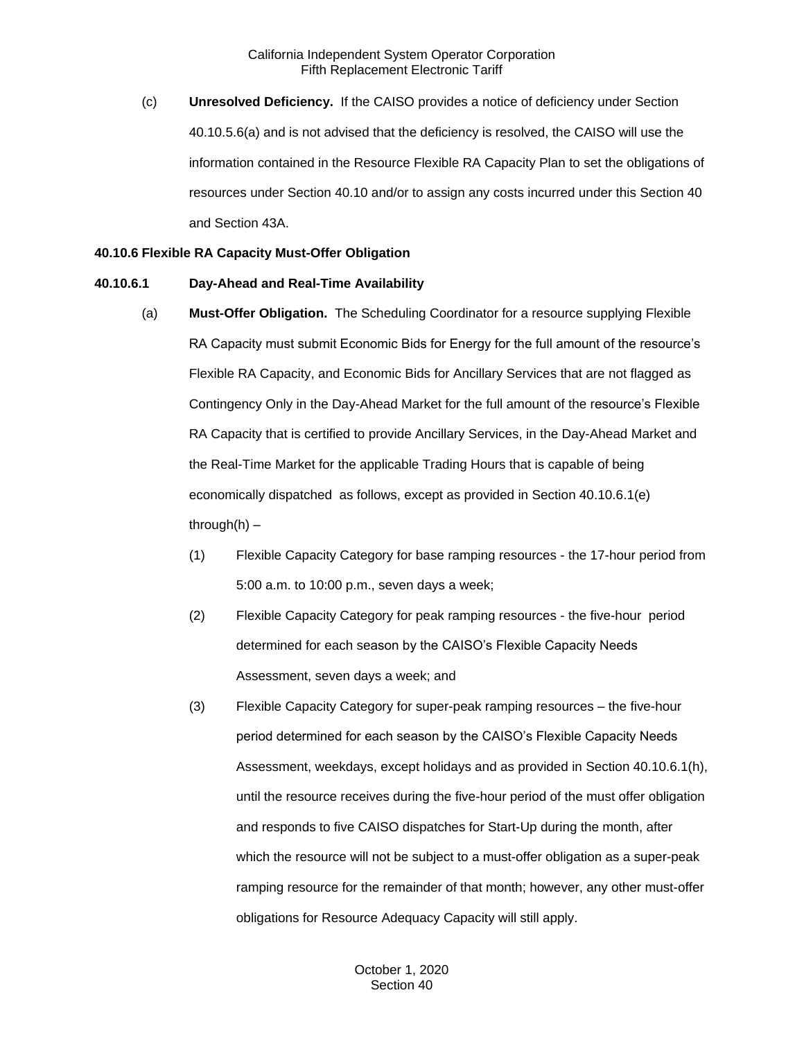(c) **Unresolved Deficiency.** If the CAISO provides a notice of deficiency under Section 40.10.5.6(a) and is not advised that the deficiency is resolved, the CAISO will use the information contained in the Resource Flexible RA Capacity Plan to set the obligations of resources under Section 40.10 and/or to assign any costs incurred under this Section 40 and Section 43A.

#### **40.10.6 Flexible RA Capacity Must-Offer Obligation**

#### **40.10.6.1 Day-Ahead and Real-Time Availability**

- (a) **Must-Offer Obligation.** The Scheduling Coordinator for a resource supplying Flexible RA Capacity must submit Economic Bids for Energy for the full amount of the resource's Flexible RA Capacity, and Economic Bids for Ancillary Services that are not flagged as Contingency Only in the Day-Ahead Market for the full amount of the resource's Flexible RA Capacity that is certified to provide Ancillary Services, in the Day-Ahead Market and the Real-Time Market for the applicable Trading Hours that is capable of being economically dispatched as follows, except as provided in Section 40.10.6.1(e) through $(h)$  –
	- (1) Flexible Capacity Category for base ramping resources the 17-hour period from 5:00 a.m. to 10:00 p.m., seven days a week;
	- (2) Flexible Capacity Category for peak ramping resources the five-hour period determined for each season by the CAISO's Flexible Capacity Needs Assessment, seven days a week; and
	- (3) Flexible Capacity Category for super-peak ramping resources the five-hour period determined for each season by the CAISO's Flexible Capacity Needs Assessment, weekdays, except holidays and as provided in Section 40.10.6.1(h), until the resource receives during the five-hour period of the must offer obligation and responds to five CAISO dispatches for Start-Up during the month, after which the resource will not be subject to a must-offer obligation as a super-peak ramping resource for the remainder of that month; however, any other must-offer obligations for Resource Adequacy Capacity will still apply.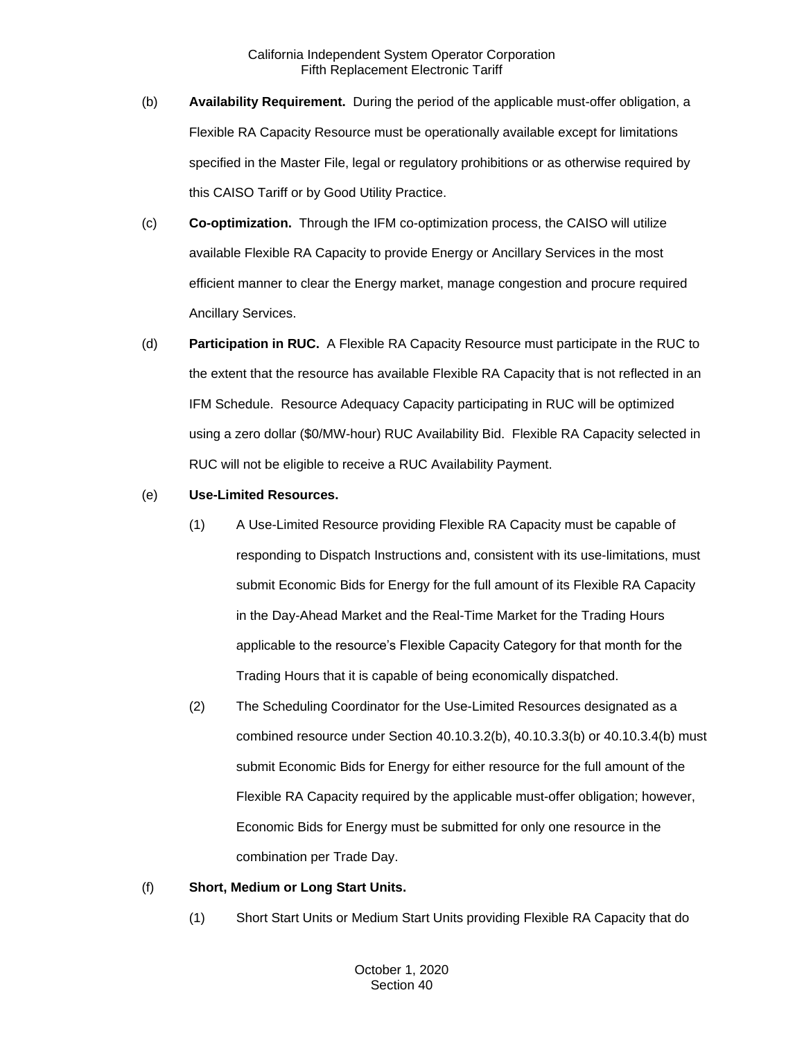- (b) **Availability Requirement.** During the period of the applicable must-offer obligation, a Flexible RA Capacity Resource must be operationally available except for limitations specified in the Master File, legal or regulatory prohibitions or as otherwise required by this CAISO Tariff or by Good Utility Practice.
- (c) **Co-optimization.** Through the IFM co-optimization process, the CAISO will utilize available Flexible RA Capacity to provide Energy or Ancillary Services in the most efficient manner to clear the Energy market, manage congestion and procure required Ancillary Services.
- (d) **Participation in RUC.** A Flexible RA Capacity Resource must participate in the RUC to the extent that the resource has available Flexible RA Capacity that is not reflected in an IFM Schedule. Resource Adequacy Capacity participating in RUC will be optimized using a zero dollar (\$0/MW-hour) RUC Availability Bid. Flexible RA Capacity selected in RUC will not be eligible to receive a RUC Availability Payment.
- (e) **Use-Limited Resources.**
	- (1) A Use-Limited Resource providing Flexible RA Capacity must be capable of responding to Dispatch Instructions and, consistent with its use-limitations, must submit Economic Bids for Energy for the full amount of its Flexible RA Capacity in the Day-Ahead Market and the Real-Time Market for the Trading Hours applicable to the resource's Flexible Capacity Category for that month for the Trading Hours that it is capable of being economically dispatched.
	- (2) The Scheduling Coordinator for the Use-Limited Resources designated as a combined resource under Section 40.10.3.2(b), 40.10.3.3(b) or 40.10.3.4(b) must submit Economic Bids for Energy for either resource for the full amount of the Flexible RA Capacity required by the applicable must-offer obligation; however, Economic Bids for Energy must be submitted for only one resource in the combination per Trade Day.

# (f) **Short, Medium or Long Start Units.**

(1) Short Start Units or Medium Start Units providing Flexible RA Capacity that do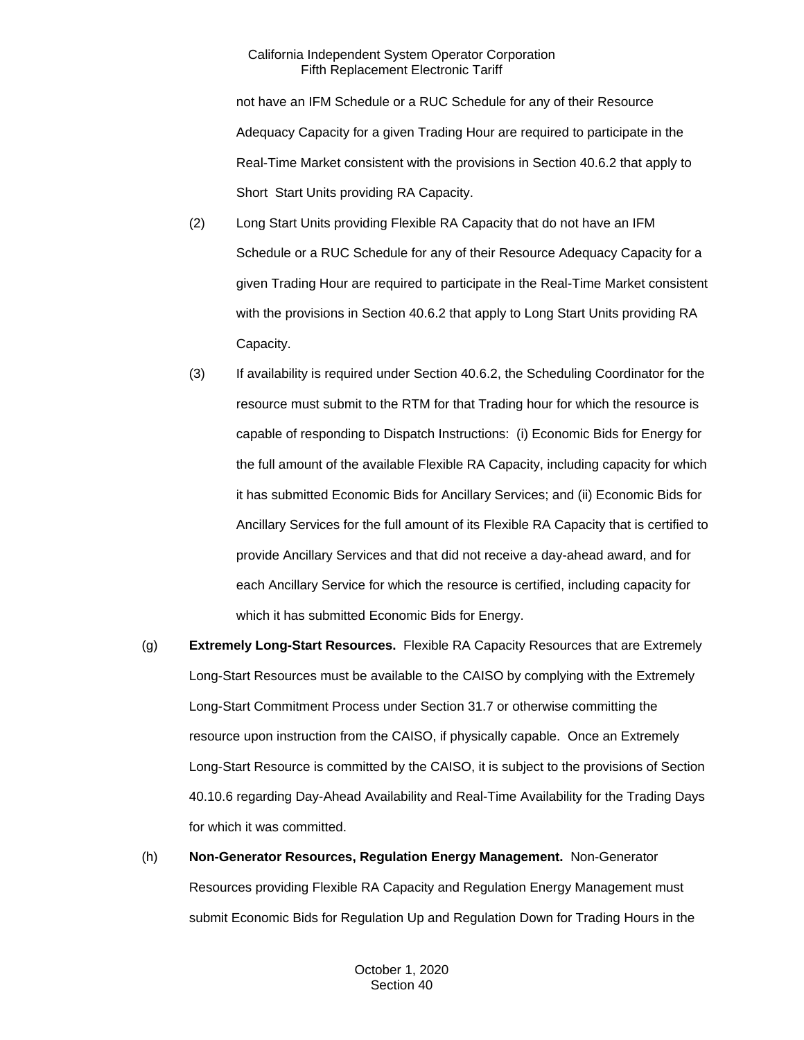not have an IFM Schedule or a RUC Schedule for any of their Resource Adequacy Capacity for a given Trading Hour are required to participate in the Real-Time Market consistent with the provisions in Section 40.6.2 that apply to Short Start Units providing RA Capacity.

- (2) Long Start Units providing Flexible RA Capacity that do not have an IFM Schedule or a RUC Schedule for any of their Resource Adequacy Capacity for a given Trading Hour are required to participate in the Real-Time Market consistent with the provisions in Section 40.6.2 that apply to Long Start Units providing RA Capacity.
- (3) If availability is required under Section 40.6.2, the Scheduling Coordinator for the resource must submit to the RTM for that Trading hour for which the resource is capable of responding to Dispatch Instructions: (i) Economic Bids for Energy for the full amount of the available Flexible RA Capacity, including capacity for which it has submitted Economic Bids for Ancillary Services; and (ii) Economic Bids for Ancillary Services for the full amount of its Flexible RA Capacity that is certified to provide Ancillary Services and that did not receive a day-ahead award, and for each Ancillary Service for which the resource is certified, including capacity for which it has submitted Economic Bids for Energy.
- (g) **Extremely Long-Start Resources.** Flexible RA Capacity Resources that are Extremely Long-Start Resources must be available to the CAISO by complying with the Extremely Long-Start Commitment Process under Section 31.7 or otherwise committing the resource upon instruction from the CAISO, if physically capable. Once an Extremely Long-Start Resource is committed by the CAISO, it is subject to the provisions of Section 40.10.6 regarding Day-Ahead Availability and Real-Time Availability for the Trading Days for which it was committed.

(h) **Non-Generator Resources, Regulation Energy Management.** Non-Generator Resources providing Flexible RA Capacity and Regulation Energy Management must submit Economic Bids for Regulation Up and Regulation Down for Trading Hours in the